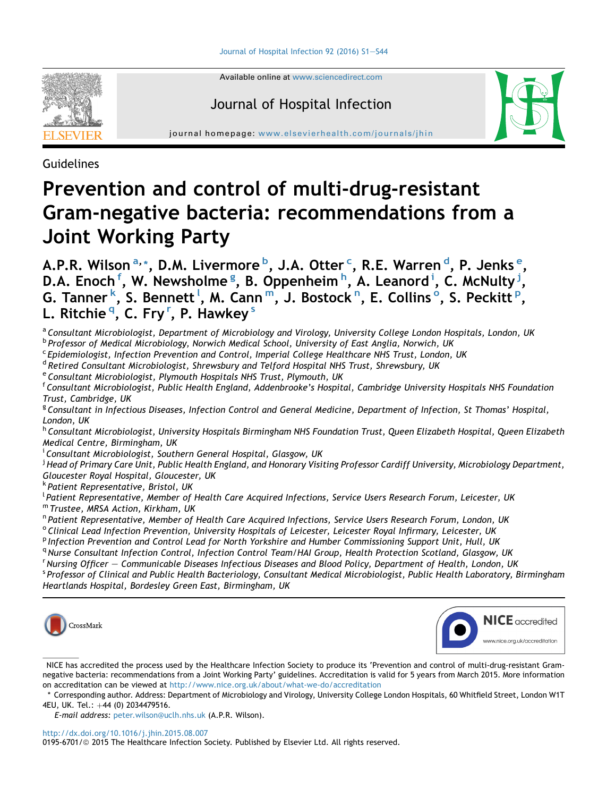

Available online at [www.sciencedirect.com](www.sciencedirect.com/science/journal/01956701)

## Journal of Hospital Infection



journal homepage: [www.elsevierhealth.com/journals/jhin](http://www.elsevierhealth.com/journals/jhin)

Guidelines

# Prevention and control of multi-drug-resistant Gram-negative bacteria: recommendations from a Joint Working Party

A.P.R. Wilson <sup>a, \*</sup>, D.M. Livermore <sup>b</sup>, J.A. Otter <sup>c</sup>, R.E. Warren <sup>d</sup>, P. Jenks <sup>e</sup>, D.A. Enoch <sup>f</sup>, W. Newsholme <sup>g</sup>, B. Oppenheim h, A. Leanord <sup>i</sup>, C. McNulty <sup>j</sup>, G. Tanner <sup>k</sup>, S. Bennett <sup>I</sup>, M. Cann m, J. Bostock n, E. Collins <sup>o</sup>, S. Peckitt <sup>p</sup>, L. Ritchie <sup>q'</sup>, C. Fry <sup>r</sup>, P. Hawkey <sup>s</sup>

- a Consultant Microbiologist, Department of Microbiology and Virology, University College London Hospitals, London, UK
- <sup>b</sup> Professor of Medical Microbiology, Norwich Medical School, University of East Anglia, Norwich, UK
- <sup>c</sup> Epidemiologist, Infection Prevention and Control, Imperial College Healthcare NHS Trust, London, UK
- <sup>d</sup> Retired Consultant Microbiologist, Shrewsbury and Telford Hospital NHS Trust, Shrewsbury, UK
- <sup>e</sup> Consultant Microbiologist, Plymouth Hospitals NHS Trust, Plymouth, UK
- <sup>f</sup> Consultant Microbiologist, Public Health England, Addenbrooke's Hospital, Cambridge University Hospitals NHS Foundation Trust, Cambridge, UK
- <sup>g</sup> Consultant in Infectious Diseases, Infection Control and General Medicine, Department of Infection, St Thomas' Hospital, London, UK
- <sup>h</sup> Consultant Microbiologist, University Hospitals Birmingham NHS Foundation Trust, Queen Elizabeth Hospital, Queen Elizabeth Medical Centre, Birmingham, UK
- <sup>i</sup> Consultant Microbiologist, Southern General Hospital, Glasgow, UK
- <sup>j</sup> Head of Primary Care Unit, Public Health England, and Honorary Visiting Professor Cardiff University, Microbiology Department, Gloucester Royal Hospital, Gloucester, UK
- <sup>k</sup> Patient Representative, Bristol, UK
- <sup>l</sup> Patient Representative, Member of Health Care Acquired Infections, Service Users Research Forum, Leicester, UK <sup>m</sup> Trustee, MRSA Action, Kirkham, UK<br><sup>n</sup> Patient Representative, Member of Health Care Acquired Infections, Service Users Research Forum, London, UK
- <sup>o</sup> Clinical Lead Infection Prevention, University Hospitals of Leicester, Leicester Royal Infirmary, Leicester, UK
- <sup>p</sup> Infection Prevention and Control Lead for North Yorkshire and Humber Commissioning Support Unit, Hull, UK
- <sup>q</sup> Nurse Consultant Infection Control, Infection Control Team/HAI Group, Health Protection Scotland, Glasgow, UK
- r Nursing Officer Communicable Diseases Infectious Diseases and Blood Policy, Department of Health, London, UK<br>S Professor of Clinical and Public Health Bacteriology, Consultant Medical Microbiologist, Public Health Labo

<sup>s</sup> Professor of Clinical and Public Health Bacteriology, Consultant Medical Microbiologist, Public Health Laboratory, Birmingham Heartlands Hospital, Bordesley Green East, Birmingham, UK





NICE has accredited the process used by the Healthcare Infection Society to produce its 'Prevention and control of multi-drug-resistant Gramnegative bacteria: recommendations from a Joint Working Party' guidelines. Accreditation is valid for 5 years from March 2015. More information on accreditation can be viewed at <http://www.nice.org.uk/about/what-we-do/accreditation>

<http://dx.doi.org/10.1016/j.jhin.2015.08.007>

0195-6701/@ 2015 The Healthcare Infection Society. Published by Elsevier Ltd. All rights reserved.

<sup>\*</sup> Corresponding author. Address: Department of Microbiology and Virology, University College London Hospitals, 60 Whitfield Street, London W1T 4EU, UK. Tel.: +44 (0) 2034479516.

E-mail address: [peter.wilson@uclh.nhs.uk](mailto:peter.wilson@uclh.nhs.uk) (A.P.R. Wilson).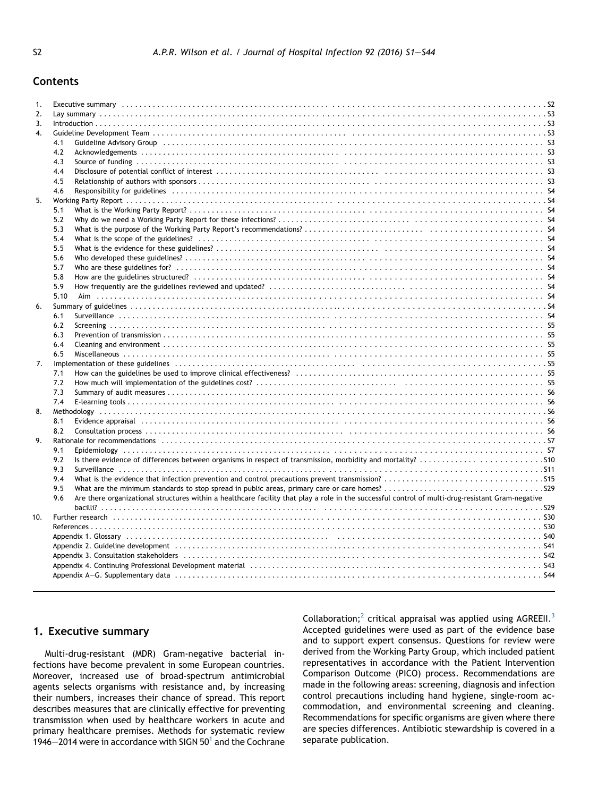### **Contents**

| 1.  |      |                                                                                                                                                                                                                                |  |  |  |
|-----|------|--------------------------------------------------------------------------------------------------------------------------------------------------------------------------------------------------------------------------------|--|--|--|
| 2.  |      |                                                                                                                                                                                                                                |  |  |  |
| 3.  |      |                                                                                                                                                                                                                                |  |  |  |
| 4.  |      |                                                                                                                                                                                                                                |  |  |  |
|     | 4.1  |                                                                                                                                                                                                                                |  |  |  |
|     | 4.2  |                                                                                                                                                                                                                                |  |  |  |
|     | 4.3  |                                                                                                                                                                                                                                |  |  |  |
|     | 4.4  |                                                                                                                                                                                                                                |  |  |  |
|     | 4.5  |                                                                                                                                                                                                                                |  |  |  |
|     | 4.6  |                                                                                                                                                                                                                                |  |  |  |
| 5.  |      |                                                                                                                                                                                                                                |  |  |  |
|     | 5.1  |                                                                                                                                                                                                                                |  |  |  |
|     | 5.2  |                                                                                                                                                                                                                                |  |  |  |
|     | 5.3  |                                                                                                                                                                                                                                |  |  |  |
|     | 5.4  |                                                                                                                                                                                                                                |  |  |  |
|     | 5.5  |                                                                                                                                                                                                                                |  |  |  |
|     | 5.6  |                                                                                                                                                                                                                                |  |  |  |
|     | 5.7  |                                                                                                                                                                                                                                |  |  |  |
|     | 5.8  |                                                                                                                                                                                                                                |  |  |  |
|     | 5.9  |                                                                                                                                                                                                                                |  |  |  |
|     | 5.10 |                                                                                                                                                                                                                                |  |  |  |
| 6.  |      |                                                                                                                                                                                                                                |  |  |  |
|     | 6.1  |                                                                                                                                                                                                                                |  |  |  |
|     | 6.2  |                                                                                                                                                                                                                                |  |  |  |
|     | 6.3  |                                                                                                                                                                                                                                |  |  |  |
|     | 6.4  |                                                                                                                                                                                                                                |  |  |  |
|     | 6.5  |                                                                                                                                                                                                                                |  |  |  |
| 7.  |      | Implementation of these guidelines (and according contained a state of the state of the state of the sequelelines (state of the state of the state of the state of the state of the state of the state of the state of the sta |  |  |  |
|     | 7.1  |                                                                                                                                                                                                                                |  |  |  |
|     | 7.2  |                                                                                                                                                                                                                                |  |  |  |
|     | 7.3  |                                                                                                                                                                                                                                |  |  |  |
|     | 7.4  |                                                                                                                                                                                                                                |  |  |  |
| 8.  |      |                                                                                                                                                                                                                                |  |  |  |
|     | 8.1  |                                                                                                                                                                                                                                |  |  |  |
|     | 8.2  |                                                                                                                                                                                                                                |  |  |  |
| 9.  |      |                                                                                                                                                                                                                                |  |  |  |
|     | 9.1  |                                                                                                                                                                                                                                |  |  |  |
|     | 9.2  |                                                                                                                                                                                                                                |  |  |  |
|     | 9.3  |                                                                                                                                                                                                                                |  |  |  |
|     | 9.4  |                                                                                                                                                                                                                                |  |  |  |
|     | 9.5  |                                                                                                                                                                                                                                |  |  |  |
|     | 9.6  | Are there organizational structures within a healthcare facility that play a role in the successful control of multi-drug-resistant Gram-negative                                                                              |  |  |  |
|     |      |                                                                                                                                                                                                                                |  |  |  |
| 10. |      |                                                                                                                                                                                                                                |  |  |  |
|     |      |                                                                                                                                                                                                                                |  |  |  |
|     |      |                                                                                                                                                                                                                                |  |  |  |
|     |      |                                                                                                                                                                                                                                |  |  |  |
|     |      |                                                                                                                                                                                                                                |  |  |  |
|     |      |                                                                                                                                                                                                                                |  |  |  |
|     |      |                                                                                                                                                                                                                                |  |  |  |
|     |      |                                                                                                                                                                                                                                |  |  |  |

### 1. Executive summary

Multi-drug-resistant (MDR) Gram-negative bacterial infections have become prevalent in some European countries. Moreover, increased use of broad-spectrum antimicrobial agents selects organisms with resistance and, by increasing their numbers, increases their chance of spread. This report describes measures that are clinically effective for preventing transmission when used by healthcare workers in acute and primary healthcare premises. Methods for systematic review [1](#page-29-0)946–2014 were in accordance with SIGN 50<sup>1</sup> and the Cochrane

Collaboration;<sup>[2](#page-29-0)</sup> critical appraisal was applied using AGREEII.<sup>[3](#page-29-0)</sup> Accepted guidelines were used as part of the evidence base and to support expert consensus. Questions for review were derived from the Working Party Group, which included patient representatives in accordance with the Patient Intervention Comparison Outcome (PICO) process. Recommendations are made in the following areas: screening, diagnosis and infection control precautions including hand hygiene, single-room accommodation, and environmental screening and cleaning. Recommendations for specific organisms are given where there are species differences. Antibiotic stewardship is covered in a separate publication.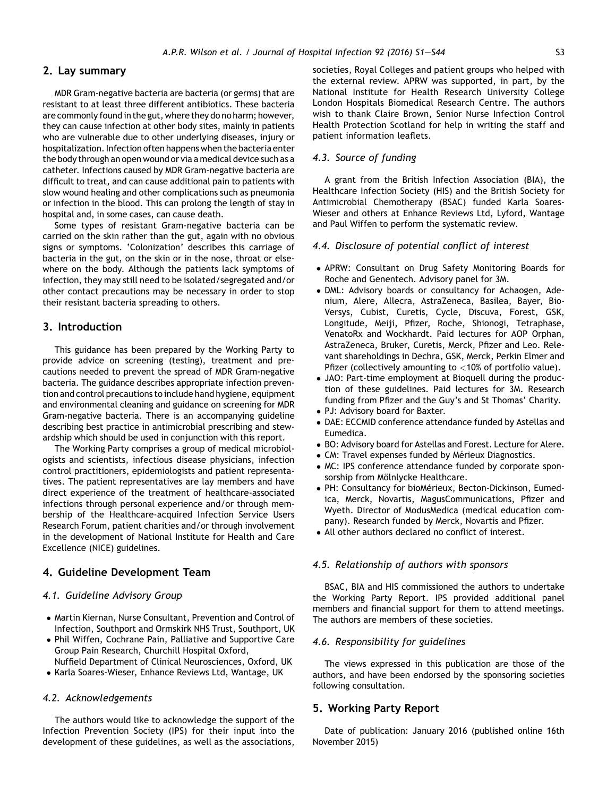### 2. Lay summary

MDR Gram-negative bacteria are bacteria (or germs) that are resistant to at least three different antibiotics. These bacteria are commonly found in the gut, where they do no harm; however, they can cause infection at other body sites, mainly in patients who are vulnerable due to other underlying diseases, injury or hospitalization. Infection often happens when the bacteria enter the body through an open wound or via a medical device such as a catheter. Infections caused by MDR Gram-negative bacteria are difficult to treat, and can cause additional pain to patients with slow wound healing and other complications such as pneumonia or infection in the blood. This can prolong the length of stay in hospital and, in some cases, can cause death.

Some types of resistant Gram-negative bacteria can be carried on the skin rather than the gut, again with no obvious signs or symptoms. 'Colonization' describes this carriage of bacteria in the gut, on the skin or in the nose, throat or elsewhere on the body. Although the patients lack symptoms of infection, they may still need to be isolated/segregated and/or other contact precautions may be necessary in order to stop their resistant bacteria spreading to others.

### 3. Introduction

This guidance has been prepared by the Working Party to provide advice on screening (testing), treatment and precautions needed to prevent the spread of MDR Gram-negative bacteria. The guidance describes appropriate infection prevention and control precautions to include hand hygiene, equipment and environmental cleaning and guidance on screening for MDR Gram-negative bacteria. There is an accompanying guideline describing best practice in antimicrobial prescribing and stewardship which should be used in conjunction with this report.

The Working Party comprises a group of medical microbiologists and scientists, infectious disease physicians, infection control practitioners, epidemiologists and patient representatives. The patient representatives are lay members and have direct experience of the treatment of healthcare-associated infections through personal experience and/or through membership of the Healthcare-acquired Infection Service Users Research Forum, patient charities and/or through involvement in the development of National Institute for Health and Care Excellence (NICE) guidelines.

### 4. Guideline Development Team

#### 4.1. Guideline Advisory Group

- Martin Kiernan, Nurse Consultant, Prevention and Control of Infection, Southport and Ormskirk NHS Trust, Southport, UK
- Phil Wiffen, Cochrane Pain, Palliative and Supportive Care Group Pain Research, Churchill Hospital Oxford, Nuffield Department of Clinical Neurosciences, Oxford, UK
- Karla Soares-Wieser, Enhance Reviews Ltd, Wantage, UK

#### 4.2. Acknowledgements

The authors would like to acknowledge the support of the Infection Prevention Society (IPS) for their input into the development of these guidelines, as well as the associations, societies, Royal Colleges and patient groups who helped with the external review. APRW was supported, in part, by the National Institute for Health Research University College London Hospitals Biomedical Research Centre. The authors wish to thank Claire Brown, Senior Nurse Infection Control Health Protection Scotland for help in writing the staff and patient information leaflets.

### 4.3. Source of funding

A grant from the British Infection Association (BIA), the Healthcare Infection Society (HIS) and the British Society for Antimicrobial Chemotherapy (BSAC) funded Karla Soares-Wieser and others at Enhance Reviews Ltd, Lyford, Wantage and Paul Wiffen to perform the systematic review.

#### 4.4. Disclosure of potential conflict of interest

- APRW: Consultant on Drug Safety Monitoring Boards for Roche and Genentech. Advisory panel for 3M.
- DML: Advisory boards or consultancy for Achaogen, Adenium, Alere, Allecra, AstraZeneca, Basilea, Bayer, Bio-Versys, Cubist, Curetis, Cycle, Discuva, Forest, GSK, Longitude, Meiji, Pfizer, Roche, Shionogi, Tetraphase, VenatoRx and Wockhardt. Paid lectures for AOP Orphan, AstraZeneca, Bruker, Curetis, Merck, Pfizer and Leo. Relevant shareholdings in Dechra, GSK, Merck, Perkin Elmer and Pfizer (collectively amounting to  $<$  10% of portfolio value).
- JAO: Part-time employment at Bioquell during the production of these guidelines. Paid lectures for 3M. Research funding from Pfizer and the Guy's and St Thomas' Charity.
- PJ: Advisory board for Baxter.
- DAE: ECCMID conference attendance funded by Astellas and Eumedica.
- BO: Advisory board for Astellas and Forest. Lecture for Alere.
- CM: Travel expenses funded by Mérieux Diagnostics.
- MC: IPS conference attendance funded by corporate sponsorship from Mölnlycke Healthcare.
- PH: Consultancy for bioMérieux, Becton-Dickinson, Eumedica, Merck, Novartis, MagusCommunications, Pfizer and Wyeth. Director of ModusMedica (medical education company). Research funded by Merck, Novartis and Pfizer.
- All other authors declared no conflict of interest.

#### 4.5. Relationship of authors with sponsors

BSAC, BIA and HIS commissioned the authors to undertake the Working Party Report. IPS provided additional panel members and financial support for them to attend meetings. The authors are members of these societies.

#### 4.6. Responsibility for guidelines

The views expressed in this publication are those of the authors, and have been endorsed by the sponsoring societies following consultation.

### 5. Working Party Report

Date of publication: January 2016 (published online 16th November 2015)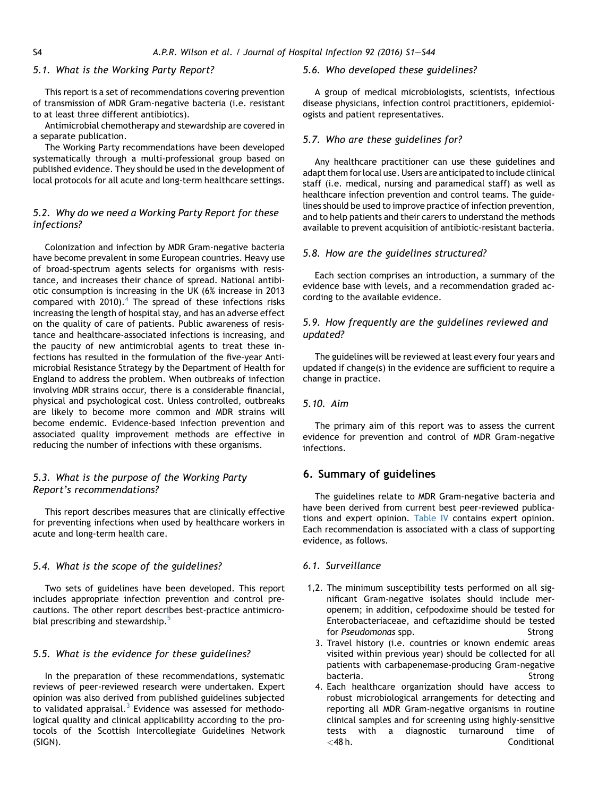### 5.1. What is the Working Party Report?

This report is a set of recommendations covering prevention of transmission of MDR Gram-negative bacteria (i.e. resistant to at least three different antibiotics).

Antimicrobial chemotherapy and stewardship are covered in a separate publication.

The Working Party recommendations have been developed systematically through a multi-professional group based on published evidence. They should be used in the development of local protocols for all acute and long-term healthcare settings.

### 5.2. Why do we need a Working Party Report for these infections?

Colonization and infection by MDR Gram-negative bacteria have become prevalent in some European countries. Heavy use of broad-spectrum agents selects for organisms with resistance, and increases their chance of spread. National antibiotic consumption is increasing in the UK (6% increase in 2013 compared with  $2010$ .<sup>[4](#page-29-0)</sup> The spread of these infections risks increasing the length of hospital stay, and has an adverse effect on the quality of care of patients. Public awareness of resistance and healthcare-associated infections is increasing, and the paucity of new antimicrobial agents to treat these infections has resulted in the formulation of the five-year Antimicrobial Resistance Strategy by the Department of Health for England to address the problem. When outbreaks of infection involving MDR strains occur, there is a considerable financial, physical and psychological cost. Unless controlled, outbreaks are likely to become more common and MDR strains will become endemic. Evidence-based infection prevention and associated quality improvement methods are effective in reducing the number of infections with these organisms.

### 5.3. What is the purpose of the Working Party Report's recommendations?

This report describes measures that are clinically effective for preventing infections when used by healthcare workers in acute and long-term health care.

### 5.4. What is the scope of the guidelines?

Two sets of guidelines have been developed. This report includes appropriate infection prevention and control precautions. The other report describes best-practice antimicro-bial prescribing and stewardship.<sup>[5](#page-29-0)</sup>

### 5.5. What is the evidence for these guidelines?

In the preparation of these recommendations, systematic reviews of peer-reviewed research were undertaken. Expert opinion was also derived from published guidelines subjected to validated appraisal.<sup>[3](#page-29-0)</sup> Evidence was assessed for methodological quality and clinical applicability according to the protocols of the Scottish Intercollegiate Guidelines Network (SIGN).

### 5.6. Who developed these guidelines?

A group of medical microbiologists, scientists, infectious disease physicians, infection control practitioners, epidemiologists and patient representatives.

#### 5.7. Who are these guidelines for?

Any healthcare practitioner can use these guidelines and adapt them for local use. Users are anticipated to include clinical staff (i.e. medical, nursing and paramedical staff) as well as healthcare infection prevention and control teams. The guidelines should be used to improve practice of infection prevention, and to help patients and their carers to understand the methods available to prevent acquisition of antibiotic-resistant bacteria.

### 5.8. How are the guidelines structured?

Each section comprises an introduction, a summary of the evidence base with levels, and a recommendation graded according to the available evidence.

### 5.9. How frequently are the guidelines reviewed and updated?

The guidelines will be reviewed at least every four years and updated if change(s) in the evidence are sufficient to require a change in practice.

### 5.10. Aim

The primary aim of this report was to assess the current evidence for prevention and control of MDR Gram-negative infections.

### 6. Summary of guidelines

The guidelines relate to MDR Gram-negative bacteria and have been derived from current best peer-reviewed publications and expert opinion. [Table IV](#page-17-0) contains expert opinion. Each recommendation is associated with a class of supporting evidence, as follows.

### 6.1. Surveillance

- 1,2. The minimum susceptibility tests performed on all significant Gram-negative isolates should include meropenem; in addition, cefpodoxime should be tested for Enterobacteriaceae, and ceftazidime should be tested for *Pseudomonas* spp. Strong
	- 3. Travel history (i.e. countries or known endemic areas visited within previous year) should be collected for all patients with carbapenemase-producing Gram-negative bacteria. Strong bacteria.
	- 4. Each healthcare organization should have access to robust microbiological arrangements for detecting and reporting all MDR Gram-negative organisms in routine clinical samples and for screening using highly-sensitive tests with a diagnostic turnaround time of <48 h. Conditional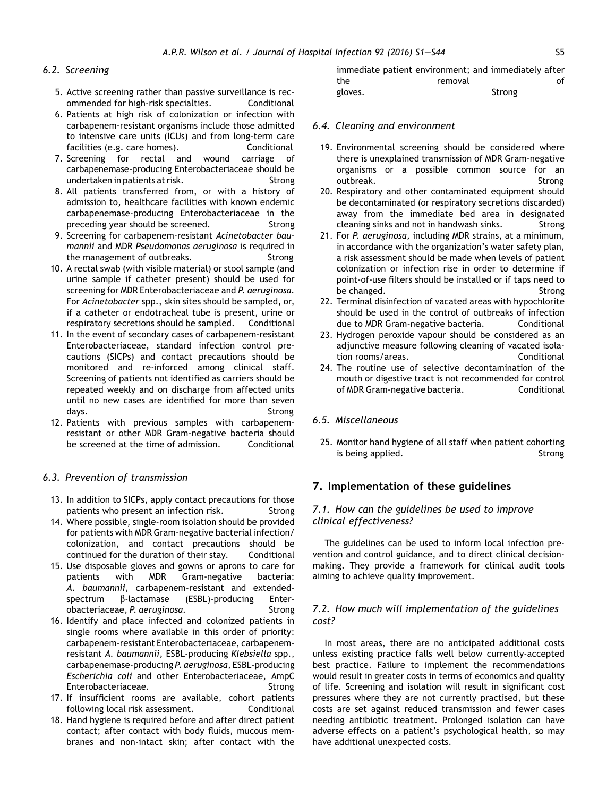### 6.2. Screening

- 5. Active screening rather than passive surveillance is recommended for high-risk specialties. Conditional
- 6. Patients at high risk of colonization or infection with carbapenem-resistant organisms include those admitted to intensive care units (ICUs) and from long-term care facilities (e.g. care homes). Conditional
- 7. Screening for rectal and wound carriage of carbapenemase-producing Enterobacteriaceae should be undertaken in patients at risk. Strong
- 8. All patients transferred from, or with a history of admission to, healthcare facilities with known endemic carbapenemase-producing Enterobacteriaceae in the preceding year should be screened. Strong
- 9. Screening for carbapenem-resistant Acinetobacter baumannii and MDR Pseudomonas aeruginosa is required in the management of outbreaks. Strong
- 10. A rectal swab (with visible material) or stool sample (and urine sample if catheter present) should be used for screening for MDR Enterobacteriaceae and P. aeruginosa. For Acinetobacter spp., skin sites should be sampled, or, if a catheter or endotracheal tube is present, urine or respiratory secretions should be sampled. Conditional
- 11. In the event of secondary cases of carbapenem-resistant Enterobacteriaceae, standard infection control precautions (SICPs) and contact precautions should be monitored and re-inforced among clinical staff. Screening of patients not identified as carriers should be repeated weekly and on discharge from affected units until no new cases are identified for more than seven days. The contract of the contract of the contract of the contract of the contract of the contract of the contract of the contract of the contract of the contract of the contract of the contract of the contract of the cont
- 12. Patients with previous samples with carbapenemresistant or other MDR Gram-negative bacteria should be screened at the time of admission. Conditional

#### 6.3. Prevention of transmission

- 13. In addition to SICPs, apply contact precautions for those patients who present an infection risk. Strong
- 14. Where possible, single-room isolation should be provided for patients with MDR Gram-negative bacterial infection/ colonization, and contact precautions should be continued for the duration of their stay. Conditional
- 15. Use disposable gloves and gowns or aprons to care for patients with MDR Gram-negative bacteria: A. baumannii, carbapenem-resistant and extendedspectrum  $\beta$ -lactamase (ESBL)-producing Enterobacteriaceae, P. aeruginosa. Strong
- 16. Identify and place infected and colonized patients in single rooms where available in this order of priority: carbapenem-resistant Enterobacteriaceae, carbapenemresistant A. baumannii, ESBL-producing Klebsiella spp., carbapenemase-producing P. aeruginosa, ESBL-producing Escherichia coli and other Enterobacteriaceae, AmpC Enterobacteriaceae. Strong
- 17. If insufficient rooms are available, cohort patients following local risk assessment. Conditional
- 18. Hand hygiene is required before and after direct patient contact; after contact with body fluids, mucous membranes and non-intact skin; after contact with the

immediate patient environment; and immediately after the removal of gloves. Strong

#### 6.4. Cleaning and environment

- 19. Environmental screening should be considered where there is unexplained transmission of MDR Gram-negative organisms or a possible common source for an outbreak. Strong
- 20. Respiratory and other contaminated equipment should be decontaminated (or respiratory secretions discarded) away from the immediate bed area in designated cleaning sinks and not in handwash sinks. Strong
- 21. For P. aeruginosa, including MDR strains, at a minimum, in accordance with the organization's water safety plan, a risk assessment should be made when levels of patient colonization or infection rise in order to determine if point-of-use filters should be installed or if taps need to be changed. The changed of the strong strong strong strong strong strong strong strong strong strong strong strong strong strong strong strong strong strong strong strong strong strong strong strong strong strong strong st
- 22. Terminal disinfection of vacated areas with hypochlorite should be used in the control of outbreaks of infection due to MDR Gram-negative bacteria. Conditional
- 23. Hydrogen peroxide vapour should be considered as an adjunctive measure following cleaning of vacated isolation rooms/areas. Conditional
- 24. The routine use of selective decontamination of the mouth or digestive tract is not recommended for control of MDR Gram-negative bacteria. Conditional

### 6.5. Miscellaneous

25. Monitor hand hygiene of all staff when patient cohorting is being applied. The strong strong strong strong

### 7. Implementation of these guidelines

### 7.1. How can the guidelines be used to improve clinical effectiveness?

The guidelines can be used to inform local infection prevention and control guidance, and to direct clinical decisionmaking. They provide a framework for clinical audit tools aiming to achieve quality improvement.

### 7.2. How much will implementation of the guidelines cost?

In most areas, there are no anticipated additional costs unless existing practice falls well below currently-accepted best practice. Failure to implement the recommendations would result in greater costs in terms of economics and quality of life. Screening and isolation will result in significant cost pressures where they are not currently practised, but these costs are set against reduced transmission and fewer cases needing antibiotic treatment. Prolonged isolation can have adverse effects on a patient's psychological health, so may have additional unexpected costs.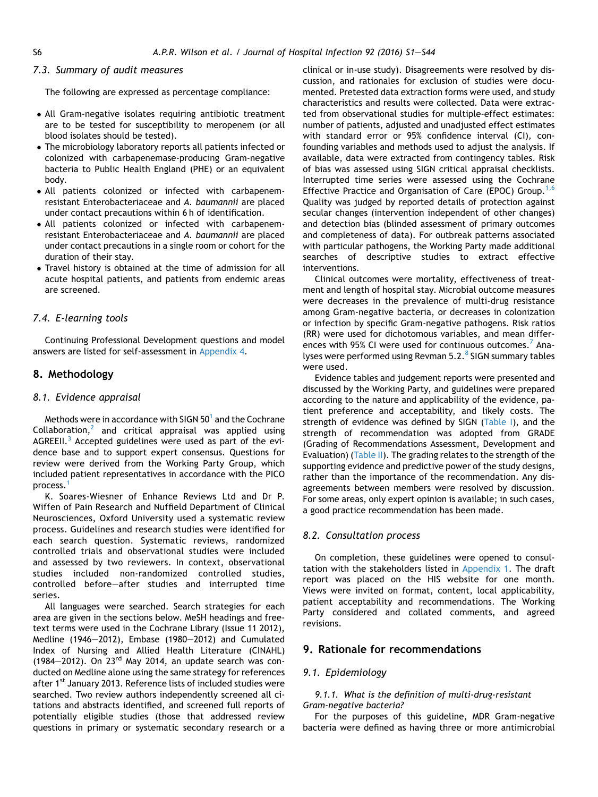### 7.3. Summary of audit measures

The following are expressed as percentage compliance:

- All Gram-negative isolates requiring antibiotic treatment are to be tested for susceptibility to meropenem (or all blood isolates should be tested).
- The microbiology laboratory reports all patients infected or colonized with carbapenemase-producing Gram-negative bacteria to Public Health England (PHE) or an equivalent body.
- All patients colonized or infected with carbapenemresistant Enterobacteriaceae and A. baumannii are placed under contact precautions within 6 h of identification.
- All patients colonized or infected with carbapenemresistant Enterobacteriaceae and A. baumannii are placed under contact precautions in a single room or cohort for the duration of their stay.
- Travel history is obtained at the time of admission for all acute hospital patients, and patients from endemic areas are screened.

#### 7.4. E-learning tools

Continuing Professional Development questions and model answers are listed for self-assessment in [Appendix 4](#page-42-0).

### 8. Methodology

#### 8.1. Evidence appraisal

Methods were in accordance with SIGN  $50<sup>1</sup>$  $50<sup>1</sup>$  $50<sup>1</sup>$  and the Cochrane Collaboration, $^2$  $^2$  and critical appraisal was applied using  $AGREEII.<sup>3</sup>$  $AGREEII.<sup>3</sup>$  $AGREEII.<sup>3</sup>$  Accepted guidelines were used as part of the evidence base and to support expert consensus. Questions for review were derived from the Working Party Group, which included patient representatives in accordance with the PICO process.[1](#page-29-0)

K. Soares-Wiesner of Enhance Reviews Ltd and Dr P. Wiffen of Pain Research and Nuffield Department of Clinical Neurosciences, Oxford University used a systematic review process. Guidelines and research studies were identified for each search question. Systematic reviews, randomized controlled trials and observational studies were included and assessed by two reviewers. In context, observational studies included non-randomized controlled studies, controlled before-after studies and interrupted time series.

All languages were searched. Search strategies for each area are given in the sections below. MeSH headings and freetext terms were used in the Cochrane Library (Issue 11 2012), Medline (1946 $-2012$ ), Embase (1980 $-2012$ ) and Cumulated Index of Nursing and Allied Health Literature (CINAHL) (1984 $-$ 2012). On 23 $^{rd}$  May 2014, an update search was conducted on Medline alone using the same strategy for references after 1<sup>st</sup> January 2013. Reference lists of included studies were searched. Two review authors independently screened all citations and abstracts identified, and screened full reports of potentially eligible studies (those that addressed review questions in primary or systematic secondary research or a clinical or in-use study). Disagreements were resolved by discussion, and rationales for exclusion of studies were documented. Pretested data extraction forms were used, and study characteristics and results were collected. Data were extracted from observational studies for multiple-effect estimates: number of patients, adjusted and unadjusted effect estimates with standard error or 95% confidence interval (CI), confounding variables and methods used to adjust the analysis. If available, data were extracted from contingency tables. Risk of bias was assessed using SIGN critical appraisal checklists. Interrupted time series were assessed using the Cochrane Effective Practice and Organisation of Care (EPOC) Group.<sup>[1,6](#page-29-0)</sup> Quality was judged by reported details of protection against secular changes (intervention independent of other changes) and detection bias (blinded assessment of primary outcomes and completeness of data). For outbreak patterns associated with particular pathogens, the Working Party made additional searches of descriptive studies to extract effective interventions.

Clinical outcomes were mortality, effectiveness of treatment and length of hospital stay. Microbial outcome measures were decreases in the prevalence of multi-drug resistance among Gram-negative bacteria, or decreases in colonization or infection by specific Gram-negative pathogens. Risk ratios (RR) were used for dichotomous variables, and mean differ-ences with 95% CI were used for continuous outcomes.<sup>[7](#page-29-0)</sup> Analyses were performed using Revman  $5.2<sup>8</sup>$  $5.2<sup>8</sup>$  $5.2<sup>8</sup>$  SIGN summary tables were used.

Evidence tables and judgement reports were presented and discussed by the Working Party, and guidelines were prepared according to the nature and applicability of the evidence, patient preference and acceptability, and likely costs. The strength of evidence was defined by SIGN [\(Table I\)](#page-6-0), and the strength of recommendation was adopted from GRADE (Grading of Recommendations Assessment, Development and Evaluation) [\(Table II](#page-6-0)). The grading relates to the strength of the supporting evidence and predictive power of the study designs, rather than the importance of the recommendation. Any disagreements between members were resolved by discussion. For some areas, only expert opinion is available; in such cases, a good practice recommendation has been made.

#### 8.2. Consultation process

On completion, these guidelines were opened to consultation with the stakeholders listed in [Appendix 1.](#page-39-0) The draft report was placed on the HIS website for one month. Views were invited on format, content, local applicability, patient acceptability and recommendations. The Working Party considered and collated comments, and agreed revisions.

### 9. Rationale for recommendations

### 9.1. Epidemiology

#### 9.1.1. What is the definition of multi-drug-resistant Gram-negative bacteria?

For the purposes of this guideline, MDR Gram-negative bacteria were defined as having three or more antimicrobial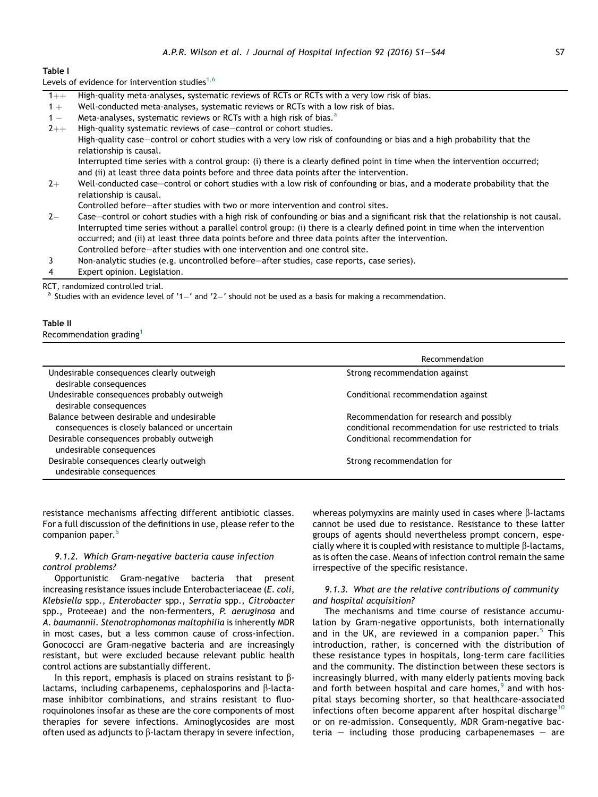<span id="page-6-0"></span>Table I

Levels of evidence for intervention studies $1,6$ 1+ $+$  High-quality meta-analyses, systematic reviews of RCTs or RCTs with a very low risk of bias.<br>1  $+$  Well-conducted meta-analyses, systematic reviews or RCTs with a low risk of bias. 1  $+$  Well-conducted meta-analyses, systematic reviews or RCTs with a low risk of bias.<br>1 – Meta-analyses, systematic reviews or RCTs with a high risk of bias. 1  $-$  Meta-analyses, systematic reviews or RCTs with a high risk of bias.<sup>a</sup><br>2++ High-quality systematic reviews of case-control or cohort studies. High-quality systematic reviews of case-control or cohort studies. High-quality case-control or cohort studies with a very low risk of confounding or bias and a high probability that the relationship is causal. Interrupted time series with a control group: (i) there is a clearly defined point in time when the intervention occurred; and (ii) at least three data points before and three data points after the intervention.  $2+$  Well-conducted case-control or cohort studies with a low risk of confounding or bias, and a moderate probability that the relationship is causal. Controlled before-after studies with two or more intervention and control sites. 2- Case-control or cohort studies with a high risk of confounding or bias and a significant risk that the relationship is not causal. Interrupted time series without a parallel control group: (i) there is a clearly defined point in time when the intervention occurred; and (ii) at least three data points before and three data points after the intervention. Controlled before-after studies with one intervention and one control site. 3 Non-analytic studies (e.g. uncontrolled before–after studies, case reports, case series). 4 Expert opinion. Legislation.

RCT, randomized controlled trial.

 $a$  Studies with an evidence level of '1-' and '2-' should not be used as a basis for making a recommendation.

#### Table II

Recommendation grading<sup>[1](#page-29-0)</sup>

|                                               | Recommendation                                          |
|-----------------------------------------------|---------------------------------------------------------|
| Undesirable consequences clearly outweigh     | Strong recommendation against                           |
| desirable consequences                        |                                                         |
| Undesirable consequences probably outweigh    | Conditional recommendation against                      |
| desirable consequences                        |                                                         |
| Balance between desirable and undesirable     | Recommendation for research and possibly                |
| consequences is closely balanced or uncertain | conditional recommendation for use restricted to trials |
| Desirable consequences probably outweigh      | Conditional recommendation for                          |
| undesirable consequences                      |                                                         |
| Desirable consequences clearly outweigh       | Strong recommendation for                               |
| undesirable consequences                      |                                                         |

resistance mechanisms affecting different antibiotic classes. For a full discussion of the definitions in use, please refer to the companion paper.<sup>[5](#page-29-0)</sup>

#### 9.1.2. Which Gram-negative bacteria cause infection control problems?

Opportunistic Gram-negative bacteria that present increasing resistance issues include Enterobacteriaceae (E. coli, Klebsiella spp., Enterobacter spp., Serratia spp., Citrobacter spp., Proteeae) and the non-fermenters, P. aeruginosa and A. baumannii. Stenotrophomonas maltophilia is inherently MDR in most cases, but a less common cause of cross-infection. Gonococci are Gram-negative bacteria and are increasingly resistant, but were excluded because relevant public health control actions are substantially different.

In this report, emphasis is placed on strains resistant to  $\beta$ lactams, including carbapenems, cephalosporins and  $\beta$ -lactamase inhibitor combinations, and strains resistant to fluoroquinolones insofar as these are the core components of most therapies for severe infections. Aminoglycosides are most often used as adjuncts to  $\beta$ -lactam therapy in severe infection,

whereas polymyxins are mainly used in cases where  $\beta$ -lactams cannot be used due to resistance. Resistance to these latter groups of agents should nevertheless prompt concern, especially where it is coupled with resistance to multiple  $\beta$ -lactams, as is often the case. Means of infection control remain the same irrespective of the specific resistance.

#### 9.1.3. What are the relative contributions of community and hospital acquisition?

The mechanisms and time course of resistance accumulation by Gram-negative opportunists, both internationally and in the UK, are reviewed in a companion paper.<sup>[5](#page-29-0)</sup> This introduction, rather, is concerned with the distribution of these resistance types in hospitals, long-term care facilities and the community. The distinction between these sectors is increasingly blurred, with many elderly patients moving back and forth between hospital and care homes, $9$  and with hospital stays becoming shorter, so that healthcare-associated infections often become apparent after hospital discharge<sup>[10](#page-29-0)</sup> or on re-admission. Consequently, MDR Gram-negative bacteria  $-$  including those producing carbapenemases  $-$  are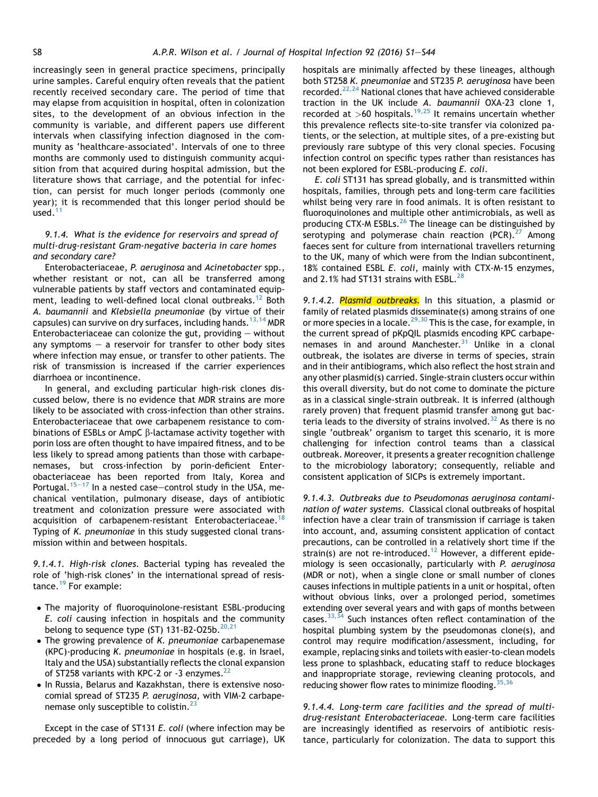increasingly seen in general practice specimens, principally urine samples. Careful enquiry often reveals that the patient recently received secondary care. The period of time that may elapse from acquisition in hospital, often in colonization sites, to the development of an obvious infection in the community is variable, and different papers use different intervals when classifying infection diagnosed in the community as 'healthcare-associated'. Intervals of one to three months are commonly used to distinguish community acquisition from that acquired during hospital admission, but the literature shows that carriage, and the potential for infection, can persist for much longer periods (commonly one year); it is recommended that this longer period should be used.<sup>1</sup>

#### 9.1.4. What is the evidence for reservoirs and spread of multi-drug-resistant Gram-negative bacteria in care homes and secondary care?

Enterobacteriaceae, P. aeruginosa and Acinetobacter spp., whether resistant or not, can all be transferred among vulnerable patients by staff vectors and contaminated equip-ment, leading to well-defined local clonal outbreaks.<sup>[12](#page-29-0)</sup> Both A. baumannii and Klebsiella pneumoniae (by virtue of their capsules) can survive on dry surfaces, including hands.<sup>13,14</sup> MDR Enterobacteriaceae can colonize the gut, providing  $-$  without any symptoms  $-$  a reservoir for transfer to other body sites where infection may ensue, or transfer to other patients. The risk of transmission is increased if the carrier experiences diarrhoea or incontinence.

In general, and excluding particular high-risk clones discussed below, there is no evidence that MDR strains are more likely to be associated with cross-infection than other strains. Enterobacteriaceae that owe carbapenem resistance to combinations of ESBLs or AmpC  $\beta$ -lactamase activity together with porin loss are often thought to have impaired fitness, and to be less likely to spread among patients than those with carbapenemases, but cross-infection by porin-deficient Enterobacteriaceae has been reported from Italy, Korea and Portugal.<sup>[15](#page-29-0)–[17](#page-29-0)</sup> In a nested case–control study in the USA, mechanical ventilation, pulmonary disease, days of antibiotic treatment and colonization pressure were associated with acquisition of carbapenem-resistant Enterobacteriaceae.<sup>[18](#page-29-0)</sup> Typing of K. pneumoniae in this study suggested clonal transmission within and between hospitals.

9.1.4.1. High-risk clones. Bacterial typing has revealed the role of 'high-risk clones' in the international spread of resistance. $19$  For example:

- The majority of fluoroquinolone-resistant ESBL-producing E. coli causing infection in hospitals and the community belong to sequence type  $(ST)$  131-B2-O25b.<sup>[20,21](#page-30-0)</sup>
- The growing prevalence of K. pneumoniae carbapenemase (KPC)-producing K. pneumoniae in hospitals (e.g. in Israel, Italy and the USA) substantially reflects the clonal expansion of ST258 variants with KPC-2 or -3 enzymes.<sup>[22](#page-30-0)</sup>
- In Russia, Belarus and Kazakhstan, there is extensive nosocomial spread of ST235 P. aeruginosa, with VIM-2 carbape-nemase only susceptible to colistin.<sup>[23](#page-30-0)</sup>

Except in the case of ST131 E. coli (where infection may be preceded by a long period of innocuous gut carriage), UK hospitals are minimally affected by these lineages, although both ST258 K. pneumoniae and ST235 P. aeruginosa have been recorded.<sup>22,24</sup> National clones that have achieved considerable traction in the UK include A. baumannii OXA-23 clone 1, recorded at  $>60$  hospitals.<sup>[19,25](#page-30-0)</sup> It remains uncertain whether this prevalence reflects site-to-site transfer via colonized patients, or the selection, at multiple sites, of a pre-existing but previously rare subtype of this very clonal species. Focusing infection control on specific types rather than resistances has not been explored for ESBL-producing E. coli.

E. coli ST131 has spread globally, and is transmitted within hospitals, families, through pets and long-term care facilities whilst being very rare in food animals. It is often resistant to fluoroquinolones and multiple other antimicrobials, as well as producing CTX-M ESBLs. $^{26}$  $^{26}$  $^{26}$  The lineage can be distinguished by serotyping and polymerase chain reaction (PCR). $27$  Among faeces sent for culture from international travellers returning to the UK, many of which were from the Indian subcontinent, 18% contained ESBL E. coli, mainly with CTX-M-15 enzymes, and 2.1% had ST131 strains with ESBL. $^{28}$  $^{28}$  $^{28}$ 

9.1.4.2. Plasmid outbreaks. In this situation, a plasmid or family of related plasmids disseminate(s) among strains of one or more species in a locale.<sup>29,30</sup> This is the case, for example, in the current spread of pKpQIL plasmids encoding KPC carbape-nemases in and around Manchester.<sup>[31](#page-30-0)</sup> Unlike in a clonal outbreak, the isolates are diverse in terms of species, strain and in their antibiograms, which also reflect the host strain and any other plasmid(s) carried. Single-strain clusters occur within this overall diversity, but do not come to dominate the picture as in a classical single-strain outbreak. It is inferred (although rarely proven) that frequent plasmid transfer among gut bac-teria leads to the diversity of strains involved.<sup>[32](#page-30-0)</sup> As there is no single 'outbreak' organism to target this scenario, it is more challenging for infection control teams than a classical outbreak. Moreover, it presents a greater recognition challenge to the microbiology laboratory; consequently, reliable and consistent application of SICPs is extremely important.

9.1.4.3. Outbreaks due to Pseudomonas aeruginosa contamination of water systems. Classical clonal outbreaks of hospital infection have a clear train of transmission if carriage is taken into account, and, assuming consistent application of contact precautions, can be controlled in a relatively short time if the strain(s) are not re-introduced.<sup>[12](#page-29-0)</sup> However, a different epidemiology is seen occasionally, particularly with P. aeruginosa (MDR or not), when a single clone or small number of clones causes infections in multiple patients in a unit or hospital, often without obvious links, over a prolonged period, sometimes extending over several years and with gaps of months between cases.<sup>33,34</sup> Such instances often reflect contamination of the hospital plumbing system by the pseudomonas clone(s), and control may require modification/assessment, including, for example, replacing sinks and toilets with easier-to-clean models less prone to splashback, educating staff to reduce blockages and inappropriate storage, reviewing cleaning protocols, and reducing shower flow rates to minimize flooding.<sup>[35,36](#page-30-0)</sup>

9.1.4.4. Long-term care facilities and the spread of multidrug-resistant Enterobacteriaceae. Long-term care facilities are increasingly identified as reservoirs of antibiotic resistance, particularly for colonization. The data to support this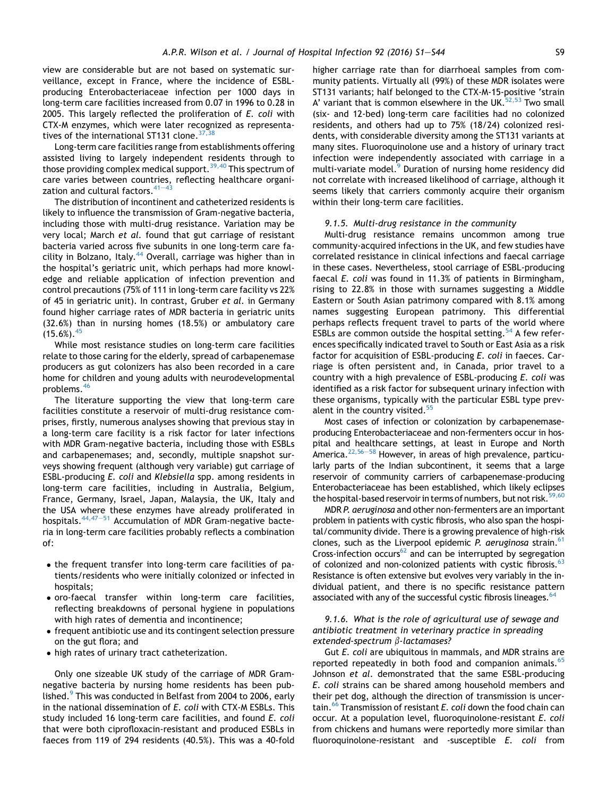view are considerable but are not based on systematic surveillance, except in France, where the incidence of ESBLproducing Enterobacteriaceae infection per 1000 days in long-term care facilities increased from 0.07 in 1996 to 0.28 in 2005. This largely reflected the proliferation of E. coli with CTX-M enzymes, which were later recognized as representatives of the international ST131 clone.  $37,38$ 

Long-term care facilities range from establishments offering assisted living to largely independent residents through to those providing complex medical support.<sup>[39,40](#page-30-0)</sup> This spectrum of care varies between countries, reflecting healthcare organization and cultural factors.  $41-43$  $41-43$ 

The distribution of incontinent and catheterized residents is likely to influence the transmission of Gram-negative bacteria, including those with multi-drug resistance. Variation may be very local; March et al. found that gut carriage of resistant bacteria varied across five subunits in one long-term care fa-cility in Bolzano, Italy.<sup>[44](#page-30-0)</sup> Overall, carriage was higher than in the hospital's geriatric unit, which perhaps had more knowledge and reliable application of infection prevention and control precautions (75% of 111 in long-term care facility vs 22% of 45 in geriatric unit). In contrast, Gruber et al. in Germany found higher carriage rates of MDR bacteria in geriatric units (32.6%) than in nursing homes (18.5%) or ambulatory care  $(15.6\%)$ .  $45$ 

While most resistance studies on long-term care facilities relate to those caring for the elderly, spread of carbapenemase producers as gut colonizers has also been recorded in a care home for children and young adults with neurodevelopmental problems.[46](#page-30-0)

The literature supporting the view that long-term care facilities constitute a reservoir of multi-drug resistance comprises, firstly, numerous analyses showing that previous stay in a long-term care facility is a risk factor for later infections with MDR Gram-negative bacteria, including those with ESBLs and carbapenemases; and, secondly, multiple snapshot surveys showing frequent (although very variable) gut carriage of ESBL-producing E. coli and Klebsiella spp. among residents in long-term care facilities, including in Australia, Belgium, France, Germany, Israel, Japan, Malaysia, the UK, Italy and the USA where these enzymes have already proliferated in hospitals. $44,47-51$  $44,47-51$  $44,47-51$  Accumulation of MDR Gram-negative bacteria in long-term care facilities probably reflects a combination of:

- the frequent transfer into long-term care facilities of patients/residents who were initially colonized or infected in hospitals;
- oro-faecal transfer within long-term care facilities, reflecting breakdowns of personal hygiene in populations with high rates of dementia and incontinence;
- frequent antibiotic use and its contingent selection pressure on the gut flora; and
- high rates of urinary tract catheterization.

Only one sizeable UK study of the carriage of MDR Gramnegative bacteria by nursing home residents has been pub-lished.<sup>[9](#page-29-0)</sup> This was conducted in Belfast from 2004 to 2006, early in the national dissemination of E. coli with CTX-M ESBLs. This study included 16 long-term care facilities, and found E. coli that were both ciprofloxacin-resistant and produced ESBLs in faeces from 119 of 294 residents (40.5%). This was a 40-fold

higher carriage rate than for diarrhoeal samples from community patients. Virtually all (99%) of these MDR isolates were ST131 variants; half belonged to the CTX-M-15-positive 'strain A' variant that is common elsewhere in the UK. $52,53$  Two small (six- and 12-bed) long-term care facilities had no colonized residents, and others had up to 75% (18/24) colonized residents, with considerable diversity among the ST131 variants at many sites. Fluoroquinolone use and a history of urinary tract infection were independently associated with carriage in a multi-variate model.<sup>[9](#page-29-0)</sup> Duration of nursing home residency did not correlate with increased likelihood of carriage, although it seems likely that carriers commonly acquire their organism within their long-term care facilities.

#### 9.1.5. Multi-drug resistance in the community

Multi-drug resistance remains uncommon among true community-acquired infections in the UK, and few studies have correlated resistance in clinical infections and faecal carriage in these cases. Nevertheless, stool carriage of ESBL-producing faecal E. coli was found in 11.3% of patients in Birmingham, rising to 22.8% in those with surnames suggesting a Middle Eastern or South Asian patrimony compared with 8.1% among names suggesting European patrimony. This differential perhaps reflects frequent travel to parts of the world where ESBLs are common outside the hospital setting.<sup>[54](#page-31-0)</sup> A few references specifically indicated travel to South or East Asia as a risk factor for acquisition of ESBL-producing E. coli in faeces. Carriage is often persistent and, in Canada, prior travel to a country with a high prevalence of ESBL-producing E. coli was identified as a risk factor for subsequent urinary infection with these organisms, typically with the particular ESBL type prev-alent in the country visited.<sup>[55](#page-31-0)</sup>

Most cases of infection or colonization by carbapenemaseproducing Enterobacteriaceae and non-fermenters occur in hospital and healthcare settings, at least in Europe and North America. $22,56-58$  $22,56-58$  $22,56-58$  However, in areas of high prevalence, particularly parts of the Indian subcontinent, it seems that a large reservoir of community carriers of carbapenemase-producing Enterobacteriaceae has been established, which likely eclipses the hospital-based reservoir in terms of numbers, but not risk.<sup>[59,60](#page-31-0)</sup>

MDR P. aeruginosa and other non-fermenters are an important problem in patients with cystic fibrosis, who also span the hospital/community divide. There is a growing prevalence of high-risk clones, such as the Liverpool epidemic P. aeruginosa strain.<sup>[61](#page-31-0)</sup> Cross-infection occurs<sup>[62](#page-31-0)</sup> and can be interrupted by segregation of colonized and non-colonized patients with cystic fibrosis.<sup>[63](#page-31-0)</sup> Resistance is often extensive but evolves very variably in the individual patient, and there is no specific resistance pattern associated with any of the successful cystic fibrosis lineages.<sup>64</sup>

#### 9.1.6. What is the role of agricultural use of sewage and antibiotic treatment in veterinary practice in spreading  $extended-spectrum  $\beta$ -lactamases?$

Gut E. coli are ubiquitous in mammals, and MDR strains are reported repeatedly in both food and companion animals.<sup>[65](#page-31-0)</sup> Johnson et al. demonstrated that the same ESBL-producing E. coli strains can be shared among household members and their pet dog, although the direction of transmission is uncer-tain.<sup>[66](#page-31-0)</sup> Transmission of resistant E. coli down the food chain can occur. At a population level, fluoroquinolone-resistant E. coli from chickens and humans were reportedly more similar than fluoroquinolone-resistant and -susceptible E. coli from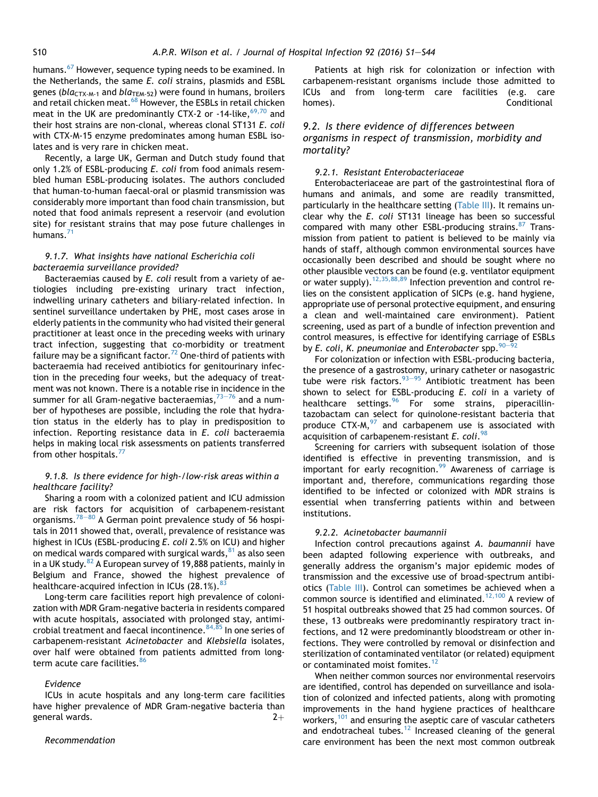humans.<sup>[67](#page-31-0)</sup> However, sequence typing needs to be examined. In the Netherlands, the same E. coli strains, plasmids and ESBL genes ( $bla_{CTX-M-1}$  and  $bla_{TFM-52}$ ) were found in humans, broilers and retail chicken meat. $\frac{68}{6}$  However, the ESBLs in retail chicken meat in the UK are predominantly CTX-2 or -14-like,  $69,70$  and their host strains are non-clonal, whereas clonal ST131 E. coli with CTX-M-15 enzyme predominates among human ESBL isolates and is very rare in chicken meat.

Recently, a large UK, German and Dutch study found that only 1.2% of ESBL-producing E. coli from food animals resembled human ESBL-producing isolates. The authors concluded that human-to-human faecal-oral or plasmid transmission was considerably more important than food chain transmission, but noted that food animals represent a reservoir (and evolution site) for resistant strains that may pose future challenges in humans.<sup>7</sup>

#### 9.1.7. What insights have national Escherichia coli bacteraemia surveillance provided?

Bacteraemias caused by E. coli result from a variety of aetiologies including pre-existing urinary tract infection, indwelling urinary catheters and biliary-related infection. In sentinel surveillance undertaken by PHE, most cases arose in elderly patients in the community who had visited their general practitioner at least once in the preceding weeks with urinary tract infection, suggesting that co-morbidity or treatment failure may be a significant factor.<sup>[72](#page-31-0)</sup> One-third of patients with bacteraemia had received antibiotics for genitourinary infection in the preceding four weeks, but the adequacy of treatment was not known. There is a notable rise in incidence in the summer for all Gram-negative bacteraemias,  $73-76$  $73-76$  $73-76$  and a number of hypotheses are possible, including the role that hydration status in the elderly has to play in predisposition to infection. Reporting resistance data in E. coli bacteraemia helps in making local risk assessments on patients transferred from other hospitals.<sup>[77](#page-31-0)</sup>

#### 9.1.8. Is there evidence for high-/low-risk areas within a healthcare facility?

Sharing a room with a colonized patient and ICU admission are risk factors for acquisition of carbapenem-resistant organisms. $78-80$  $78-80$  $78-80$  A German point prevalence study of 56 hospitals in 2011 showed that, overall, prevalence of resistance was highest in ICUs (ESBL-producing E. coli 2.5% on ICU) and higher on medical wards compared with surgical wards,  $81$  as also seen in a UK study. $82$  A European survey of 19,888 patients, mainly in Belgium and France, showed the highest prevalence of healthcare-acquired infection in ICUs  $(28.1\%)$ .  $83$ 

Long-term care facilities report high prevalence of colonization with MDR Gram-negative bacteria in residents compared with acute hospitals, associated with prolonged stay, antimicrobial treatment and faecal incontinence.  $84,85$  In one series of carbapenem-resistant Acinetobacter and Klebsiella isolates, over half were obtained from patients admitted from long-term acute care facilities.<sup>[86](#page-32-0)</sup>

#### Evidence

ICUs in acute hospitals and any long-term care facilities have higher prevalence of MDR Gram-negative bacteria than general wards.  $2+$ 

#### Recommendation

Patients at high risk for colonization or infection with carbapenem-resistant organisms include those admitted to ICUs and from long-term care facilities (e.g. care homes). Conditional

### 9.2. Is there evidence of differences between organisms in respect of transmission, morbidity and mortality?

#### 9.2.1. Resistant Enterobacteriaceae

Enterobacteriaceae are part of the gastrointestinal flora of humans and animals, and some are readily transmitted, particularly in the healthcare setting ([Table III\)](#page-11-0). It remains unclear why the E. coli ST131 lineage has been so successful compared with many other ESBL-producing strains.<sup>[87](#page-32-0)</sup> Transmission from patient to patient is believed to be mainly via hands of staff, although common environmental sources have occasionally been described and should be sought where no other plausible vectors can be found (e.g. ventilator equipment or water supply).<sup>[12,35,88,89](#page-29-0)</sup> Infection prevention and control relies on the consistent application of SICPs (e.g. hand hygiene, appropriate use of personal protective equipment, and ensuring a clean and well-maintained care environment). Patient screening, used as part of a bundle of infection prevention and control measures, is effective for identifying carriage of ESBLs by E. coli, K. pneumoniae and Enterobacter spp.  $90-92$  $90-92$  $90-92$ 

For colonization or infection with ESBL-producing bacteria, the presence of a gastrostomy, urinary catheter or nasogastric tube were risk factors.  $93-95$  $93-95$  $93-95$  Antibiotic treatment has been shown to select for ESBL-producing  $E$ . coli in a variety of healthcare settings.<sup>[96](#page-32-0)</sup> For some strains, piperacillintazobactam can select for quinolone-resistant bacteria that produce  $CTX-M$ ,  $97$  and carbapenem use is associated with acquisition of carbapenem-resistant E. coli. $^{98}$  $^{98}$  $^{98}$ 

Screening for carriers with subsequent isolation of those identified is effective in preventing transmission, and is important for early recognition.<sup>[99](#page-32-0)</sup> Awareness of carriage is important and, therefore, communications regarding those identified to be infected or colonized with MDR strains is essential when transferring patients within and between institutions.

#### 9.2.2. Acinetobacter baumannii

Infection control precautions against A. baumannii have been adapted following experience with outbreaks, and generally address the organism's major epidemic modes of transmission and the excessive use of broad-spectrum antibiotics ([Table III](#page-11-0)). Control can sometimes be achieved when a common source is identified and eliminated.<sup>[12,100](#page-29-0)</sup> A review of 51 hospital outbreaks showed that 25 had common sources. Of these, 13 outbreaks were predominantly respiratory tract infections, and 12 were predominantly bloodstream or other infections. They were controlled by removal or disinfection and sterilization of contaminated ventilator (or related) equipment or contaminated moist fomites.<sup>[12](#page-29-0)</sup>

When neither common sources nor environmental reservoirs are identified, control has depended on surveillance and isolation of colonized and infected patients, along with promoting improvements in the hand hygiene practices of healthcare workers,<sup>101</sup> and ensuring the aseptic care of vascular catheters and endotracheal tubes.<sup>12</sup> Increased cleaning of the general care environment has been the next most common outbreak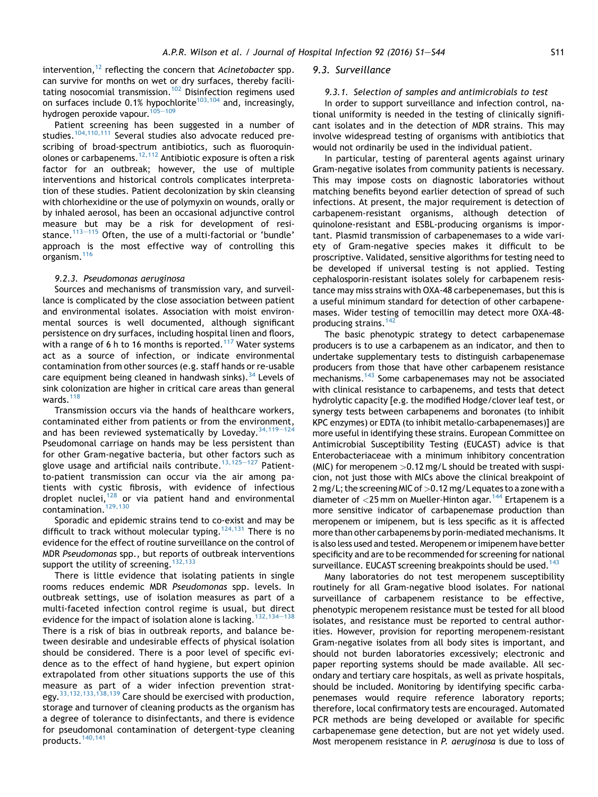intervention, $12$  reflecting the concern that Acinetobacter spp. can survive for months on wet or dry surfaces, thereby facilitating nosocomial transmission[.102](#page-32-0) Disinfection regimens used on surfaces include 0.1% hypochlorite<sup>[103,104](#page-32-0)</sup> and, increasingly, hydrogen peroxide vapour.<sup>105-[109](#page-32-0)</sup>

Patient screening has been suggested in a number of studies.<sup>[104,110,111](#page-32-0)</sup> Several studies also advocate reduced prescribing of broad-spectrum antibiotics, such as fluoroquin-olones or carbapenems.<sup>[12,112](#page-29-0)</sup> Antibiotic exposure is often a risk factor for an outbreak; however, the use of multiple interventions and historical controls complicates interpretation of these studies. Patient decolonization by skin cleansing with chlorhexidine or the use of polymyxin on wounds, orally or by inhaled aerosol, has been an occasional adjunctive control measure but may be a risk for development of resistance. $113-115$  $113-115$  $113-115$  Often, the use of a multi-factorial or 'bundle' approach is the most effective way of controlling this organism.[116](#page-32-0)

#### 9.2.3. Pseudomonas aeruginosa

Sources and mechanisms of transmission vary, and surveillance is complicated by the close association between patient and environmental isolates. Association with moist environmental sources is well documented, although significant persistence on dry surfaces, including hospital linen and floors, with a range of 6 h to 16 months is reported.<sup>[117](#page-32-0)</sup> Water systems act as a source of infection, or indicate environmental contamination from other sources (e.g. staff hands or re-usable care equipment being cleaned in handwash sinks).  $34$  Levels of sink colonization are higher in critical care areas than general wards.<sup>118</sup>

Transmission occurs via the hands of healthcare workers, contaminated either from patients or from the environment, and has been reviewed systematically by Loveday.  $34,119-124$  $34,119-124$  $34,119-124$ Pseudomonal carriage on hands may be less persistent than for other Gram-negative bacteria, but other factors such as glove usage and artificial nails contribute.<sup>[13,125](#page-29-0)-[127](#page-29-0)</sup> Patientto-patient transmission can occur via the air among pa-<br>tients with cystic fibrosis, with evidence of infectious tients with cystic fibrosis, with evidence of infectious droplet nuclei,<sup>[128](#page-33-0)</sup> or via patient hand and environmental contamination.<sup>[129,130](#page-33-0)</sup>

Sporadic and epidemic strains tend to co-exist and may be difficult to track without molecular typing.<sup>[124,131](#page-33-0)</sup> There is no evidence for the effect of routine surveillance on the control of MDR Pseudomonas spp., but reports of outbreak interventions support the utility of screening.  $132,133$ 

There is little evidence that isolating patients in single rooms reduces endemic MDR Pseudomonas spp. levels. In outbreak settings, use of isolation measures as part of a multi-faceted infection control regime is usual, but direct evidence for the impact of isolation alone is lacking.  $132,134-138$  $132,134-138$  $132,134-138$ There is a risk of bias in outbreak reports, and balance between desirable and undesirable effects of physical isolation should be considered. There is a poor level of specific evidence as to the effect of hand hygiene, but expert opinion extrapolated from other situations supports the use of this measure as part of a wider infection prevention strategy.[33,132,133,138,139](#page-30-0) Care should be exercised with production, storage and turnover of cleaning products as the organism has a degree of tolerance to disinfectants, and there is evidence for pseudomonal contamination of detergent-type cleaning products.[140,141](#page-33-0)

#### 9.3. Surveillance

#### 9.3.1. Selection of samples and antimicrobials to test

In order to support surveillance and infection control, national uniformity is needed in the testing of clinically significant isolates and in the detection of MDR strains. This may involve widespread testing of organisms with antibiotics that would not ordinarily be used in the individual patient.

In particular, testing of parenteral agents against urinary Gram-negative isolates from community patients is necessary. This may impose costs on diagnostic laboratories without matching benefits beyond earlier detection of spread of such infections. At present, the major requirement is detection of carbapenem-resistant organisms, although detection of quinolone-resistant and ESBL-producing organisms is important. Plasmid transmission of carbapenemases to a wide variety of Gram-negative species makes it difficult to be proscriptive. Validated, sensitive algorithms for testing need to be developed if universal testing is not applied. Testing cephalosporin-resistant isolates solely for carbapenem resistance may miss strains with OXA-48 carbepenemases, but this is a useful minimum standard for detection of other carbapenemases. Wider testing of temocillin may detect more OXA-48- producing strains.<sup>[142](#page-33-0)</sup>

The basic phenotypic strategy to detect carbapenemase producers is to use a carbapenem as an indicator, and then to undertake supplementary tests to distinguish carbapenemase producers from those that have other carbapenem resistance mechanisms.<sup>[143](#page-33-0)</sup> Some carbapenemases may not be associated with clinical resistance to carbapenems, and tests that detect hydrolytic capacity [e.g. the modified Hodge/clover leaf test, or synergy tests between carbapenems and boronates (to inhibit KPC enzymes) or EDTA (to inhibit metallo-carbapenemases)] are more useful in identifying these strains. European Committee on Antimicrobial Susceptibility Testing (EUCAST) advice is that Enterobacteriaceae with a minimum inhibitory concentration (MIC) for meropenem  $>0.12$  mg/L should be treated with suspicion, not just those with MICs above the clinical breakpoint of 2 mg/L; the screening MIC of  $>$  0.12 mg/L equates to a zone with a diameter of  $<$ 25 mm on Mueller-Hinton agar.<sup>144</sup> Ertapenem is a more sensitive indicator of carbapenemase production than meropenem or imipenem, but is less specific as it is affected more than other carbapenems by porin-mediated mechanisms. It is also less used and tested. Meropenem or imipenem have better specificity and are to be recommended for screening for national surveillance. EUCAST screening breakpoints should be used.<sup>143</sup>

Many laboratories do not test meropenem susceptibility routinely for all Gram-negative blood isolates. For national surveillance of carbapenem resistance to be effective, phenotypic meropenem resistance must be tested for all blood isolates, and resistance must be reported to central authorities. However, provision for reporting meropenem-resistant Gram-negative isolates from all body sites is important, and should not burden laboratories excessively; electronic and paper reporting systems should be made available. All secondary and tertiary care hospitals, as well as private hospitals, should be included. Monitoring by identifying specific carbapenemases would require reference laboratory reports; therefore, local confirmatory tests are encouraged. Automated PCR methods are being developed or available for specific carbapenemase gene detection, but are not yet widely used. Most meropenem resistance in P. aeruginosa is due to loss of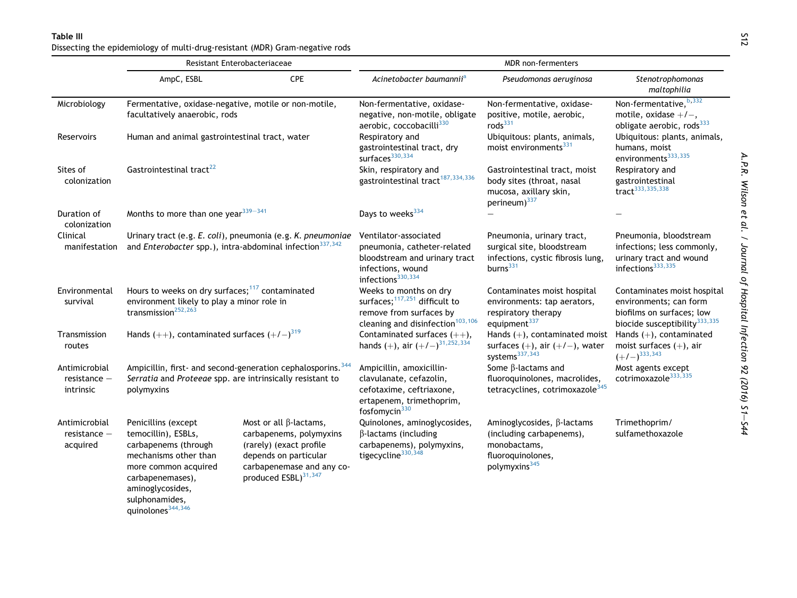#### <span id="page-11-0"></span>Table III

Dissecting the epidemiology of multi-drug-resistant (MDR) Gram-negative rods

|                                              | Resistant Enterobacteriaceae                                                                                                                                                  |                                                                                                                                                                               | <b>MDR</b> non-fermenters                                                                                                                   |                                                                                                                                 |                                                                                                                                 |
|----------------------------------------------|-------------------------------------------------------------------------------------------------------------------------------------------------------------------------------|-------------------------------------------------------------------------------------------------------------------------------------------------------------------------------|---------------------------------------------------------------------------------------------------------------------------------------------|---------------------------------------------------------------------------------------------------------------------------------|---------------------------------------------------------------------------------------------------------------------------------|
|                                              | AmpC, ESBL                                                                                                                                                                    | CPE                                                                                                                                                                           | Acinetobacter baumannii <sup>a</sup>                                                                                                        | Pseudomonas aeruginosa                                                                                                          | Stenotrophomonas<br>maltophilia                                                                                                 |
| Microbiology                                 | Fermentative, oxidase-negative, motile or non-motile,<br>facultatively anaerobic, rods                                                                                        |                                                                                                                                                                               | Non-fermentative, oxidase-<br>negative, non-motile, obligate<br>aerobic, coccobacilli <sup>330</sup>                                        | Non-fermentative, oxidase-<br>positive, motile, aerobic,<br>rods <sup>331</sup>                                                 | Non-fermentative, b, 332<br>motile, oxidase $+/-$ ,<br>obligate aerobic, rods <sup>333</sup>                                    |
| Reservoirs                                   | Human and animal gastrointestinal tract, water                                                                                                                                |                                                                                                                                                                               | Respiratory and<br>gastrointestinal tract, dry<br>surfaces <sup>330,334</sup>                                                               | Ubiquitous: plants, animals,<br>moist environments <sup>331</sup>                                                               | Ubiquitous: plants, animals,<br>humans, moist<br>environments <sup>333,335</sup>                                                |
| Sites of<br>colonization                     | Gastrointestinal tract <sup>22</sup>                                                                                                                                          |                                                                                                                                                                               | Skin, respiratory and<br>gastrointestinal tract <sup>187,334,336</sup>                                                                      | Gastrointestinal tract, moist<br>body sites (throat, nasal<br>mucosa, axillary skin,<br>perineum) <sup>337</sup>                | Respiratory and<br>gastrointestinal<br>tract <sup>333,335,338</sup>                                                             |
| Duration of<br>colonization                  | Months to more than one year <sup>339-341</sup>                                                                                                                               |                                                                                                                                                                               | Days to weeks <sup>334</sup>                                                                                                                |                                                                                                                                 |                                                                                                                                 |
| Clinical<br>manifestation                    | and Enterobacter spp.), intra-abdominal infection <sup>337,342</sup>                                                                                                          | Urinary tract (e.g. E. coli), pneumonia (e.g. K. pneumoniae                                                                                                                   | Ventilator-associated<br>pneumonia, catheter-related<br>bloodstream and urinary tract<br>infections, wound<br>infections <sup>330,334</sup> | Pneumonia, urinary tract,<br>surgical site, bloodstream<br>infections, cystic fibrosis lung,<br>burns <sup>331</sup>            | Pneumonia, bloodstream<br>infections; less commonly,<br>urinary tract and wound<br>infections <sup>333,335</sup>                |
| Environmental<br>survival                    | Hours to weeks on dry surfaces; <sup>117</sup> contaminated<br>environment likely to play a minor role in<br>transmission <sup>252,263</sup>                                  |                                                                                                                                                                               | Weeks to months on dry<br>surfaces; $^{117,251}$ difficult to<br>remove from surfaces by<br>cleaning and disinfection $103,106$             | Contaminates moist hospital<br>environments: tap aerators,<br>respiratory therapy<br>equipment <sup>337</sup>                   | Contaminates moist hospital<br>environments; can form<br>biofilms on surfaces; low<br>biocide susceptibility <sup>333,335</sup> |
| Transmission<br>routes                       | Hands (++), contaminated surfaces $(+/-)^{319}$                                                                                                                               |                                                                                                                                                                               | Contaminated surfaces $(++)$ ,<br>hands (+), air $(+/-)^{31,252,334}$                                                                       | Hands $(+)$ , contaminated moist<br>surfaces $(+)$ , air $(+/-)$ , water<br>systems <sup>337,343</sup>                          | Hands $(+)$ , contaminated<br>moist surfaces $(+)$ , air<br>$(+/-)^{333,343}$                                                   |
| Antimicrobial<br>resistance $-$<br>intrinsic | Ampicillin, first- and second-generation cephalosporins. <sup>344</sup><br>Serratia and Proteeae spp. are intrinsically resistant to<br>polymyxins                            |                                                                                                                                                                               | Ampicillin, amoxicillin-<br>clavulanate, cefazolin,<br>cefotaxime, ceftriaxone,<br>ertapenem, trimethoprim,<br>fosfomycin <sup>330</sup>    | Some $\beta$ -lactams and<br>fluoroquinolones, macrolides,<br>tetracyclines, cotrimoxazole <sup>345</sup>                       | Most agents except<br>cotrimoxazole <sup>333,335</sup>                                                                          |
| Antimicrobial<br>resistance $-$<br>acquired  | Penicillins (except<br>temocillin), ESBLs,<br>carbapenems (through<br>mechanisms other than<br>more common acquired<br>carbapenemases),<br>aminoglycosides,<br>sulphonamides, | Most or all $\beta$ -lactams,<br>carbapenems, polymyxins<br>(rarely) (exact profile<br>depends on particular<br>carbapenemase and any co-<br>produced ESBL) <sup>31,347</sup> | Quinolones, aminoglycosides,<br>$\beta$ -lactams (including<br>carbapenems), polymyxins,<br>tigecycline <sup>330,348</sup>                  | Aminoglycosides, $\beta$ -lactams<br>(including carbapenems),<br>monobactams,<br>fluoroquinolones,<br>polymyxins <sup>345</sup> | Trimethoprim/<br>sulfamethoxazole                                                                                               |

quinolones<sup>[344,346](#page-39-0)</sup>

 $515$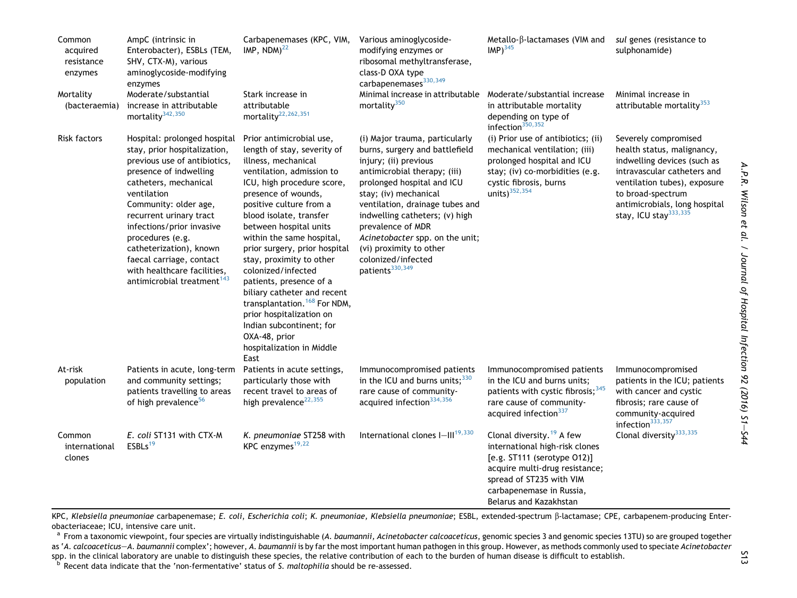| Common<br>acquired<br>resistance<br>enzymes | AmpC (intrinsic in<br>Enterobacter), ESBLs (TEM,<br>SHV, CTX-M), various<br>aminoglycoside-modifying<br>enzymes                                                                                                                                                                                                                                                                                     | Carbapenemases (KPC, VIM,<br>IMP, $NDM)^{22}$                                                                                                                                                                                                                                                                                                                                                                                                                                                                                                                                        | Various aminoglycoside-<br>modifying enzymes or<br>ribosomal methyltransferase,<br>class-D OXA type<br>carbapenemases <sup>330,349</sup>                                                                                                                                                                                                                                                      | Metallo-β-lactamases (VIM and<br>$IMP)^{345}$                                                                                                                                                                                     | sul genes (resistance to<br>sulphonamide)                                                                                                                                                                                                   |
|---------------------------------------------|-----------------------------------------------------------------------------------------------------------------------------------------------------------------------------------------------------------------------------------------------------------------------------------------------------------------------------------------------------------------------------------------------------|--------------------------------------------------------------------------------------------------------------------------------------------------------------------------------------------------------------------------------------------------------------------------------------------------------------------------------------------------------------------------------------------------------------------------------------------------------------------------------------------------------------------------------------------------------------------------------------|-----------------------------------------------------------------------------------------------------------------------------------------------------------------------------------------------------------------------------------------------------------------------------------------------------------------------------------------------------------------------------------------------|-----------------------------------------------------------------------------------------------------------------------------------------------------------------------------------------------------------------------------------|---------------------------------------------------------------------------------------------------------------------------------------------------------------------------------------------------------------------------------------------|
| Mortality<br>(bacteraemia)                  | Moderate/substantial<br>increase in attributable<br>mortality <sup>342,350</sup>                                                                                                                                                                                                                                                                                                                    | Stark increase in<br>attributable<br>mortality <sup>22,262,351</sup>                                                                                                                                                                                                                                                                                                                                                                                                                                                                                                                 | mortality <sup>350</sup>                                                                                                                                                                                                                                                                                                                                                                      | in attributable mortality<br>depending on type of<br>infection $350,352$                                                                                                                                                          | Minimal increase in<br>attributable mortality <sup>353</sup>                                                                                                                                                                                |
| Risk factors                                | Hospital: prolonged hospital<br>stay, prior hospitalization,<br>previous use of antibiotics,<br>presence of indwelling<br>catheters, mechanical<br>ventilation<br>Community: older age,<br>recurrent urinary tract<br>infections/prior invasive<br>procedures (e.g.<br>catheterization), known<br>faecal carriage, contact<br>with healthcare facilities,<br>antimicrobial treatment <sup>143</sup> | Prior antimicrobial use,<br>length of stay, severity of<br>illness, mechanical<br>ventilation, admission to<br>ICU, high procedure score,<br>presence of wounds,<br>positive culture from a<br>blood isolate, transfer<br>between hospital units<br>within the same hospital,<br>prior surgery, prior hospital<br>stay, proximity to other<br>colonized/infected<br>patients, presence of a<br>biliary catheter and recent<br>transplantation. <sup>168</sup> For NDM,<br>prior hospitalization on<br>Indian subcontinent; for<br>OXA-48, prior<br>hospitalization in Middle<br>East | (i) Major trauma, particularly<br>burns, surgery and battlefield<br>injury; (ii) previous<br>antimicrobial therapy; (iii)<br>prolonged hospital and ICU<br>stay; (iv) mechanical<br>ventilation, drainage tubes and<br>indwelling catheters; (v) high<br>prevalence of MDR<br>Acinetobacter spp. on the unit;<br>(vi) proximity to other<br>colonized/infected<br>patients <sup>330,349</sup> | (i) Prior use of antibiotics; (ii)<br>mechanical ventilation; (iii)<br>prolonged hospital and ICU<br>stay; (iv) co-morbidities (e.g.<br>cystic fibrosis, burns<br>units) $352,354$                                                | Severely compromised<br>health status, malignancy,<br>indwelling devices (such as<br>intravascular catheters and<br>ventilation tubes), exposure<br>to broad-spectrum<br>antimicrobials, long hospital<br>stay, ICU stay <sup>333,335</sup> |
| At-risk<br>population                       | Patients in acute, long-term<br>and community settings;<br>patients travelling to areas<br>of high prevalence <sup>56</sup>                                                                                                                                                                                                                                                                         | Patients in acute settings,<br>particularly those with<br>recent travel to areas of<br>high prevalence <sup>22,355</sup>                                                                                                                                                                                                                                                                                                                                                                                                                                                             | Immunocompromised patients<br>in the ICU and burns units; $330$<br>rare cause of community-<br>acquired infection <sup>334,356</sup>                                                                                                                                                                                                                                                          | Immunocompromised patients<br>in the ICU and burns units;<br>patients with cystic fibrosis; 345<br>rare cause of community-<br>acquired infection <sup>337</sup>                                                                  | Immunocompromised<br>patients in the ICU; patients<br>with cancer and cystic<br>fibrosis; rare cause of<br>community-acquired<br>infection <sup>333,357</sup>                                                                               |
| Common<br>international<br>clones           | E. coli ST131 with CTX-M<br>ESBLs <sup>19</sup>                                                                                                                                                                                                                                                                                                                                                     | K. pneumoniae ST258 with<br>KPC enzymes <sup>19,22</sup>                                                                                                                                                                                                                                                                                                                                                                                                                                                                                                                             | International clones I-III <sup>19,330</sup>                                                                                                                                                                                                                                                                                                                                                  | Clonal diversity. <sup>19</sup> A few<br>international high-risk clones<br>[e.g. ST111 (serotype O12)]<br>acquire multi-drug resistance;<br>spread of ST235 with VIM<br>carbapenemase in Russia,<br><b>Belarus and Kazakhstan</b> | Clonal diversity <sup>333,335</sup>                                                                                                                                                                                                         |

KPC, Klebsiella pneumoniae carbapenemase; E. coli, Escherichia coli; K. pneumoniae, Klebsiella pneumoniae; ESBL, extended-spectrum ß-lactamase; CPE, carbapenem-producing Enterobacteriaceae; ICU, intensive care unit.

<sup>a</sup> From a taxonomic viewpoint, four species are virtually indistinguishable (A. baumannii, Acinetobacter calcoaceticus, genomic species 3 and genomic species 13TU) so are grouped together as 'A. calcoaceticus—A. baumannii complex'; however, A. baumannii is by far the most important human pathogen in this group. However, as methods commonly used to speciate Acinetobacter spp. in the clinical laboratory are unable to distinguish these species, the relative contribution of each to the burden of human disease is difficult to establish.

A.P.R. Wilson et al. / Journal of Hospital Infection 92 (2016) S1 A.P.R. Wilson et al. / Journal of Hospital Infection 92 (2016) S1-544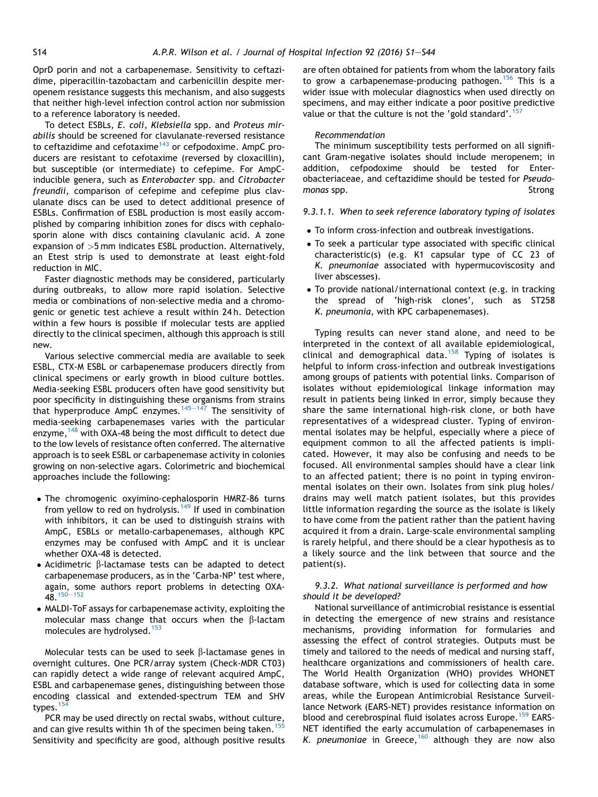OprD porin and not a carbapenemase. Sensitivity to ceftazidime, piperacillin-tazobactam and carbenicillin despite meropenem resistance suggests this mechanism, and also suggests that neither high-level infection control action nor submission to a reference laboratory is needed.

To detect ESBLs, E. coli, Klebsiella spp. and Proteus mirabilis should be screened for clavulanate-reversed resistance to ceftazidime and cefotaxime $143$  or cefpodoxime. AmpC producers are resistant to cefotaxime (reversed by cloxacillin), but susceptible (or intermediate) to cefepime. For AmpCinducible genera, such as Enterobacter spp. and Citrobacter freundii, comparison of cefepime and cefepime plus clavulanate discs can be used to detect additional presence of ESBLs. Confirmation of ESBL production is most easily accomplished by comparing inhibition zones for discs with cephalosporin alone with discs containing clavulanic acid. A zone expansion of >5 mm indicates ESBL production. Alternatively, an Etest strip is used to demonstrate at least eight-fold reduction in MIC.

Faster diagnostic methods may be considered, particularly during outbreaks, to allow more rapid isolation. Selective media or combinations of non-selective media and a chromogenic or genetic test achieve a result within 24 h. Detection within a few hours is possible if molecular tests are applied directly to the clinical specimen, although this approach is still new.

Various selective commercial media are available to seek ESBL, CTX-M ESBL or carbapenemase producers directly from clinical specimens or early growth in blood culture bottles. Media-seeking ESBL producers often have good sensitivity but poor specificity in distinguishing these organisms from strains that hyperproduce AmpC enzymes.<sup>145–[147](#page-33-0)</sup> The sensitivity of media-seeking carbapenemases varies with the particular enzyme,<sup>148</sup> with OXA-48 being the most difficult to detect due to the low levels of resistance often conferred. The alternative approach is to seek ESBL or carbapenemase activity in colonies growing on non-selective agars. Colorimetric and biochemical approaches include the following:

- The chromogenic oxyimino-cephalosporin HMRZ-86 turns from yellow to red on hydrolysis.<sup>[149](#page-33-0)</sup> If used in combination with inhibitors, it can be used to distinguish strains with AmpC, ESBLs or metallo-carbapenemases, although KPC enzymes may be confused with AmpC and it is unclear whether OXA-48 is detected.
- $\bullet$  Acidimetric  $\beta$ -lactamase tests can be adapted to detect carbapenemase producers, as in the 'Carba-NP' test where, again, some authors report problems in detecting OXA-48.<sup>150–[152](#page-33-0)</sup>
- MALDI-ToF assays for carbapenemase activity, exploiting the molecular mass change that occurs when the  $\beta$ -lactam molecules are hydrolysed.<sup>[153](#page-33-0)</sup>

Molecular tests can be used to seek  $\beta$ -lactamase genes in overnight cultures. One PCR/array system (Check-MDR CT03) can rapidly detect a wide range of relevant acquired AmpC, ESBL and carbapenemase genes, distinguishing between those encoding classical and extended-spectrum TEM and SHV types.<sup>[154](#page-33-0)</sup>

PCR may be used directly on rectal swabs, without culture, and can give results within 1h of the specimen being taken.<sup>[155](#page-33-0)</sup> Sensitivity and specificity are good, although positive results are often obtained for patients from whom the laboratory fails to grow a carbapenemase-producing pathogen.<sup>[156](#page-33-0)</sup> This is a wider issue with molecular diagnostics when used directly on specimens, and may either indicate a poor positive predictive value or that the culture is not the 'gold standard'.<sup>15</sup>

#### Recommendation

The minimum susceptibility tests performed on all significant Gram-negative isolates should include meropenem; in addition, cefpodoxime should be tested for Enterobacteriaceae, and ceftazidime should be tested for Pseudomonas spp. Strong

#### 9.3.1.1. When to seek reference laboratory typing of isolates

- To inform cross-infection and outbreak investigations.
- To seek a particular type associated with specific clinical characteristic(s) (e.g. K1 capsular type of CC 23 of K. pneumoniae associated with hypermucoviscosity and liver abscesses).
- To provide national/international context (e.g. in tracking the spread of 'high-risk clones', such as ST258 K. pneumonia, with KPC carbapenemases).

Typing results can never stand alone, and need to be interpreted in the context of all available epidemiological, clinical and demographical data.<sup>[158](#page-34-0)</sup> Typing of isolates is helpful to inform cross-infection and outbreak investigations among groups of patients with potential links. Comparison of isolates without epidemiological linkage information may result in patients being linked in error, simply because they share the same international high-risk clone, or both have representatives of a widespread cluster. Typing of environmental isolates may be helpful, especially where a piece of equipment common to all the affected patients is implicated. However, it may also be confusing and needs to be focused. All environmental samples should have a clear link to an affected patient; there is no point in typing environmental isolates on their own. Isolates from sink plug holes/ drains may well match patient isolates, but this provides little information regarding the source as the isolate is likely to have come from the patient rather than the patient having acquired it from a drain. Large-scale environmental sampling is rarely helpful, and there should be a clear hypothesis as to a likely source and the link between that source and the patient(s).

#### 9.3.2. What national surveillance is performed and how should it be developed?

National surveillance of antimicrobial resistance is essential in detecting the emergence of new strains and resistance mechanisms, providing information for formularies and assessing the effect of control strategies. Outputs must be timely and tailored to the needs of medical and nursing staff, healthcare organizations and commissioners of health care. The World Health Organization (WHO) provides WHONET database software, which is used for collecting data in some areas, while the European Antimicrobial Resistance Surveillance Network (EARS-NET) provides resistance information on blood and cerebrospinal fluid isolates across Europe.<sup>[159](#page-34-0)</sup> EARS-NET identified the early accumulation of carbapenemases in K. pneumoniae in Greece,<sup>[160](#page-34-0)</sup> although they are now also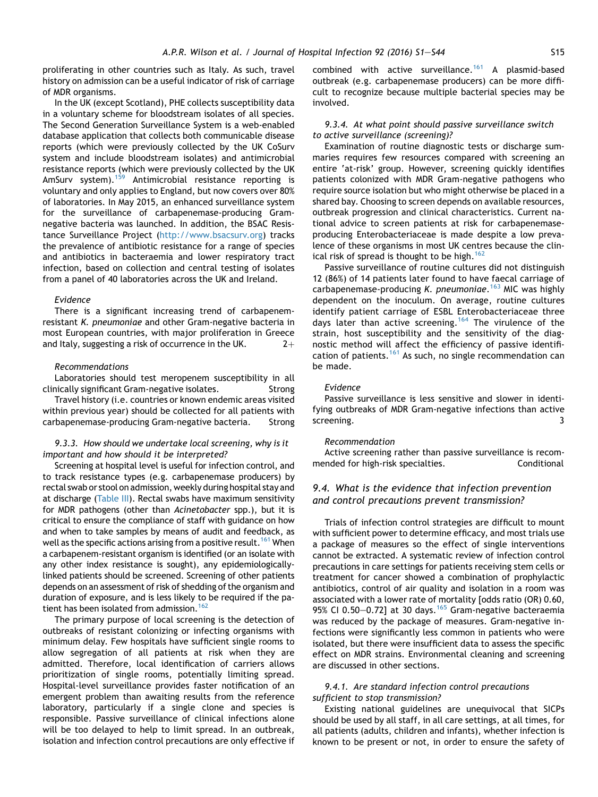proliferating in other countries such as Italy. As such, travel history on admission can be a useful indicator of risk of carriage of MDR organisms.

In the UK (except Scotland), PHE collects susceptibility data in a voluntary scheme for bloodstream isolates of all species. The Second Generation Surveillance System is a web-enabled database application that collects both communicable disease reports (which were previously collected by the UK CoSurv system and include bloodstream isolates) and antimicrobial resistance reports (which were previously collected by the UK AmSurv system).<sup>[159](#page-34-0)</sup> Antimicrobial resistance reporting is voluntary and only applies to England, but now covers over 80% of laboratories. In May 2015, an enhanced surveillance system for the surveillance of carbapenemase-producing Gramnegative bacteria was launched. In addition, the BSAC Resistance Surveillance Project [\(http://www.bsacsurv.org\)](http://www.bsacsurv.org) tracks the prevalence of antibiotic resistance for a range of species and antibiotics in bacteraemia and lower respiratory tract infection, based on collection and central testing of isolates from a panel of 40 laboratories across the UK and Ireland.

#### Evidence

There is a significant increasing trend of carbapenemresistant K. pneumoniae and other Gram-negative bacteria in most European countries, with major proliferation in Greece and Italy, suggesting a risk of occurrence in the UK.  $2+$ 

#### Recommendations

Laboratories should test meropenem susceptibility in all clinically significant Gram-negative isolates. Strong

Travel history (i.e. countries or known endemic areas visited within previous year) should be collected for all patients with carbapenemase-producing Gram-negative bacteria. Strong

#### 9.3.3. How should we undertake local screening, why is it important and how should it be interpreted?

Screening at hospital level is useful for infection control, and to track resistance types (e.g. carbapenemase producers) by rectal swab or stool on admission, weekly during hospital stay and at discharge ([Table III](#page-11-0)). Rectal swabs have maximum sensitivity for MDR pathogens (other than Acinetobacter spp.), but it is critical to ensure the compliance of staff with guidance on how and when to take samples by means of audit and feedback, as well as the specific actions arising from a positive result.<sup>161</sup> When a carbapenem-resistant organism is identified (or an isolate with any other index resistance is sought), any epidemiologicallylinked patients should be screened. Screening of other patients depends on an assessment of risk of shedding of the organism and duration of exposure, and is less likely to be required if the patient has been isolated from admission.<sup>162</sup>

The primary purpose of local screening is the detection of outbreaks of resistant colonizing or infecting organisms with minimum delay. Few hospitals have sufficient single rooms to allow segregation of all patients at risk when they are admitted. Therefore, local identification of carriers allows prioritization of single rooms, potentially limiting spread. Hospital-level surveillance provides faster notification of an emergent problem than awaiting results from the reference laboratory, particularly if a single clone and species is responsible. Passive surveillance of clinical infections alone will be too delayed to help to limit spread. In an outbreak, isolation and infection control precautions are only effective if

combined with active surveillance.[161](#page-34-0) A plasmid-based outbreak (e.g. carbapenemase producers) can be more difficult to recognize because multiple bacterial species may be involved.

#### 9.3.4. At what point should passive surveillance switch to active surveillance (screening)?

Examination of routine diagnostic tests or discharge summaries requires few resources compared with screening an entire 'at-risk' group. However, screening quickly identifies patients colonized with MDR Gram-negative pathogens who require source isolation but who might otherwise be placed in a shared bay. Choosing to screen depends on available resources, outbreak progression and clinical characteristics. Current national advice to screen patients at risk for carbapenemaseproducing Enterobacteriaceae is made despite a low prevalence of these organisms in most UK centres because the clin-ical risk of spread is thought to be high.<sup>[162](#page-34-0)</sup>

Passive surveillance of routine cultures did not distinguish 12 (86%) of 14 patients later found to have faecal carriage of carbapenemase-producing K. pneumoniae.<sup>[163](#page-34-0)</sup> MIC was highly dependent on the inoculum. On average, routine cultures identify patient carriage of ESBL Enterobacteriaceae three days later than active screening.<sup>[164](#page-34-0)</sup> The virulence of the strain, host susceptibility and the sensitivity of the diagnostic method will affect the efficiency of passive identifi-cation of patients.<sup>[161](#page-34-0)</sup> As such, no single recommendation can be made.

#### Evidence

Passive surveillance is less sensitive and slower in identifying outbreaks of MDR Gram-negative infections than active screening. 3

#### Recommendation

Active screening rather than passive surveillance is recommended for high-risk specialties. The mended for high-risk specialties.

### 9.4. What is the evidence that infection prevention and control precautions prevent transmission?

Trials of infection control strategies are difficult to mount with sufficient power to determine efficacy, and most trials use a package of measures so the effect of single interventions cannot be extracted. A systematic review of infection control precautions in care settings for patients receiving stem cells or treatment for cancer showed a combination of prophylactic antibiotics, control of air quality and isolation in a room was associated with a lower rate of mortality [odds ratio (OR) 0.60, 95% CI 0.50-0.72] at 30 days.<sup>[165](#page-34-0)</sup> Gram-negative bacteraemia was reduced by the package of measures. Gram-negative infections were significantly less common in patients who were isolated, but there were insufficient data to assess the specific effect on MDR strains. Environmental cleaning and screening are discussed in other sections.

#### 9.4.1. Are standard infection control precautions sufficient to stop transmission?

Existing national guidelines are unequivocal that SICPs should be used by all staff, in all care settings, at all times, for all patients (adults, children and infants), whether infection is known to be present or not, in order to ensure the safety of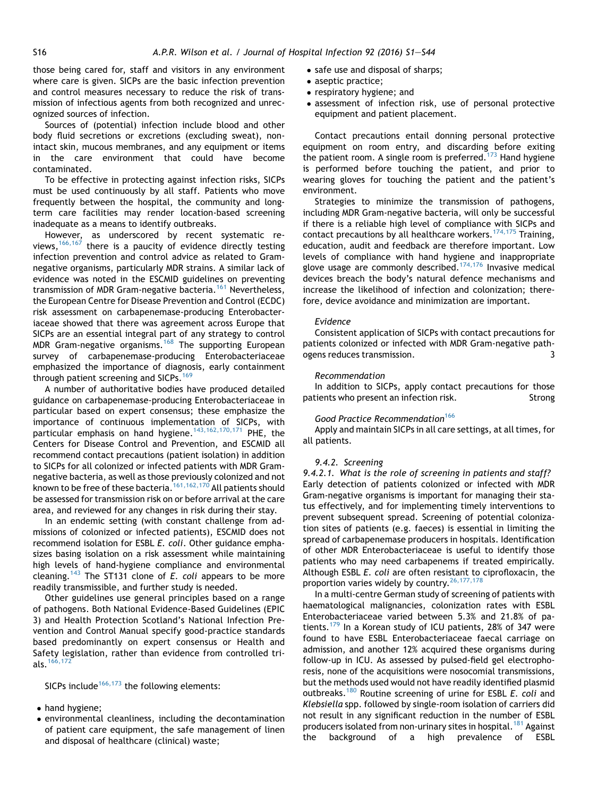those being cared for, staff and visitors in any environment where care is given. SICPs are the basic infection prevention and control measures necessary to reduce the risk of transmission of infectious agents from both recognized and unrecognized sources of infection.

Sources of (potential) infection include blood and other body fluid secretions or excretions (excluding sweat), nonintact skin, mucous membranes, and any equipment or items in the care environment that could have become contaminated.

To be effective in protecting against infection risks, SICPs must be used continuously by all staff. Patients who move frequently between the hospital, the community and longterm care facilities may render location-based screening inadequate as a means to identify outbreaks.

However, as underscored by recent systematic reviews,  $166,167$  there is a paucity of evidence directly testing infection prevention and control advice as related to Gramnegative organisms, particularly MDR strains. A similar lack of evidence was noted in the ESCMID guidelines on preventing transmission of MDR Gram-negative bacteria.<sup>[161](#page-34-0)</sup> Nevertheless, the European Centre for Disease Prevention and Control (ECDC) risk assessment on carbapenemase-producing Enterobacteriaceae showed that there was agreement across Europe that SICPs are an essential integral part of any strategy to control MDR Gram-negative organisms.[168](#page-34-0) The supporting European survey of carbapenemase-producing Enterobacteriaceae emphasized the importance of diagnosis, early containment through patient screening and SICPs.<sup>[169](#page-34-0)</sup>

A number of authoritative bodies have produced detailed guidance on carbapenemase-producing Enterobacteriaceae in particular based on expert consensus; these emphasize the importance of continuous implementation of SICPs, with particular emphasis on hand hygiene.<sup>143,162,170,171</sup> PHE, the Centers for Disease Control and Prevention, and ESCMID all recommend contact precautions (patient isolation) in addition to SICPs for all colonized or infected patients with MDR Gramnegative bacteria, as well as those previously colonized and not known to be free of these bacteria.<sup>[161,162,170](#page-34-0)</sup> All patients should be assessed for transmission risk on or before arrival at the care area, and reviewed for any changes in risk during their stay.

In an endemic setting (with constant challenge from admissions of colonized or infected patients), ESCMID does not recommend isolation for ESBL E. coli. Other guidance emphasizes basing isolation on a risk assessment while maintaining high levels of hand-hygiene compliance and environmental cleaning.<sup>[143](#page-33-0)</sup> The ST131 clone of E. coli appears to be more readily transmissible, and further study is needed.

Other guidelines use general principles based on a range of pathogens. Both National Evidence-Based Guidelines (EPIC 3) and Health Protection Scotland's National Infection Prevention and Control Manual specify good-practice standards based predominantly on expert consensus or Health and Safety legislation, rather than evidence from controlled trials.[166,172](#page-34-0)

SICPs include<sup>[166,173](#page-34-0)</sup> the following elements:

- hand hygiene;
- environmental cleanliness, including the decontamination of patient care equipment, the safe management of linen and disposal of healthcare (clinical) waste;
- safe use and disposal of sharps;
- aseptic practice;
- respiratory hygiene; and
- assessment of infection risk, use of personal protective equipment and patient placement.

Contact precautions entail donning personal protective equipment on room entry, and discarding before exiting the patient room. A single room is preferred.<sup>[173](#page-34-0)</sup> Hand hygiene is performed before touching the patient, and prior to wearing gloves for touching the patient and the patient's environment.

Strategies to minimize the transmission of pathogens, including MDR Gram-negative bacteria, will only be successful if there is a reliable high level of compliance with SICPs and contact precautions by all healthcare workers.<sup>[174,175](#page-34-0)</sup> Training, education, audit and feedback are therefore important. Low levels of compliance with hand hygiene and inappropriate glove usage are commonly described.<sup>[174,176](#page-34-0)</sup> Invasive medical devices breach the body's natural defence mechanisms and increase the likelihood of infection and colonization; therefore, device avoidance and minimization are important.

#### Evidence

Consistent application of SICPs with contact precautions for patients colonized or infected with MDR Gram-negative pathogens reduces transmission. 3

#### Recommendation

In addition to SICPs, apply contact precautions for those patients who present an infection risk. Strong

### Good Practice Recommendation<sup>[166](#page-34-0)</sup>

Apply and maintain SICPs in all care settings, at all times, for all patients.

#### 9.4.2. Screening

9.4.2.1. What is the role of screening in patients and staff? Early detection of patients colonized or infected with MDR Gram-negative organisms is important for managing their status effectively, and for implementing timely interventions to prevent subsequent spread. Screening of potential colonization sites of patients (e.g. faeces) is essential in limiting the spread of carbapenemase producers in hospitals. Identification of other MDR Enterobacteriaceae is useful to identify those patients who may need carbapenems if treated empirically. Although ESBL E. coli are often resistant to ciprofloxacin, the proportion varies widely by country.<sup>[26,177,178](#page-30-0)</sup>

In a multi-centre German study of screening of patients with haematological malignancies, colonization rates with ESBL Enterobacteriaceae varied between 5.3% and 21.8% of pa-tients.<sup>[179](#page-34-0)</sup> In a Korean study of ICU patients, 28% of 347 were found to have ESBL Enterobacteriaceae faecal carriage on admission, and another 12% acquired these organisms during follow-up in ICU. As assessed by pulsed-field gel electrophoresis, none of the acquisitions were nosocomial transmissions, but the methods used would not have readily identified plasmid outbreaks.<sup>[180](#page-34-0)</sup> Routine screening of urine for ESBL E. coli and Klebsiella spp. followed by single-room isolation of carriers did not result in any significant reduction in the number of ESBL producers isolated from non-urinary sites in hospital.<sup>[181](#page-34-0)</sup> Against the background of a high prevalence of ESBL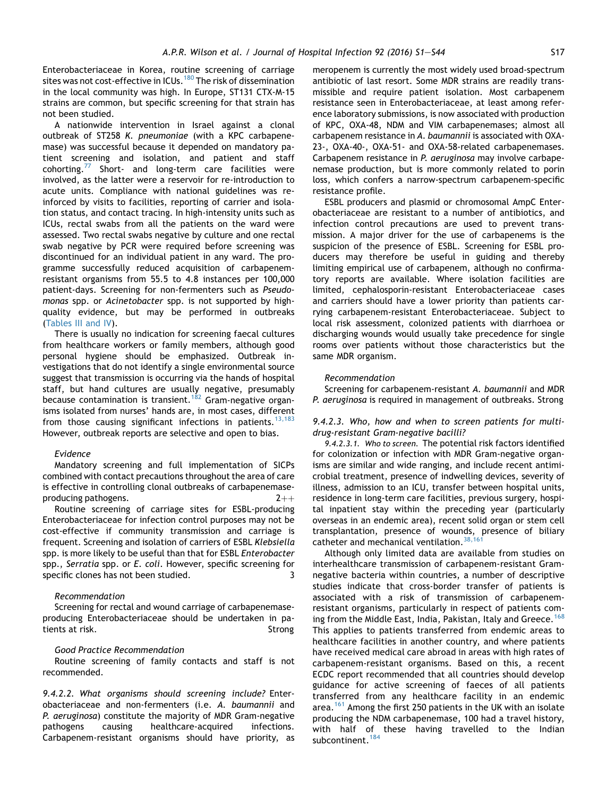Enterobacteriaceae in Korea, routine screening of carriage sites was not cost-effective in ICUs.<sup>[180](#page-34-0)</sup> The risk of dissemination in the local community was high. In Europe, ST131 CTX-M-15 strains are common, but specific screening for that strain has not been studied.

A nationwide intervention in Israel against a clonal outbreak of ST258 K. pneumoniae (with a KPC carbapenemase) was successful because it depended on mandatory patient screening and isolation, and patient and staff cohorting.[77](#page-31-0) Short- and long-term care facilities were involved, as the latter were a reservoir for re-introduction to acute units. Compliance with national guidelines was reinforced by visits to facilities, reporting of carrier and isolation status, and contact tracing. In high-intensity units such as ICUs, rectal swabs from all the patients on the ward were assessed. Two rectal swabs negative by culture and one rectal swab negative by PCR were required before screening was discontinued for an individual patient in any ward. The programme successfully reduced acquisition of carbapenemresistant organisms from 55.5 to 4.8 instances per 100,000 patient-days. Screening for non-fermenters such as Pseudomonas spp. or Acinetobacter spp. is not supported by highquality evidence, but may be performed in outbreaks ([Tables III and IV](#page-11-0)).

There is usually no indication for screening faecal cultures from healthcare workers or family members, although good personal hygiene should be emphasized. Outbreak investigations that do not identify a single environmental source suggest that transmission is occurring via the hands of hospital staff, but hand cultures are usually negative, presumably because contamination is transient.<sup>[182](#page-34-0)</sup> Gram-negative organisms isolated from nurses' hands are, in most cases, different from those causing significant infections in patients.<sup>13,18</sup> However, outbreak reports are selective and open to bias.

#### Evidence

Mandatory screening and full implementation of SICPs combined with contact precautions throughout the area of care is effective in controlling clonal outbreaks of carbapenemaseproducing pathogens.  $2++$ 

Routine screening of carriage sites for ESBL-producing Enterobacteriaceae for infection control purposes may not be cost-effective if community transmission and carriage is frequent. Screening and isolation of carriers of ESBL Klebsiella spp. is more likely to be useful than that for ESBL Enterobacter spp., Serratia spp. or E. coli. However, specific screening for specific clones has not been studied. 3

#### Recommendation

Screening for rectal and wound carriage of carbapenemaseproducing Enterobacteriaceae should be undertaken in patients at risk. Strong and the strong strong strong strong strong strong strong strong strong strong strong strong strong strong strong strong strong strong strong strong strong strong strong strong strong strong strong st

#### Good Practice Recommendation

Routine screening of family contacts and staff is not recommended.

9.4.2.2. What organisms should screening include? Enterobacteriaceae and non-fermenters (i.e. A. baumannii and P. aeruginosa) constitute the majority of MDR Gram-negative pathogens causing healthcare-acquired infections. Carbapenem-resistant organisms should have priority, as

meropenem is currently the most widely used broad-spectrum antibiotic of last resort. Some MDR strains are readily transmissible and require patient isolation. Most carbapenem resistance seen in Enterobacteriaceae, at least among reference laboratory submissions, is now associated with production of KPC, OXA-48, NDM and VIM carbapenemases; almost all carbapenem resistance in A. baumannii is associated with OXA-23-, OXA-40-, OXA-51- and OXA-58-related carbapenemases. Carbapenem resistance in P. aeruginosa may involve carbapenemase production, but is more commonly related to porin loss, which confers a narrow-spectrum carbapenem-specific resistance profile.

ESBL producers and plasmid or chromosomal AmpC Enterobacteriaceae are resistant to a number of antibiotics, and infection control precautions are used to prevent transmission. A major driver for the use of carbapenems is the suspicion of the presence of ESBL. Screening for ESBL producers may therefore be useful in guiding and thereby limiting empirical use of carbapenem, although no confirmatory reports are available. Where isolation facilities are limited, cephalosporin-resistant Enterobacteriaceae cases and carriers should have a lower priority than patients carrying carbapenem-resistant Enterobacteriaceae. Subject to local risk assessment, colonized patients with diarrhoea or discharging wounds would usually take precedence for single rooms over patients without those characteristics but the same MDR organism.

#### Recommendation

Screening for carbapenem-resistant A. baumannii and MDR P. aeruginosa is required in management of outbreaks. Strong

#### 9.4.2.3. Who, how and when to screen patients for multidrug-resistant Gram-negative bacilli?

9.4.2.3.1. Who to screen. The potential risk factors identified for colonization or infection with MDR Gram-negative organisms are similar and wide ranging, and include recent antimicrobial treatment, presence of indwelling devices, severity of illness, admission to an ICU, transfer between hospital units, residence in long-term care facilities, previous surgery, hospital inpatient stay within the preceding year (particularly overseas in an endemic area), recent solid organ or stem cell transplantation, presence of wounds, presence of biliary catheter and mechanical ventilation.<sup>[38,161](#page-30-0)</sup>

Although only limited data are available from studies on interhealthcare transmission of carbapenem-resistant Gramnegative bacteria within countries, a number of descriptive studies indicate that cross-border transfer of patients is associated with a risk of transmission of carbapenemresistant organisms, particularly in respect of patients com-ing from the Middle East, India, Pakistan, Italy and Greece.<sup>[168](#page-34-0)</sup> This applies to patients transferred from endemic areas to healthcare facilities in another country, and where patients have received medical care abroad in areas with high rates of carbapenem-resistant organisms. Based on this, a recent ECDC report recommended that all countries should develop guidance for active screening of faeces of all patients transferred from any healthcare facility in an endemic area.<sup>[161](#page-34-0)</sup> Among the first 250 patients in the UK with an isolate producing the NDM carbapenemase, 100 had a travel history, with half of these having travelled to the Indian subcontinent.<sup>[184](#page-34-0)</sup>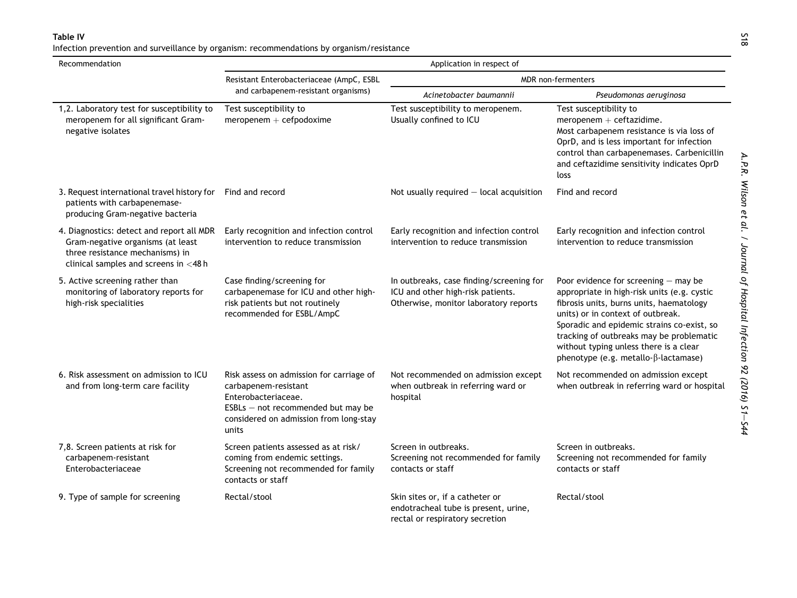#### <span id="page-17-0"></span>Table IV

Infection prevention and surveillance by organism: recommendations by organism/resistance

| Recommendation                                                                                                                                                | Application in respect of                                                                                                                                                        |                                                                                                                        |                                                                                                                                                                                                                                                                                                                                                    |  |
|---------------------------------------------------------------------------------------------------------------------------------------------------------------|----------------------------------------------------------------------------------------------------------------------------------------------------------------------------------|------------------------------------------------------------------------------------------------------------------------|----------------------------------------------------------------------------------------------------------------------------------------------------------------------------------------------------------------------------------------------------------------------------------------------------------------------------------------------------|--|
|                                                                                                                                                               | Resistant Enterobacteriaceae (AmpC, ESBL                                                                                                                                         | <b>MDR</b> non-fermenters                                                                                              |                                                                                                                                                                                                                                                                                                                                                    |  |
|                                                                                                                                                               | and carbapenem-resistant organisms)                                                                                                                                              | Acinetobacter baumannii                                                                                                | Pseudomonas aeruginosa                                                                                                                                                                                                                                                                                                                             |  |
| 1,2. Laboratory test for susceptibility to<br>meropenem for all significant Gram-<br>negative isolates                                                        | Test susceptibility to<br>$meropenem + cefpodoxime$                                                                                                                              | Test susceptibility to meropenem.<br>Usually confined to ICU                                                           | Test susceptibility to<br>$meropenem + ceftazidine.$<br>Most carbapenem resistance is via loss of<br>OprD, and is less important for infection<br>control than carbapenemases. Carbenicillin<br>and ceftazidime sensitivity indicates OprD<br>loss                                                                                                 |  |
| 3. Request international travel history for<br>patients with carbapenemase-<br>producing Gram-negative bacteria                                               | Find and record                                                                                                                                                                  | Not usually required $-$ local acquisition                                                                             | Find and record                                                                                                                                                                                                                                                                                                                                    |  |
| 4. Diagnostics: detect and report all MDR<br>Gram-negative organisms (at least<br>three resistance mechanisms) in<br>clinical samples and screens in $<$ 48 h | Early recognition and infection control<br>intervention to reduce transmission                                                                                                   | Early recognition and infection control<br>intervention to reduce transmission                                         | Early recognition and infection control<br>intervention to reduce transmission                                                                                                                                                                                                                                                                     |  |
| 5. Active screening rather than<br>monitoring of laboratory reports for<br>high-risk specialities                                                             | Case finding/screening for<br>carbapenemase for ICU and other high-<br>risk patients but not routinely<br>recommended for ESBL/AmpC                                              | In outbreaks, case finding/screening for<br>ICU and other high-risk patients.<br>Otherwise, monitor laboratory reports | Poor evidence for screening $-$ may be<br>appropriate in high-risk units (e.g. cystic<br>fibrosis units, burns units, haematology<br>units) or in context of outbreak.<br>Sporadic and epidemic strains co-exist, so<br>tracking of outbreaks may be problematic<br>without typing unless there is a clear<br>phenotype (e.g. metallo-β-lactamase) |  |
| 6. Risk assessment on admission to ICU<br>and from long-term care facility                                                                                    | Risk assess on admission for carriage of<br>carbapenem-resistant<br>Enterobacteriaceae.<br>ESBLs - not recommended but may be<br>considered on admission from long-stay<br>units | Not recommended on admission except<br>when outbreak in referring ward or<br>hospital                                  | Not recommended on admission except<br>when outbreak in referring ward or hospital                                                                                                                                                                                                                                                                 |  |
| 7,8. Screen patients at risk for<br>carbapenem-resistant<br>Enterobacteriaceae                                                                                | Screen patients assessed as at risk/<br>coming from endemic settings.<br>Screening not recommended for family<br>contacts or staff                                               | Screen in outbreaks.<br>Screening not recommended for family<br>contacts or staff                                      | Screen in outbreaks.<br>Screening not recommended for family<br>contacts or staff                                                                                                                                                                                                                                                                  |  |
| 9. Type of sample for screening                                                                                                                               | Rectal/stool                                                                                                                                                                     | Skin sites or, if a catheter or<br>endotracheal tube is present, urine,<br>rectal or respiratory secretion             | Rectal/stool                                                                                                                                                                                                                                                                                                                                       |  |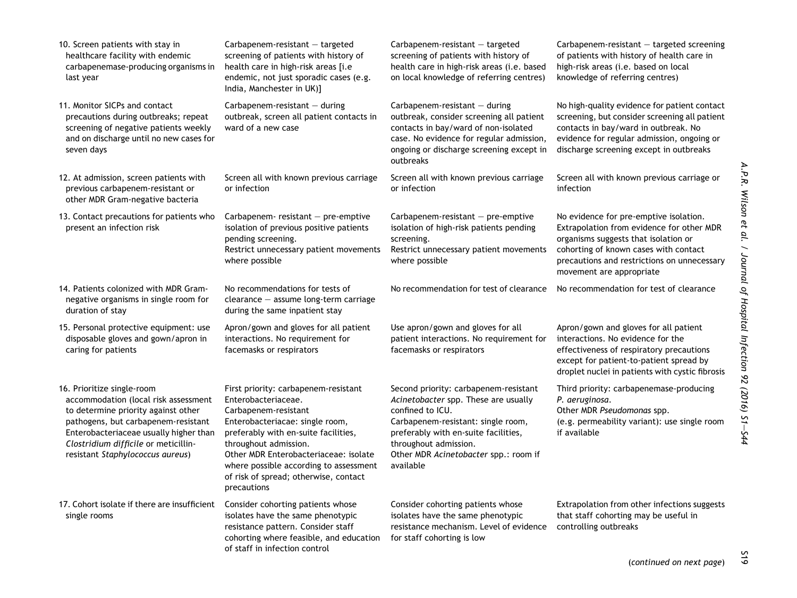| 10. Screen patients with stay in<br>healthcare facility with endemic<br>carbapenemase-producing organisms in<br>last year                                                                                                                                              | $Carbapenem-resistant - targeted$<br>screening of patients with history of<br>health care in high-risk areas [i.e<br>endemic, not just sporadic cases (e.g.<br>India, Manchester in UK)]                                                                                                                                           | $Carbapenem-resistant - targeted$<br>screening of patients with history of<br>health care in high-risk areas (i.e. based<br>on local knowledge of referring centres)                                                                                           | $Carbapenem-resistant - targeted screening$<br>of patients with history of health care in<br>high-risk areas (i.e. based on local<br>knowledge of referring centres)                                                                            |
|------------------------------------------------------------------------------------------------------------------------------------------------------------------------------------------------------------------------------------------------------------------------|------------------------------------------------------------------------------------------------------------------------------------------------------------------------------------------------------------------------------------------------------------------------------------------------------------------------------------|----------------------------------------------------------------------------------------------------------------------------------------------------------------------------------------------------------------------------------------------------------------|-------------------------------------------------------------------------------------------------------------------------------------------------------------------------------------------------------------------------------------------------|
| 11. Monitor SICPs and contact<br>precautions during outbreaks; repeat<br>screening of negative patients weekly<br>and on discharge until no new cases for<br>seven days                                                                                                | Carbapenem-resistant $-$ during<br>outbreak, screen all patient contacts in<br>ward of a new case                                                                                                                                                                                                                                  | Carbapenem-resistant $-$ during<br>outbreak, consider screening all patient<br>contacts in bay/ward of non-isolated<br>case. No evidence for regular admission,<br>ongoing or discharge screening except in<br>outbreaks                                       | No high-quality evidence for patient contact<br>screening, but consider screening all patient<br>contacts in bay/ward in outbreak. No<br>evidence for regular admission, ongoing or<br>discharge screening except in outbreaks                  |
| 12. At admission, screen patients with<br>previous carbapenem-resistant or<br>other MDR Gram-negative bacteria                                                                                                                                                         | Screen all with known previous carriage<br>or infection                                                                                                                                                                                                                                                                            | Screen all with known previous carriage<br>or infection                                                                                                                                                                                                        | Screen all with known previous carriage or<br>infection                                                                                                                                                                                         |
| 13. Contact precautions for patients who<br>present an infection risk                                                                                                                                                                                                  | Carbapenem-resistant $-$ pre-emptive<br>isolation of previous positive patients<br>pending screening.<br>Restrict unnecessary patient movements<br>where possible                                                                                                                                                                  | Carbapenem-resistant $-$ pre-emptive<br>isolation of high-risk patients pending<br>screening.<br>Restrict unnecessary patient movements<br>where possible                                                                                                      | No evidence for pre-emptive isolation.<br>Extrapolation from evidence for other MDR<br>organisms suggests that isolation or<br>cohorting of known cases with contact<br>precautions and restrictions on unnecessary<br>movement are appropriate |
| 14. Patients colonized with MDR Gram-<br>negative organisms in single room for<br>duration of stay                                                                                                                                                                     | No recommendations for tests of<br>clearance - assume long-term carriage<br>during the same inpatient stay                                                                                                                                                                                                                         | No recommendation for test of clearance                                                                                                                                                                                                                        | No recommendation for test of clearance                                                                                                                                                                                                         |
| 15. Personal protective equipment: use<br>disposable gloves and gown/apron in<br>caring for patients                                                                                                                                                                   | Apron/gown and gloves for all patient<br>interactions. No requirement for<br>facemasks or respirators                                                                                                                                                                                                                              | Use apron/gown and gloves for all<br>patient interactions. No requirement for<br>facemasks or respirators                                                                                                                                                      | Apron/gown and gloves for all patient<br>interactions. No evidence for the<br>effectiveness of respiratory precautions<br>except for patient-to-patient spread by<br>droplet nuclei in patients with cystic fibrosis                            |
| 16. Prioritize single-room<br>accommodation (local risk assessment<br>to determine priority against other<br>pathogens, but carbapenem-resistant<br>Enterobacteriaceae usually higher than<br>Clostridium difficile or meticillin-<br>resistant Staphylococcus aureus) | First priority: carbapenem-resistant<br>Enterobacteriaceae.<br>Carbapenem-resistant<br>Enterobacteriacae: single room,<br>preferably with en-suite facilities,<br>throughout admission.<br>Other MDR Enterobacteriaceae: isolate<br>where possible according to assessment<br>of risk of spread; otherwise, contact<br>precautions | Second priority: carbapenem-resistant<br>Acinetobacter spp. These are usually<br>confined to ICU.<br>Carbapenem-resistant: single room,<br>preferably with en-suite facilities,<br>throughout admission.<br>Other MDR Acinetobacter spp.: room if<br>available | Third priority: carbapenemase-producing<br>P. aeruginosa.<br>Other MDR Pseudomonas spp.<br>(e.g. permeability variant): use single room<br>if available                                                                                         |
| 17. Cohort isolate if there are insufficient<br>single rooms                                                                                                                                                                                                           | Consider cohorting patients whose<br>isolates have the same phenotypic<br>resistance pattern. Consider staff<br>cohorting where feasible, and education<br>of staff in infection control                                                                                                                                           | Consider cohorting patients whose<br>isolates have the same phenotypic<br>resistance mechanism. Level of evidence<br>for staff cohorting is low                                                                                                                | Extrapolation from other infections suggests<br>that staff cohorting may be useful in<br>controlling outbreaks                                                                                                                                  |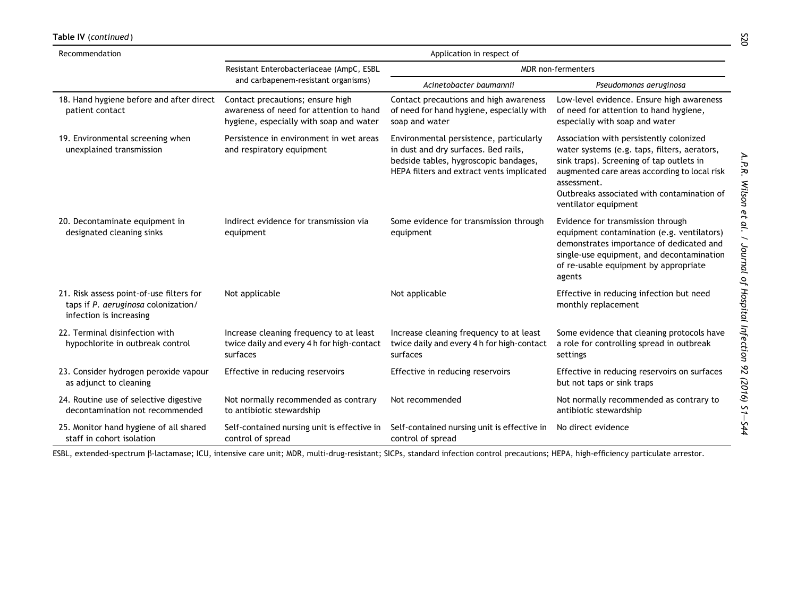| Recommendation                                                                                             | Application in respect of                                                                                              |                                                                                                                                                                       |                                                                                                                                                                                                                                                                          |  |
|------------------------------------------------------------------------------------------------------------|------------------------------------------------------------------------------------------------------------------------|-----------------------------------------------------------------------------------------------------------------------------------------------------------------------|--------------------------------------------------------------------------------------------------------------------------------------------------------------------------------------------------------------------------------------------------------------------------|--|
|                                                                                                            | Resistant Enterobacteriaceae (AmpC, ESBL<br>and carbapenem-resistant organisms)                                        | <b>MDR</b> non-fermenters                                                                                                                                             |                                                                                                                                                                                                                                                                          |  |
|                                                                                                            |                                                                                                                        | Acinetobacter baumannii                                                                                                                                               | Pseudomonas aeruginosa                                                                                                                                                                                                                                                   |  |
| 18. Hand hygiene before and after direct<br>patient contact                                                | Contact precautions; ensure high<br>awareness of need for attention to hand<br>hygiene, especially with soap and water | Contact precautions and high awareness<br>of need for hand hygiene, especially with<br>soap and water                                                                 | Low-level evidence. Ensure high awareness<br>of need for attention to hand hygiene,<br>especially with soap and water                                                                                                                                                    |  |
| 19. Environmental screening when<br>unexplained transmission                                               | Persistence in environment in wet areas<br>and respiratory equipment                                                   | Environmental persistence, particularly<br>in dust and dry surfaces. Bed rails,<br>bedside tables, hygroscopic bandages,<br>HEPA filters and extract vents implicated | Association with persistently colonized<br>water systems (e.g. taps, filters, aerators,<br>sink traps). Screening of tap outlets in<br>augmented care areas according to local risk<br>assessment.<br>Outbreaks associated with contamination of<br>ventilator equipment |  |
| 20. Decontaminate equipment in<br>designated cleaning sinks                                                | Indirect evidence for transmission via<br>equipment                                                                    | Some evidence for transmission through<br>equipment                                                                                                                   | Evidence for transmission through<br>equipment contamination (e.g. ventilators)<br>demonstrates importance of dedicated and<br>single-use equipment, and decontamination<br>of re-usable equipment by appropriate<br>agents                                              |  |
| 21. Risk assess point-of-use filters for<br>taps if P. aeruginosa colonization/<br>infection is increasing | Not applicable                                                                                                         | Not applicable                                                                                                                                                        | Effective in reducing infection but need<br>monthly replacement                                                                                                                                                                                                          |  |
| 22. Terminal disinfection with<br>hypochlorite in outbreak control                                         | Increase cleaning frequency to at least<br>twice daily and every 4 h for high-contact<br>surfaces                      | Increase cleaning frequency to at least<br>twice daily and every 4 h for high-contact<br>surfaces                                                                     | Some evidence that cleaning protocols have<br>a role for controlling spread in outbreak<br>settings                                                                                                                                                                      |  |
| 23. Consider hydrogen peroxide vapour<br>as adjunct to cleaning                                            | Effective in reducing reservoirs                                                                                       | Effective in reducing reservoirs                                                                                                                                      | Effective in reducing reservoirs on surfaces<br>but not taps or sink traps                                                                                                                                                                                               |  |
| 24. Routine use of selective digestive<br>decontamination not recommended                                  | Not normally recommended as contrary<br>to antibiotic stewardship                                                      | Not recommended                                                                                                                                                       | Not normally recommended as contrary to<br>antibiotic stewardship                                                                                                                                                                                                        |  |
| 25. Monitor hand hygiene of all shared<br>staff in cohort isolation                                        | Self-contained nursing unit is effective in<br>control of spread                                                       | Self-contained nursing unit is effective in<br>control of spread                                                                                                      | No direct evidence                                                                                                                                                                                                                                                       |  |

Table IV (continued)

ESBL, extended-spectrum b-lactamase; ICU, intensive care unit; MDR, multi-drug-resistant; SICPs, standard infection control precautions; HEPA, high-efficiency particulate arrestor.

 $\frac{220}{1}$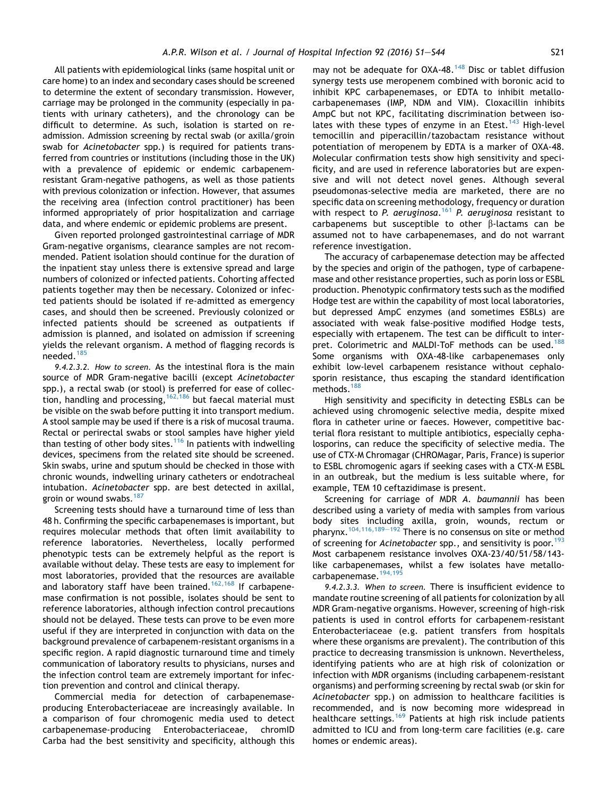All patients with epidemiological links (same hospital unit or care home) to an index and secondary cases should be screened to determine the extent of secondary transmission. However, carriage may be prolonged in the community (especially in patients with urinary catheters), and the chronology can be difficult to determine. As such, isolation is started on readmission. Admission screening by rectal swab (or axilla/groin swab for Acinetobacter spp.) is required for patients transferred from countries or institutions (including those in the UK) with a prevalence of epidemic or endemic carbapenemresistant Gram-negative pathogens, as well as those patients with previous colonization or infection. However, that assumes the receiving area (infection control practitioner) has been informed appropriately of prior hospitalization and carriage data, and where endemic or epidemic problems are present.

Given reported prolonged gastrointestinal carriage of MDR Gram-negative organisms, clearance samples are not recommended. Patient isolation should continue for the duration of the inpatient stay unless there is extensive spread and large numbers of colonized or infected patients. Cohorting affected patients together may then be necessary. Colonized or infected patients should be isolated if re-admitted as emergency cases, and should then be screened. Previously colonized or infected patients should be screened as outpatients if admission is planned, and isolated on admission if screening yields the relevant organism. A method of flagging records is needed.<sup>[185](#page-34-0)</sup>

9.4.2.3.2. How to screen. As the intestinal flora is the main source of MDR Gram-negative bacilli (except Acinetobacter spp.), a rectal swab (or stool) is preferred for ease of collection, handling and processing,  $162,186$  but faecal material must be visible on the swab before putting it into transport medium. A stool sample may be used if there is a risk of mucosal trauma. Rectal or perirectal swabs or stool samples have higher yield than testing of other body sites.<sup>[116](#page-32-0)</sup> In patients with indwelling devices, specimens from the related site should be screened. Skin swabs, urine and sputum should be checked in those with chronic wounds, indwelling urinary catheters or endotracheal intubation. Acinetobacter spp. are best detected in axillal, groin or wound swabs.<sup>[187](#page-34-0)</sup>

Screening tests should have a turnaround time of less than 48 h. Confirming the specific carbapenemases is important, but requires molecular methods that often limit availability to reference laboratories. Nevertheless, locally performed phenotypic tests can be extremely helpful as the report is available without delay. These tests are easy to implement for most laboratories, provided that the resources are available and laboratory staff have been trained.<sup>[162,168](#page-34-0)</sup> If carbapenemase confirmation is not possible, isolates should be sent to reference laboratories, although infection control precautions should not be delayed. These tests can prove to be even more useful if they are interpreted in conjunction with data on the background prevalence of carbapenem-resistant organisms in a specific region. A rapid diagnostic turnaround time and timely communication of laboratory results to physicians, nurses and the infection control team are extremely important for infection prevention and control and clinical therapy.

Commercial media for detection of carbapenemaseproducing Enterobacteriaceae are increasingly available. In a comparison of four chromogenic media used to detect carbapenemase-producing Enterobacteriaceae, chromID Carba had the best sensitivity and specificity, although this may not be adequate for OXA-48.<sup>[148](#page-33-0)</sup> Disc or tablet diffusion synergy tests use meropenem combined with boronic acid to inhibit KPC carbapenemases, or EDTA to inhibit metallocarbapenemases (IMP, NDM and VIM). Cloxacillin inhibits AmpC but not KPC, facilitating discrimination between iso-lates with these types of enzyme in an Etest.<sup>[143](#page-33-0)</sup> High-level temocillin and piperacillin/tazobactam resistance without potentiation of meropenem by EDTA is a marker of OXA-48. Molecular confirmation tests show high sensitivity and specificity, and are used in reference laboratories but are expensive and will not detect novel genes. Although several pseudomonas-selective media are marketed, there are no specific data on screening methodology, frequency or duration with respect to P. aeruginosa.<sup>[161](#page-34-0)</sup> P. aeruginosa resistant to carbapenems but susceptible to other  $\beta$ -lactams can be assumed not to have carbapenemases, and do not warrant reference investigation.

The accuracy of carbapenemase detection may be affected by the species and origin of the pathogen, type of carbapenemase and other resistance properties, such as porin loss or ESBL production. Phenotypic confirmatory tests such as the modified Hodge test are within the capability of most local laboratories, but depressed AmpC enzymes (and sometimes ESBLs) are associated with weak false-positive modified Hodge tests, especially with ertapenem. The test can be difficult to interpret. Colorimetric and MALDI-ToF methods can be used.<sup>188</sup> Some organisms with OXA-48-like carbapenemases only exhibit low-level carbapenem resistance without cephalosporin resistance, thus escaping the standard identification methods.<sup>188</sup>

High sensitivity and specificity in detecting ESBLs can be achieved using chromogenic selective media, despite mixed flora in catheter urine or faeces. However, competitive bacterial flora resistant to multiple antibiotics, especially cephalosporins, can reduce the specificity of selective media. The use of CTX-M Chromagar (CHROMagar, Paris, France) is superior to ESBL chromogenic agars if seeking cases with a CTX-M ESBL in an outbreak, but the medium is less suitable where, for example, TEM 10 ceftazidimase is present.

Screening for carriage of MDR A. baumannii has been described using a variety of media with samples from various body sites including axilla, groin, wounds, rectum or pharynx.<sup>[104,116,189](#page-32-0)–[192](#page-32-0)</sup> There is no consensus on site or method of screening for Acinetobacter spp., and sensitivity is poor.<sup>[193](#page-35-0)</sup> Most carbapenem resistance involves OXA-23/40/51/58/143 like carbapenemases, whilst a few isolates have metallo-carbapenemase.<sup>[194,195](#page-35-0)</sup>

9.4.2.3.3. When to screen. There is insufficient evidence to mandate routine screening of all patients for colonization by all MDR Gram-negative organisms. However, screening of high-risk patients is used in control efforts for carbapenem-resistant Enterobacteriaceae (e.g. patient transfers from hospitals where these organisms are prevalent). The contribution of this practice to decreasing transmission is unknown. Nevertheless, identifying patients who are at high risk of colonization or infection with MDR organisms (including carbapenem-resistant organisms) and performing screening by rectal swab (or skin for Acinetobacter spp.) on admission to healthcare facilities is recommended, and is now becoming more widespread in healthcare settings.<sup>169</sup> Patients at high risk include patients admitted to ICU and from long-term care facilities (e.g. care homes or endemic areas).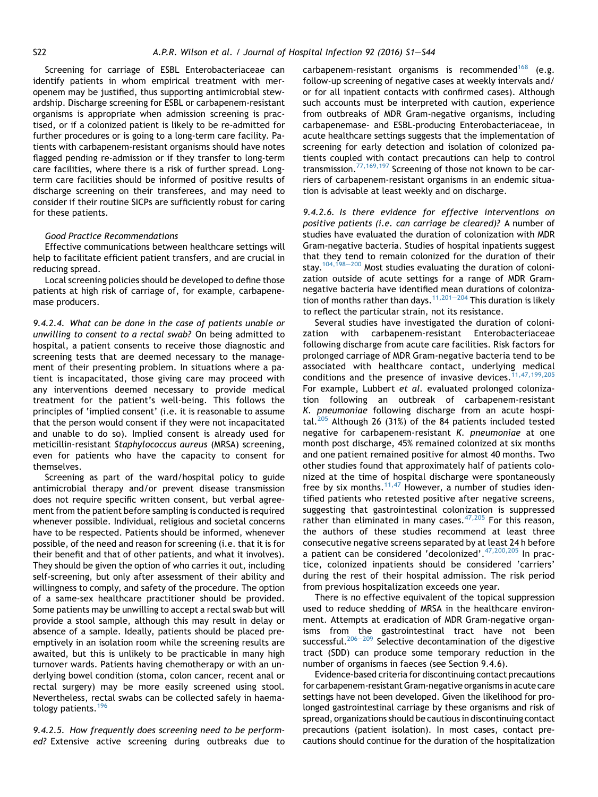Screening for carriage of ESBL Enterobacteriaceae can identify patients in whom empirical treatment with meropenem may be justified, thus supporting antimicrobial stewardship. Discharge screening for ESBL or carbapenem-resistant organisms is appropriate when admission screening is practised, or if a colonized patient is likely to be re-admitted for further procedures or is going to a long-term care facility. Patients with carbapenem-resistant organisms should have notes flagged pending re-admission or if they transfer to long-term care facilities, where there is a risk of further spread. Longterm care facilities should be informed of positive results of discharge screening on their transferees, and may need to consider if their routine SICPs are sufficiently robust for caring for these patients.

#### Good Practice Recommendations

Effective communications between healthcare settings will help to facilitate efficient patient transfers, and are crucial in reducing spread.

Local screening policies should be developed to define those patients at high risk of carriage of, for example, carbapenemase producers.

9.4.2.4. What can be done in the case of patients unable or unwilling to consent to a rectal swab? On being admitted to hospital, a patient consents to receive those diagnostic and screening tests that are deemed necessary to the management of their presenting problem. In situations where a patient is incapacitated, those giving care may proceed with any interventions deemed necessary to provide medical treatment for the patient's well-being. This follows the principles of 'implied consent' (i.e. it is reasonable to assume that the person would consent if they were not incapacitated and unable to do so). Implied consent is already used for meticillin-resistant Staphylococcus aureus (MRSA) screening, even for patients who have the capacity to consent for themselves.

Screening as part of the ward/hospital policy to guide antimicrobial therapy and/or prevent disease transmission does not require specific written consent, but verbal agreement from the patient before sampling is conducted is required whenever possible. Individual, religious and societal concerns have to be respected. Patients should be informed, whenever possible, of the need and reason for screening (i.e. that it is for their benefit and that of other patients, and what it involves). They should be given the option of who carries it out, including self-screening, but only after assessment of their ability and willingness to comply, and safety of the procedure. The option of a same-sex healthcare practitioner should be provided. Some patients may be unwilling to accept a rectal swab but will provide a stool sample, although this may result in delay or absence of a sample. Ideally, patients should be placed preemptively in an isolation room while the screening results are awaited, but this is unlikely to be practicable in many high turnover wards. Patients having chemotherapy or with an underlying bowel condition (stoma, colon cancer, recent anal or rectal surgery) may be more easily screened using stool. Nevertheless, rectal swabs can be collected safely in haema-tology patients.<sup>[196](#page-35-0)</sup>

9.4.2.5. How frequently does screening need to be performed? Extensive active screening during outbreaks due to carbapenem-resistant organisms is recommended<sup>[168](#page-34-0)</sup> (e.g. follow-up screening of negative cases at weekly intervals and/ or for all inpatient contacts with confirmed cases). Although such accounts must be interpreted with caution, experience from outbreaks of MDR Gram-negative organisms, including carbapenemase- and ESBL-producing Enterobacteriaceae, in acute healthcare settings suggests that the implementation of screening for early detection and isolation of colonized patients coupled with contact precautions can help to control transmission.<sup>77,169,197</sup> Screening of those not known to be carriers of carbapenem-resistant organisms in an endemic situation is advisable at least weekly and on discharge.

9.4.2.6. Is there evidence for effective interventions on positive patients (i.e. can carriage be cleared)? A number of studies have evaluated the duration of colonization with MDR Gram-negative bacteria. Studies of hospital inpatients suggest that they tend to remain colonized for the duration of their stav.  $104,198-200$  $104,198-200$  $104,198-200$  Most studies evaluating the duration of colonization outside of acute settings for a range of MDR Gramnegative bacteria have identified mean durations of colonization of months rather than days.  $11,201-204$  $11,201-204$  $11,201-204$  This duration is likely to reflect the particular strain, not its resistance.

Several studies have investigated the duration of colonization with carbapenem-resistant Enterobacteriaceae following discharge from acute care facilities. Risk factors for prolonged carriage of MDR Gram-negative bacteria tend to be associated with healthcare contact, underlying medical conditions and the presence of invasive devices.  $11,47,199,205$ For example, Lubbert et al. evaluated prolonged colonization following an outbreak of carbapenem-resistant K. pneumoniae following discharge from an acute hospital. $205$  Although 26 (31%) of the 84 patients included tested negative for carbapenem-resistant K. pneumoniae at one month post discharge, 45% remained colonized at six months and one patient remained positive for almost 40 months. Two other studies found that approximately half of patients colonized at the time of hospital discharge were spontaneously free by six months.<sup>[11,47](#page-29-0)</sup> However, a number of studies identified patients who retested positive after negative screens, suggesting that gastrointestinal colonization is suppressed rather than eliminated in many cases. $47,205$  For this reason, the authors of these studies recommend at least three consecutive negative screens separated by at least 24 h before a patient can be considered 'decolonized'. [47,200,205](#page-30-0) In practice, colonized inpatients should be considered 'carriers' during the rest of their hospital admission. The risk period from previous hospitalization exceeds one year.

There is no effective equivalent of the topical suppression used to reduce shedding of MRSA in the healthcare environment. Attempts at eradication of MDR Gram-negative organisms from the gastrointestinal tract have not been successful.<sup>[206](#page-35-0)-[209](#page-35-0)</sup> Selective decontamination of the digestive tract (SDD) can produce some temporary reduction in the number of organisms in faeces (see Section 9.4.6).

Evidence-based criteria for discontinuing contact precautions for carbapenem-resistant Gram-negative organisms in acute care settings have not been developed. Given the likelihood for prolonged gastrointestinal carriage by these organisms and risk of spread, organizations should be cautious in discontinuing contact precautions (patient isolation). In most cases, contact precautions should continue for the duration of the hospitalization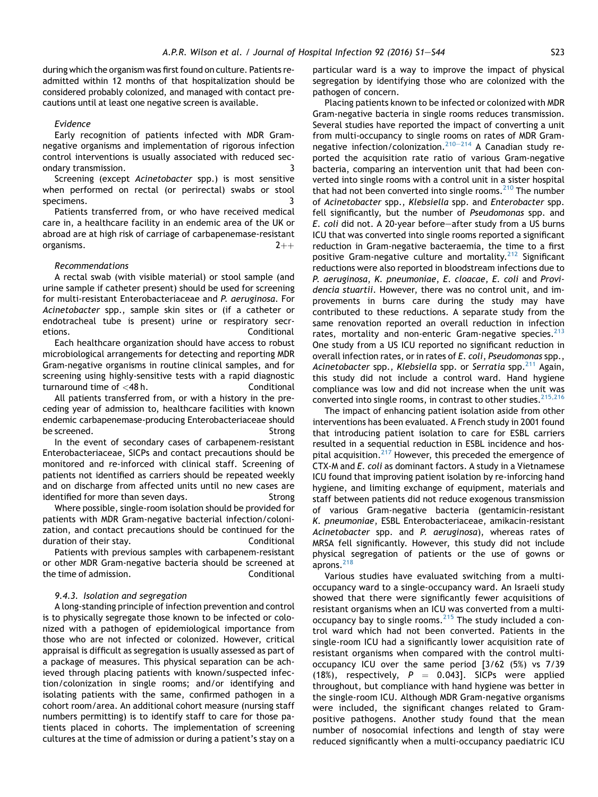during which the organism was first found on culture. Patients readmitted within 12 months of that hospitalization should be considered probably colonized, and managed with contact precautions until at least one negative screen is available.

#### Evidence

Early recognition of patients infected with MDR Gramnegative organisms and implementation of rigorous infection control interventions is usually associated with reduced secondary transmission. 3

Screening (except Acinetobacter spp.) is most sensitive when performed on rectal (or perirectal) swabs or stool specimens. 3

Patients transferred from, or who have received medical care in, a healthcare facility in an endemic area of the UK or abroad are at high risk of carriage of carbapenemase-resistant organisms.  $2++$ 

#### Recommendations

A rectal swab (with visible material) or stool sample (and urine sample if catheter present) should be used for screening for multi-resistant Enterobacteriaceae and P. aeruginosa. For Acinetobacter spp., sample skin sites or (if a catheter or endotracheal tube is present) urine or respiratory secretions. Conditional

Each healthcare organization should have access to robust microbiological arrangements for detecting and reporting MDR Gram-negative organisms in routine clinical samples, and for screening using highly-sensitive tests with a rapid diagnostic turnaround time of <48 h. Conditional

All patients transferred from, or with a history in the preceding year of admission to, healthcare facilities with known endemic carbapenemase-producing Enterobacteriaceae should be screened. Strong and the screened.

In the event of secondary cases of carbapenem-resistant Enterobacteriaceae, SICPs and contact precautions should be monitored and re-inforced with clinical staff. Screening of patients not identified as carriers should be repeated weekly and on discharge from affected units until no new cases are identified for more than seven days. Strong

Where possible, single-room isolation should be provided for patients with MDR Gram-negative bacterial infection/colonization, and contact precautions should be continued for the duration of their stay. The conditional conditional

Patients with previous samples with carbapenem-resistant or other MDR Gram-negative bacteria should be screened at the time of admission. The same of admission of  $\sim$  Conditional

#### 9.4.3. Isolation and segregation

A long-standing principle of infection prevention and control is to physically segregate those known to be infected or colonized with a pathogen of epidemiological importance from those who are not infected or colonized. However, critical appraisal is difficult as segregation is usually assessed as part of a package of measures. This physical separation can be achieved through placing patients with known/suspected infection/colonization in single rooms; and/or identifying and isolating patients with the same, confirmed pathogen in a cohort room/area. An additional cohort measure (nursing staff numbers permitting) is to identify staff to care for those patients placed in cohorts. The implementation of screening cultures at the time of admission or during a patient's stay on a

particular ward is a way to improve the impact of physical segregation by identifying those who are colonized with the pathogen of concern.

Placing patients known to be infected or colonized with MDR Gram-negative bacteria in single rooms reduces transmission. Several studies have reported the impact of converting a unit from multi-occupancy to single rooms on rates of MDR Gram-negative infection/colonization.<sup>[210](#page-35-0)-[214](#page-35-0)</sup> A Canadian study reported the acquisition rate ratio of various Gram-negative bacteria, comparing an intervention unit that had been converted into single rooms with a control unit in a sister hospital that had not been converted into single rooms. $^{210}$  $^{210}$  $^{210}$  The number of Acinetobacter spp., Klebsiella spp. and Enterobacter spp. fell significantly, but the number of Pseudomonas spp. and E. coli did not. A 20-year before-after study from a US burns ICU that was converted into single rooms reported a significant reduction in Gram-negative bacteraemia, the time to a first positive Gram-negative culture and mortality.<sup>[212](#page-35-0)</sup> Significant reductions were also reported in bloodstream infections due to P. aeruginosa, K. pneumoniae, E. cloacae, E. coli and Providencia stuartii. However, there was no control unit, and improvements in burns care during the study may have contributed to these reductions. A separate study from the same renovation reported an overall reduction in infection rates, mortality and non-enteric Gram-negative species. $213$ One study from a US ICU reported no significant reduction in overall infection rates, or in rates of E. coli, Pseudomonas spp., Acinetobacter spp., Klebsiella spp. or Serratia spp. $211$  Again, this study did not include a control ward. Hand hygiene compliance was low and did not increase when the unit was converted into single rooms, in contrast to other studies.<sup>215,216</sup>

The impact of enhancing patient isolation aside from other interventions has been evaluated. A French study in 2001 found that introducing patient isolation to care for ESBL carriers resulted in a sequential reduction in ESBL incidence and hos-pital acquisition.<sup>[217](#page-35-0)</sup> However, this preceded the emergence of CTX-M and E. coli as dominant factors. A study in a Vietnamese ICU found that improving patient isolation by re-inforcing hand hygiene, and limiting exchange of equipment, materials and staff between patients did not reduce exogenous transmission of various Gram-negative bacteria (gentamicin-resistant K. pneumoniae, ESBL Enterobacteriaceae, amikacin-resistant Acinetobacter spp. and P. aeruginosa), whereas rates of MRSA fell significantly. However, this study did not include physical segregation of patients or the use of gowns or aprons.<sup>218</sup>

Various studies have evaluated switching from a multioccupancy ward to a single-occupancy ward. An Israeli study showed that there were significantly fewer acquisitions of resistant organisms when an ICU was converted from a multioccupancy bay to single rooms. $215$  The study included a control ward which had not been converted. Patients in the single-room ICU had a significantly lower acquisition rate of resistant organisms when compared with the control multioccupancy ICU over the same period [3/62 (5%) vs 7/39 (18%), respectively,  $P = 0.043$ ]. SICPs were applied throughout, but compliance with hand hygiene was better in the single-room ICU. Although MDR Gram-negative organisms were included, the significant changes related to Grampositive pathogens. Another study found that the mean number of nosocomial infections and length of stay were reduced significantly when a multi-occupancy paediatric ICU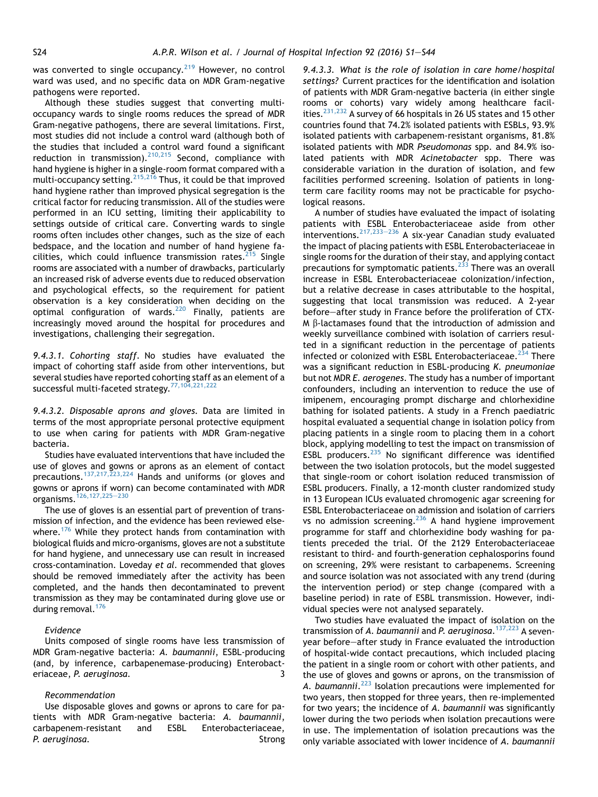was converted to single occupancy.<sup>[219](#page-35-0)</sup> However, no control ward was used, and no specific data on MDR Gram-negative pathogens were reported.

Although these studies suggest that converting multioccupancy wards to single rooms reduces the spread of MDR Gram-negative pathogens, there are several limitations. First, most studies did not include a control ward (although both of the studies that included a control ward found a significant reduction in transmission).<sup>[210,215](#page-35-0)</sup> Second, compliance with hand hygiene is higher in a single-room format compared with a multi-occupancy setting.<sup>[215,216](#page-35-0)</sup> Thus, it could be that improved hand hygiene rather than improved physical segregation is the critical factor for reducing transmission. All of the studies were performed in an ICU setting, limiting their applicability to settings outside of critical care. Converting wards to single rooms often includes other changes, such as the size of each bedspace, and the location and number of hand hygiene facilities, which could influence transmission rates. $215$  Single rooms are associated with a number of drawbacks, particularly an increased risk of adverse events due to reduced observation and psychological effects, so the requirement for patient observation is a key consideration when deciding on the optimal configuration of wards.<sup>[220](#page-35-0)</sup> Finally, patients are increasingly moved around the hospital for procedures and investigations, challenging their segregation.

9.4.3.1. Cohorting staff. No studies have evaluated the impact of cohorting staff aside from other interventions, but several studies have reported cohorting staff as an element of a successful multi-faceted strategy.[77,104,221,222](#page-31-0)

9.4.3.2. Disposable aprons and gloves. Data are limited in terms of the most appropriate personal protective equipment to use when caring for patients with MDR Gram-negative bacteria.

Studies have evaluated interventions that have included the use of gloves and gowns or aprons as an element of contact precautions.[137,217,223,224](#page-33-0) Hands and uniforms (or gloves and gowns or aprons if worn) can become contaminated with MDR  $o$ rganisms.  $126, 127, 225 - 230$  $126, 127, 225 - 230$ 

The use of gloves is an essential part of prevention of transmission of infection, and the evidence has been reviewed else-where.<sup>[176](#page-34-0)</sup> While they protect hands from contamination with biological fluids and micro-organisms, gloves are not a substitute for hand hygiene, and unnecessary use can result in increased cross-contamination. Loveday et al. recommended that gloves should be removed immediately after the activity has been completed, and the hands then decontaminated to prevent transmission as they may be contaminated during glove use or during removal.  $176$ 

#### Evidence

Units composed of single rooms have less transmission of MDR Gram-negative bacteria: A. baumannii, ESBL-producing (and, by inference, carbapenemase-producing) Enterobacteriaceae, P. aeruginosa. 3

#### Recommendation

Use disposable gloves and gowns or aprons to care for patients with MDR Gram-negative bacteria: A. baumannii, carbapenem-resistant and ESBL Enterobacteriaceae, P. aeruginosa. Strong 9.4.3.3. What is the role of isolation in care home/hospital settings? Current practices for the identification and isolation of patients with MDR Gram-negative bacteria (in either single rooms or cohorts) vary widely among healthcare facilities.<sup>231,232</sup> A survey of 66 hospitals in 26 US states and 15 other countries found that 74.2% isolated patients with ESBLs, 93.9% isolated patients with carbapenem-resistant organisms, 81.8% isolated patients with MDR Pseudomonas spp. and 84.9% isolated patients with MDR Acinetobacter spp. There was considerable variation in the duration of isolation, and few facilities performed screening. Isolation of patients in longterm care facility rooms may not be practicable for psychological reasons.

A number of studies have evaluated the impact of isolating patients with ESBL Enterobacteriaceae aside from other interventions.<sup>[217,233](#page-35-0)–[236](#page-35-0)</sup> A six-year Canadian study evaluated the impact of placing patients with ESBL Enterobacteriaceae in single rooms for the duration of their stay, and applying contact precautions for symptomatic patients.<sup>[233](#page-36-0)</sup> There was an overall increase in ESBL Enterobacteriaceae colonization/infection, but a relative decrease in cases attributable to the hospital, suggesting that local transmission was reduced. A 2-year before-after study in France before the proliferation of CTX- $M \beta$ -lactamases found that the introduction of admission and weekly surveillance combined with isolation of carriers resulted in a significant reduction in the percentage of patients infected or colonized with ESBL Enterobacteriaceae.<sup>[234](#page-36-0)</sup> There was a significant reduction in ESBL-producing K. pneumoniae but not MDR E. aerogenes. The study has a number of important confounders, including an intervention to reduce the use of imipenem, encouraging prompt discharge and chlorhexidine bathing for isolated patients. A study in a French paediatric hospital evaluated a sequential change in isolation policy from placing patients in a single room to placing them in a cohort block, applying modelling to test the impact on transmission of ESBL producers. $235$  No significant difference was identified between the two isolation protocols, but the model suggested that single-room or cohort isolation reduced transmission of ESBL producers. Finally, a 12-month cluster randomized study in 13 European ICUs evaluated chromogenic agar screening for ESBL Enterobacteriaceae on admission and isolation of carriers vs no admission screening.<sup>[236](#page-36-0)</sup> A hand hygiene improvement programme for staff and chlorhexidine body washing for patients preceded the trial. Of the 2129 Enterobacteriaceae resistant to third- and fourth-generation cephalosporins found on screening, 29% were resistant to carbapenems. Screening and source isolation was not associated with any trend (during the intervention period) or step change (compared with a baseline period) in rate of ESBL transmission. However, individual species were not analysed separately.

Two studies have evaluated the impact of isolation on the transmission of A. baumannii and P. aeruginosa.<sup>[137,223](#page-33-0)</sup> A sevenyear before-after study in France evaluated the introduction of hospital-wide contact precautions, which included placing the patient in a single room or cohort with other patients, and the use of gloves and gowns or aprons, on the transmission of A. baumannii.<sup>[223](#page-35-0)</sup> Isolation precautions were implemented for two years, then stopped for three years, then re-implemented for two years; the incidence of A. baumannii was significantly lower during the two periods when isolation precautions were in use. The implementation of isolation precautions was the only variable associated with lower incidence of A. baumannii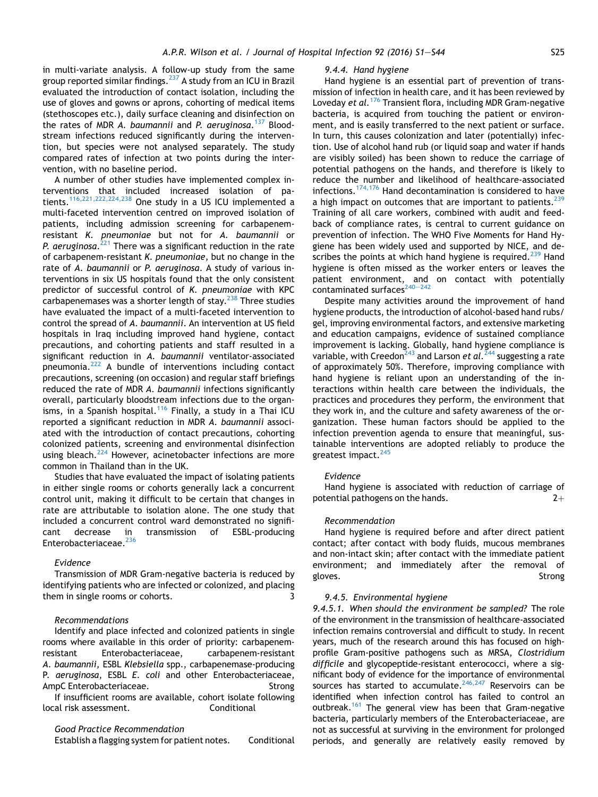in multi-variate analysis. A follow-up study from the same group reported similar findings.[237](#page-36-0) A study from an ICU in Brazil evaluated the introduction of contact isolation, including the use of gloves and gowns or aprons, cohorting of medical items (stethoscopes etc.), daily surface cleaning and disinfection on the rates of MDR A. baumannii and P. aeruginosa.<sup>[137](#page-33-0)</sup> Bloodstream infections reduced significantly during the intervention, but species were not analysed separately. The study compared rates of infection at two points during the intervention, with no baseline period.

A number of other studies have implemented complex interventions that included increased isolation of patients.[116,221,222,224,238](#page-32-0) One study in a US ICU implemented a multi-faceted intervention centred on improved isolation of patients, including admission screening for carbapenemresistant K. pneumoniae but not for A. baumannii or P. aeruginosa.<sup>[221](#page-35-0)</sup> There was a significant reduction in the rate of carbapenem-resistant K. pneumoniae, but no change in the rate of A. baumannii or P. aeruginosa. A study of various interventions in six US hospitals found that the only consistent predictor of successful control of K. pneumoniae with KPC carbapenemases was a shorter length of stay. $238$  Three studies have evaluated the impact of a multi-faceted intervention to control the spread of A. baumannii. An intervention at US field hospitals in Iraq including improved hand hygiene, contact precautions, and cohorting patients and staff resulted in a significant reduction in A. baumannii ventilator-associated pneumonia.[222](#page-35-0) A bundle of interventions including contact precautions, screening (on occasion) and regular staff briefings reduced the rate of MDR A. baumannii infections significantly overall, particularly bloodstream infections due to the organ-isms, in a Spanish hospital.<sup>[116](#page-32-0)</sup> Finally, a study in a Thai ICU reported a significant reduction in MDR A. baumannii associated with the introduction of contact precautions, cohorting colonized patients, screening and environmental disinfection using bleach.<sup>[224](#page-36-0)</sup> However, acinetobacter infections are more common in Thailand than in the UK.

Studies that have evaluated the impact of isolating patients in either single rooms or cohorts generally lack a concurrent control unit, making it difficult to be certain that changes in rate are attributable to isolation alone. The one study that included a concurrent control ward demonstrated no significant decrease in transmission of ESBL-producing Enterobacteriaceae.<sup>[236](#page-36-0)</sup>

#### Evidence

Transmission of MDR Gram-negative bacteria is reduced by identifying patients who are infected or colonized, and placing them in single rooms or cohorts.

#### Recommendations

Identify and place infected and colonized patients in single rooms where available in this order of priority: carbapenemresistant Enterobacteriaceae, carbapenem-resistant A. baumannii, ESBL Klebsiella spp., carbapenemase-producing P. aeruginosa, ESBL E. coli and other Enterobacteriaceae, AmpC Enterobacteriaceae. Strong

If insufficient rooms are available, cohort isolate following local risk assessment. The Conditional

#### Good Practice Recommendation

Establish a flagging system for patient notes. Conditional

#### 9.4.4. Hand hygiene

Hand hygiene is an essential part of prevention of transmission of infection in health care, and it has been reviewed by Loveday et al.<sup>[176](#page-34-0)</sup> Transient flora, including MDR Gram-negative bacteria, is acquired from touching the patient or environment, and is easily transferred to the next patient or surface. In turn, this causes colonization and later (potentially) infection. Use of alcohol hand rub (or liquid soap and water if hands are visibly soiled) has been shown to reduce the carriage of potential pathogens on the hands, and therefore is likely to reduce the number and likelihood of healthcare-associated infections.[174,176](#page-34-0) Hand decontamination is considered to have a high impact on outcomes that are important to patients.  $239$ Training of all care workers, combined with audit and feedback of compliance rates, is central to current guidance on prevention of infection. The WHO Five Moments for Hand Hygiene has been widely used and supported by NICE, and de-scribes the points at which hand hygiene is required.<sup>[239](#page-36-0)</sup> Hand hygiene is often missed as the worker enters or leaves the patient environment, and on contact with potentially contaminated surfaces<sup>[240](#page-36-0)-[242](#page-36-0)</sup>

Despite many activities around the improvement of hand hygiene products, the introduction of alcohol-based hand rubs/ gel, improving environmental factors, and extensive marketing and education campaigns, evidence of sustained compliance improvement is lacking. Globally, hand hygiene compliance is where contribute to defining the behavior, matrix trying computation to variable, with Creedon<sup>[243](#page-36-0)</sup> and Larson *et al.*<sup>[244](#page-36-0)</sup> suggesting a rate of approximately 50%. Therefore, improving compliance with hand hygiene is reliant upon an understanding of the interactions within health care between the individuals, the practices and procedures they perform, the environment that they work in, and the culture and safety awareness of the organization. These human factors should be applied to the infection prevention agenda to ensure that meaningful, sustainable interventions are adopted reliably to produce the greatest impact. $245$ 

#### Evidence

Hand hygiene is associated with reduction of carriage of potential pathogens on the hands.  $2+$ 

#### Recommendation

Hand hygiene is required before and after direct patient contact; after contact with body fluids, mucous membranes and non-intact skin; after contact with the immediate patient environment; and immediately after the removal of gloves.

#### 9.4.5. Environmental hygiene

9.4.5.1. When should the environment be sampled? The role of the environment in the transmission of healthcare-associated infection remains controversial and difficult to study. In recent years, much of the research around this has focused on highprofile Gram-positive pathogens such as MRSA, Clostridium difficile and glycopeptide-resistant enterococci, where a significant body of evidence for the importance of environmental sources has started to accumulate. $246,247$  Reservoirs can be identified when infection control has failed to control an outbreak.<sup>161</sup> The general view has been that Gram-negative bacteria, particularly members of the Enterobacteriaceae, are not as successful at surviving in the environment for prolonged periods, and generally are relatively easily removed by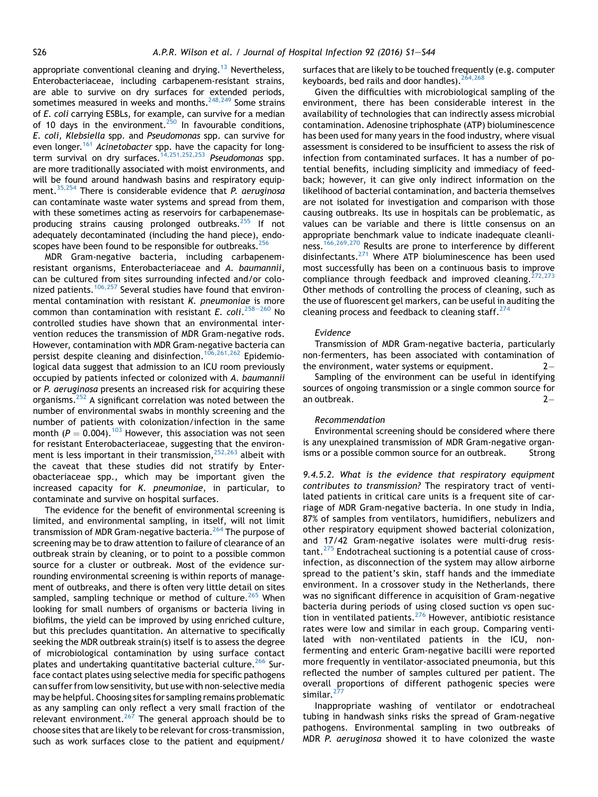appropriate conventional cleaning and drying.<sup>[13](#page-29-0)</sup> Nevertheless, Enterobacteriaceae, including carbapenem-resistant strains, are able to survive on dry surfaces for extended periods, sometimes measured in weeks and months.<sup>248,249</sup> Some strains of E. coli carrying ESBLs, for example, can survive for a median of 10 days in the environment.<sup> $250$ </sup> In favourable conditions, E. coli, Klebsiella spp. and Pseudomonas spp. can survive for even longer.<sup>161</sup> Acinetobacter spp. have the capacity for long-term survival on dry surfaces.<sup>[14,251,252,253](#page-29-0)</sup> Pseudomonas spp. are more traditionally associated with moist environments, and will be found around handwash basins and respiratory equip-ment.<sup>[35,254](#page-30-0)</sup> There is considerable evidence that P. aeruginosa can contaminate waste water systems and spread from them, with these sometimes acting as reservoirs for carbapenemaseproducing strains causing prolonged outbreaks.<sup>255</sup> If not adequately decontaminated (including the hand piece), endoscopes have been found to be responsible for outbreaks.  $256$ 

MDR Gram-negative bacteria, including carbapenemresistant organisms, Enterobacteriaceae and A. baumannii, can be cultured from sites surrounding infected and/or colo-nized patients.<sup>[106,257](#page-32-0)</sup> Several studies have found that environmental contamination with resistant K. pneumoniae is more common than contamination with resistant E. coli. $^{258-260}$  $^{258-260}$  $^{258-260}$  $^{258-260}$  $^{258-260}$  No controlled studies have shown that an environmental intervention reduces the transmission of MDR Gram-negative rods. However, contamination with MDR Gram-negative bacteria can persist despite cleaning and disinfection.<sup>[106,261,262](#page-32-0)</sup> Epidemiological data suggest that admission to an ICU room previously occupied by patients infected or colonized with A. baumannii or P. aeruginosa presents an increased risk for acquiring these organisms.[252](#page-36-0) A significant correlation was noted between the number of environmental swabs in monthly screening and the number of patients with colonization/infection in the same mante of  $P = 0.004$ .<sup>[103](#page-32-0)</sup> However, this association was not seen for resistant Enterobacteriaceae, suggesting that the environment is less important in their transmission,  $252,263$  albeit with the caveat that these studies did not stratify by Enterobacteriaceae spp., which may be important given the increased capacity for K. pneumoniae, in particular, to contaminate and survive on hospital surfaces.

The evidence for the benefit of environmental screening is limited, and environmental sampling, in itself, will not limit transmission of MDR Gram-negative bacteria.<sup>[264](#page-37-0)</sup> The purpose of screening may be to draw attention to failure of clearance of an outbreak strain by cleaning, or to point to a possible common source for a cluster or outbreak. Most of the evidence surrounding environmental screening is within reports of management of outbreaks, and there is often very little detail on sites sampled, sampling technique or method of culture.<sup>265</sup> When looking for small numbers of organisms or bacteria living in biofilms, the yield can be improved by using enriched culture, but this precludes quantitation. An alternative to specifically seeking the MDR outbreak strain(s) itself is to assess the degree of microbiological contamination by using surface contact plates and undertaking quantitative bacterial culture.<sup>266</sup> Surface contact plates using selective media for specific pathogens can suffer from low sensitivity, but use with non-selective media may be helpful. Choosing sites for sampling remains problematic as any sampling can only reflect a very small fraction of the relevant environment.<sup>[267](#page-37-0)</sup> The general approach should be to choose sites that are likely to be relevant for cross-transmission, such as work surfaces close to the patient and equipment/

surfaces that are likely to be touched frequently (e.g. computer keyboards, bed rails and door handles). 264,268

Given the difficulties with microbiological sampling of the environment, there has been considerable interest in the availability of technologies that can indirectly assess microbial contamination. Adenosine triphosphate (ATP) bioluminescence has been used for many years in the food industry, where visual assessment is considered to be insufficient to assess the risk of infection from contaminated surfaces. It has a number of potential benefits, including simplicity and immediacy of feedback; however, it can give only indirect information on the likelihood of bacterial contamination, and bacteria themselves are not isolated for investigation and comparison with those causing outbreaks. Its use in hospitals can be problematic, as values can be variable and there is little consensus on an appropriate benchmark value to indicate inadequate cleanliness.<sup>166,269,270</sup> Results are prone to interference by different disinfectants.[271](#page-37-0) Where ATP bioluminescence has been used most successfully has been on a continuous basis to improve compliance through feedback and improved cleaning.  $272,273$ Other methods of controlling the process of cleaning, such as the use of fluorescent gel markers, can be useful in auditing the cleaning process and feedback to cleaning staff.<sup>[274](#page-37-0)</sup>

#### Evidence

Transmission of MDR Gram-negative bacteria, particularly non-fermenters, has been associated with contamination of the environment, water systems or equipment.  $2-$ 

Sampling of the environment can be useful in identifying sources of ongoing transmission or a single common source for an outbreak. 2

#### Recommendation

Environmental screening should be considered where there is any unexplained transmission of MDR Gram-negative organisms or a possible common source for an outbreak. Strong

9.4.5.2. What is the evidence that respiratory equipment contributes to transmission? The respiratory tract of ventilated patients in critical care units is a frequent site of carriage of MDR Gram-negative bacteria. In one study in India, 87% of samples from ventilators, humidifiers, nebulizers and other respiratory equipment showed bacterial colonization, and 17/42 Gram-negative isolates were multi-drug resis-tant.<sup>[275](#page-37-0)</sup> Endotracheal suctioning is a potential cause of crossinfection, as disconnection of the system may allow airborne spread to the patient's skin, staff hands and the immediate environment. In a crossover study in the Netherlands, there was no significant difference in acquisition of Gram-negative bacteria during periods of using closed suction vs open suc-tion in ventilated patients.<sup>[276](#page-37-0)</sup> However, antibiotic resistance rates were low and similar in each group. Comparing ventilated with non-ventilated patients in the ICU, nonfermenting and enteric Gram-negative bacilli were reported more frequently in ventilator-associated pneumonia, but this reflected the number of samples cultured per patient. The overall proportions of different pathogenic species were similar.<sup>[277](#page-37-0)</sup>

Inappropriate washing of ventilator or endotracheal tubing in handwash sinks risks the spread of Gram-negative pathogens. Environmental sampling in two outbreaks of MDR P. aeruginosa showed it to have colonized the waste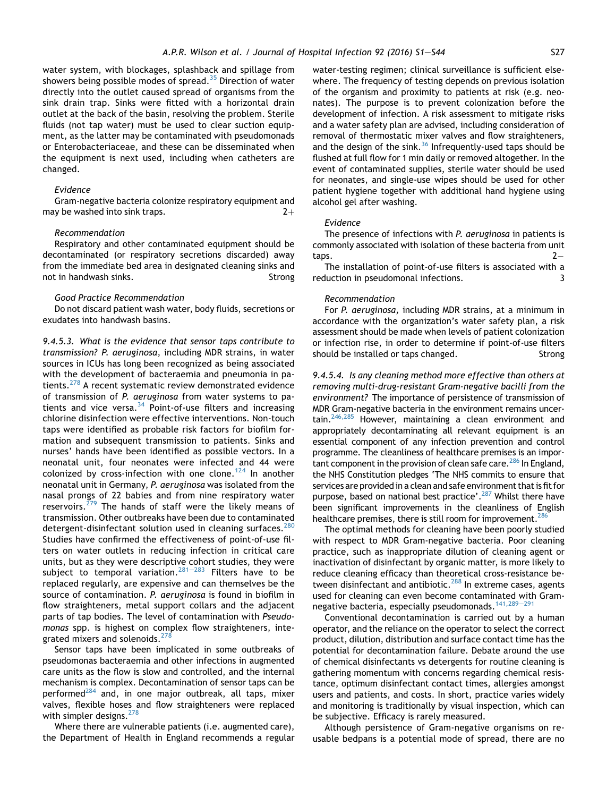water system, with blockages, splashback and spillage from showers being possible modes of spread. $35$  Direction of water directly into the outlet caused spread of organisms from the sink drain trap. Sinks were fitted with a horizontal drain outlet at the back of the basin, resolving the problem. Sterile fluids (not tap water) must be used to clear suction equipment, as the latter may be contaminated with pseudomonads or Enterobacteriaceae, and these can be disseminated when the equipment is next used, including when catheters are changed.

#### Evidence

Gram-negative bacteria colonize respiratory equipment and may be washed into sink traps.  $2+$ 

#### Recommendation

Respiratory and other contaminated equipment should be decontaminated (or respiratory secretions discarded) away from the immediate bed area in designated cleaning sinks and not in handwash sinks. Strong

#### Good Practice Recommendation

Do not discard patient wash water, body fluids, secretions or exudates into handwash basins.

9.4.5.3. What is the evidence that sensor taps contribute to transmission? P. aeruginosa, including MDR strains, in water sources in ICUs has long been recognized as being associated with the development of bacteraemia and pneumonia in pa-tients.<sup>[278](#page-37-0)</sup> A recent systematic review demonstrated evidence of transmission of P. aeruginosa from water systems to pa-tients and vice versa.<sup>[34](#page-30-0)</sup> Point-of-use filters and increasing chlorine disinfection were effective interventions. Non-touch taps were identified as probable risk factors for biofilm formation and subsequent transmission to patients. Sinks and nurses' hands have been identified as possible vectors. In a neonatal unit, four neonates were infected and 44 were colonized by cross-infection with one clone.<sup>[124](#page-33-0)</sup> In another neonatal unit in Germany, P. aeruginosa was isolated from the nasal prongs of 22 babies and from nine respiratory water reservoirs.<sup>[279](#page-37-0)</sup> The hands of staff were the likely means of transmission. Other outbreaks have been due to contaminated detergent-disinfectant solution used in cleaning surfaces.<sup>[280](#page-37-0)</sup> Studies have confirmed the effectiveness of point-of-use filters on water outlets in reducing infection in critical care units, but as they were descriptive cohort studies, they were subject to temporal variation.<sup>[281](#page-37-0)-[283](#page-37-0)</sup> Filters have to be replaced regularly, are expensive and can themselves be the source of contamination. P. aeruginosa is found in biofilm in flow straighteners, metal support collars and the adjacent parts of tap bodies. The level of contamination with Pseudomonas spp. is highest on complex flow straighteners, inte-grated mixers and solenoids.<sup>[278](#page-37-0)</sup>

Sensor taps have been implicated in some outbreaks of pseudomonas bacteraemia and other infections in augmented care units as the flow is slow and controlled, and the internal mechanism is complex. Decontamination of sensor taps can be performed<sup>[284](#page-37-0)</sup> and, in one major outbreak, all taps, mixer valves, flexible hoses and flow straighteners were replaced with simpler designs.<sup>[278](#page-37-0)</sup>

Where there are vulnerable patients (i.e. augmented care), the Department of Health in England recommends a regular water-testing regimen; clinical surveillance is sufficient elsewhere. The frequency of testing depends on previous isolation of the organism and proximity to patients at risk (e.g. neonates). The purpose is to prevent colonization before the development of infection. A risk assessment to mitigate risks and a water safety plan are advised, including consideration of removal of thermostatic mixer valves and flow straighteners, and the design of the sink. $36$  Infrequently-used taps should be flushed at full flow for 1 min daily or removed altogether. In the event of contaminated supplies, sterile water should be used for neonates, and single-use wipes should be used for other patient hygiene together with additional hand hygiene using alcohol gel after washing.

#### Evidence

The presence of infections with P. aeruginosa in patients is commonly associated with isolation of these bacteria from unit

taps. 2 The installation of point-of-use filters is associated with a reduction in pseudomonal infections. The set of the set of the set of the set of the set of the set of the set o

#### Recommendation

For P. aeruginosa, including MDR strains, at a minimum in accordance with the organization's water safety plan, a risk assessment should be made when levels of patient colonization or infection rise, in order to determine if point-of-use filters should be installed or taps changed. Strong

9.4.5.4. Is any cleaning method more effective than others at removing multi-drug-resistant Gram-negative bacilli from the environment? The importance of persistence of transmission of MDR Gram-negative bacteria in the environment remains uncertain. $246,285$  However, maintaining a clean environment and appropriately decontaminating all relevant equipment is an essential component of any infection prevention and control programme. The cleanliness of healthcare premises is an important component in the provision of clean safe care.<sup>286</sup> In England, the NHS Constitution pledges 'The NHS commits to ensure that services are provided in a clean and safe environment that is fit for purpose, based on national best practice'.<sup>[287](#page-37-0)</sup> Whilst there have been significant improvements in the cleanliness of English healthcare premises, there is still room for improvement.  $28$ 

The optimal methods for cleaning have been poorly studied with respect to MDR Gram-negative bacteria. Poor cleaning practice, such as inappropriate dilution of cleaning agent or inactivation of disinfectant by organic matter, is more likely to reduce cleaning efficacy than theoretical cross-resistance be-tween disinfectant and antibiotic.<sup>[288](#page-37-0)</sup> In extreme cases, agents used for cleaning can even become contaminated with Gram-negative bacteria, especially pseudomonads.<sup>[141,289](#page-33-0)-29</sup>

Conventional decontamination is carried out by a human operator, and the reliance on the operator to select the correct product, dilution, distribution and surface contact time has the potential for decontamination failure. Debate around the use of chemical disinfectants vs detergents for routine cleaning is gathering momentum with concerns regarding chemical resistance, optimum disinfectant contact times, allergies amongst users and patients, and costs. In short, practice varies widely and monitoring is traditionally by visual inspection, which can be subjective. Efficacy is rarely measured.

Although persistence of Gram-negative organisms on reusable bedpans is a potential mode of spread, there are no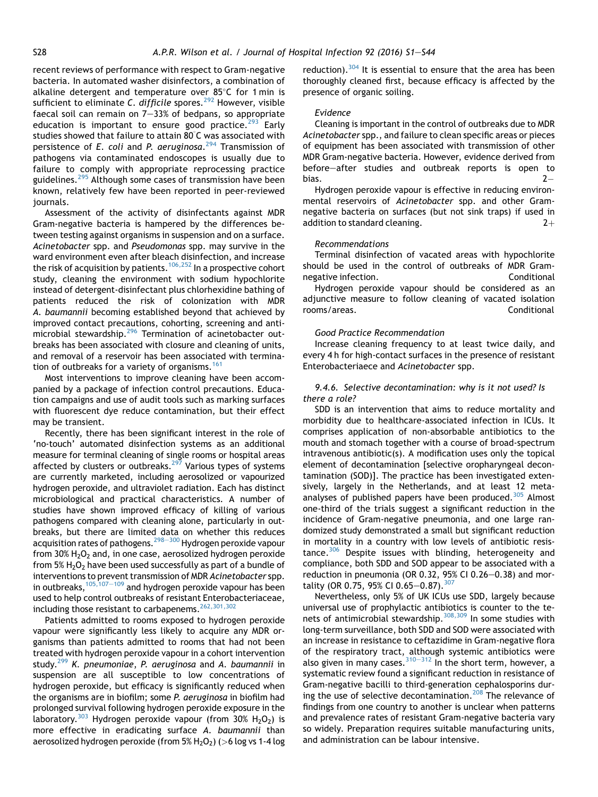recent reviews of performance with respect to Gram-negative bacteria. In automated washer disinfectors, a combination of alkaline detergent and temperature over  $85^{\circ}$ C for 1 min is sufficient to eliminate C. difficile spores.<sup>[292](#page-37-0)</sup> However, visible faecal soil can remain on  $7-33%$  of bedpans, so appropriate education is important to ensure good practice.<sup>[293](#page-37-0)</sup> Early studies showed that failure to attain 80 C was associated with persistence of *E. coli* and *P. aeruginosa.<sup>[294](#page-37-0)</sup>* Transmission of pathogens via contaminated endoscopes is usually due to failure to comply with appropriate reprocessing practice guidelines.<sup>[295](#page-38-0)</sup> Although some cases of transmission have been known, relatively few have been reported in peer-reviewed journals.

Assessment of the activity of disinfectants against MDR Gram-negative bacteria is hampered by the differences between testing against organisms in suspension and on a surface. Acinetobacter spp. and Pseudomonas spp. may survive in the ward environment even after bleach disinfection, and increase the risk of acquisition by patients.<sup>[106,252](#page-32-0)</sup> In a prospective cohort study, cleaning the environment with sodium hypochlorite instead of detergent-disinfectant plus chlorhexidine bathing of patients reduced the risk of colonization with MDR A. baumannii becoming established beyond that achieved by improved contact precautions, cohorting, screening and anti-microbial stewardship.<sup>[296](#page-38-0)</sup> Termination of acinetobacter outbreaks has been associated with closure and cleaning of units, and removal of a reservoir has been associated with termina-tion of outbreaks for a variety of organisms.<sup>[161](#page-34-0)</sup>

Most interventions to improve cleaning have been accompanied by a package of infection control precautions. Education campaigns and use of audit tools such as marking surfaces with fluorescent dye reduce contamination, but their effect may be transient.

Recently, there has been significant interest in the role of 'no-touch' automated disinfection systems as an additional measure for terminal cleaning of single rooms or hospital areas affected by clusters or outbreaks.<sup>297</sup> Various types of systems are currently marketed, including aerosolized or vapourized hydrogen peroxide, and ultraviolet radiation. Each has distinct microbiological and practical characteristics. A number of studies have shown improved efficacy of killing of various pathogens compared with cleaning alone, particularly in outbreaks, but there are limited data on whether this reduces acquisition rates of pathogens.<sup>298-[300](#page-38-0)</sup> Hydrogen peroxide vapour from 30%  $H_2O_2$  and, in one case, aerosolized hydrogen peroxide from 5%  $H_2O_2$  have been used successfully as part of a bundle of interventions to prevent transmission of MDR Acinetobacter spp. in outbreaks,  $105,107-109$  $105,107-109$  and hydrogen peroxide vapour has been used to help control outbreaks of resistant Enterobacteriaceae, including those resistant to carbapenems.<sup>262,301,302</sup>

Patients admitted to rooms exposed to hydrogen peroxide vapour were significantly less likely to acquire any MDR organisms than patients admitted to rooms that had not been treated with hydrogen peroxide vapour in a cohort intervention study.<sup>299</sup> K. pneumoniae, P. aeruginosa and A. baumannii in suspension are all susceptible to low concentrations of hydrogen peroxide, but efficacy is significantly reduced when the organisms are in biofilm; some P. aeruginosa in biofilm had prolonged survival following hydrogen peroxide exposure in the laboratory.<sup>303</sup> Hydrogen peroxide vapour (from 30% H<sub>2</sub>O<sub>2</sub>) is more effective in eradicating surface A. baumannii than aerosolized hydrogen peroxide (from  $5\%$  H<sub>2</sub>O<sub>2</sub>) (>6 log vs 1-4 log reduction).<sup>304</sup> It is essential to ensure that the area has been thoroughly cleaned first, because efficacy is affected by the presence of organic soiling.

#### Evidence

Cleaning is important in the control of outbreaks due to MDR Acinetobacter spp., and failure to clean specific areas or pieces of equipment has been associated with transmission of other MDR Gram-negative bacteria. However, evidence derived from before-after studies and outbreak reports is open to

bias. 2 Hydrogen peroxide vapour is effective in reducing environmental reservoirs of Acinetobacter spp. and other Gramnegative bacteria on surfaces (but not sink traps) if used in addition to standard cleaning.  $2+$ 

#### Recommendations

Terminal disinfection of vacated areas with hypochlorite should be used in the control of outbreaks of MDR Gramnegative infection. The conditional conditional

Hydrogen peroxide vapour should be considered as an adjunctive measure to follow cleaning of vacated isolation rooms/areas. Conditional

#### Good Practice Recommendation

Increase cleaning frequency to at least twice daily, and every 4 h for high-contact surfaces in the presence of resistant Enterobacteriaece and Acinetobacter spp.

#### 9.4.6. Selective decontamination: why is it not used? Is there a role?

SDD is an intervention that aims to reduce mortality and morbidity due to healthcare-associated infection in ICUs. It comprises application of non-absorbable antibiotics to the mouth and stomach together with a course of broad-spectrum intravenous antibiotic(s). A modification uses only the topical element of decontamination [selective oropharyngeal decontamination (SOD)]. The practice has been investigated extensively, largely in the Netherlands, and at least 12 meta-analyses of published papers have been produced.<sup>[305](#page-38-0)</sup> Almost one-third of the trials suggest a significant reduction in the incidence of Gram-negative pneumonia, and one large randomized study demonstrated a small but significant reduction in mortality in a country with low levels of antibiotic resis-tance.<sup>[306](#page-38-0)</sup> Despite issues with blinding, heterogeneity and compliance, both SDD and SOD appear to be associated with a reduction in pneumonia (OR 0.32, 95% CI 0.26 $-$ 0.38) and mortality (OR 0.75, 95% CI 0.65-0.87).  $307$ 

Nevertheless, only 5% of UK ICUs use SDD, largely because universal use of prophylactic antibiotics is counter to the te-nets of antimicrobial stewardship.<sup>[308,309](#page-38-0)</sup> In some studies with long-term surveillance, both SDD and SOD were associated with an increase in resistance to ceftazidime in Gram-negative flora of the respiratory tract, although systemic antibiotics were also given in many cases.  $310-312$  $310-312$  $310-312$  In the short term, however, a systematic review found a significant reduction in resistance of Gram-negative bacilli to third-generation cephalosporins dur-ing the use of selective decontamination.<sup>[208](#page-35-0)</sup> The relevance of findings from one country to another is unclear when patterns and prevalence rates of resistant Gram-negative bacteria vary so widely. Preparation requires suitable manufacturing units, and administration can be labour intensive.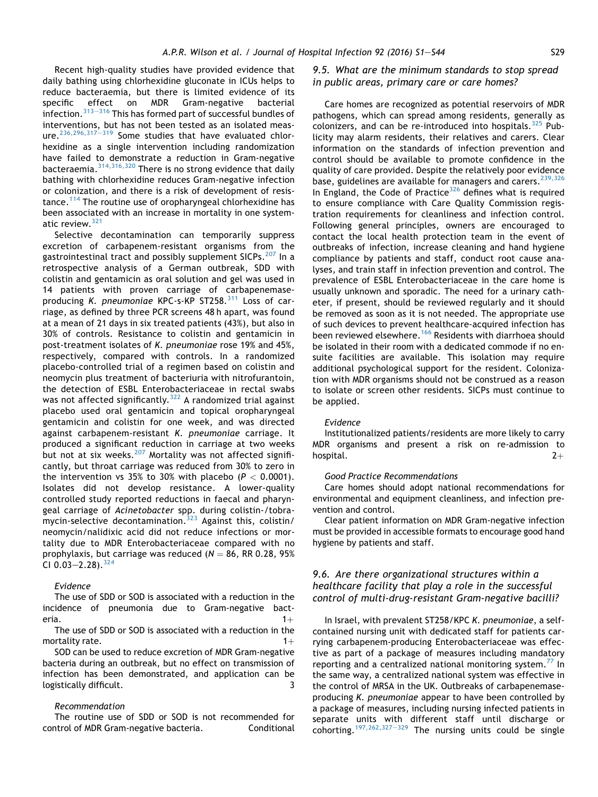Recent high-quality studies have provided evidence that daily bathing using chlorhexidine gluconate in ICUs helps to reduce bacteraemia, but there is limited evidence of its specific effect on MDR Gram-negative bacterial infection.<sup>[313](#page-38-0)–[316](#page-38-0)</sup> This has formed part of successful bundles of interventions, but has not been tested as an isolated meas-ure.<sup>[236,296,317](#page-36-0)-[319](#page-36-0)</sup> Some studies that have evaluated chlorhexidine as a single intervention including randomization have failed to demonstrate a reduction in Gram-negative bacteraemia.[314,316,320](#page-38-0) There is no strong evidence that daily bathing with chlorhexidine reduces Gram-negative infection or colonization, and there is a risk of development of resis-tance.<sup>[114](#page-32-0)</sup> The routine use of oropharyngeal chlorhexidine has been associated with an increase in mortality in one system-atic review.<sup>[321](#page-38-0)</sup>

Selective decontamination can temporarily suppress excretion of carbapenem-resistant organisms from the gastrointestinal tract and possibly supplement SICPs.<sup>[207](#page-35-0)</sup> In a retrospective analysis of a German outbreak, SDD with colistin and gentamicin as oral solution and gel was used in 14 patients with proven carriage of carbapenemase-producing K. pneumoniae KPC-s-KP ST258.<sup>[311](#page-38-0)</sup> Loss of carriage, as defined by three PCR screens 48 h apart, was found at a mean of 21 days in six treated patients (43%), but also in 30% of controls. Resistance to colistin and gentamicin in post-treatment isolates of K. pneumoniae rose 19% and 45%, respectively, compared with controls. In a randomized placebo-controlled trial of a regimen based on colistin and neomycin plus treatment of bacteriuria with nitrofurantoin, the detection of ESBL Enterobacteriaceae in rectal swabs was not affected significantly.<sup>[322](#page-38-0)</sup> A randomized trial against placebo used oral gentamicin and topical oropharyngeal gentamicin and colistin for one week, and was directed against carbapenem-resistant K. pneumoniae carriage. It produced a significant reduction in carriage at two weeks but not at six weeks. $207$  Mortality was not affected significantly, but throat carriage was reduced from 30% to zero in the intervention vs 35% to 30% with placebo ( $P < 0.0001$ ). Isolates did not develop resistance. A lower-quality controlled study reported reductions in faecal and pharyngeal carriage of Acinetobacter spp. during colistin-/tobra-mycin-selective decontamination.<sup>[323](#page-38-0)</sup> Against this, colistin/ neomycin/nalidixic acid did not reduce infections or mortality due to MDR Enterobacteriaceae compared with no prophylaxis, but carriage was reduced ( $N = 86$ , RR 0.28, 95% CI 0.03-2.28).  $324$ 

#### Evidence

The use of SDD or SOD is associated with a reduction in the incidence of pneumonia due to Gram-negative bact-

eria. 1þ The use of SDD or SOD is associated with a reduction in the

mortality rate. 1þ SOD can be used to reduce excretion of MDR Gram-negative bacteria during an outbreak, but no effect on transmission of infection has been demonstrated, and application can be logistically difficult. 3

#### Recommendation

The routine use of SDD or SOD is not recommended for control of MDR Gram-negative bacteria. Conditional

### 9.5. What are the minimum standards to stop spread in public areas, primary care or care homes?

Care homes are recognized as potential reservoirs of MDR pathogens, which can spread among residents, generally as colonizers, and can be re-introduced into hospitals. $325$  Publicity may alarm residents, their relatives and carers. Clear information on the standards of infection prevention and control should be available to promote confidence in the quality of care provided. Despite the relatively poor evidence base, guidelines are available for managers and carers.  $239,326$ In England, the Code of Practice $326$  defines what is required to ensure compliance with Care Quality Commission registration requirements for cleanliness and infection control. Following general principles, owners are encouraged to contact the local health protection team in the event of outbreaks of infection, increase cleaning and hand hygiene compliance by patients and staff, conduct root cause analyses, and train staff in infection prevention and control. The prevalence of ESBL Enterobacteriaceae in the care home is usually unknown and sporadic. The need for a urinary catheter, if present, should be reviewed regularly and it should be removed as soon as it is not needed. The appropriate use of such devices to prevent healthcare-acquired infection has been reviewed elsewhere.<sup>[166](#page-34-0)</sup> Residents with diarrhoea should be isolated in their room with a dedicated commode if no ensuite facilities are available. This isolation may require additional psychological support for the resident. Colonization with MDR organisms should not be construed as a reason to isolate or screen other residents. SICPs must continue to be applied.

#### Evidence

Institutionalized patients/residents are more likely to carry MDR organisms and present a risk on re-admission to hospital.  $2+$ 

#### Good Practice Recommendations

Care homes should adopt national recommendations for environmental and equipment cleanliness, and infection prevention and control.

Clear patient information on MDR Gram-negative infection must be provided in accessible formats to encourage good hand hygiene by patients and staff.

### 9.6. Are there organizational structures within a healthcare facility that play a role in the successful control of multi-drug-resistant Gram-negative bacilli?

In Israel, with prevalent ST258/KPC K. pneumoniae, a selfcontained nursing unit with dedicated staff for patients carrying carbapenem-producing Enterobacteriaceae was effective as part of a package of measures including mandatory reporting and a centralized national monitoring system.<sup>[77](#page-31-0)</sup> In the same way, a centralized national system was effective in the control of MRSA in the UK. Outbreaks of carbapenemaseproducing K. pneumoniae appear to have been controlled by a package of measures, including nursing infected patients in separate units with different staff until discharge or cohorting.<sup>[197,262,327](#page-35-0)-[329](#page-35-0)</sup> The nursing units could be single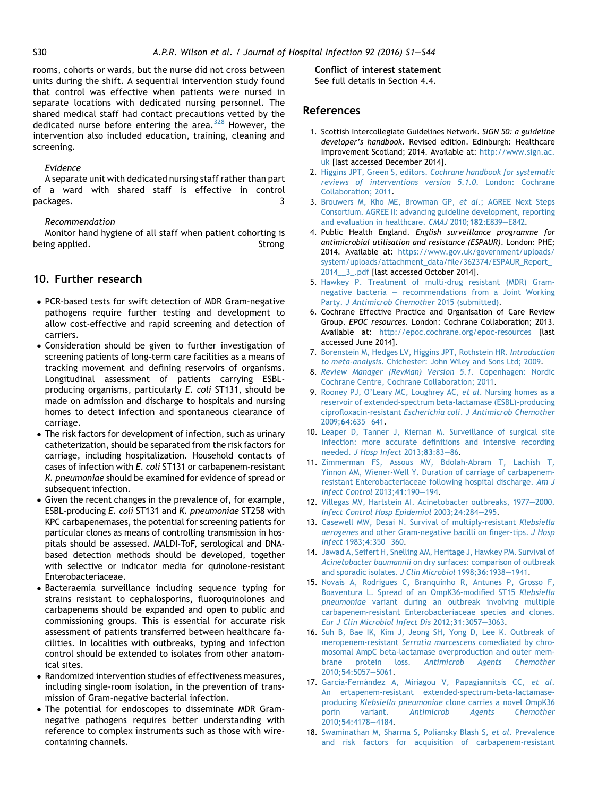<span id="page-29-0"></span>rooms, cohorts or wards, but the nurse did not cross between units during the shift. A sequential intervention study found that control was effective when patients were nursed in separate locations with dedicated nursing personnel. The shared medical staff had contact precautions vetted by the dedicated nurse before entering the area.<sup>[328](#page-38-0)</sup> However, the intervention also included education, training, cleaning and screening.

#### Evidence

A separate unit with dedicated nursing staff rather than part of a ward with shared staff is effective in control packages. 3

#### Recommendation

Monitor hand hygiene of all staff when patient cohorting is being applied. Strong Strong Strong Strong Strong Strong Strong Strong Strong Strong Strong Strong Strong Strong Strong Strong Strong Strong Strong Strong Strong Strong Strong Strong Strong Strong Strong Strong Strong Stro

### 10. Further research

- PCR-based tests for swift detection of MDR Gram-negative pathogens require further testing and development to allow cost-effective and rapid screening and detection of carriers.
- Consideration should be given to further investigation of screening patients of long-term care facilities as a means of tracking movement and defining reservoirs of organisms. Longitudinal assessment of patients carrying ESBLproducing organisms, particularly E. coli ST131, should be made on admission and discharge to hospitals and nursing homes to detect infection and spontaneous clearance of carriage.
- The risk factors for development of infection, such as urinary catheterization, should be separated from the risk factors for carriage, including hospitalization. Household contacts of cases of infection with E. coli ST131 or carbapenem-resistant K. pneumoniae should be examined for evidence of spread or subsequent infection.
- Given the recent changes in the prevalence of, for example, ESBL-producing E. coli ST131 and K. pneumoniae ST258 with KPC carbapenemases, the potential for screening patients for particular clones as means of controlling transmission in hospitals should be assessed. MALDI-ToF, serological and DNAbased detection methods should be developed, together with selective or indicator media for quinolone-resistant Enterobacteriaceae.
- Bacteraemia surveillance including sequence typing for strains resistant to cephalosporins, fluoroquinolones and carbapenems should be expanded and open to public and commissioning groups. This is essential for accurate risk assessment of patients transferred between healthcare facilities. In localities with outbreaks, typing and infection control should be extended to isolates from other anatomical sites.
- Randomized intervention studies of effectiveness measures, including single-room isolation, in the prevention of transmission of Gram-negative bacterial infection.
- The potential for endoscopes to disseminate MDR Gramnegative pathogens requires better understanding with reference to complex instruments such as those with wirecontaining channels.

Conflict of interest statement See full details in Section 4.4.

### References

- 1. Scottish Intercollegiate Guidelines Network. SIGN 50: a guideline developer's handbook. Revised edition. Edinburgh: Healthcare Improvement Scotland; 2014. Available at: [http://www.sign.ac.](http://www.sign.ac.uk) [uk](http://www.sign.ac.uk) [last accessed December 2014].
- 2. Higgins JPT, Green S, editors. [Cochrane handbook for systematic](http://refhub.elsevier.com/S0195-6701(15)00314-X/sref2) [reviews of interventions version 5.1.0](http://refhub.elsevier.com/S0195-6701(15)00314-X/sref2). London: Cochrane [Collaboration; 2011](http://refhub.elsevier.com/S0195-6701(15)00314-X/sref2).
- 3. [Brouwers M, Kho ME, Browman GP,](http://refhub.elsevier.com/S0195-6701(15)00314-X/sref3) et al.; AGREE Next Steps [Consortium. AGREE II: advancing guideline development, reporting](http://refhub.elsevier.com/S0195-6701(15)00314-X/sref3) [and evaluation in healthcare.](http://refhub.elsevier.com/S0195-6701(15)00314-X/sref3) CMAJ 2010;182:E839-[E842.](http://refhub.elsevier.com/S0195-6701(15)00314-X/sref3)
- 4. Public Health England. English surveillance programme for antimicrobial utilisation and resistance (ESPAUR). London: PHE; 2014. Available at: [https://www.gov.uk/government/uploads/](https://www.gov.uk/government/uploads/system/uploads/attachment_data/file/362374/ESPAUR_Report_2014__3_.pdf) system/uploads/attachment\_data/file/362374/ESPAUR\_Report [2014\\_\\_3\\_.pdf](https://www.gov.uk/government/uploads/system/uploads/attachment_data/file/362374/ESPAUR_Report_2014__3_.pdf) [last accessed October 2014].
- 5. [Hawkey P. Treatment of multi-drug resistant \(MDR\) Gram](http://refhub.elsevier.com/S0195-6701(15)00314-X/sref5)[negative bacteria](http://refhub.elsevier.com/S0195-6701(15)00314-X/sref5)  $-$  [recommendations from a Joint Working](http://refhub.elsevier.com/S0195-6701(15)00314-X/sref5) Party. [J Antimicrob Chemother](http://refhub.elsevier.com/S0195-6701(15)00314-X/sref5) 2015 (submitted).
- 6. Cochrane Effective Practice and Organisation of Care Review Group. EPOC resources. London: Cochrane Collaboration; 2013. Available at: <http://epoc.cochrane.org/epoc-resources> [last accessed June 2014].
- 7. [Borenstein M, Hedges LV, Higgins JPT, Rothstein HR.](http://refhub.elsevier.com/S0195-6701(15)00314-X/sref7) Introduction to meta-analysis[. Chichester: John Wiley and Sons Ltd; 2009.](http://refhub.elsevier.com/S0195-6701(15)00314-X/sref7)
- 8. [Review Manager \(RevMan\) Version 5.1.](http://refhub.elsevier.com/S0195-6701(15)00314-X/sref8) Copenhagen: Nordic [Cochrane Centre, Cochrane Collaboration; 2011](http://refhub.elsevier.com/S0195-6701(15)00314-X/sref8).
- 9. [Rooney PJ, O'Leary MC, Loughrey AC,](http://refhub.elsevier.com/S0195-6701(15)00314-X/sref9) et al. Nursing homes as a [reservoir of extended-spectrum beta-lactamase \(ESBL\)-producing](http://refhub.elsevier.com/S0195-6701(15)00314-X/sref9) ciprofloxacin-resistant Escherichia coli. [J Antimicrob Chemother](http://refhub.elsevier.com/S0195-6701(15)00314-X/sref9)  $2009:64:635 - 641.$  $2009:64:635 - 641.$  $2009:64:635 - 641.$
- 10. [Leaper D, Tanner J, Kiernan M. Surveillance of surgical site](http://refhub.elsevier.com/S0195-6701(15)00314-X/sref10) [infection: more accurate definitions and intensive recording](http://refhub.elsevier.com/S0195-6701(15)00314-X/sref10) needed. [J Hosp Infect](http://refhub.elsevier.com/S0195-6701(15)00314-X/sref10) 2013;83:83-[86.](http://refhub.elsevier.com/S0195-6701(15)00314-X/sref10)
- 11. [Zimmerman FS, Assous MV, Bdolah-Abram T, Lachish T,](http://refhub.elsevier.com/S0195-6701(15)00314-X/sref11) [Yinnon AM, Wiener-Well Y. Duration of carriage of carbapenem](http://refhub.elsevier.com/S0195-6701(15)00314-X/sref11)[resistant Enterobacteriaceae following hospital discharge.](http://refhub.elsevier.com/S0195-6701(15)00314-X/sref11) Am J [Infect Control](http://refhub.elsevier.com/S0195-6701(15)00314-X/sref11) 2013;41:190-[194](http://refhub.elsevier.com/S0195-6701(15)00314-X/sref11).
- 12. [Villegas MV, Hartstein AI. Acinetobacter outbreaks, 1977](http://refhub.elsevier.com/S0195-6701(15)00314-X/sref12)-[2000.](http://refhub.elsevier.com/S0195-6701(15)00314-X/sref12) [Infect Control Hosp Epidemiol](http://refhub.elsevier.com/S0195-6701(15)00314-X/sref12) 2003;24:284-[295.](http://refhub.elsevier.com/S0195-6701(15)00314-X/sref12)
- 13. [Casewell MW, Desai N. Survival of multiply-resistant](http://refhub.elsevier.com/S0195-6701(15)00314-X/sref13) Klebsiella aerogenes [and other Gram-negative bacilli on finger-tips.](http://refhub.elsevier.com/S0195-6701(15)00314-X/sref13) J Hosp [Infect](http://refhub.elsevier.com/S0195-6701(15)00314-X/sref13) 1983;4:350-[360](http://refhub.elsevier.com/S0195-6701(15)00314-X/sref13).
- 14. [Jawad A, Seifert H, Snelling AM, Heritage J, Hawkey PM. Survival of](http://refhub.elsevier.com/S0195-6701(15)00314-X/sref14) Acinetobacter baumannii [on dry surfaces: comparison of outbreak](http://refhub.elsevier.com/S0195-6701(15)00314-X/sref14) [and sporadic isolates.](http://refhub.elsevier.com/S0195-6701(15)00314-X/sref14) J Clin Microbiol 1998;36:1938-[1941.](http://refhub.elsevier.com/S0195-6701(15)00314-X/sref14)
- 15. [Novais A, Rodrigues C, Branquinho R, Antunes P, Grosso F,](http://refhub.elsevier.com/S0195-6701(15)00314-X/sref15) [Boaventura L. Spread of an OmpK36-modified ST15](http://refhub.elsevier.com/S0195-6701(15)00314-X/sref15) Klebsiella pneumoniae [variant during an outbreak involving multiple](http://refhub.elsevier.com/S0195-6701(15)00314-X/sref15) [carbapenem-resistant Enterobacteriaceae species and clones.](http://refhub.elsevier.com/S0195-6701(15)00314-X/sref15) [Eur J Clin Microbiol Infect Dis](http://refhub.elsevier.com/S0195-6701(15)00314-X/sref15) 2012;31:3057-[3063.](http://refhub.elsevier.com/S0195-6701(15)00314-X/sref15)
- 16. [Suh B, Bae IK, Kim J, Jeong SH, Yong D, Lee K. Outbreak of](http://refhub.elsevier.com/S0195-6701(15)00314-X/sref16) [meropenem-resistant](http://refhub.elsevier.com/S0195-6701(15)00314-X/sref16) Serratia marcescens comediated by chro[mosomal AmpC beta-lactamase overproduction and outer mem](http://refhub.elsevier.com/S0195-6701(15)00314-X/sref16)brane protein loss. [Antimicrob Agents Chemother](http://refhub.elsevier.com/S0195-6701(15)00314-X/sref16) [2010;](http://refhub.elsevier.com/S0195-6701(15)00314-X/sref16)54:5057-[5061](http://refhub.elsevier.com/S0195-6701(15)00314-X/sref16).
- 17. García-Fernández A, Miriagou V, Papagiannitsis CC, et al. [An ertapenem-resistant extended-spectrum-beta-lactamase](http://refhub.elsevier.com/S0195-6701(15)00314-X/sref17)producing Klebsiella pneumoniae [clone carries a novel OmpK36](http://refhub.elsevier.com/S0195-6701(15)00314-X/sref17) porin variant. [Antimicrob Agents Chemother](http://refhub.elsevier.com/S0195-6701(15)00314-X/sref17) [2010;](http://refhub.elsevier.com/S0195-6701(15)00314-X/sref17)54:4178-[4184](http://refhub.elsevier.com/S0195-6701(15)00314-X/sref17).
- 18. [Swaminathan M, Sharma S, Poliansky Blash S,](http://refhub.elsevier.com/S0195-6701(15)00314-X/sref18) et al. Prevalence [and risk factors for acquisition of carbapenem-resistant](http://refhub.elsevier.com/S0195-6701(15)00314-X/sref18)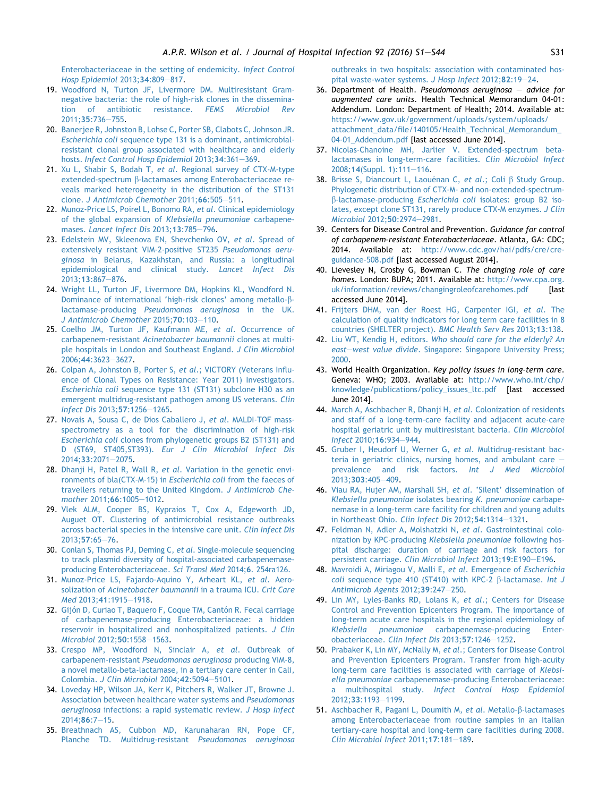<span id="page-30-0"></span>[Enterobacteriaceae in the setting of endemicity.](http://refhub.elsevier.com/S0195-6701(15)00314-X/sref18) Infect Control [Hosp Epidemiol](http://refhub.elsevier.com/S0195-6701(15)00314-X/sref18) 2013;34:809-[817](http://refhub.elsevier.com/S0195-6701(15)00314-X/sref18).

- 19. [Woodford N, Turton JF, Livermore DM. Multiresistant Gram](http://refhub.elsevier.com/S0195-6701(15)00314-X/sref19)[negative bacteria: the role of high-risk clones in the dissemina](http://refhub.elsevier.com/S0195-6701(15)00314-X/sref19)[tion of antibiotic resistance.](http://refhub.elsevier.com/S0195-6701(15)00314-X/sref19) FEMS Microbiol Rev [2011;](http://refhub.elsevier.com/S0195-6701(15)00314-X/sref19)35:736-[755.](http://refhub.elsevier.com/S0195-6701(15)00314-X/sref19)
- 20. [Banerjee R, Johnston B, Lohse C, Porter SB, Clabots C, Johnson JR.](http://refhub.elsevier.com/S0195-6701(15)00314-X/sref20) Escherichia coli [sequence type 131 is a dominant, antimicrobial](http://refhub.elsevier.com/S0195-6701(15)00314-X/sref20)[resistant clonal group associated with healthcare and elderly](http://refhub.elsevier.com/S0195-6701(15)00314-X/sref20) hosts. [Infect Control Hosp Epidemiol](http://refhub.elsevier.com/S0195-6701(15)00314-X/sref20) 2013;34:361-[369.](http://refhub.elsevier.com/S0195-6701(15)00314-X/sref20)
- 21. Xu L, Shabir S, Bodah T, et al[. Regional survey of CTX-M-type](http://refhub.elsevier.com/S0195-6701(15)00314-X/sref21) extended-spectrum β[-lactamases among Enterobacteriaceae re](http://refhub.elsevier.com/S0195-6701(15)00314-X/sref21)[veals marked heterogeneity in the distribution of the ST131](http://refhub.elsevier.com/S0195-6701(15)00314-X/sref21) clone. [J Antimicrob Chemother](http://refhub.elsevier.com/S0195-6701(15)00314-X/sref21) 2011;66:505-[511](http://refhub.elsevier.com/S0195-6701(15)00314-X/sref21).
- 22. [Munoz-Price LS, Poirel L, Bonomo RA,](http://refhub.elsevier.com/S0195-6701(15)00314-X/sref22) et al. Clinical epidemiology [of the global expansion of](http://refhub.elsevier.com/S0195-6701(15)00314-X/sref22) Klebsiella pneumoniae carbapene-mases. [Lancet Infect Dis](http://refhub.elsevier.com/S0195-6701(15)00314-X/sref22) 2013;13:785-[796](http://refhub.elsevier.com/S0195-6701(15)00314-X/sref22).
- 23. [Edelstein MV, Skleenova EN, Shevchenko OV,](http://refhub.elsevier.com/S0195-6701(15)00314-X/sref23) et al. Spread of [extensively resistant VIM-2-positive ST235](http://refhub.elsevier.com/S0195-6701(15)00314-X/sref23) Pseudomonas aeruginosa [in Belarus, Kazakhstan, and Russia: a longitudinal](http://refhub.elsevier.com/S0195-6701(15)00314-X/sref23) [epidemiological and clinical study.](http://refhub.elsevier.com/S0195-6701(15)00314-X/sref23) Lancet Infect Dis 2013:13:867-[876.](http://refhub.elsevier.com/S0195-6701(15)00314-X/sref23)
- 24. [Wright LL, Turton JF, Livermore DM, Hopkins KL, Woodford N.](http://refhub.elsevier.com/S0195-6701(15)00314-X/sref24) [Dominance of international 'high-risk clones' among metallo-](http://refhub.elsevier.com/S0195-6701(15)00314-X/sref24)blactamase-producing [Pseudomonas aeruginosa](http://refhub.elsevier.com/S0195-6701(15)00314-X/sref24) in the UK. [J Antimicrob Chemother](http://refhub.elsevier.com/S0195-6701(15)00314-X/sref24) 2015:70:103-[110](http://refhub.elsevier.com/S0195-6701(15)00314-X/sref24).
- 25. [Coelho JM, Turton JF, Kaufmann ME,](http://refhub.elsevier.com/S0195-6701(15)00314-X/sref25) et al. Occurrence of carbapenem-resistant [Acinetobacter baumannii](http://refhub.elsevier.com/S0195-6701(15)00314-X/sref25) clones at multi[ple hospitals in London and Southeast England.](http://refhub.elsevier.com/S0195-6701(15)00314-X/sref25) J Clin Microbiol [2006;](http://refhub.elsevier.com/S0195-6701(15)00314-X/sref25)44:3623-[3627.](http://refhub.elsevier.com/S0195-6701(15)00314-X/sref25)
- 26. [Colpan A, Johnston B, Porter S,](http://refhub.elsevier.com/S0195-6701(15)00314-X/sref26) et al.: VICTORY (Veterans Influ[ence of Clonal Types on Resistance: Year 2011\) Investigators.](http://refhub.elsevier.com/S0195-6701(15)00314-X/sref26) Escherichia coli [sequence type 131 \(ST131\) subclone H30 as an](http://refhub.elsevier.com/S0195-6701(15)00314-X/sref26) [emergent multidrug-resistant pathogen among US veterans.](http://refhub.elsevier.com/S0195-6701(15)00314-X/sref26) Clin [Infect Dis](http://refhub.elsevier.com/S0195-6701(15)00314-X/sref26) 2013:57:1256-[1265.](http://refhub.elsevier.com/S0195-6701(15)00314-X/sref26)
- 27. [Novais A, Sousa C, de Dios Caballero J,](http://refhub.elsevier.com/S0195-6701(15)00314-X/sref27) et al. MALDI-TOF mass[spectrometry as a tool for the discrimination of high-risk](http://refhub.elsevier.com/S0195-6701(15)00314-X/sref27) Escherichia coli [clones from phylogenetic groups B2 \(ST131\) and](http://refhub.elsevier.com/S0195-6701(15)00314-X/sref27) D (ST69, ST405,ST393). [Eur J Clin Microbiol Infect Dis](http://refhub.elsevier.com/S0195-6701(15)00314-X/sref27) 2014:33:2071-[2075.](http://refhub.elsevier.com/S0195-6701(15)00314-X/sref27)
- 28. Dhanji H, Patel R, Wall R, et al[. Variation in the genetic envi](http://refhub.elsevier.com/S0195-6701(15)00314-X/sref28)[ronments of bla\(CTX-M-15\) in](http://refhub.elsevier.com/S0195-6701(15)00314-X/sref28) Escherichia coli from the faeces of [travellers returning to the United Kingdom.](http://refhub.elsevier.com/S0195-6701(15)00314-X/sref28) J Antimicrob Che[mother](http://refhub.elsevier.com/S0195-6701(15)00314-X/sref28) 2011:66:1005-[1012.](http://refhub.elsevier.com/S0195-6701(15)00314-X/sref28)
- 29. [Vlek ALM, Cooper BS, Kypraios T, Cox A, Edgeworth JD,](http://refhub.elsevier.com/S0195-6701(15)00314-X/sref29) [Auguet OT. Clustering of antimicrobial resistance outbreaks](http://refhub.elsevier.com/S0195-6701(15)00314-X/sref29) [across bacterial species in the intensive care unit.](http://refhub.elsevier.com/S0195-6701(15)00314-X/sref29) Clin Infect Dis 2013:57:65-[76](http://refhub.elsevier.com/S0195-6701(15)00314-X/sref29).
- 30. [Conlan S, Thomas PJ, Deming C,](http://refhub.elsevier.com/S0195-6701(15)00314-X/sref30) et al. Single-molecule sequencing [to track plasmid diversity of hospital-associated carbapenemase](http://refhub.elsevier.com/S0195-6701(15)00314-X/sref30)[producing Enterobacteriaceae.](http://refhub.elsevier.com/S0195-6701(15)00314-X/sref30) Sci Transl Med 2014;6. 254ra126.
- 31. [Munoz-Price LS, Fajardo-Aquino Y, Arheart KL,](http://refhub.elsevier.com/S0195-6701(15)00314-X/sref31) et al. Aero-solization of [Acinetobacter baumannii](http://refhub.elsevier.com/S0195-6701(15)00314-X/sref31) in a trauma ICU. Crit Care Med [2013;](http://refhub.elsevier.com/S0195-6701(15)00314-X/sref31)41:1915-[1918](http://refhub.elsevier.com/S0195-6701(15)00314-X/sref31).
- 32. Gijón D, Curiao T, Baquero F, Coque TM, Cantón R. Fecal carriage [of carbapenemase-producing Enterobacteriaceae: a hidden](http://refhub.elsevier.com/S0195-6701(15)00314-X/sref32) [reservoir in hospitalized and nonhospitalized patients.](http://refhub.elsevier.com/S0195-6701(15)00314-X/sref32) J Clin [Microbiol](http://refhub.elsevier.com/S0195-6701(15)00314-X/sref32) 2012;50:1558-[1563](http://refhub.elsevier.com/S0195-6701(15)00314-X/sref32).
- 33. [Crespo MP, Woodford N, Sinclair A,](http://refhub.elsevier.com/S0195-6701(15)00314-X/sref33) et al. Outbreak of carbapenem-resistant [Pseudomonas aeruginosa](http://refhub.elsevier.com/S0195-6701(15)00314-X/sref33) producing VIM-8, [a novel metallo-beta-lactamase, in a tertiary care center in Cali,](http://refhub.elsevier.com/S0195-6701(15)00314-X/sref33) Colombia. [J Clin Microbiol](http://refhub.elsevier.com/S0195-6701(15)00314-X/sref33) 2004;42:5094-[5101](http://refhub.elsevier.com/S0195-6701(15)00314-X/sref33).
- 34. [Loveday HP, Wilson JA, Kerr K, Pitchers R, Walker JT, Browne J.](http://refhub.elsevier.com/S0195-6701(15)00314-X/sref34) [Association between healthcare water systems and](http://refhub.elsevier.com/S0195-6701(15)00314-X/sref34) Pseudomonas aeruginosa [infections: a rapid systematic review.](http://refhub.elsevier.com/S0195-6701(15)00314-X/sref34) J Hosp Infect  $2014:86:7-15.$  $2014:86:7-15.$  $2014:86:7-15.$
- 35. [Breathnach AS, Cubbon MD, Karunaharan RN, Pope CF,](http://refhub.elsevier.com/S0195-6701(15)00314-X/sref35) [Planche TD. Multidrug-resistant](http://refhub.elsevier.com/S0195-6701(15)00314-X/sref35) Pseudomonas aeruginosa

[outbreaks in two hospitals: association with contaminated hos](http://refhub.elsevier.com/S0195-6701(15)00314-X/sref35)[pital waste-water systems.](http://refhub.elsevier.com/S0195-6701(15)00314-X/sref35) J Hosp Infect 2012;82:19-[24](http://refhub.elsevier.com/S0195-6701(15)00314-X/sref35).

- 36. Department of Health. Pseudomonas aeruginosa  $-$  advice for augmented care units. Health Technical Memorandum 04-01: Addendum. London: Department of Health; 2014. Available at: [https://www.gov.uk/government/uploads/system/uploads/](https://www.gov.uk/government/uploads/system/uploads/attachment_data/file/140105/Health_Technical_Memorandum_04-01_Addendum.pdf) attachment\_data/file/140105/Health\_Technical\_Memorandum [04-01\\_Addendum.pdf](https://www.gov.uk/government/uploads/system/uploads/attachment_data/file/140105/Health_Technical_Memorandum_04-01_Addendum.pdf) [last accessed June 2014].
- 37. [Nicolas-Chanoine MH, Jarlier V. Extended-spectrum beta](http://refhub.elsevier.com/S0195-6701(15)00314-X/sref37)[lactamases in long-term-care facilities.](http://refhub.elsevier.com/S0195-6701(15)00314-X/sref37) Clin Microbiol Infect 2008;14[\(Suppl. 1\):111](http://refhub.elsevier.com/S0195-6701(15)00314-X/sref37)-[116.](http://refhub.elsevier.com/S0195-6701(15)00314-X/sref37)
- 38. Brisse S, Diancourt L, Laouénan C, et al.; Coli  $\beta$  Study Group. [Phylogenetic distribution of CTX-M- and non-extended-spectrum](http://refhub.elsevier.com/S0195-6701(15)00314-X/sref38)b-lactamase-producing Escherichia coli [isolates: group B2 iso](http://refhub.elsevier.com/S0195-6701(15)00314-X/sref38)[lates, except clone ST131, rarely produce CTX-M enzymes.](http://refhub.elsevier.com/S0195-6701(15)00314-X/sref38) J Clin [Microbiol](http://refhub.elsevier.com/S0195-6701(15)00314-X/sref38) 2012;50:2974-[2981](http://refhub.elsevier.com/S0195-6701(15)00314-X/sref38).
- 39. Centers for Disease Control and Prevention. Guidance for control of carbapenem-resistant Enterobacteriaceae. Atlanta, GA: CDC; 2014. Available at: [http://www.cdc.gov/hai/pdfs/cre/cre](http://www.cdc.gov/hai/pdfs/cre/cre-guidance-508.pdf)[guidance-508.pdf](http://www.cdc.gov/hai/pdfs/cre/cre-guidance-508.pdf) [last accessed August 2014].
- 40. Lievesley N, Crosby G, Bowman C. The changing role of care homes. London: BUPA; 2011. Available at: [http://www.cpa.org.](http://www.cpa.org.uk/information/reviews/changingroleofcarehomes.pdf) [uk/information/reviews/changingroleofcarehomes.pdf](http://www.cpa.org.uk/information/reviews/changingroleofcarehomes.pdf) [last accessed June 2014].
- 41. [Frijters DHM, van der Roest HG, Carpenter IGI,](http://refhub.elsevier.com/S0195-6701(15)00314-X/sref41) et al. The [calculation of quality indicators for long term care facilities in 8](http://refhub.elsevier.com/S0195-6701(15)00314-X/sref41) [countries \(SHELTER project\).](http://refhub.elsevier.com/S0195-6701(15)00314-X/sref41) BMC Health Serv Res 2013;13:138.
- 42. Liu WT, Kendig H, editors. [Who should care for the elderly? An](http://refhub.elsevier.com/S0195-6701(15)00314-X/sref42) [east](http://refhub.elsevier.com/S0195-6701(15)00314-X/sref42)-west value divide[. Singapore: Singapore University Press;](http://refhub.elsevier.com/S0195-6701(15)00314-X/sref42) [2000.](http://refhub.elsevier.com/S0195-6701(15)00314-X/sref42)
- 43. World Health Organization. Key policy issues in long-term care. Geneva: WHO; 2003. Available at: [http://www.who.int/chp/](http://www.who.int/chp/knowledge/publications/policy_issues_ltc.pdf) [knowledge/publications/policy\\_issues\\_ltc.pdf](http://www.who.int/chp/knowledge/publications/policy_issues_ltc.pdf) [last accessed June 2014].
- 44. [March A, Aschbacher R, Dhanji H,](http://refhub.elsevier.com/S0195-6701(15)00314-X/sref44) et al. Colonization of residents [and staff of a long-term-care facility and adjacent acute-care](http://refhub.elsevier.com/S0195-6701(15)00314-X/sref44) [hospital geriatric unit by multiresistant bacteria.](http://refhub.elsevier.com/S0195-6701(15)00314-X/sref44) Clin Microbiol [Infect](http://refhub.elsevier.com/S0195-6701(15)00314-X/sref44) 2010;16:934-[944](http://refhub.elsevier.com/S0195-6701(15)00314-X/sref44).
- 45. [Gruber I, Heudorf U, Werner G,](http://refhub.elsevier.com/S0195-6701(15)00314-X/sref45) et al. Multidrug-resistant bac[teria in geriatric clinics, nursing homes, and ambulant care](http://refhub.elsevier.com/S0195-6701(15)00314-X/sref45)  $$ [prevalence and risk factors.](http://refhub.elsevier.com/S0195-6701(15)00314-X/sref45) Int J Med Microbiol [2013;](http://refhub.elsevier.com/S0195-6701(15)00314-X/sref45)303:405-[409](http://refhub.elsevier.com/S0195-6701(15)00314-X/sref45).
- 46. [Viau RA, Hujer AM, Marshall SH,](http://refhub.elsevier.com/S0195-6701(15)00314-X/sref46) et al. 'Silent' dissemination of [Klebsiella pneumoniae](http://refhub.elsevier.com/S0195-6701(15)00314-X/sref46) isolates bearing K. pneumoniae carbape[nemase in a long-term care facility for children and young adults](http://refhub.elsevier.com/S0195-6701(15)00314-X/sref46) [in Northeast Ohio.](http://refhub.elsevier.com/S0195-6701(15)00314-X/sref46) Clin Infect Dis 2012;54:1314-[1321.](http://refhub.elsevier.com/S0195-6701(15)00314-X/sref46)
- 47. [Feldman N, Adler A, Molshatzki N,](http://refhub.elsevier.com/S0195-6701(15)00314-X/sref47) et al. Gastrointestinal colo[nization by KPC-producing](http://refhub.elsevier.com/S0195-6701(15)00314-X/sref47) Klebsiella pneumoniae following hos[pital discharge: duration of carriage and risk factors for](http://refhub.elsevier.com/S0195-6701(15)00314-X/sref47) persistent carriage. [Clin Microbiol Infect](http://refhub.elsevier.com/S0195-6701(15)00314-X/sref47) 2013;19:E190-[E196](http://refhub.elsevier.com/S0195-6701(15)00314-X/sref47).
- 48. [Mavroidi A, Miriagou V, Malli E,](http://refhub.elsevier.com/S0195-6701(15)00314-X/sref48) et al. Emergence of Escherichia coli [sequence type 410 \(ST410\) with KPC-2](http://refhub.elsevier.com/S0195-6701(15)00314-X/sref48)  $\beta$ -lactamase. Int J [Antimicrob Agents](http://refhub.elsevier.com/S0195-6701(15)00314-X/sref48) 2012;39:247-[250.](http://refhub.elsevier.com/S0195-6701(15)00314-X/sref48)
- 49. [Lin MY, Lyles-Banks RD, Lolans K,](http://refhub.elsevier.com/S0195-6701(15)00314-X/sref49) et al.; Centers for Disease [Control and Prevention Epicenters Program. The importance of](http://refhub.elsevier.com/S0195-6701(15)00314-X/sref49) [long-term acute care hospitals in the regional epidemiology of](http://refhub.elsevier.com/S0195-6701(15)00314-X/sref49) Klebsiella pneumoniae [carbapenemase-producing Enter](http://refhub.elsevier.com/S0195-6701(15)00314-X/sref49)[obacteriaceae.](http://refhub.elsevier.com/S0195-6701(15)00314-X/sref49) Clin Infect Dis 2013;57:1246-[1252](http://refhub.elsevier.com/S0195-6701(15)00314-X/sref49).
- 50. [Prabaker K, Lin MY, McNally M,](http://refhub.elsevier.com/S0195-6701(15)00314-X/sref50) et al.; Centers for Disease Control [and Prevention Epicenters Program. Transfer from high-acuity](http://refhub.elsevier.com/S0195-6701(15)00314-X/sref50) [long-term care facilities is associated with carriage of](http://refhub.elsevier.com/S0195-6701(15)00314-X/sref50) Klebsiella pneumoniae [carbapenemase-producing Enterobacteriaceae:](http://refhub.elsevier.com/S0195-6701(15)00314-X/sref50) a multihospital study. [Infect Control Hosp Epidemiol](http://refhub.elsevier.com/S0195-6701(15)00314-X/sref50) [2012;](http://refhub.elsevier.com/S0195-6701(15)00314-X/sref50)33:1193-[1199.](http://refhub.elsevier.com/S0195-6701(15)00314-X/sref50)
- 51. [Aschbacher R, Pagani L, Doumith M,](http://refhub.elsevier.com/S0195-6701(15)00314-X/sref51) et al. Metallo- $\beta$ -lactamases [among Enterobacteriaceae from routine samples in an Italian](http://refhub.elsevier.com/S0195-6701(15)00314-X/sref51) [tertiary-care hospital and long-term care facilities during 2008.](http://refhub.elsevier.com/S0195-6701(15)00314-X/sref51) [Clin Microbiol Infect](http://refhub.elsevier.com/S0195-6701(15)00314-X/sref51) 2011;17:181-[189.](http://refhub.elsevier.com/S0195-6701(15)00314-X/sref51)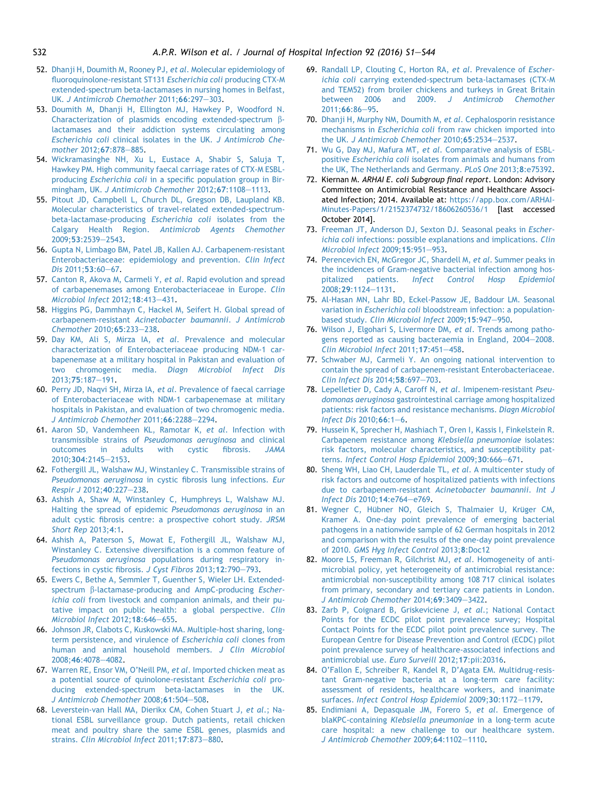- <span id="page-31-0"></span>52. [Dhanji H, Doumith M, Rooney PJ,](http://refhub.elsevier.com/S0195-6701(15)00314-X/sref52) et al. Molecular epidemiology of [fluoroquinolone-resistant ST131](http://refhub.elsevier.com/S0195-6701(15)00314-X/sref52) Escherichia coli producing CTX-M [extended-spectrum beta-lactamases in nursing homes in Belfast,](http://refhub.elsevier.com/S0195-6701(15)00314-X/sref52) UK. [J Antimicrob Chemother](http://refhub.elsevier.com/S0195-6701(15)00314-X/sref52) 2011;66:297-[303.](http://refhub.elsevier.com/S0195-6701(15)00314-X/sref52)
- 53. Doumith M, Dhanii H, Ellington MJ, Hawkey P, Woodford N. [Characterization of plasmids encoding extended-spectrum](http://refhub.elsevier.com/S0195-6701(15)00314-X/sref53)  $\beta$ [lactamases and their addiction systems circulating among](http://refhub.elsevier.com/S0195-6701(15)00314-X/sref53) Escherichia coli [clinical isolates in the UK.](http://refhub.elsevier.com/S0195-6701(15)00314-X/sref53) J Antimicrob Che[mother](http://refhub.elsevier.com/S0195-6701(15)00314-X/sref53) 2012:67:878-[885.](http://refhub.elsevier.com/S0195-6701(15)00314-X/sref53)
- 54. [Wickramasinghe NH, Xu L, Eustace A, Shabir S, Saluja T,](http://refhub.elsevier.com/S0195-6701(15)00314-X/sref54) [Hawkey PM. High community faecal carriage rates of CTX-M ESBL](http://refhub.elsevier.com/S0195-6701(15)00314-X/sref54)producing Escherichia coli [in a specific population group in Bir-](http://refhub.elsevier.com/S0195-6701(15)00314-X/sref54)mingham, UK. [J Antimicrob Chemother](http://refhub.elsevier.com/S0195-6701(15)00314-X/sref54) 2012;67:1108-[1113](http://refhub.elsevier.com/S0195-6701(15)00314-X/sref54).
- 55. [Pitout JD, Campbell L, Church DL, Gregson DB, Laupland KB.](http://refhub.elsevier.com/S0195-6701(15)00314-X/sref55) [Molecular characteristics of travel-related extended-spectrum](http://refhub.elsevier.com/S0195-6701(15)00314-X/sref55)[beta-lactamase-producing](http://refhub.elsevier.com/S0195-6701(15)00314-X/sref55) Escherichia coli isolates from the Calgary Health Region. [Antimicrob Agents Chemother](http://refhub.elsevier.com/S0195-6701(15)00314-X/sref55) 2009:53[:2539](http://refhub.elsevier.com/S0195-6701(15)00314-X/sref55)-[2543](http://refhub.elsevier.com/S0195-6701(15)00314-X/sref55).
- 56. [Gupta N, Limbago BM, Patel JB, Kallen AJ. Carbapenem-resistant](http://refhub.elsevier.com/S0195-6701(15)00314-X/sref56) [Enterobacteriaceae: epidemiology and prevention.](http://refhub.elsevier.com/S0195-6701(15)00314-X/sref56) Clin Infect  $Dis$  2011:53:60-[67.](http://refhub.elsevier.com/S0195-6701(15)00314-X/sref56)
- 57. [Canton R, Akova M, Carmeli Y,](http://refhub.elsevier.com/S0195-6701(15)00314-X/sref57) et al. Rapid evolution and spread [of carbapenemases among Enterobacteriaceae in Europe.](http://refhub.elsevier.com/S0195-6701(15)00314-X/sref57) Clin [Microbiol Infect](http://refhub.elsevier.com/S0195-6701(15)00314-X/sref57) 2012;18:413-[431.](http://refhub.elsevier.com/S0195-6701(15)00314-X/sref57)
- 58. [Higgins PG, Dammhayn C, Hackel M, Seifert H. Global spread of](http://refhub.elsevier.com/S0195-6701(15)00314-X/sref58) carbapenem-resistant [Acinetobacter baumannii](http://refhub.elsevier.com/S0195-6701(15)00314-X/sref58). J Antimicrob [Chemother](http://refhub.elsevier.com/S0195-6701(15)00314-X/sref58) 2010;65:233-[238](http://refhub.elsevier.com/S0195-6701(15)00314-X/sref58).
- 59. Day KM, Ali S, Mirza IA, et al[. Prevalence and molecular](http://refhub.elsevier.com/S0195-6701(15)00314-X/sref59) [characterization of Enterobacteriaceae producing NDM-1 car](http://refhub.elsevier.com/S0195-6701(15)00314-X/sref59)[bapenemase at a military hospital in Pakistan and evaluation of](http://refhub.elsevier.com/S0195-6701(15)00314-X/sref59) two chromogenic media. [Diagn Microbiol Infect Dis](http://refhub.elsevier.com/S0195-6701(15)00314-X/sref59) [2013;](http://refhub.elsevier.com/S0195-6701(15)00314-X/sref59)75:187-[191.](http://refhub.elsevier.com/S0195-6701(15)00314-X/sref59)
- 60. Perry JD, Naqvi SH, Mirza IA, et al[. Prevalence of faecal carriage](http://refhub.elsevier.com/S0195-6701(15)00314-X/sref60) [of Enterobacteriaceae with NDM-1 carbapenemase at military](http://refhub.elsevier.com/S0195-6701(15)00314-X/sref60) [hospitals in Pakistan, and evaluation of two chromogenic media.](http://refhub.elsevier.com/S0195-6701(15)00314-X/sref60) [J Antimicrob Chemother](http://refhub.elsevier.com/S0195-6701(15)00314-X/sref60) 2011;66:2288-[2294.](http://refhub.elsevier.com/S0195-6701(15)00314-X/sref60)
- 61. [Aaron SD, Vandemheen KL, Ramotar K,](http://refhub.elsevier.com/S0195-6701(15)00314-X/sref61) et al. Infection with transmissible strains of [Pseudomonas aeruginosa](http://refhub.elsevier.com/S0195-6701(15)00314-X/sref61) and clinical [outcomes in adults with cystic fibrosis.](http://refhub.elsevier.com/S0195-6701(15)00314-X/sref61) JAMA 2010:304[:2145](http://refhub.elsevier.com/S0195-6701(15)00314-X/sref61)-[2153.](http://refhub.elsevier.com/S0195-6701(15)00314-X/sref61)
- 62. [Fothergill JL, Walshaw MJ, Winstanley C. Transmissible strains of](http://refhub.elsevier.com/S0195-6701(15)00314-X/sref62) Pseudomonas aeruginosa [in cystic fibrosis lung infections.](http://refhub.elsevier.com/S0195-6701(15)00314-X/sref62) Eur [Respir J](http://refhub.elsevier.com/S0195-6701(15)00314-X/sref62) 2012;40:227-[238](http://refhub.elsevier.com/S0195-6701(15)00314-X/sref62).
- 63. [Ashish A, Shaw M, Winstanley C, Humphreys L, Walshaw MJ.](http://refhub.elsevier.com/S0195-6701(15)00314-X/sref63) [Halting the spread of epidemic](http://refhub.elsevier.com/S0195-6701(15)00314-X/sref63) Pseudomonas aeruginosa in an [adult cystic fibrosis centre: a prospective cohort study.](http://refhub.elsevier.com/S0195-6701(15)00314-X/sref63) JRSM [Short Rep](http://refhub.elsevier.com/S0195-6701(15)00314-X/sref63) 2013;4:1.
- 64. [Ashish A, Paterson S, Mowat E, Fothergill JL, Walshaw MJ,](http://refhub.elsevier.com/S0195-6701(15)00314-X/sref64) [Winstanley C. Extensive diversification is a common feature of](http://refhub.elsevier.com/S0195-6701(15)00314-X/sref64) Pseudomonas aeruginosa [populations during respiratory in](http://refhub.elsevier.com/S0195-6701(15)00314-X/sref64)[fections in cystic fibrosis.](http://refhub.elsevier.com/S0195-6701(15)00314-X/sref64) J Cyst Fibros 2013;12:790-[793.](http://refhub.elsevier.com/S0195-6701(15)00314-X/sref64)
- 65. [Ewers C, Bethe A, Semmler T, Guenther S, Wieler LH. Extended](http://refhub.elsevier.com/S0195-6701(15)00314-X/sref65)spectrum  $\beta$ [-lactamase-producing and AmpC-producing](http://refhub.elsevier.com/S0195-6701(15)00314-X/sref65) Escherichia coli [from livestock and companion animals, and their pu](http://refhub.elsevier.com/S0195-6701(15)00314-X/sref65)[tative impact on public health: a global perspective.](http://refhub.elsevier.com/S0195-6701(15)00314-X/sref65) Clin [Microbiol Infect](http://refhub.elsevier.com/S0195-6701(15)00314-X/sref65) 2012;18:646-[655.](http://refhub.elsevier.com/S0195-6701(15)00314-X/sref65)
- 66. [Johnson JR, Clabots C, Kuskowski MA. Multiple-host sharing, long](http://refhub.elsevier.com/S0195-6701(15)00314-X/sref66)[term persistence, and virulence of](http://refhub.elsevier.com/S0195-6701(15)00314-X/sref66) Escherichia coli clones from [human and animal household members.](http://refhub.elsevier.com/S0195-6701(15)00314-X/sref66) J Clin Microbiol 2008;46[:4078](http://refhub.elsevier.com/S0195-6701(15)00314-X/sref66)-[4082](http://refhub.elsevier.com/S0195-6701(15)00314-X/sref66).
- 67. [Warren RE, Ensor VM, O'Neill PM,](http://refhub.elsevier.com/S0195-6701(15)00314-X/sref67) et al. Imported chicken meat as [a potential source of quinolone-resistant](http://refhub.elsevier.com/S0195-6701(15)00314-X/sref67) Escherichia coli pro[ducing extended-spectrum beta-lactamases in the UK.](http://refhub.elsevier.com/S0195-6701(15)00314-X/sref67) [J Antimicrob Chemother](http://refhub.elsevier.com/S0195-6701(15)00314-X/sref67) 2008;61:504-[508.](http://refhub.elsevier.com/S0195-6701(15)00314-X/sref67)
- 68. [Leverstein-van Hall MA, Dierikx CM, Cohen Stuart J,](http://refhub.elsevier.com/S0195-6701(15)00314-X/sref68) et al.; Na[tional ESBL surveillance group. Dutch patients, retail chicken](http://refhub.elsevier.com/S0195-6701(15)00314-X/sref68) [meat and poultry share the same ESBL genes, plasmids and](http://refhub.elsevier.com/S0195-6701(15)00314-X/sref68) strains. [Clin Microbiol Infect](http://refhub.elsevier.com/S0195-6701(15)00314-X/sref68) 2011;17:873-[880.](http://refhub.elsevier.com/S0195-6701(15)00314-X/sref68)
- 69. [Randall LP, Clouting C, Horton RA,](http://refhub.elsevier.com/S0195-6701(15)00314-X/sref69) et al. Prevalence of Escherichia coli [carrying extended-spectrum beta-lactamases \(CTX-M](http://refhub.elsevier.com/S0195-6701(15)00314-X/sref69) [and TEM52\) from broiler chickens and turkeys in Great Britain](http://refhub.elsevier.com/S0195-6701(15)00314-X/sref69) [between 2006 and 2009.](http://refhub.elsevier.com/S0195-6701(15)00314-X/sref69) J Antimicrob Chemother  $2011:66:86-95.$  $2011:66:86-95.$
- 70. [Dhanji H, Murphy NM, Doumith M,](http://refhub.elsevier.com/S0195-6701(15)00314-X/sref70) et al. Cephalosporin resistance mechanisms in Escherichia coli [from raw chicken imported into](http://refhub.elsevier.com/S0195-6701(15)00314-X/sref70) the UK. [J Antimicrob Chemother](http://refhub.elsevier.com/S0195-6701(15)00314-X/sref70) 2010;65:2534-[2537.](http://refhub.elsevier.com/S0195-6701(15)00314-X/sref70)
- 71. Wu G, Day MJ, Mafura MT, et al[. Comparative analysis of ESBL](http://refhub.elsevier.com/S0195-6701(15)00314-X/sref71)positive Escherichia coli [isolates from animals and humans from](http://refhub.elsevier.com/S0195-6701(15)00314-X/sref71) [the UK, The Netherlands and Germany.](http://refhub.elsevier.com/S0195-6701(15)00314-X/sref71) PLoS One 2013;8:e75392.
- 72. Kiernan M. ARHAI E. coli Subgroup final report. London: Advisory Committee on Antimicrobial Resistance and Healthcare Associated Infection; 2014. Available at: [https://app.box.com/ARHAI-](https://app.box.com/ARHAI-Minutes-Papers/1/2152374732/18606260536/1)[Minutes-Papers/1/2152374732/18606260536/1](https://app.box.com/ARHAI-Minutes-Papers/1/2152374732/18606260536/1) [last accessed October 2014].
- 73. [Freeman JT, Anderson DJ, Sexton DJ. Seasonal peaks in](http://refhub.elsevier.com/S0195-6701(15)00314-X/sref73) Escherichia coli [infections: possible explanations and implications.](http://refhub.elsevier.com/S0195-6701(15)00314-X/sref73) Clin [Microbiol Infect](http://refhub.elsevier.com/S0195-6701(15)00314-X/sref73) 2009;15:951-[953.](http://refhub.elsevier.com/S0195-6701(15)00314-X/sref73)
- 74. [Perencevich EN, McGregor JC, Shardell M,](http://refhub.elsevier.com/S0195-6701(15)00314-X/sref74) et al. Summer peaks in [the incidences of Gram-negative bacterial infection among hos](http://refhub.elsevier.com/S0195-6701(15)00314-X/sref74)pitalized patients. [Infect Control Hosp Epidemiol](http://refhub.elsevier.com/S0195-6701(15)00314-X/sref74) [2008;](http://refhub.elsevier.com/S0195-6701(15)00314-X/sref74)29:1124-[1131](http://refhub.elsevier.com/S0195-6701(15)00314-X/sref74).
- 75. [Al-Hasan MN, Lahr BD, Eckel-Passow JE, Baddour LM. Seasonal](http://refhub.elsevier.com/S0195-6701(15)00314-X/sref75) variation in Escherichia coli [bloodstream infection: a population-](http://refhub.elsevier.com/S0195-6701(15)00314-X/sref75)based study. [Clin Microbiol Infect](http://refhub.elsevier.com/S0195-6701(15)00314-X/sref75) 2009;15:947-[950](http://refhub.elsevier.com/S0195-6701(15)00314-X/sref75).
- 76. [Wilson J, Elgohari S, Livermore DM,](http://refhub.elsevier.com/S0195-6701(15)00314-X/sref76) et al. Trends among patho[gens reported as causing bacteraemia in England, 2004](http://refhub.elsevier.com/S0195-6701(15)00314-X/sref76)-[2008.](http://refhub.elsevier.com/S0195-6701(15)00314-X/sref76) [Clin Microbiol Infect](http://refhub.elsevier.com/S0195-6701(15)00314-X/sref76) 2011;17:451-[458.](http://refhub.elsevier.com/S0195-6701(15)00314-X/sref76)
- 77. [Schwaber MJ, Carmeli Y. An ongoing national intervention to](http://refhub.elsevier.com/S0195-6701(15)00314-X/sref77) [contain the spread of carbapenem-resistant Enterobacteriaceae.](http://refhub.elsevier.com/S0195-6701(15)00314-X/sref77) [Clin Infect Dis](http://refhub.elsevier.com/S0195-6701(15)00314-X/sref77) 2014;58:697-[703.](http://refhub.elsevier.com/S0195-6701(15)00314-X/sref77)
- 78. [Lepelletier D, Cady A, Caroff N,](http://refhub.elsevier.com/S0195-6701(15)00314-X/sref78) et al. Imipenem-resistant Pseudomonas aeruginosa [gastrointestinal carriage among hospitalized](http://refhub.elsevier.com/S0195-6701(15)00314-X/sref78) [patients: risk factors and resistance mechanisms.](http://refhub.elsevier.com/S0195-6701(15)00314-X/sref78) Diagn Microbiol [Infect Dis](http://refhub.elsevier.com/S0195-6701(15)00314-X/sref78)  $2010;66:1-6$  $2010;66:1-6$  $2010;66:1-6$ .
- 79. [Hussein K, Sprecher H, Mashiach T, Oren I, Kassis I, Finkelstein R.](http://refhub.elsevier.com/S0195-6701(15)00314-X/sref79) [Carbapenem resistance among](http://refhub.elsevier.com/S0195-6701(15)00314-X/sref79) Klebsiella pneumoniae isolates: [risk factors, molecular characteristics, and susceptibility pat-](http://refhub.elsevier.com/S0195-6701(15)00314-X/sref79)terns. [Infect Control Hosp Epidemiol](http://refhub.elsevier.com/S0195-6701(15)00314-X/sref79) 2009:30:666-[671.](http://refhub.elsevier.com/S0195-6701(15)00314-X/sref79)
- 80. [Sheng WH, Liao CH, Lauderdale TL,](http://refhub.elsevier.com/S0195-6701(15)00314-X/sref80) et al. A multicenter study of [risk factors and outcome of hospitalized patients with infections](http://refhub.elsevier.com/S0195-6701(15)00314-X/sref80) [due to carbapenem-resistant](http://refhub.elsevier.com/S0195-6701(15)00314-X/sref80) Acinetobacter baumannii. Int J [Infect Dis](http://refhub.elsevier.com/S0195-6701(15)00314-X/sref80) 2010:14:e764-[e769.](http://refhub.elsevier.com/S0195-6701(15)00314-X/sref80)
- 81. Wegner C, Hübner NO, Gleich S, Thalmaier U, Krüger CM, [Kramer A. One-day point prevalence of emerging bacterial](http://refhub.elsevier.com/S0195-6701(15)00314-X/sref81) [pathogens in a nationwide sample of 62 German hospitals in 2012](http://refhub.elsevier.com/S0195-6701(15)00314-X/sref81) [and comparison with the results of the one-day point prevalence](http://refhub.elsevier.com/S0195-6701(15)00314-X/sref81) of 2010. [GMS Hyg Infect Control](http://refhub.elsevier.com/S0195-6701(15)00314-X/sref81) 2013;8:Doc12
- 82. [Moore LS, Freeman R, Gilchrist MJ,](http://refhub.elsevier.com/S0195-6701(15)00314-X/sref82) et al. Homogeneity of anti[microbial policy, yet heterogeneity of antimicrobial resistance:](http://refhub.elsevier.com/S0195-6701(15)00314-X/sref82) [antimicrobial non-susceptibility among 108 717 clinical isolates](http://refhub.elsevier.com/S0195-6701(15)00314-X/sref82) [from primary, secondary and tertiary care patients in London.](http://refhub.elsevier.com/S0195-6701(15)00314-X/sref82) [J Antimicrob Chemother](http://refhub.elsevier.com/S0195-6701(15)00314-X/sref82) 2014;69:3409-[3422.](http://refhub.elsevier.com/S0195-6701(15)00314-X/sref82)
- 83. [Zarb P, Coignard B, Griskeviciene J,](http://refhub.elsevier.com/S0195-6701(15)00314-X/sref83) et al.; National Contact [Points for the ECDC pilot point prevalence survey; Hospital](http://refhub.elsevier.com/S0195-6701(15)00314-X/sref83) [Contact Points for the ECDC pilot point prevalence survey. The](http://refhub.elsevier.com/S0195-6701(15)00314-X/sref83) [European Centre for Disease Prevention and Control \(ECDC\) pilot](http://refhub.elsevier.com/S0195-6701(15)00314-X/sref83) [point prevalence survey of healthcare-associated infections and](http://refhub.elsevier.com/S0195-6701(15)00314-X/sref83) [antimicrobial use.](http://refhub.elsevier.com/S0195-6701(15)00314-X/sref83) Euro Surveill 2012;17:pii:20316.
- 84. [O'Fallon E, Schreiber R, Kandel R, D'Agata EM. Multidrug-resis](http://refhub.elsevier.com/S0195-6701(15)00314-X/sref84)[tant Gram-negative bacteria at a long-term care facility:](http://refhub.elsevier.com/S0195-6701(15)00314-X/sref84) [assessment of residents, healthcare workers, and inanimate](http://refhub.elsevier.com/S0195-6701(15)00314-X/sref84) surfaces. [Infect Control Hosp Epidemiol](http://refhub.elsevier.com/S0195-6701(15)00314-X/sref84) 2009;30:1172-[1179](http://refhub.elsevier.com/S0195-6701(15)00314-X/sref84).
- 85. [Endimiani A, Depasquale JM, Forero S,](http://refhub.elsevier.com/S0195-6701(15)00314-X/sref85) et al. Emergence of blaKPC-containing [Klebsiella pneumoniae](http://refhub.elsevier.com/S0195-6701(15)00314-X/sref85) in a long-term acute [care hospital: a new challenge to our healthcare system.](http://refhub.elsevier.com/S0195-6701(15)00314-X/sref85) [J Antimicrob Chemother](http://refhub.elsevier.com/S0195-6701(15)00314-X/sref85) 2009;64:1102-[1110.](http://refhub.elsevier.com/S0195-6701(15)00314-X/sref85)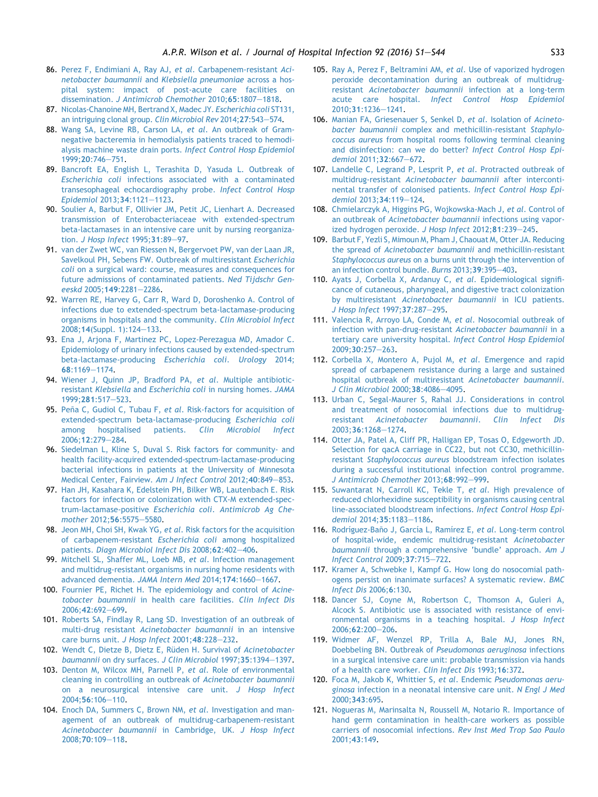- <span id="page-32-0"></span>86. [Perez F, Endimiani A, Ray AJ,](http://refhub.elsevier.com/S0195-6701(15)00314-X/sref86) et al. Carbapenem-resistant Acinetobacter baumannii and [Klebsiella pneumoniae](http://refhub.elsevier.com/S0195-6701(15)00314-X/sref86) across a hos[pital system: impact of post-acute care facilities on](http://refhub.elsevier.com/S0195-6701(15)00314-X/sref86) dissemination. [J Antimicrob Chemother](http://refhub.elsevier.com/S0195-6701(15)00314-X/sref86) 2010;65:1807-[1818](http://refhub.elsevier.com/S0195-6701(15)00314-X/sref86).
- 87. Nicolas-Chanoine MH, Bertrand X, Madec JY, Escherichia coli ST131, [an intriguing clonal group.](http://refhub.elsevier.com/S0195-6701(15)00314-X/sref87) Clin Microbiol Rev 2014;27:543-[574.](http://refhub.elsevier.com/S0195-6701(15)00314-X/sref87)
- 88. [Wang SA, Levine RB, Carson LA,](http://refhub.elsevier.com/S0195-6701(15)00314-X/sref88) et al. An outbreak of Gram[negative bacteremia in hemodialysis patients traced to hemodi](http://refhub.elsevier.com/S0195-6701(15)00314-X/sref88)[alysis machine waste drain ports.](http://refhub.elsevier.com/S0195-6701(15)00314-X/sref88) Infect Control Hosp Epidemiol [1999;](http://refhub.elsevier.com/S0195-6701(15)00314-X/sref88)20:746-[751.](http://refhub.elsevier.com/S0195-6701(15)00314-X/sref88)
- 89. [Bancroft EA, English L, Terashita D, Yasuda L. Outbreak of](http://refhub.elsevier.com/S0195-6701(15)00314-X/sref89) Escherichia coli [infections associated with a contaminated](http://refhub.elsevier.com/S0195-6701(15)00314-X/sref89) [transesophageal echocardiography probe.](http://refhub.elsevier.com/S0195-6701(15)00314-X/sref89) Infect Control Hosp [Epidemiol](http://refhub.elsevier.com/S0195-6701(15)00314-X/sref89) 2013;34:1121-[1123.](http://refhub.elsevier.com/S0195-6701(15)00314-X/sref89)
- 90. [Soulier A, Barbut F, Ollivier JM, Petit JC, Lienhart A. Decreased](http://refhub.elsevier.com/S0195-6701(15)00314-X/sref90) [transmission of Enterobacteriaceae with extended-spectrum](http://refhub.elsevier.com/S0195-6701(15)00314-X/sref90) [beta-lactamases in an intensive care unit by nursing reorganiza-](http://refhub.elsevier.com/S0195-6701(15)00314-X/sref90)tion. [J Hosp Infect](http://refhub.elsevier.com/S0195-6701(15)00314-X/sref90)  $1995:31:89-97$  $1995:31:89-97$ .
- 91. [van der Zwet WC, van Riessen N, Bergervoet PW, van der Laan JR,](http://refhub.elsevier.com/S0195-6701(15)00314-X/sref91) [Savelkoul PH, Sebens FW. Outbreak of multiresistant](http://refhub.elsevier.com/S0195-6701(15)00314-X/sref91) Escherichia coli [on a surgical ward: course, measures and consequences for](http://refhub.elsevier.com/S0195-6701(15)00314-X/sref91) [future admissions of contaminated patients.](http://refhub.elsevier.com/S0195-6701(15)00314-X/sref91) Ned Tijdschr Gen[eeskd](http://refhub.elsevier.com/S0195-6701(15)00314-X/sref91) 2005;149:2281-[2286.](http://refhub.elsevier.com/S0195-6701(15)00314-X/sref91)
- 92. [Warren RE, Harvey G, Carr R, Ward D, Doroshenko A. Control of](http://refhub.elsevier.com/S0195-6701(15)00314-X/sref92) [infections due to extended-spectrum beta-lactamase-producing](http://refhub.elsevier.com/S0195-6701(15)00314-X/sref92) [organisms in hospitals and the community.](http://refhub.elsevier.com/S0195-6701(15)00314-X/sref92) Clin Microbiol Infect 2008;14[\(Suppl. 1\):124](http://refhub.elsevier.com/S0195-6701(15)00314-X/sref92)-[133.](http://refhub.elsevier.com/S0195-6701(15)00314-X/sref92)
- 93. [Ena J, Arjona F, Martinez PC, Lopez-Perezagua MD, Amador C.](http://refhub.elsevier.com/S0195-6701(15)00314-X/sref93) [Epidemiology of urinary infections caused by extended-spectrum](http://refhub.elsevier.com/S0195-6701(15)00314-X/sref93) [beta-lactamase-producing](http://refhub.elsevier.com/S0195-6701(15)00314-X/sref93) Escherichia coli. Urology 2014; 68[:1169](http://refhub.elsevier.com/S0195-6701(15)00314-X/sref93)-[1174](http://refhub.elsevier.com/S0195-6701(15)00314-X/sref93).
- 94. [Wiener J, Quinn JP, Bradford PA,](http://refhub.elsevier.com/S0195-6701(15)00314-X/sref94) et al. Multiple antibioticresistant Klebsiella and Escherichia coli [in nursing homes.](http://refhub.elsevier.com/S0195-6701(15)00314-X/sref94) JAMA 1999:281:517-[523](http://refhub.elsevier.com/S0195-6701(15)00314-X/sref94).
- 95. Peña C, Gudiol C, Tubau F, et al[. Risk-factors for acquisition of](http://refhub.elsevier.com/S0195-6701(15)00314-X/sref95) [extended-spectrum beta-lactamase-producing](http://refhub.elsevier.com/S0195-6701(15)00314-X/sref95) Escherichia coli [among hospitalised patients.](http://refhub.elsevier.com/S0195-6701(15)00314-X/sref95) Clin Microbiol Infect [2006;](http://refhub.elsevier.com/S0195-6701(15)00314-X/sref95)12:279-[284.](http://refhub.elsevier.com/S0195-6701(15)00314-X/sref95)
- 96. [Siedelman L, Kline S, Duval S. Risk factors for community- and](http://refhub.elsevier.com/S0195-6701(15)00314-X/sref96) [health facility-acquired extended-spectrum-lactamase-producing](http://refhub.elsevier.com/S0195-6701(15)00314-X/sref96) [bacterial infections in patients at the University of Minnesota](http://refhub.elsevier.com/S0195-6701(15)00314-X/sref96) [Medical Center, Fairview.](http://refhub.elsevier.com/S0195-6701(15)00314-X/sref96) Am J Infect Control 2012;40:849-[853.](http://refhub.elsevier.com/S0195-6701(15)00314-X/sref96)
- 97. [Han JH, Kasahara K, Edelstein PH, Bilker WB, Lautenbach E. Risk](http://refhub.elsevier.com/S0195-6701(15)00314-X/sref97) [factors for infection or colonization with CTX-M extended-spec](http://refhub.elsevier.com/S0195-6701(15)00314-X/sref97)[trum-lactamase-positive](http://refhub.elsevier.com/S0195-6701(15)00314-X/sref97) Escherichia coli. Antimicrob Ag Che[mother](http://refhub.elsevier.com/S0195-6701(15)00314-X/sref97) 2012;56:5575-[5580.](http://refhub.elsevier.com/S0195-6701(15)00314-X/sref97)
- 98. Jeon MH, Choi SH, Kwak YG, et al[. Risk factors for the acquisition](http://refhub.elsevier.com/S0195-6701(15)00314-X/sref98) [of carbapenem-resistant](http://refhub.elsevier.com/S0195-6701(15)00314-X/sref98) Escherichia coli among hospitalized patients. [Diagn Microbiol Infect Dis](http://refhub.elsevier.com/S0195-6701(15)00314-X/sref98) 2008;62:402-[406](http://refhub.elsevier.com/S0195-6701(15)00314-X/sref98).
- 99. [Mitchell SL, Shaffer ML, Loeb MB,](http://refhub.elsevier.com/S0195-6701(15)00314-X/sref99) et al. Infection management [and multidrug-resistant organisms in nursing home residents with](http://refhub.elsevier.com/S0195-6701(15)00314-X/sref99) [advanced dementia.](http://refhub.elsevier.com/S0195-6701(15)00314-X/sref99) JAMA Intern Med 2014;174:1660-[1667](http://refhub.elsevier.com/S0195-6701(15)00314-X/sref99).
- 100. [Fournier PE, Richet H. The epidemiology and control of](http://refhub.elsevier.com/S0195-6701(15)00314-X/sref100) Acinetobacter baumannii [in health care facilities.](http://refhub.elsevier.com/S0195-6701(15)00314-X/sref100) Clin Infect Dis 2006:42:692-[699](http://refhub.elsevier.com/S0195-6701(15)00314-X/sref100).
- 101. [Roberts SA, Findlay R, Lang SD. Investigation of an outbreak of](http://refhub.elsevier.com/S0195-6701(15)00314-X/sref101) multi-drug resistant [Acinetobacter baumannii](http://refhub.elsevier.com/S0195-6701(15)00314-X/sref101) in an intensive [care burns unit.](http://refhub.elsevier.com/S0195-6701(15)00314-X/sref101) J Hosp Infect 2001;48:228-[232.](http://refhub.elsevier.com/S0195-6701(15)00314-X/sref101)
- 102. Wendt C, Dietze B, Dietz E, Rüden H. Survival of Acinetobacter baumannii [on dry surfaces.](http://refhub.elsevier.com/S0195-6701(15)00314-X/sref102) J Clin Microbiol 1997;35:1394-[1397.](http://refhub.elsevier.com/S0195-6701(15)00314-X/sref102)
- 103. [Denton M, Wilcox MH, Parnell P,](http://refhub.elsevier.com/S0195-6701(15)00314-X/sref103) et al. Role of environmental [cleaning in controlling an outbreak of](http://refhub.elsevier.com/S0195-6701(15)00314-X/sref103) Acinetobacter baumannii [on a neurosurgical intensive care unit.](http://refhub.elsevier.com/S0195-6701(15)00314-X/sref103) J Hosp Infect [2004;](http://refhub.elsevier.com/S0195-6701(15)00314-X/sref103)56:106-[110](http://refhub.elsevier.com/S0195-6701(15)00314-X/sref103).
- 104. [Enoch DA, Summers C, Brown NM,](http://refhub.elsevier.com/S0195-6701(15)00314-X/sref104) et al. Investigation and man[agement of an outbreak of multidrug-carbapenem-resistant](http://refhub.elsevier.com/S0195-6701(15)00314-X/sref104) [Acinetobacter baumannii](http://refhub.elsevier.com/S0195-6701(15)00314-X/sref104) in Cambridge, UK. J Hosp Infect [2008;](http://refhub.elsevier.com/S0195-6701(15)00314-X/sref104)70:109-[118](http://refhub.elsevier.com/S0195-6701(15)00314-X/sref104).
- 105. [Ray A, Perez F, Beltramini AM,](http://refhub.elsevier.com/S0195-6701(15)00314-X/sref105) et al. Use of vaporized hydrogen [peroxide decontamination during an outbreak of multidrug](http://refhub.elsevier.com/S0195-6701(15)00314-X/sref105)resistant Acinetobacter baumannii [infection at a long-term](http://refhub.elsevier.com/S0195-6701(15)00314-X/sref105) acute care hospital. [Infect Control Hosp Epidemiol](http://refhub.elsevier.com/S0195-6701(15)00314-X/sref105) 2010:31[:1236](http://refhub.elsevier.com/S0195-6701(15)00314-X/sref105)-[1241](http://refhub.elsevier.com/S0195-6701(15)00314-X/sref105).
- 106. [Manian FA, Griesenauer S, Senkel D,](http://refhub.elsevier.com/S0195-6701(15)00314-X/sref106) et al. Isolation of Acinetobacter baumannii [complex and methicillin-resistant](http://refhub.elsevier.com/S0195-6701(15)00314-X/sref106) Staphylococcus aureus [from hospital rooms following terminal cleaning](http://refhub.elsevier.com/S0195-6701(15)00314-X/sref106) [and disinfection: can we do better?](http://refhub.elsevier.com/S0195-6701(15)00314-X/sref106) Infect Control Hosp Epi[demiol](http://refhub.elsevier.com/S0195-6701(15)00314-X/sref106) 2011;32:667-[672.](http://refhub.elsevier.com/S0195-6701(15)00314-X/sref106)
- 107. [Landelle C, Legrand P, Lesprit P,](http://refhub.elsevier.com/S0195-6701(15)00314-X/sref107) et al. Protracted outbreak of multidrug-resistant [Acinetobacter baumannii](http://refhub.elsevier.com/S0195-6701(15)00314-X/sref107) after interconti[nental transfer of colonised patients.](http://refhub.elsevier.com/S0195-6701(15)00314-X/sref107) Infect Control Hosp Epi[demiol](http://refhub.elsevier.com/S0195-6701(15)00314-X/sref107) 2013;34:119-[124.](http://refhub.elsevier.com/S0195-6701(15)00314-X/sref107)
- 108. [Chmielarczyk A, Higgins PG, Wojkowska-Mach J,](http://refhub.elsevier.com/S0195-6701(15)00314-X/sref108) et al. Control of an outbreak of [Acinetobacter baumannii](http://refhub.elsevier.com/S0195-6701(15)00314-X/sref108) infections using vapor[ized hydrogen peroxide.](http://refhub.elsevier.com/S0195-6701(15)00314-X/sref108) J Hosp Infect 2012;81:239-[245](http://refhub.elsevier.com/S0195-6701(15)00314-X/sref108).
- 109. [Barbut F, Yezli S, Mimoun M, Pham J, Chaouat M, Otter JA. Reducing](http://refhub.elsevier.com/S0195-6701(15)00314-X/sref109) the spread of [Acinetobacter baumannii](http://refhub.elsevier.com/S0195-6701(15)00314-X/sref109) and methicillin-resistant Staphylococcus aureus [on a burns unit through the intervention of](http://refhub.elsevier.com/S0195-6701(15)00314-X/sref109) [an infection control bundle.](http://refhub.elsevier.com/S0195-6701(15)00314-X/sref109) Burns 2013;39:395-[403.](http://refhub.elsevier.com/S0195-6701(15)00314-X/sref109)
- 110. [Ayats J, Corbella X, Ardanuy C,](http://refhub.elsevier.com/S0195-6701(15)00314-X/sref110) et al. Epidemiological signifi[cance of cutaneous, pharyngeal, and digestive tract colonization](http://refhub.elsevier.com/S0195-6701(15)00314-X/sref110) by multiresistant [Acinetobacter baumannii](http://refhub.elsevier.com/S0195-6701(15)00314-X/sref110) in ICU patients. [J Hosp Infect](http://refhub.elsevier.com/S0195-6701(15)00314-X/sref110) 1997;37:287-[295](http://refhub.elsevier.com/S0195-6701(15)00314-X/sref110).
- 111. [Valencia R, Arroyo LA, Conde M,](http://refhub.elsevier.com/S0195-6701(15)00314-X/sref111) et al. Nosocomial outbreak of [infection with pan-drug-resistant](http://refhub.elsevier.com/S0195-6701(15)00314-X/sref111) Acinetobacter baumannii in a [tertiary care university hospital.](http://refhub.elsevier.com/S0195-6701(15)00314-X/sref111) Infect Control Hosp Epidemiol [2009;](http://refhub.elsevier.com/S0195-6701(15)00314-X/sref111)30:257-[263](http://refhub.elsevier.com/S0195-6701(15)00314-X/sref111).
- 112. [Corbella X, Montero A, Pujol M,](http://refhub.elsevier.com/S0195-6701(15)00314-X/sref112) et al. Emergence and rapid [spread of carbapenem resistance during a large and sustained](http://refhub.elsevier.com/S0195-6701(15)00314-X/sref112) [hospital outbreak of multiresistant](http://refhub.elsevier.com/S0195-6701(15)00314-X/sref112) Acinetobacter baumannii. [J Clin Microbiol](http://refhub.elsevier.com/S0195-6701(15)00314-X/sref112) 2000;38:4086-[4095](http://refhub.elsevier.com/S0195-6701(15)00314-X/sref112).
- 113. [Urban C, Segal-Maurer S, Rahal JJ. Considerations in control](http://refhub.elsevier.com/S0195-6701(15)00314-X/sref113) [and treatment of nosocomial infections due to multidrug](http://refhub.elsevier.com/S0195-6701(15)00314-X/sref113)resistant [Acinetobacter baumannii](http://refhub.elsevier.com/S0195-6701(15)00314-X/sref113). Clin Infect Dis 2003;36[:1268](http://refhub.elsevier.com/S0195-6701(15)00314-X/sref113)e[1274](http://refhub.elsevier.com/S0195-6701(15)00314-X/sref113).
- 114. [Otter JA, Patel A, Cliff PR, Halligan EP, Tosas O, Edgeworth JD.](http://refhub.elsevier.com/S0195-6701(15)00314-X/sref114) [Selection for qacA carriage in CC22, but not CC30, methicillin](http://refhub.elsevier.com/S0195-6701(15)00314-X/sref114)resistant Staphylococcus aureus [bloodstream infection isolates](http://refhub.elsevier.com/S0195-6701(15)00314-X/sref114) [during a successful institutional infection control programme.](http://refhub.elsevier.com/S0195-6701(15)00314-X/sref114) [J Antimicrob Chemother](http://refhub.elsevier.com/S0195-6701(15)00314-X/sref114) 2013;68:992-[999.](http://refhub.elsevier.com/S0195-6701(15)00314-X/sref114)
- 115. [Suwantarat N, Carroll KC, Tekle T,](http://refhub.elsevier.com/S0195-6701(15)00314-X/sref115) et al. High prevalence of [reduced chlorhexidine susceptibility in organisms causing central](http://refhub.elsevier.com/S0195-6701(15)00314-X/sref115) [line-associated bloodstream infections.](http://refhub.elsevier.com/S0195-6701(15)00314-X/sref115) Infect Control Hosp Epi[demiol](http://refhub.elsevier.com/S0195-6701(15)00314-X/sref115) 2014;35:1183-[1186.](http://refhub.elsevier.com/S0195-6701(15)00314-X/sref115)
- 116. Rodríguez-Baño J, García L, Ramírez E, et al. Long-term control [of hospital-wide, endemic multidrug-resistant](http://refhub.elsevier.com/S0195-6701(15)00314-X/sref116) Acinetobacter baumannii [through a comprehensive 'bundle' approach.](http://refhub.elsevier.com/S0195-6701(15)00314-X/sref116) Am J [Infect Control](http://refhub.elsevier.com/S0195-6701(15)00314-X/sref116) 2009;37:715-[722.](http://refhub.elsevier.com/S0195-6701(15)00314-X/sref116)
- 117. [Kramer A, Schwebke I, Kampf G. How long do nosocomial path](http://refhub.elsevier.com/S0195-6701(15)00314-X/sref117)[ogens persist on inanimate surfaces? A systematic review.](http://refhub.elsevier.com/S0195-6701(15)00314-X/sref117) BMC [Infect Dis](http://refhub.elsevier.com/S0195-6701(15)00314-X/sref117) 2006;6:130.
- 118. [Dancer SJ, Coyne M, Robertson C, Thomson A, Guleri A,](http://refhub.elsevier.com/S0195-6701(15)00314-X/sref118) [Alcock S. Antibiotic use is associated with resistance of envi](http://refhub.elsevier.com/S0195-6701(15)00314-X/sref118)[ronmental organisms in a teaching hospital.](http://refhub.elsevier.com/S0195-6701(15)00314-X/sref118) J Hosp Infect 2006:62:200-[206](http://refhub.elsevier.com/S0195-6701(15)00314-X/sref118).
- 119. [Widmer AF, Wenzel RP, Trilla A, Bale MJ, Jones RN,](http://refhub.elsevier.com/S0195-6701(15)00314-X/sref119) [Doebbeling BN. Outbreak of](http://refhub.elsevier.com/S0195-6701(15)00314-X/sref119) Pseudomonas aeruginosa infections [in a surgical intensive care unit: probable transmission via hands](http://refhub.elsevier.com/S0195-6701(15)00314-X/sref119) [of a health care worker.](http://refhub.elsevier.com/S0195-6701(15)00314-X/sref119) Clin Infect Dis 1993;16:372.
- 120. [Foca M, Jakob K, Whittier S,](http://refhub.elsevier.com/S0195-6701(15)00314-X/sref120) et al. Endemic Pseudomonas aeruginosa [infection in a neonatal intensive care unit.](http://refhub.elsevier.com/S0195-6701(15)00314-X/sref120) N Engl J Med [2000;](http://refhub.elsevier.com/S0195-6701(15)00314-X/sref120)343:695.
- 121. [Nogueras M, Marinsalta N, Roussell M, Notario R. Importance of](http://refhub.elsevier.com/S0195-6701(15)00314-X/sref121) [hand germ contamination in health-care workers as possible](http://refhub.elsevier.com/S0195-6701(15)00314-X/sref121) [carriers of nosocomial infections.](http://refhub.elsevier.com/S0195-6701(15)00314-X/sref121) Rev Inst Med Trop Sao Paulo [2001;](http://refhub.elsevier.com/S0195-6701(15)00314-X/sref121)43:149.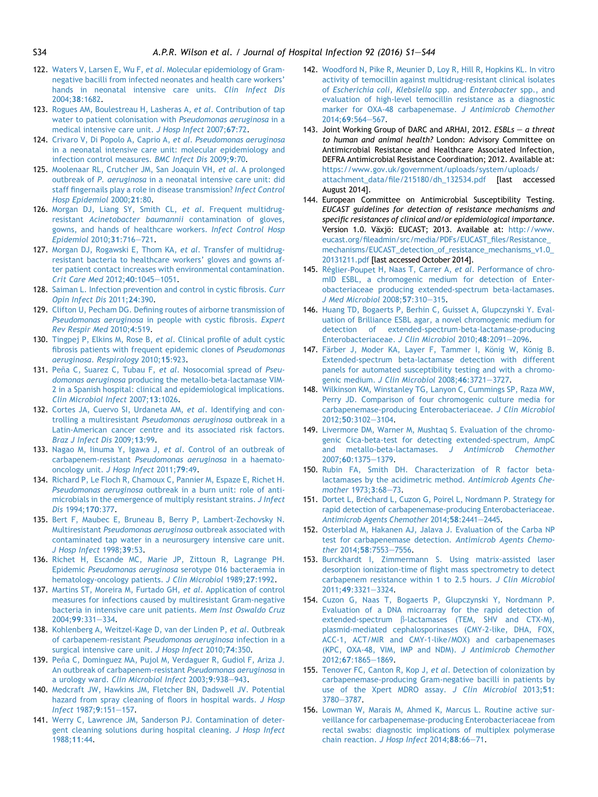- <span id="page-33-0"></span>122. Waters V, Larsen E, Wu F, et al[. Molecular epidemiology of Gram](http://refhub.elsevier.com/S0195-6701(15)00314-X/sref122)[negative bacilli from infected neonates and health care workers'](http://refhub.elsevier.com/S0195-6701(15)00314-X/sref122) [hands in neonatal intensive care units.](http://refhub.elsevier.com/S0195-6701(15)00314-X/sref122) Clin Infect Dis [2004;](http://refhub.elsevier.com/S0195-6701(15)00314-X/sref122)38:1682.
- 123. [Rogues AM, Boulestreau H, Lasheras A,](http://refhub.elsevier.com/S0195-6701(15)00314-X/sref123) et al. Contribution of tap [water to patient colonisation with](http://refhub.elsevier.com/S0195-6701(15)00314-X/sref123) Pseudomonas aeruginosa in a [medical intensive care unit.](http://refhub.elsevier.com/S0195-6701(15)00314-X/sref123) J Hosp Infect 2007;67:72.
- 124. [Crivaro V, Di Popolo A, Caprio A,](http://refhub.elsevier.com/S0195-6701(15)00314-X/sref124) et al. Pseudomonas aeruginosa [in a neonatal intensive care unit: molecular epidemiology and](http://refhub.elsevier.com/S0195-6701(15)00314-X/sref124) [infection control measures.](http://refhub.elsevier.com/S0195-6701(15)00314-X/sref124) BMC Infect Dis 2009;9:70.
- 125. [Moolenaar RL, Crutcher JM, San Joaquin VH,](http://refhub.elsevier.com/S0195-6701(15)00314-X/sref125) et al. A prolonged outbreak of P. aeruginosa [in a neonatal intensive care unit: did](http://refhub.elsevier.com/S0195-6701(15)00314-X/sref125) [staff fingernails play a role in disease transmission?](http://refhub.elsevier.com/S0195-6701(15)00314-X/sref125) Infect Control [Hosp Epidemiol](http://refhub.elsevier.com/S0195-6701(15)00314-X/sref125) 2000;21:80.
- 126. [Morgan DJ, Liang SY, Smith CL,](http://refhub.elsevier.com/S0195-6701(15)00314-X/sref126) et al. Frequent multidrugresistant Acinetobacter baumannii [contamination of gloves,](http://refhub.elsevier.com/S0195-6701(15)00314-X/sref126) [gowns, and hands of healthcare workers.](http://refhub.elsevier.com/S0195-6701(15)00314-X/sref126) Infect Control Hosp [Epidemiol](http://refhub.elsevier.com/S0195-6701(15)00314-X/sref126) 2010:31:716-[721](http://refhub.elsevier.com/S0195-6701(15)00314-X/sref126).
- 127. [Morgan DJ, Rogawski E, Thom KA,](http://refhub.elsevier.com/S0195-6701(15)00314-X/sref127) et al. Transfer of multidrug[resistant bacteria to healthcare workers' gloves and gowns af](http://refhub.elsevier.com/S0195-6701(15)00314-X/sref127)[ter patient contact increases with environmental contamination.](http://refhub.elsevier.com/S0195-6701(15)00314-X/sref127) [Crit Care Med](http://refhub.elsevier.com/S0195-6701(15)00314-X/sref127) 2012:40:1045-[1051](http://refhub.elsevier.com/S0195-6701(15)00314-X/sref127).
- 128. [Saiman L. Infection prevention and control in cystic fibrosis.](http://refhub.elsevier.com/S0195-6701(15)00314-X/sref128) Curr [Opin Infect Dis](http://refhub.elsevier.com/S0195-6701(15)00314-X/sref128) 2011;24:390.
- 129. [Clifton U, Pecham DG. Defining routes of airborne transmission of](http://refhub.elsevier.com/S0195-6701(15)00314-X/sref129) Pseudomonas aeruginosa [in people with cystic fibrosis.](http://refhub.elsevier.com/S0195-6701(15)00314-X/sref129) Expert [Rev Respir Med](http://refhub.elsevier.com/S0195-6701(15)00314-X/sref129) 2010;4:519.
- 130. Tingpej P, Elkins M, Rose B, et al[. Clinical profile of adult cystic](http://refhub.elsevier.com/S0195-6701(15)00314-X/sref130) [fibrosis patients with frequent epidemic clones of](http://refhub.elsevier.com/S0195-6701(15)00314-X/sref130) Pseudomonas aeruginosa. [Respirology](http://refhub.elsevier.com/S0195-6701(15)00314-X/sref130) 2010;15:923.
- 131. Peña C, Suarez C, Tubau F, et al. Nosocomial spread of Pseudomonas aeruginosa [producing the metallo-beta-lactamase VIM-](http://refhub.elsevier.com/S0195-6701(15)00314-X/sref131)[2 in a Spanish hospital: clinical and epidemiological implications.](http://refhub.elsevier.com/S0195-6701(15)00314-X/sref131) [Clin Microbiol Infect](http://refhub.elsevier.com/S0195-6701(15)00314-X/sref131) 2007;13:1026.
- 132. [Cortes JA, Cuervo SI, Urdaneta AM,](http://refhub.elsevier.com/S0195-6701(15)00314-X/sref132) et al. Identifying and controlling a multiresistant [Pseudomonas aeruginosa](http://refhub.elsevier.com/S0195-6701(15)00314-X/sref132) outbreak in a [Latin-American cancer centre and its associated risk factors.](http://refhub.elsevier.com/S0195-6701(15)00314-X/sref132) [Braz J Infect Dis](http://refhub.elsevier.com/S0195-6701(15)00314-X/sref132) 2009;13:99.
- 133. [Nagao M, Iinuma Y, Igawa J,](http://refhub.elsevier.com/S0195-6701(15)00314-X/sref133) et al. Control of an outbreak of carbapenem-resistant [Pseudomonas aeruginosa](http://refhub.elsevier.com/S0195-6701(15)00314-X/sref133) in a haemato[oncology unit.](http://refhub.elsevier.com/S0195-6701(15)00314-X/sref133) J Hosp Infect 2011;79:49.
- 134. [Richard P, Le Floch R, Chamoux C, Pannier M, Espaze E, Richet H.](http://refhub.elsevier.com/S0195-6701(15)00314-X/sref134) Pseudomonas aeruginosa [outbreak in a burn unit: role of anti](http://refhub.elsevier.com/S0195-6701(15)00314-X/sref134)[microbials in the emergence of multiply resistant strains.](http://refhub.elsevier.com/S0195-6701(15)00314-X/sref134) J Infect Dis [1994;](http://refhub.elsevier.com/S0195-6701(15)00314-X/sref134)170:377.
- 135. [Bert F, Maubec E, Bruneau B, Berry P, Lambert-Zechovsky N.](http://refhub.elsevier.com/S0195-6701(15)00314-X/sref135) Multiresistant Pseudomonas aeruginosa [outbreak associated with](http://refhub.elsevier.com/S0195-6701(15)00314-X/sref135) [contaminated tap water in a neurosurgery intensive care unit.](http://refhub.elsevier.com/S0195-6701(15)00314-X/sref135) [J Hosp Infect](http://refhub.elsevier.com/S0195-6701(15)00314-X/sref135) 1998;39:53.
- 136. [Richet H, Escande MC, Marie JP, Zittoun R, Lagrange PH.](http://refhub.elsevier.com/S0195-6701(15)00314-X/sref136) Epidemic Pseudomonas aeruginosa [serotype 016 bacteraemia in](http://refhub.elsevier.com/S0195-6701(15)00314-X/sref136) [hematology-oncology patients.](http://refhub.elsevier.com/S0195-6701(15)00314-X/sref136) J Clin Microbiol 1989;27:1992.
- 137. [Martins ST, Moreira M, Furtado GH,](http://refhub.elsevier.com/S0195-6701(15)00314-X/sref137) et al. Application of control [measures for infections caused by multiresistant Gram-negative](http://refhub.elsevier.com/S0195-6701(15)00314-X/sref137) [bacteria in intensive care unit patients.](http://refhub.elsevier.com/S0195-6701(15)00314-X/sref137) Mem Inst Oswaldo Cruz  $2004.99.331 - 334$
- 138. [Kohlenberg A, Weitzel-Kage D, van der Linden P,](http://refhub.elsevier.com/S0195-6701(15)00314-X/sref138) et al. Outbreak of carbapenem-resistant [Pseudomonas aeruginosa](http://refhub.elsevier.com/S0195-6701(15)00314-X/sref138) infection in a [surgical intensive care unit.](http://refhub.elsevier.com/S0195-6701(15)00314-X/sref138) J Hosp Infect 2010;74:350.
- 139. Peña C, Dominguez MA, Pujol M, Verdaguer R, Gudiol F, Ariza J. [An outbreak of carbapenem-resistant](http://refhub.elsevier.com/S0195-6701(15)00314-X/sref139) Pseudomonas aeruginosa in a urology ward. [Clin Microbiol Infect](http://refhub.elsevier.com/S0195-6701(15)00314-X/sref139) 2003;9:938-[943.](http://refhub.elsevier.com/S0195-6701(15)00314-X/sref139)
- 140. [Medcraft JW, Hawkins JM, Fletcher BN, Dadswell JV. Potential](http://refhub.elsevier.com/S0195-6701(15)00314-X/sref140) [hazard from spray cleaning of floors in hospital wards.](http://refhub.elsevier.com/S0195-6701(15)00314-X/sref140) J Hosp [Infect](http://refhub.elsevier.com/S0195-6701(15)00314-X/sref140) 1987:9:151-[157.](http://refhub.elsevier.com/S0195-6701(15)00314-X/sref140)
- 141. [Werry C, Lawrence JM, Sanderson PJ. Contamination of deter](http://refhub.elsevier.com/S0195-6701(15)00314-X/sref141)[gent cleaning solutions during hospital cleaning.](http://refhub.elsevier.com/S0195-6701(15)00314-X/sref141) J Hosp Infect [1988;](http://refhub.elsevier.com/S0195-6701(15)00314-X/sref141)11:44.
- 142. [Woodford N, Pike R, Meunier D, Loy R, Hill R, Hopkins KL. In vitro](http://refhub.elsevier.com/S0195-6701(15)00314-X/sref142) [activity of temocillin against multidrug-resistant clinical isolates](http://refhub.elsevier.com/S0195-6701(15)00314-X/sref142) of [Escherichia coli, Klebsiella](http://refhub.elsevier.com/S0195-6701(15)00314-X/sref142) spp. and Enterobacter spp., and [evaluation of high-level temocillin resistance as a diagnostic](http://refhub.elsevier.com/S0195-6701(15)00314-X/sref142) [marker for OXA-48 carbapenemase.](http://refhub.elsevier.com/S0195-6701(15)00314-X/sref142) J Antimicrob Chemother [2014;](http://refhub.elsevier.com/S0195-6701(15)00314-X/sref142)69:564-[567.](http://refhub.elsevier.com/S0195-6701(15)00314-X/sref142)
- 143. Joint Working Group of DARC and ARHAI, 2012.  $ESBLS a$  threat to human and animal health? London: Advisory Committee on Antimicrobial Resistance and Healthcare Associated Infection, DEFRA Antimicrobial Resistance Coordination; 2012. Available at: [https://www.gov.uk/government/uploads/system/uploads/](https://www.gov.uk/government/uploads/system/uploads/attachment_data/file/215180/dh_132534.pdf) [attachment\\_data/file/215180/dh\\_132534.pdf](https://www.gov.uk/government/uploads/system/uploads/attachment_data/file/215180/dh_132534.pdf) [last accessed August 2014].
- 144. European Committee on Antimicrobial Susceptibility Testing. EUCAST guidelines for detection of resistance mechanisms and specific resistances of clinical and/or epidemiological importance. Version 1.0. Växjö: EUCAST; 2013. Available at: [http://www.](http://www.eucast.org/fileadmin/src/media/PDFs/EUCAST_files/Resistance_mechanisms/EUCAST_detection_of_resistance_mechanisms_v1.0_20131211.pdf) [eucast.org/fileadmin/src/media/PDFs/EUCAST\\_files/Resistance\\_](http://www.eucast.org/fileadmin/src/media/PDFs/EUCAST_files/Resistance_mechanisms/EUCAST_detection_of_resistance_mechanisms_v1.0_20131211.pdf) [mechanisms/EUCAST\\_detection\\_of\\_resistance\\_mechanisms\\_v1.0\\_](http://www.eucast.org/fileadmin/src/media/PDFs/EUCAST_files/Resistance_mechanisms/EUCAST_detection_of_resistance_mechanisms_v1.0_20131211.pdf) [20131211.pdf](http://www.eucast.org/fileadmin/src/media/PDFs/EUCAST_files/Resistance_mechanisms/EUCAST_detection_of_resistance_mechanisms_v1.0_20131211.pdf) [last accessed October 2014].
- 145. Réglier-Poupet H, Naas T, Carrer A, et al[. Performance of chro](http://refhub.elsevier.com/S0195-6701(15)00314-X/sref145)[mID ESBL, a chromogenic medium for detection of Enter](http://refhub.elsevier.com/S0195-6701(15)00314-X/sref145)[obacteriaceae producing extended-spectrum beta-lactamases.](http://refhub.elsevier.com/S0195-6701(15)00314-X/sref145) [J Med Microbiol](http://refhub.elsevier.com/S0195-6701(15)00314-X/sref145) 2008;57:310-[315.](http://refhub.elsevier.com/S0195-6701(15)00314-X/sref145)
- 146. [Huang TD, Bogaerts P, Berhin C, Guisset A, Glupczynski Y. Eval](http://refhub.elsevier.com/S0195-6701(15)00314-X/sref146)[uation of Brilliance ESBL agar, a novel chromogenic medium for](http://refhub.elsevier.com/S0195-6701(15)00314-X/sref146) [detection of extended-spectrum-beta-lactamase-producing](http://refhub.elsevier.com/S0195-6701(15)00314-X/sref146) [Enterobacteriaceae.](http://refhub.elsevier.com/S0195-6701(15)00314-X/sref146) J Clin Microbiol 2010;48:2091-[2096](http://refhub.elsevier.com/S0195-6701(15)00314-X/sref146).
- 147. Färber J, Moder KA, Layer F, Tammer I, König W, König B. [Extended-spectrum beta-lactamase detection with different](http://refhub.elsevier.com/S0195-6701(15)00314-X/sref147) [panels for automated susceptibility testing and with a chromo-](http://refhub.elsevier.com/S0195-6701(15)00314-X/sref147)genic medium. [J Clin Microbiol](http://refhub.elsevier.com/S0195-6701(15)00314-X/sref147) 2008;46:3721-[3727](http://refhub.elsevier.com/S0195-6701(15)00314-X/sref147).
- 148. [Wilkinson KM, Winstanley TG, Lanyon C, Cummings SP, Raza MW,](http://refhub.elsevier.com/S0195-6701(15)00314-X/sref148) [Perry JD. Comparison of four chromogenic culture media for](http://refhub.elsevier.com/S0195-6701(15)00314-X/sref148) [carbapenemase-producing Enterobacteriaceae.](http://refhub.elsevier.com/S0195-6701(15)00314-X/sref148) J Clin Microbiol [2012;](http://refhub.elsevier.com/S0195-6701(15)00314-X/sref148)50:3102-[3104.](http://refhub.elsevier.com/S0195-6701(15)00314-X/sref148)
- 149. [Livermore DM, Warner M, Mushtaq S. Evaluation of the chromo](http://refhub.elsevier.com/S0195-6701(15)00314-X/sref149)[genic Cica-beta-test for detecting extended-spectrum, AmpC](http://refhub.elsevier.com/S0195-6701(15)00314-X/sref149) [and metallo-beta-lactamases.](http://refhub.elsevier.com/S0195-6701(15)00314-X/sref149) J Antimicrob Chemother 2007:60:1375-[1379.](http://refhub.elsevier.com/S0195-6701(15)00314-X/sref149)
- 150. [Rubin FA, Smith DH. Characterization of R factor beta](http://refhub.elsevier.com/S0195-6701(15)00314-X/sref150)[lactamases by the acidimetric method.](http://refhub.elsevier.com/S0195-6701(15)00314-X/sref150) Antimicrob Agents Che[mother](http://refhub.elsevier.com/S0195-6701(15)00314-X/sref150) 1973;3:68-[73.](http://refhub.elsevier.com/S0195-6701(15)00314-X/sref150)
- 151. Dortet L, Bréchard L, Cuzon G, Poirel L, Nordmann P. Strategy for [rapid detection of carbapenemase-producing Enterobacteriaceae.](http://refhub.elsevier.com/S0195-6701(15)00314-X/sref151) [Antimicrob Agents Chemother](http://refhub.elsevier.com/S0195-6701(15)00314-X/sref151) 2014;58:2441-[2445](http://refhub.elsevier.com/S0195-6701(15)00314-X/sref151).
- 152. [Osterblad M, Hakanen AJ, Jalava J. Evaluation of the Carba NP](http://refhub.elsevier.com/S0195-6701(15)00314-X/sref152) [test for carbapenemase detection.](http://refhub.elsevier.com/S0195-6701(15)00314-X/sref152) Antimicrob Agents Chemo-ther [2014;](http://refhub.elsevier.com/S0195-6701(15)00314-X/sref152)58:7553-[7556.](http://refhub.elsevier.com/S0195-6701(15)00314-X/sref152)
- 153. [Burckhardt I, Zimmermann S. Using matrix-assisted laser](http://refhub.elsevier.com/S0195-6701(15)00314-X/sref153) [desorption ionization-time of flight mass spectrometry to detect](http://refhub.elsevier.com/S0195-6701(15)00314-X/sref153) [carbapenem resistance within 1 to 2.5 hours.](http://refhub.elsevier.com/S0195-6701(15)00314-X/sref153) J Clin Microbiol [2011;](http://refhub.elsevier.com/S0195-6701(15)00314-X/sref153)49:3321-[3324.](http://refhub.elsevier.com/S0195-6701(15)00314-X/sref153)
- 154. [Cuzon G, Naas T, Bogaerts P, Glupczynski Y, Nordmann P.](http://refhub.elsevier.com/S0195-6701(15)00314-X/sref154) [Evaluation of a DNA microarray for the rapid detection of](http://refhub.elsevier.com/S0195-6701(15)00314-X/sref154) extended-spectrum  $\beta$ [-lactamases \(TEM, SHV and CTX-M\),](http://refhub.elsevier.com/S0195-6701(15)00314-X/sref154) [plasmid-mediated cephalosporinases \(CMY-2-like, DHA, FOX,](http://refhub.elsevier.com/S0195-6701(15)00314-X/sref154) [ACC-1, ACT/MIR and CMY-1-like/MOX\) and carbapenemases](http://refhub.elsevier.com/S0195-6701(15)00314-X/sref154) [\(KPC, OXA-48, VIM, IMP and NDM\).](http://refhub.elsevier.com/S0195-6701(15)00314-X/sref154) J Antimicrob Chemother [2012;](http://refhub.elsevier.com/S0195-6701(15)00314-X/sref154)67:1865-[1869.](http://refhub.elsevier.com/S0195-6701(15)00314-X/sref154)
- 155. Tenover FC, Canton R, Kop J, et al[. Detection of colonization by](http://refhub.elsevier.com/S0195-6701(15)00314-X/sref155) [carbapenemase-producing Gram-negative bacilli in patients by](http://refhub.elsevier.com/S0195-6701(15)00314-X/sref155) [use of the Xpert MDRO assay.](http://refhub.elsevier.com/S0195-6701(15)00314-X/sref155) J Clin Microbiol 2013;51: [3780](http://refhub.elsevier.com/S0195-6701(15)00314-X/sref155)-[3787](http://refhub.elsevier.com/S0195-6701(15)00314-X/sref155).
- 156. [Lowman W, Marais M, Ahmed K, Marcus L. Routine active sur](http://refhub.elsevier.com/S0195-6701(15)00314-X/sref156)[veillance for carbapenemase-producing Enterobacteriaceae from](http://refhub.elsevier.com/S0195-6701(15)00314-X/sref156) [rectal swabs: diagnostic implications of multiplex polymerase](http://refhub.elsevier.com/S0195-6701(15)00314-X/sref156) [chain reaction.](http://refhub.elsevier.com/S0195-6701(15)00314-X/sref156) J Hosp Infect 2014;88:66-[71.](http://refhub.elsevier.com/S0195-6701(15)00314-X/sref156)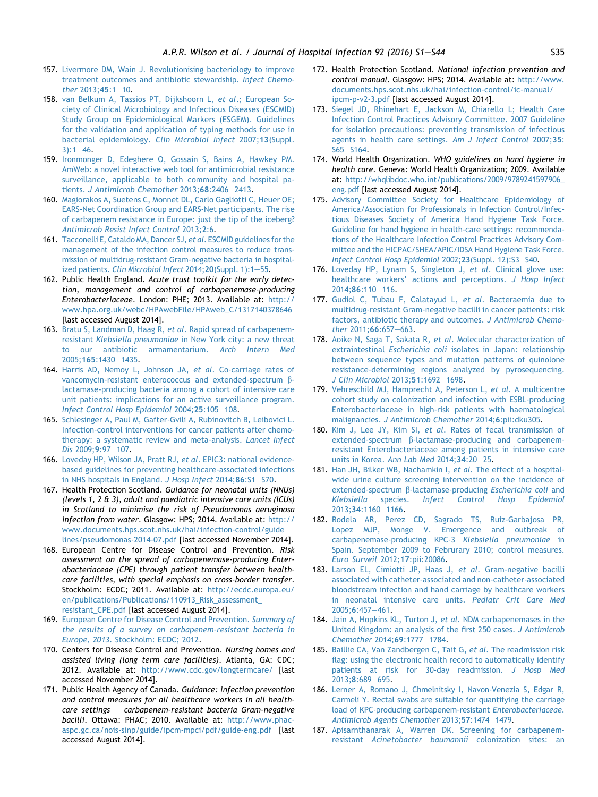- <span id="page-34-0"></span>157. [Livermore DM, Wain J. Revolutionising bacteriology to improve](http://refhub.elsevier.com/S0195-6701(15)00314-X/sref157) [treatment outcomes and antibiotic stewardship.](http://refhub.elsevier.com/S0195-6701(15)00314-X/sref157) Infect Chemother  $2013;45:1-10$  $2013;45:1-10$ .
- 158. [van Belkum A, Tassios PT, Dijkshoorn L,](http://refhub.elsevier.com/S0195-6701(15)00314-X/sref158) et al.; European So[ciety of Clinical Microbiology and Infectious Diseases \(ESCMID\)](http://refhub.elsevier.com/S0195-6701(15)00314-X/sref158) [Study Group on Epidemiological Markers \(ESGEM\). Guidelines](http://refhub.elsevier.com/S0195-6701(15)00314-X/sref158) [for the validation and application of typing methods for use in](http://refhub.elsevier.com/S0195-6701(15)00314-X/sref158) [bacterial epidemiology.](http://refhub.elsevier.com/S0195-6701(15)00314-X/sref158) Clin Microbiol Infect 2007;13(Suppl.  $3$ : 1–[46.](http://refhub.elsevier.com/S0195-6701(15)00314-X/sref158)
- 159. [Ironmonger D, Edeghere O, Gossain S, Bains A, Hawkey PM.](http://refhub.elsevier.com/S0195-6701(15)00314-X/sref159) [AmWeb: a novel interactive web tool for antimicrobial resistance](http://refhub.elsevier.com/S0195-6701(15)00314-X/sref159) [surveillance, applicable to both community and hospital pa-](http://refhub.elsevier.com/S0195-6701(15)00314-X/sref159)tients. [J Antimicrob Chemother](http://refhub.elsevier.com/S0195-6701(15)00314-X/sref159) 2013;68:2406-[2413](http://refhub.elsevier.com/S0195-6701(15)00314-X/sref159).
- 160. [Magiorakos A, Suetens C, Monnet DL, Carlo Gagliotti C, Heuer OE;](http://refhub.elsevier.com/S0195-6701(15)00314-X/sref160) [EARS-Net Coordination Group and EARS-Net participants. The rise](http://refhub.elsevier.com/S0195-6701(15)00314-X/sref160) [of carbapenem resistance in Europe: just the tip of the iceberg?](http://refhub.elsevier.com/S0195-6701(15)00314-X/sref160) [Antimicrob Resist Infect Control](http://refhub.elsevier.com/S0195-6701(15)00314-X/sref160) 2013;2:6.
- 161. [Tacconelli E, Cataldo MA, Dancer SJ,](http://refhub.elsevier.com/S0195-6701(15)00314-X/sref161) et al. ESCMID guidelines for the [management of the infection control measures to reduce trans](http://refhub.elsevier.com/S0195-6701(15)00314-X/sref161)[mission of multidrug-resistant Gram-negative bacteria in hospital-](http://refhub.elsevier.com/S0195-6701(15)00314-X/sref161)ized patients. [Clin Microbiol Infect](http://refhub.elsevier.com/S0195-6701(15)00314-X/sref161) 2014; 20(Suppl. 1): 1-[55](http://refhub.elsevier.com/S0195-6701(15)00314-X/sref161).
- 162. Public Health England. Acute trust toolkit for the early detection, management and control of carbapenemase-producing Enterobacteriaceae. London: PHE; 2013. Available at: [http://](http://www.hpa.org.uk/webc/HPAwebFile/HPAweb_C/1317140378646) [www.hpa.org.uk/webc/HPAwebFile/HPAweb\\_C/1317140378646](http://www.hpa.org.uk/webc/HPAwebFile/HPAweb_C/1317140378646) [last accessed August 2014].
- 163. Bratu S, Landman D, Haag R, et al[. Rapid spread of carbapenem](http://refhub.elsevier.com/S0195-6701(15)00314-X/sref163)resistant Klebsiella pneumoniae [in New York city: a new threat](http://refhub.elsevier.com/S0195-6701(15)00314-X/sref163) [to our antibiotic armamentarium.](http://refhub.elsevier.com/S0195-6701(15)00314-X/sref163) Arch Intern Med 2005:165[:1430](http://refhub.elsevier.com/S0195-6701(15)00314-X/sref163)-[1435](http://refhub.elsevier.com/S0195-6701(15)00314-X/sref163).
- 164. [Harris AD, Nemoy L, Johnson JA,](http://refhub.elsevier.com/S0195-6701(15)00314-X/sref164) et al. Co-carriage rates of [vancomycin-resistant enterococcus and extended-spectrum](http://refhub.elsevier.com/S0195-6701(15)00314-X/sref164) b[lactamase-producing bacteria among a cohort of intensive care](http://refhub.elsevier.com/S0195-6701(15)00314-X/sref164) [unit patients: implications for an active surveillance program.](http://refhub.elsevier.com/S0195-6701(15)00314-X/sref164) [Infect Control Hosp Epidemiol](http://refhub.elsevier.com/S0195-6701(15)00314-X/sref164) 2004:25:105-[108](http://refhub.elsevier.com/S0195-6701(15)00314-X/sref164).
- 165. [Schlesinger A, Paul M, Gafter-Gvili A, Rubinovitch B, Leibovici L.](http://refhub.elsevier.com/S0195-6701(15)00314-X/sref165) [Infection-control interventions for cancer patients after chemo](http://refhub.elsevier.com/S0195-6701(15)00314-X/sref165)[therapy: a systematic review and meta-analysis.](http://refhub.elsevier.com/S0195-6701(15)00314-X/sref165) Lancet Infect Dis 2009:9:97-[107.](http://refhub.elsevier.com/S0195-6701(15)00314-X/sref165)
- 166. [Loveday HP, Wilson JA, Pratt RJ,](http://refhub.elsevier.com/S0195-6701(15)00314-X/sref166) et al. EPIC3: national evidence[based guidelines for preventing healthcare-associated infections](http://refhub.elsevier.com/S0195-6701(15)00314-X/sref166) [in NHS hospitals in England.](http://refhub.elsevier.com/S0195-6701(15)00314-X/sref166) J Hosp Infect 2014;86:S1-[S70.](http://refhub.elsevier.com/S0195-6701(15)00314-X/sref166)
- 167. Health Protection Scotland. Guidance for neonatal units (NNUs) (levels 1, 2 & 3), adult and paediatric intensive care units (ICUs) in Scotland to minimise the risk of Pseudomonas aeruginosa infection from water. Glasgow: HPS; 2014. Available at: [http://](http://www.documents.hps.scot.nhs.uk/hai/infection-control/guidelines/pseudomonas-2014-07.pdf) [www.documents.hps.scot.nhs.uk/hai/infection-control/guide](http://www.documents.hps.scot.nhs.uk/hai/infection-control/guidelines/pseudomonas-2014-07.pdf) [lines/pseudomonas-2014-07.pdf](http://www.documents.hps.scot.nhs.uk/hai/infection-control/guidelines/pseudomonas-2014-07.pdf) [last accessed November 2014].
- 168. European Centre for Disease Control and Prevention. Risk assessment on the spread of carbapenemase-producing Enterobacteriaceae (CPE) through patient transfer between healthcare facilities, with special emphasis on cross-border transfer. Stockholm: ECDC; 2011. Available at: [http://ecdc.europa.eu/](http://ecdc.europa.eu/en/publications/Publications/110913_Risk_assessment_resistant_CPE.pdf) [en/publications/Publications/110913\\_Risk\\_assessment\\_](http://ecdc.europa.eu/en/publications/Publications/110913_Risk_assessment_resistant_CPE.pdf) [resistant\\_CPE.pdf](http://ecdc.europa.eu/en/publications/Publications/110913_Risk_assessment_resistant_CPE.pdf) [last accessed August 2014].
- 169. [European Centre for Disease Control and Prevention.](http://refhub.elsevier.com/S0195-6701(15)00314-X/sref169) Summary of [the results of a survey on carbapenem-resistant bacteria in](http://refhub.elsevier.com/S0195-6701(15)00314-X/sref169) Europe, 2013[. Stockholm: ECDC; 2012](http://refhub.elsevier.com/S0195-6701(15)00314-X/sref169).
- 170. Centers for Disease Control and Prevention. Nursing homes and assisted living (long term care facilities). Atlanta, GA: CDC; 2012. Available at: <http://www.cdc.gov/longtermcare/> [last accessed November 2014].
- 171. Public Health Agency of Canada. Guidance: infection prevention and control measures for all healthcare workers in all health $care$  settings  $-$  carbapenem-resistant bacteria Gram-negative bacilli. Ottawa: PHAC; 2010. Available at: [http://www.phac](http://www.phac-aspc.gc.ca/nois-sinp/guide/ipcm-mpci/pdf/guide-eng.pdf)[aspc.gc.ca/nois-sinp/guide/ipcm-mpci/pdf/guide-eng.pdf](http://www.phac-aspc.gc.ca/nois-sinp/guide/ipcm-mpci/pdf/guide-eng.pdf) [last accessed August 2014].
- 172. Health Protection Scotland. National infection prevention and control manual. Glasgow: HPS; 2014. Available at: [http://www.](http://www.documents.hps.scot.nhs.uk/hai/infection-control/ic-manual/ipcm-p-v2-3.pdf) [documents.hps.scot.nhs.uk/hai/infection-control/ic-manual/](http://www.documents.hps.scot.nhs.uk/hai/infection-control/ic-manual/ipcm-p-v2-3.pdf) [ipcm-p-v2-3.pdf](http://www.documents.hps.scot.nhs.uk/hai/infection-control/ic-manual/ipcm-p-v2-3.pdf) [last accessed August 2014].
- 173. [Siegel JD, Rhinehart E, Jackson M, Chiarello L; Health Care](http://refhub.elsevier.com/S0195-6701(15)00314-X/sref173) [Infection Control Practices Advisory Committee. 2007 Guideline](http://refhub.elsevier.com/S0195-6701(15)00314-X/sref173) [for isolation precautions: preventing transmission of infectious](http://refhub.elsevier.com/S0195-6701(15)00314-X/sref173) [agents in health care settings.](http://refhub.elsevier.com/S0195-6701(15)00314-X/sref173) Am J Infect Control 2007;35: [S65](http://refhub.elsevier.com/S0195-6701(15)00314-X/sref173)-[S164](http://refhub.elsevier.com/S0195-6701(15)00314-X/sref173).
- 174. World Health Organization. WHO guidelines on hand hygiene in health care. Geneva: World Health Organization; 2009. Available at: [http://whqlibdoc.who.int/publications/2009/9789241597906\\_](http://whqlibdoc.who.int/publications/2009/9789241597906_eng.pdf) [eng.pdf](http://whqlibdoc.who.int/publications/2009/9789241597906_eng.pdf) [last accessed August 2014].
- 175. [Advisory Committee Society for Healthcare Epidemiology of](http://refhub.elsevier.com/S0195-6701(15)00314-X/sref175) [America/Association for Professionals in Infection Control/Infec](http://refhub.elsevier.com/S0195-6701(15)00314-X/sref175)[tious Diseases Society of America Hand Hygiene Task Force.](http://refhub.elsevier.com/S0195-6701(15)00314-X/sref175) [Guideline for hand hygiene in health-care settings: recommenda](http://refhub.elsevier.com/S0195-6701(15)00314-X/sref175)[tions of the Healthcare Infection Control Practices Advisory Com](http://refhub.elsevier.com/S0195-6701(15)00314-X/sref175)[mittee and the HICPAC/SHEA/APIC/IDSA Hand Hygiene Task Force.](http://refhub.elsevier.com/S0195-6701(15)00314-X/sref175) [Infect Control Hosp Epidemiol](http://refhub.elsevier.com/S0195-6701(15)00314-X/sref175) 2002;23(Suppl. 12):S3-[S40](http://refhub.elsevier.com/S0195-6701(15)00314-X/sref175).
- 176. [Loveday HP, Lynam S, Singleton J,](http://refhub.elsevier.com/S0195-6701(15)00314-X/sref176) et al. Clinical glove use: [healthcare workers' actions and perceptions.](http://refhub.elsevier.com/S0195-6701(15)00314-X/sref176) J Hosp Infect [2014;](http://refhub.elsevier.com/S0195-6701(15)00314-X/sref176)86:110-[116](http://refhub.elsevier.com/S0195-6701(15)00314-X/sref176).
- 177. [Gudiol C, Tubau F, Calatayud L,](http://refhub.elsevier.com/S0195-6701(15)00314-X/sref177) et al. Bacteraemia due to [multidrug-resistant Gram-negative bacilli in cancer patients: risk](http://refhub.elsevier.com/S0195-6701(15)00314-X/sref177) [factors, antibiotic therapy and outcomes.](http://refhub.elsevier.com/S0195-6701(15)00314-X/sref177) J Antimicrob Chemo-ther [2011;](http://refhub.elsevier.com/S0195-6701(15)00314-X/sref177)66:657-[663](http://refhub.elsevier.com/S0195-6701(15)00314-X/sref177).
- 178. Aoike N, Saga T, Sakata R, et al[. Molecular characterization of](http://refhub.elsevier.com/S0195-6701(15)00314-X/sref178) extraintestinal Escherichia coli [isolates in Japan: relationship](http://refhub.elsevier.com/S0195-6701(15)00314-X/sref178) [between sequence types and mutation patterns of quinolone](http://refhub.elsevier.com/S0195-6701(15)00314-X/sref178) [resistance-determining regions analyzed by pyrosequencing.](http://refhub.elsevier.com/S0195-6701(15)00314-X/sref178) [J Clin Microbiol](http://refhub.elsevier.com/S0195-6701(15)00314-X/sref178) 2013;51:1692-[1698](http://refhub.elsevier.com/S0195-6701(15)00314-X/sref178).
- 179. [Vehreschild MJ, Hamprecht A, Peterson L,](http://refhub.elsevier.com/S0195-6701(15)00314-X/sref179) et al. A multicentre [cohort study on colonization and infection with ESBL-producing](http://refhub.elsevier.com/S0195-6701(15)00314-X/sref179) [Enterobacteriaceae in high-risk patients with haematological](http://refhub.elsevier.com/S0195-6701(15)00314-X/sref179) malignancies. [J Antimicrob Chemother](http://refhub.elsevier.com/S0195-6701(15)00314-X/sref179) 2014;6:pii:dku305.
- 180. Kim J, Lee JY, Kim SI, et al[. Rates of fecal transmission of](http://refhub.elsevier.com/S0195-6701(15)00314-X/sref180)  $extended-spectrum$   $\beta$ [-lactamase-producing and carbapenem](http://refhub.elsevier.com/S0195-6701(15)00314-X/sref180)[resistant Enterobacteriaceae among patients in intensive care](http://refhub.elsevier.com/S0195-6701(15)00314-X/sref180) [units in Korea.](http://refhub.elsevier.com/S0195-6701(15)00314-X/sref180) Ann Lab Med  $2014:34:20-25$ .
- 181. [Han JH, Bilker WB, Nachamkin I,](http://refhub.elsevier.com/S0195-6701(15)00314-X/sref181) et al. The effect of a hospital[wide urine culture screening intervention on the incidence of](http://refhub.elsevier.com/S0195-6701(15)00314-X/sref181) extended-spectrum  $\beta$ [-lactamase-producing](http://refhub.elsevier.com/S0195-6701(15)00314-X/sref181) Escherichia coli and Klebsiella species. [Infect Control Hosp Epidemiol](http://refhub.elsevier.com/S0195-6701(15)00314-X/sref181) 2013;34[:1160](http://refhub.elsevier.com/S0195-6701(15)00314-X/sref181)-[1166](http://refhub.elsevier.com/S0195-6701(15)00314-X/sref181).
- 182. [Rodela AR, Perez CD, Sagrado TS, Ruiz-Garbajosa PR,](http://refhub.elsevier.com/S0195-6701(15)00314-X/sref182) [Lopez MJP, Monge V. Emergence and outbreak of](http://refhub.elsevier.com/S0195-6701(15)00314-X/sref182) [carbapenemase-producing KPC-3](http://refhub.elsevier.com/S0195-6701(15)00314-X/sref182) Klebsiella pneumoniae in [Spain. September 2009 to Februrary 2010; control measures.](http://refhub.elsevier.com/S0195-6701(15)00314-X/sref182) [Euro Surveil](http://refhub.elsevier.com/S0195-6701(15)00314-X/sref182) 2012;17:pii:20086.
- 183. [Larson EL, Cimiotti JP, Haas J,](http://refhub.elsevier.com/S0195-6701(15)00314-X/sref183) et al. Gram-negative bacilli [associated with catheter-associated and non-catheter-associated](http://refhub.elsevier.com/S0195-6701(15)00314-X/sref183) [bloodstream infection and hand carriage by healthcare workers](http://refhub.elsevier.com/S0195-6701(15)00314-X/sref183) [in neonatal intensive care units.](http://refhub.elsevier.com/S0195-6701(15)00314-X/sref183) Pediatr Crit Care Med  $2005:6:457-461.$  $2005:6:457-461.$
- 184. Jain A, Hopkins KL, Turton J, et al[. NDM carbapenemases in the](http://refhub.elsevier.com/S0195-6701(15)00314-X/sref184) [United Kingdom: an analysis of the first 250 cases.](http://refhub.elsevier.com/S0195-6701(15)00314-X/sref184) J Antimicrob [Chemother](http://refhub.elsevier.com/S0195-6701(15)00314-X/sref184) 2014;69:1777-[1784](http://refhub.elsevier.com/S0195-6701(15)00314-X/sref184).
- 185. [Baillie CA, Van Zandbergen C, Tait G,](http://refhub.elsevier.com/S0195-6701(15)00314-X/sref185) et al. The readmission risk [flag: using the electronic health record to automatically identify](http://refhub.elsevier.com/S0195-6701(15)00314-X/sref185) [patients at risk for 30-day readmission.](http://refhub.elsevier.com/S0195-6701(15)00314-X/sref185) J Hosp Med [2013;](http://refhub.elsevier.com/S0195-6701(15)00314-X/sref185)8:689-[695.](http://refhub.elsevier.com/S0195-6701(15)00314-X/sref185)
- 186. [Lerner A, Romano J, Chmelnitsky I, Navon-Venezia S, Edgar R,](http://refhub.elsevier.com/S0195-6701(15)00314-X/sref186) [Carmeli Y. Rectal swabs are suitable for quantifying the carriage](http://refhub.elsevier.com/S0195-6701(15)00314-X/sref186) [load of KPC-producing carbapenem-resistant](http://refhub.elsevier.com/S0195-6701(15)00314-X/sref186) Enterobacteriaceae. [Antimicrob Agents Chemother](http://refhub.elsevier.com/S0195-6701(15)00314-X/sref186) 2013;57:1474-[1479.](http://refhub.elsevier.com/S0195-6701(15)00314-X/sref186)
- 187. [Apisarnthanarak A, Warren DK. Screening for carbapenem](http://refhub.elsevier.com/S0195-6701(15)00314-X/sref187)resistant [Acinetobacter baumannii](http://refhub.elsevier.com/S0195-6701(15)00314-X/sref187) colonization sites: an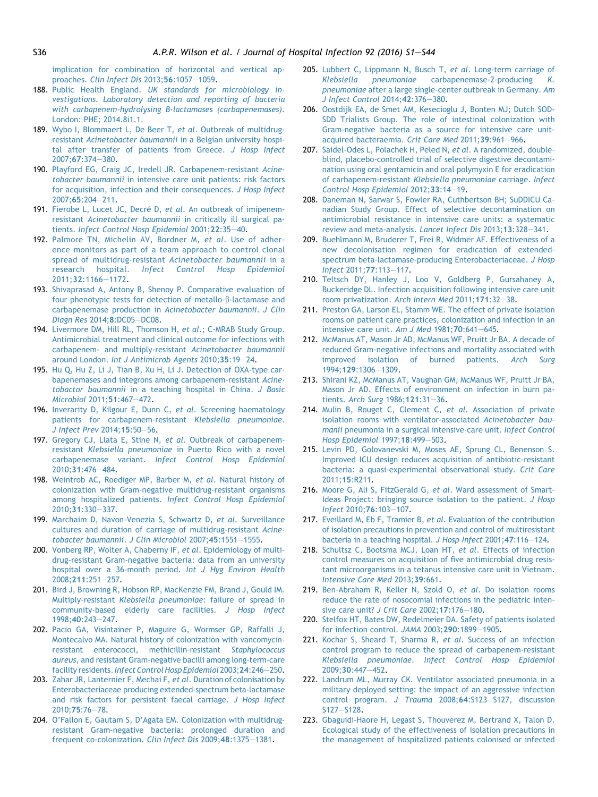<span id="page-35-0"></span>[implication for combination of horizontal and vertical ap-](http://refhub.elsevier.com/S0195-6701(15)00314-X/sref187)proaches. [Clin Infect Dis](http://refhub.elsevier.com/S0195-6701(15)00314-X/sref187) 2013;56:1057-[1059](http://refhub.elsevier.com/S0195-6701(15)00314-X/sref187).

- 188. Public Health England. [UK standards for microbiology in](http://refhub.elsevier.com/S0195-6701(15)00314-X/sref188)[vestigations. Laboratory detection and reporting of bacteria](http://refhub.elsevier.com/S0195-6701(15)00314-X/sref188) [with carbapenem-hydrolysing B-lactamases \(carbapenemases\)](http://refhub.elsevier.com/S0195-6701(15)00314-X/sref188). [London: PHE; 2014.8i1.1.](http://refhub.elsevier.com/S0195-6701(15)00314-X/sref188)
- 189. [Wybo I, Blommaert L, De Beer T,](http://refhub.elsevier.com/S0195-6701(15)00314-X/sref189) et al. Outbreak of multidrugresistant Acinetobacter baumannii [in a Belgian university hospi](http://refhub.elsevier.com/S0195-6701(15)00314-X/sref189)[tal after transfer of patients from Greece.](http://refhub.elsevier.com/S0195-6701(15)00314-X/sref189) J Hosp Infect [2007;](http://refhub.elsevier.com/S0195-6701(15)00314-X/sref189)67:374-[380.](http://refhub.elsevier.com/S0195-6701(15)00314-X/sref189)
- 190. [Playford EG, Craig JC, Iredell JR. Carbapenem-resistant](http://refhub.elsevier.com/S0195-6701(15)00314-X/sref190) Acinetobacter baumannii [in intensive care unit patients: risk factors](http://refhub.elsevier.com/S0195-6701(15)00314-X/sref190) [for acquisition, infection and their consequences.](http://refhub.elsevier.com/S0195-6701(15)00314-X/sref190) J Hosp Infect [2007;](http://refhub.elsevier.com/S0195-6701(15)00314-X/sref190)65:204-[211.](http://refhub.elsevier.com/S0195-6701(15)00314-X/sref190)
- 191. Fierobe L, Lucet JC, Decré D, et al[. An outbreak of imipenem](http://refhub.elsevier.com/S0195-6701(15)00314-X/sref191)resistant Acinetobacter baumannii [in critically ill surgical pa-](http://refhub.elsevier.com/S0195-6701(15)00314-X/sref191)tients. [Infect Control Hosp Epidemiol](http://refhub.elsevier.com/S0195-6701(15)00314-X/sref191) 2001;22:35-[40](http://refhub.elsevier.com/S0195-6701(15)00314-X/sref191).
- 192. [Palmore TN, Michelin AV, Bordner M,](http://refhub.elsevier.com/S0195-6701(15)00314-X/sref192) et al. Use of adher[ence monitors as part of a team approach to control clonal](http://refhub.elsevier.com/S0195-6701(15)00314-X/sref192) [spread of multidrug-resistant](http://refhub.elsevier.com/S0195-6701(15)00314-X/sref192) Acinetobacter baumannii in a research hospital. [Infect Control Hosp Epidemiol](http://refhub.elsevier.com/S0195-6701(15)00314-X/sref192) [2011;](http://refhub.elsevier.com/S0195-6701(15)00314-X/sref192)32:1166-[1172](http://refhub.elsevier.com/S0195-6701(15)00314-X/sref192).
- 193. [Shivaprasad A, Antony B, Shenoy P. Comparative evaluation of](http://refhub.elsevier.com/S0195-6701(15)00314-X/sref193) [four phenotypic tests for detection of metallo-](http://refhub.elsevier.com/S0195-6701(15)00314-X/sref193) $\beta$ -lactamase and [carbapenemase production in](http://refhub.elsevier.com/S0195-6701(15)00314-X/sref193) Acinetobacter baumannii. J Clin [Diagn Res](http://refhub.elsevier.com/S0195-6701(15)00314-X/sref193) 2014;8:DC05-[DC08](http://refhub.elsevier.com/S0195-6701(15)00314-X/sref193).
- 194. [Livermore DM, Hill RL, Thomson H,](http://refhub.elsevier.com/S0195-6701(15)00314-X/sref194) et al.; C-MRAB Study Group. [Antimicrobial treatment and clinical outcome for infections with](http://refhub.elsevier.com/S0195-6701(15)00314-X/sref194) [carbapenem- and multiply-resistant](http://refhub.elsevier.com/S0195-6701(15)00314-X/sref194) Acinetobacter baumannii around London. [Int J Antimicrob Agents](http://refhub.elsevier.com/S0195-6701(15)00314-X/sref194) 2010;35:19-[24.](http://refhub.elsevier.com/S0195-6701(15)00314-X/sref194)
- 195. [Hu Q, Hu Z, Li J, Tian B, Xu H, Li J. Detection of OXA-type car](http://refhub.elsevier.com/S0195-6701(15)00314-X/sref195)[bapenemases and integrons among carbapenem-resistant](http://refhub.elsevier.com/S0195-6701(15)00314-X/sref195) Acinetobactor baumannii [in a teaching hospital in China.](http://refhub.elsevier.com/S0195-6701(15)00314-X/sref195) J Basic [Microbiol](http://refhub.elsevier.com/S0195-6701(15)00314-X/sref195) 2011;51:467-[472.](http://refhub.elsevier.com/S0195-6701(15)00314-X/sref195)
- 196. [Inverarity D, Kilgour E, Dunn C,](http://refhub.elsevier.com/S0195-6701(15)00314-X/sref196) et al. Screening haematology [patients for carbapenem-resistant](http://refhub.elsevier.com/S0195-6701(15)00314-X/sref196) Klebsiella pneumoniae. [J Infect Prev](http://refhub.elsevier.com/S0195-6701(15)00314-X/sref196) 2014;15:50-[56.](http://refhub.elsevier.com/S0195-6701(15)00314-X/sref196)
- 197. [Gregory CJ, Llata E, Stine N,](http://refhub.elsevier.com/S0195-6701(15)00314-X/sref197) et al. Outbreak of carbapenemresistant Klebsiella pneumoniae [in Puerto Rico with a novel](http://refhub.elsevier.com/S0195-6701(15)00314-X/sref197) carbapenemase variant. [Infect Control Hosp Epidemiol](http://refhub.elsevier.com/S0195-6701(15)00314-X/sref197) [2010;](http://refhub.elsevier.com/S0195-6701(15)00314-X/sref197)31:476-[484.](http://refhub.elsevier.com/S0195-6701(15)00314-X/sref197)
- 198. [Weintrob AC, Roediger MP, Barber M,](http://refhub.elsevier.com/S0195-6701(15)00314-X/sref198) et al. Natural history of [colonization with Gram-negative multidrug-resistant organisms](http://refhub.elsevier.com/S0195-6701(15)00314-X/sref198) among hospitalized patients. [Infect Control Hosp Epidemiol](http://refhub.elsevier.com/S0195-6701(15)00314-X/sref198) [2010;](http://refhub.elsevier.com/S0195-6701(15)00314-X/sref198)31:330-[337.](http://refhub.elsevier.com/S0195-6701(15)00314-X/sref198)
- 199. [Marchaim D, Navon-Venezia S, Schwartz D,](http://refhub.elsevier.com/S0195-6701(15)00314-X/sref199) et al. Surveillance [cultures and duration of carriage of multidrug-resistant](http://refhub.elsevier.com/S0195-6701(15)00314-X/sref199) Acine[tobacter baumannii](http://refhub.elsevier.com/S0195-6701(15)00314-X/sref199). J Clin Microbiol 2007;45:1551-[1555](http://refhub.elsevier.com/S0195-6701(15)00314-X/sref199).
- 200. [Vonberg RP, Wolter A, Chaberny IF,](http://refhub.elsevier.com/S0195-6701(15)00314-X/sref200) et al. Epidemiology of multi[drug-resistant Gram-negative bacteria: data from an university](http://refhub.elsevier.com/S0195-6701(15)00314-X/sref200) [hospital over a 36-month period.](http://refhub.elsevier.com/S0195-6701(15)00314-X/sref200) Int J Hyg Environ Health 2008:211:251-[257](http://refhub.elsevier.com/S0195-6701(15)00314-X/sref200).
- 201. [Bird J, Browning R, Hobson RP, MacKenzie FM, Brand J, Gould IM.](http://refhub.elsevier.com/S0195-6701(15)00314-X/sref201) Multiply-resistant [Klebsiella pneumoniae](http://refhub.elsevier.com/S0195-6701(15)00314-X/sref201): failure of spread in [community-based elderly care facilities.](http://refhub.elsevier.com/S0195-6701(15)00314-X/sref201) J Hosp Infect 1998:40:243-[247.](http://refhub.elsevier.com/S0195-6701(15)00314-X/sref201)
- 202. [Pacio GA, Visintainer P, Maguire G, Wormser GP, Raffalli J,](http://refhub.elsevier.com/S0195-6701(15)00314-X/sref202) [Montecalvo MA. Natural history of colonization with vancomycin](http://refhub.elsevier.com/S0195-6701(15)00314-X/sref202)[resistant enterococci, methicillin-resistant](http://refhub.elsevier.com/S0195-6701(15)00314-X/sref202) Staphylococcus aureus[, and resistant Gram-negative bacilli among long-term-care](http://refhub.elsevier.com/S0195-6701(15)00314-X/sref202) facility residents. [Infect Control Hosp Epidemiol](http://refhub.elsevier.com/S0195-6701(15)00314-X/sref202) 2003;24:246-[250.](http://refhub.elsevier.com/S0195-6701(15)00314-X/sref202)
- 203. [Zahar JR, Lanternier F, Mechai F,](http://refhub.elsevier.com/S0195-6701(15)00314-X/sref203) et al. Duration of colonisation by [Enterobacteriaceae producing extended-spectrum beta-lactamase](http://refhub.elsevier.com/S0195-6701(15)00314-X/sref203) [and risk factors for persistent faecal carriage.](http://refhub.elsevier.com/S0195-6701(15)00314-X/sref203) J Hosp Infect 2010:75:76-[78](http://refhub.elsevier.com/S0195-6701(15)00314-X/sref203).
- 204. [O'Fallon E, Gautam S, D'Agata EM. Colonization with multidrug](http://refhub.elsevier.com/S0195-6701(15)00314-X/sref204)[resistant Gram-negative bacteria: prolonged duration and](http://refhub.elsevier.com/S0195-6701(15)00314-X/sref204) [frequent co-colonization.](http://refhub.elsevier.com/S0195-6701(15)00314-X/sref204) Clin Infect Dis 2009;48:1375-[1381.](http://refhub.elsevier.com/S0195-6701(15)00314-X/sref204)
- 205. [Lubbert C, Lippmann N, Busch T,](http://refhub.elsevier.com/S0195-6701(15)00314-X/sref205) et al. Long-term carriage of Klebsiella pneumoniae [carbapenemase-2-producing](http://refhub.elsevier.com/S0195-6701(15)00314-X/sref205) K. pneumoniae [after a large single-center outbreak in Germany.](http://refhub.elsevier.com/S0195-6701(15)00314-X/sref205) Am [J Infect Control](http://refhub.elsevier.com/S0195-6701(15)00314-X/sref205) 2014;42:376-[380](http://refhub.elsevier.com/S0195-6701(15)00314-X/sref205).
- 206. [Oostdijk EA, de Smet AM, Kesecioglu J, Bonten MJ; Dutch SOD-](http://refhub.elsevier.com/S0195-6701(15)00314-X/sref206)[SDD Trialists Group. The role of intestinal colonization with](http://refhub.elsevier.com/S0195-6701(15)00314-X/sref206) [Gram-negative bacteria as a source for intensive care unit](http://refhub.elsevier.com/S0195-6701(15)00314-X/sref206)[acquired bacteraemia.](http://refhub.elsevier.com/S0195-6701(15)00314-X/sref206) Crit Care Med 2011;39:961-[966](http://refhub.elsevier.com/S0195-6701(15)00314-X/sref206).
- 207. [Saidel-Odes L, Polachek H, Peled N,](http://refhub.elsevier.com/S0195-6701(15)00314-X/sref207) et al. A randomized, double[blind, placebo-controlled trial of selective digestive decontami](http://refhub.elsevier.com/S0195-6701(15)00314-X/sref207)[nation using oral gentamicin and oral polymyxin E for eradication](http://refhub.elsevier.com/S0195-6701(15)00314-X/sref207) [of carbapenem-resistant](http://refhub.elsevier.com/S0195-6701(15)00314-X/sref207) Klebsiella pneumoniae carriage. Infect [Control Hosp Epidemiol](http://refhub.elsevier.com/S0195-6701(15)00314-X/sref207) 2012;33:14-[19](http://refhub.elsevier.com/S0195-6701(15)00314-X/sref207).
- 208. [Daneman N, Sarwar S, Fowler RA, Cuthbertson BH; SuDDICU Ca](http://refhub.elsevier.com/S0195-6701(15)00314-X/sref208)[nadian Study Group. Effect of selective decontamination on](http://refhub.elsevier.com/S0195-6701(15)00314-X/sref208) [antimicrobial resistance in intensive care units: a systematic](http://refhub.elsevier.com/S0195-6701(15)00314-X/sref208) [review and meta-analysis.](http://refhub.elsevier.com/S0195-6701(15)00314-X/sref208) Lancet Infect Dis 2013;13:328-[341](http://refhub.elsevier.com/S0195-6701(15)00314-X/sref208).
- 209. [Buehlmann M, Bruderer T, Frei R, Widmer AF. Effectiveness of a](http://refhub.elsevier.com/S0195-6701(15)00314-X/sref209) [new decolonisation regimen for eradication of extended](http://refhub.elsevier.com/S0195-6701(15)00314-X/sref209)[spectrum beta-lactamase-producing Enterobacteriaceae.](http://refhub.elsevier.com/S0195-6701(15)00314-X/sref209) J Hosp [Infect](http://refhub.elsevier.com/S0195-6701(15)00314-X/sref209) 2011:77:113-[117](http://refhub.elsevier.com/S0195-6701(15)00314-X/sref209).
- 210. [Teltsch DY, Hanley J, Loo V, Goldberg P, Gursahaney A,](http://refhub.elsevier.com/S0195-6701(15)00314-X/sref210) [Buckeridge DL. Infection acquisition following intensive care unit](http://refhub.elsevier.com/S0195-6701(15)00314-X/sref210) [room privatization.](http://refhub.elsevier.com/S0195-6701(15)00314-X/sref210) Arch Intern Med 2011;171:32-[38.](http://refhub.elsevier.com/S0195-6701(15)00314-X/sref210)
- 211. [Preston GA, Larson EL, Stamm WE. The effect of private isolation](http://refhub.elsevier.com/S0195-6701(15)00314-X/sref211) [rooms on patient care practices, colonization and infection in an](http://refhub.elsevier.com/S0195-6701(15)00314-X/sref211) [intensive care unit.](http://refhub.elsevier.com/S0195-6701(15)00314-X/sref211) Am J Med  $1981;70:641-645$ .
- 212. [McManus AT, Mason Jr AD, McManus WF, Pruitt Jr BA. A decade of](http://refhub.elsevier.com/S0195-6701(15)00314-X/sref212) [reduced Gram-negative infections and mortality associated with](http://refhub.elsevier.com/S0195-6701(15)00314-X/sref212) [improved isolation of burned patients.](http://refhub.elsevier.com/S0195-6701(15)00314-X/sref212) Arch Surg 1994:129:1306-[1309](http://refhub.elsevier.com/S0195-6701(15)00314-X/sref212).
- 213. [Shirani KZ, McManus AT, Vaughan GM, McManus WF, Pruitt Jr BA,](http://refhub.elsevier.com/S0195-6701(15)00314-X/sref213) [Mason Jr AD. Effects of environment on infection in burn pa-](http://refhub.elsevier.com/S0195-6701(15)00314-X/sref213)tients. [Arch Surg](http://refhub.elsevier.com/S0195-6701(15)00314-X/sref213) 1986;121:31-[36](http://refhub.elsevier.com/S0195-6701(15)00314-X/sref213).
- 214. [Mulin B, Rouget C, Clement C,](http://refhub.elsevier.com/S0195-6701(15)00314-X/sref214) et al. Association of private [isolation rooms with ventilator-associated](http://refhub.elsevier.com/S0195-6701(15)00314-X/sref214) Acinetobacter baumanii [pneumonia in a surgical intensive-care unit.](http://refhub.elsevier.com/S0195-6701(15)00314-X/sref214) Infect Control [Hosp Epidemiol](http://refhub.elsevier.com/S0195-6701(15)00314-X/sref214) 1997;18:499-[503](http://refhub.elsevier.com/S0195-6701(15)00314-X/sref214).
- 215. [Levin PD, Golovanevski M, Moses AE, Sprung CL, Benenson S.](http://refhub.elsevier.com/S0195-6701(15)00314-X/sref215) [Improved ICU design reduces acquisition of antibiotic-resistant](http://refhub.elsevier.com/S0195-6701(15)00314-X/sref215) [bacteria: a quasi-experimental observational study.](http://refhub.elsevier.com/S0195-6701(15)00314-X/sref215) Crit Care 2011;15[:R211.](http://refhub.elsevier.com/S0195-6701(15)00314-X/sref215)
- 216. [Moore G, Ali S, FitzGerald G,](http://refhub.elsevier.com/S0195-6701(15)00314-X/sref216) et al. Ward assessment of Smart-[Ideas Project: bringing source isolation to the patient.](http://refhub.elsevier.com/S0195-6701(15)00314-X/sref216) J Hosp [Infect](http://refhub.elsevier.com/S0195-6701(15)00314-X/sref216) 2010;76:103-[107](http://refhub.elsevier.com/S0195-6701(15)00314-X/sref216).
- 217. Eveillard M, Eb F, Tramier B, et al[. Evaluation of the contribution](http://refhub.elsevier.com/S0195-6701(15)00314-X/sref217) [of isolation precautions in prevention and control of multiresistant](http://refhub.elsevier.com/S0195-6701(15)00314-X/sref217) [bacteria in a teaching hospital.](http://refhub.elsevier.com/S0195-6701(15)00314-X/sref217) J Hosp Infect 2001;47:116-[124.](http://refhub.elsevier.com/S0195-6701(15)00314-X/sref217)
- 218. [Schultsz C, Bootsma MCJ, Loan HT,](http://refhub.elsevier.com/S0195-6701(15)00314-X/sref218) et al. Effects of infection [control measures on acquisition of five antimicrobial drug resis](http://refhub.elsevier.com/S0195-6701(15)00314-X/sref218)[tant microorganisms in a tetanus intensive care unit in Vietnam.](http://refhub.elsevier.com/S0195-6701(15)00314-X/sref218) [Intensive Care Med](http://refhub.elsevier.com/S0195-6701(15)00314-X/sref218) 2013;39:661.
- 219. [Ben-Abraham R, Keller N, Szold O,](http://refhub.elsevier.com/S0195-6701(15)00314-X/sref219) et al. Do isolation rooms [reduce the rate of nosocomial infections in the pediatric inten](http://refhub.elsevier.com/S0195-6701(15)00314-X/sref219)[sive care unit?](http://refhub.elsevier.com/S0195-6701(15)00314-X/sref219) J Crit Care  $2002;17:176-180$  $2002;17:176-180$ .
- 220. [Stelfox HT, Bates DW, Redelmeier DA. Safety of patients isolated](http://refhub.elsevier.com/S0195-6701(15)00314-X/sref220) [for infection control.](http://refhub.elsevier.com/S0195-6701(15)00314-X/sref220) JAMA  $2003:290:1899-1905$  $2003:290:1899-1905$ .
- 221. [Kochar S, Sheard T, Sharma R,](http://refhub.elsevier.com/S0195-6701(15)00314-X/sref221) et al. Success of an infection [control program to reduce the spread of carbapenem-resistant](http://refhub.elsevier.com/S0195-6701(15)00314-X/sref221) Klebsiella pneumoniae. [Infect Control Hosp Epidemiol](http://refhub.elsevier.com/S0195-6701(15)00314-X/sref221) [2009;](http://refhub.elsevier.com/S0195-6701(15)00314-X/sref221)30:447-[452.](http://refhub.elsevier.com/S0195-6701(15)00314-X/sref221)
- 222. [Landrum ML, Murray CK. Ventilator associated pneumonia in a](http://refhub.elsevier.com/S0195-6701(15)00314-X/sref222) [military deployed setting: the impact of an aggressive infection](http://refhub.elsevier.com/S0195-6701(15)00314-X/sref222) [control program.](http://refhub.elsevier.com/S0195-6701(15)00314-X/sref222) J Trauma 2008;64:S123-[S127, discussion](http://refhub.elsevier.com/S0195-6701(15)00314-X/sref222)  $S127 - S128.$  $S127 - S128.$  $S127 - S128.$
- 223. [Gbaguidi-Haore H, Legast S, Thouverez M, Bertrand X, Talon D.](http://refhub.elsevier.com/S0195-6701(15)00314-X/sref223) [Ecological study of the effectiveness of isolation precautions in](http://refhub.elsevier.com/S0195-6701(15)00314-X/sref223) [the management of hospitalized patients colonised or infected](http://refhub.elsevier.com/S0195-6701(15)00314-X/sref223)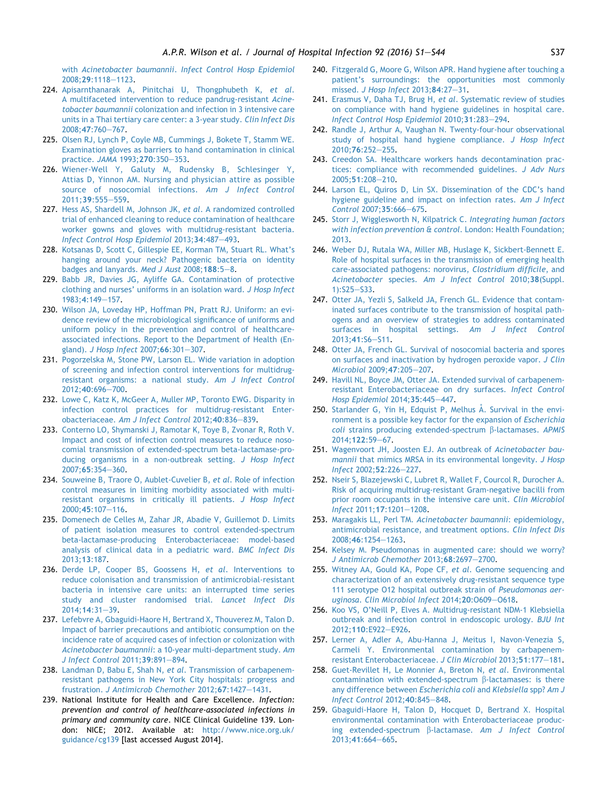<span id="page-36-0"></span>with Acinetobacter baumannii. [Infect Control Hosp Epidemiol](http://refhub.elsevier.com/S0195-6701(15)00314-X/sref223) 2008;29[:1118](http://refhub.elsevier.com/S0195-6701(15)00314-X/sref223)-[1123](http://refhub.elsevier.com/S0195-6701(15)00314-X/sref223).

- 224. [Apisarnthanarak A, Pinitchai U, Thongphubeth K,](http://refhub.elsevier.com/S0195-6701(15)00314-X/sref224) et al. [A multifaceted intervention to reduce pandrug-resistant](http://refhub.elsevier.com/S0195-6701(15)00314-X/sref224) Acinetobacter baumannii [colonization and infection in 3 intensive care](http://refhub.elsevier.com/S0195-6701(15)00314-X/sref224) [units in a Thai tertiary care center: a 3-year study.](http://refhub.elsevier.com/S0195-6701(15)00314-X/sref224) Clin Infect Dis [2008;](http://refhub.elsevier.com/S0195-6701(15)00314-X/sref224)47:760-[767](http://refhub.elsevier.com/S0195-6701(15)00314-X/sref224).
- 225. [Olsen RJ, Lynch P, Coyle MB, Cummings J, Bokete T, Stamm WE.](http://refhub.elsevier.com/S0195-6701(15)00314-X/sref225) [Examination gloves as barriers to hand contamination in clinical](http://refhub.elsevier.com/S0195-6701(15)00314-X/sref225) [practice.](http://refhub.elsevier.com/S0195-6701(15)00314-X/sref225) JAMA 1993;270:350-[353](http://refhub.elsevier.com/S0195-6701(15)00314-X/sref225).
- 226. [Wiener-Well Y, Galuty M, Rudensky B, Schlesinger Y,](http://refhub.elsevier.com/S0195-6701(15)00314-X/sref226) [Attias D, Yinnon AM. Nursing and physician attire as possible](http://refhub.elsevier.com/S0195-6701(15)00314-X/sref226) [source of nosocomial infections.](http://refhub.elsevier.com/S0195-6701(15)00314-X/sref226) Am J Infect Control [2011;](http://refhub.elsevier.com/S0195-6701(15)00314-X/sref226)39:555-[559](http://refhub.elsevier.com/S0195-6701(15)00314-X/sref226).
- 227. [Hess AS, Shardell M, Johnson JK,](http://refhub.elsevier.com/S0195-6701(15)00314-X/sref227) et al. A randomized controlled [trial of enhanced cleaning to reduce contamination of healthcare](http://refhub.elsevier.com/S0195-6701(15)00314-X/sref227) [worker gowns and gloves with multidrug-resistant bacteria.](http://refhub.elsevier.com/S0195-6701(15)00314-X/sref227) [Infect Control Hosp Epidemiol](http://refhub.elsevier.com/S0195-6701(15)00314-X/sref227) 2013:34:487-[493](http://refhub.elsevier.com/S0195-6701(15)00314-X/sref227).
- 228. [Kotsanas D, Scott C, Gillespie EE, Korman TM, Stuart RL. What's](http://refhub.elsevier.com/S0195-6701(15)00314-X/sref228) [hanging around your neck? Pathogenic bacteria on identity](http://refhub.elsevier.com/S0195-6701(15)00314-X/sref228) [badges and lanyards.](http://refhub.elsevier.com/S0195-6701(15)00314-X/sref228) Med J Aust 200[8](http://refhub.elsevier.com/S0195-6701(15)00314-X/sref228);188:5-8.
- 229. [Babb JR, Davies JG, Ayliffe GA. Contamination of protective](http://refhub.elsevier.com/S0195-6701(15)00314-X/sref229) [clothing and nurses' uniforms in an isolation ward.](http://refhub.elsevier.com/S0195-6701(15)00314-X/sref229) J Hosp Infect [1983;](http://refhub.elsevier.com/S0195-6701(15)00314-X/sref229)4:149-[157.](http://refhub.elsevier.com/S0195-6701(15)00314-X/sref229)
- 230. [Wilson JA, Loveday HP, Hoffman PN, Pratt RJ. Uniform: an evi](http://refhub.elsevier.com/S0195-6701(15)00314-X/sref230)[dence review of the microbiological significance of uniforms and](http://refhub.elsevier.com/S0195-6701(15)00314-X/sref230) [uniform policy in the prevention and control of healthcare](http://refhub.elsevier.com/S0195-6701(15)00314-X/sref230)[associated infections. Report to the Department of Health \(En-](http://refhub.elsevier.com/S0195-6701(15)00314-X/sref230)gland). [J Hosp Infect](http://refhub.elsevier.com/S0195-6701(15)00314-X/sref230) 2007;66:301-[307](http://refhub.elsevier.com/S0195-6701(15)00314-X/sref230).
- 231. [Pogorzelska M, Stone PW, Larson EL. Wide variation in adoption](http://refhub.elsevier.com/S0195-6701(15)00314-X/sref231) [of screening and infection control interventions for multidrug](http://refhub.elsevier.com/S0195-6701(15)00314-X/sref231)[resistant organisms: a national study.](http://refhub.elsevier.com/S0195-6701(15)00314-X/sref231) Am J Infect Control [2012;](http://refhub.elsevier.com/S0195-6701(15)00314-X/sref231)40:696-[700](http://refhub.elsevier.com/S0195-6701(15)00314-X/sref231).
- 232. [Lowe C, Katz K, McGeer A, Muller MP, Toronto EWG. Disparity in](http://refhub.elsevier.com/S0195-6701(15)00314-X/sref232) [infection control practices for multidrug-resistant Enter-](http://refhub.elsevier.com/S0195-6701(15)00314-X/sref232)obacteriaceae. [Am J Infect Control](http://refhub.elsevier.com/S0195-6701(15)00314-X/sref232) 2012;40:836-[839.](http://refhub.elsevier.com/S0195-6701(15)00314-X/sref232)
- 233. [Conterno LO, Shymanski J, Ramotar K, Toye B, Zvonar R, Roth V.](http://refhub.elsevier.com/S0195-6701(15)00314-X/sref233) [Impact and cost of infection control measures to reduce noso](http://refhub.elsevier.com/S0195-6701(15)00314-X/sref233)[comial transmission of extended-spectrum beta-lactamase-pro](http://refhub.elsevier.com/S0195-6701(15)00314-X/sref233)[ducing organisms in a non-outbreak setting.](http://refhub.elsevier.com/S0195-6701(15)00314-X/sref233) J Hosp Infect [2007;](http://refhub.elsevier.com/S0195-6701(15)00314-X/sref233)65:354-[360](http://refhub.elsevier.com/S0195-6701(15)00314-X/sref233).
- 234. [Souweine B, Traore O, Aublet-Cuvelier B,](http://refhub.elsevier.com/S0195-6701(15)00314-X/sref234) et al. Role of infection [control measures in limiting morbidity associated with multi](http://refhub.elsevier.com/S0195-6701(15)00314-X/sref234)[resistant organisms in critically ill patients.](http://refhub.elsevier.com/S0195-6701(15)00314-X/sref234) J Hosp Infect [2000;](http://refhub.elsevier.com/S0195-6701(15)00314-X/sref234)45:107-[116](http://refhub.elsevier.com/S0195-6701(15)00314-X/sref234).
- 235. [Domenech de Celles M, Zahar JR, Abadie V, Guillemot D. Limits](http://refhub.elsevier.com/S0195-6701(15)00314-X/sref235) [of patient isolation measures to control extended-spectrum](http://refhub.elsevier.com/S0195-6701(15)00314-X/sref235) [beta-lactamase-producing Enterobacteriaceae: model-based](http://refhub.elsevier.com/S0195-6701(15)00314-X/sref235) [analysis of clinical data in a pediatric ward.](http://refhub.elsevier.com/S0195-6701(15)00314-X/sref235) BMC Infect Dis [2013;](http://refhub.elsevier.com/S0195-6701(15)00314-X/sref235)13:187.
- 236. [Derde LP, Cooper BS, Goossens H,](http://refhub.elsevier.com/S0195-6701(15)00314-X/sref236) et al. Interventions to [reduce colonisation and transmission of antimicrobial-resistant](http://refhub.elsevier.com/S0195-6701(15)00314-X/sref236) [bacteria in intensive care units: an interrupted time series](http://refhub.elsevier.com/S0195-6701(15)00314-X/sref236) [study and cluster randomised trial.](http://refhub.elsevier.com/S0195-6701(15)00314-X/sref236) Lancet Infect Dis [2014;](http://refhub.elsevier.com/S0195-6701(15)00314-X/sref236)14:31-[39.](http://refhub.elsevier.com/S0195-6701(15)00314-X/sref236)
- 237. [Lefebvre A, Gbaguidi-Haore H, Bertrand X, Thouverez M, Talon D.](http://refhub.elsevier.com/S0195-6701(15)00314-X/sref237) [Impact of barrier precautions and antibiotic consumption on the](http://refhub.elsevier.com/S0195-6701(15)00314-X/sref237) [incidence rate of acquired cases of infection or colonization with](http://refhub.elsevier.com/S0195-6701(15)00314-X/sref237) Acinetobacter baumannii[: a 10-year multi-department study.](http://refhub.elsevier.com/S0195-6701(15)00314-X/sref237) Am [J Infect Control](http://refhub.elsevier.com/S0195-6701(15)00314-X/sref237) 2011;39:891-[894](http://refhub.elsevier.com/S0195-6701(15)00314-X/sref237).
- 238. Landman D, Babu E, Shah N, et al[. Transmission of carbapenem](http://refhub.elsevier.com/S0195-6701(15)00314-X/sref238)[resistant pathogens in New York City hospitals: progress and](http://refhub.elsevier.com/S0195-6701(15)00314-X/sref238) frustration. [J Antimicrob Chemother](http://refhub.elsevier.com/S0195-6701(15)00314-X/sref238) 2012;67:1427-[1431.](http://refhub.elsevier.com/S0195-6701(15)00314-X/sref238)
- 239. National Institute for Health and Care Excellence. Infection: prevention and control of healthcare-associated infections in primary and community care. NICE Clinical Guideline 139. London: NICE; 2012. Available at: [http://www.nice.org.uk/](http://www.nice.org.uk/guidance/cg139) [guidance/cg139](http://www.nice.org.uk/guidance/cg139) [last accessed August 2014].
- 240. [Fitzgerald G, Moore G, Wilson APR. Hand hygiene after touching a](http://refhub.elsevier.com/S0195-6701(15)00314-X/sref240) [patient's surroundings: the opportunities most commonly](http://refhub.elsevier.com/S0195-6701(15)00314-X/sref240) missed. [J Hosp Infect](http://refhub.elsevier.com/S0195-6701(15)00314-X/sref240)  $2013;84:27-31$ .
- 241. Erasmus V, Daha TJ, Brug H, et al[. Systematic review of studies](http://refhub.elsevier.com/S0195-6701(15)00314-X/sref241) [on compliance with hand hygiene guidelines in hospital care.](http://refhub.elsevier.com/S0195-6701(15)00314-X/sref241) [Infect Control Hosp Epidemiol](http://refhub.elsevier.com/S0195-6701(15)00314-X/sref241) 2010;31:283-[294](http://refhub.elsevier.com/S0195-6701(15)00314-X/sref241).
- 242. [Randle J, Arthur A, Vaughan N. Twenty-four-hour observational](http://refhub.elsevier.com/S0195-6701(15)00314-X/sref242) [study of hospital hand hygiene compliance.](http://refhub.elsevier.com/S0195-6701(15)00314-X/sref242) J Hosp Infect 2010:76:252-[255](http://refhub.elsevier.com/S0195-6701(15)00314-X/sref242).
- 243. [Creedon SA. Healthcare workers hands decontamination prac](http://refhub.elsevier.com/S0195-6701(15)00314-X/sref243)[tices: compliance with recommended guidelines.](http://refhub.elsevier.com/S0195-6701(15)00314-X/sref243) J Adv Nurs [2005;](http://refhub.elsevier.com/S0195-6701(15)00314-X/sref243)51:208-[210](http://refhub.elsevier.com/S0195-6701(15)00314-X/sref243).
- 244. [Larson EL, Quiros D, Lin SX. Dissemination of the CDC's hand](http://refhub.elsevier.com/S0195-6701(15)00314-X/sref244) [hygiene guideline and impact on infection rates.](http://refhub.elsevier.com/S0195-6701(15)00314-X/sref244) Am J Infect [Control](http://refhub.elsevier.com/S0195-6701(15)00314-X/sref244) 2007;35:666-[675.](http://refhub.elsevier.com/S0195-6701(15)00314-X/sref244)
- 245. [Storr J, Wigglesworth N, Kilpatrick C.](http://refhub.elsevier.com/S0195-6701(15)00314-X/sref245) Integrating human factors [with infection prevention & control](http://refhub.elsevier.com/S0195-6701(15)00314-X/sref245). London: Health Foundation; [2013](http://refhub.elsevier.com/S0195-6701(15)00314-X/sref245).
- 246. [Weber DJ, Rutala WA, Miller MB, Huslage K, Sickbert-Bennett E.](http://refhub.elsevier.com/S0195-6701(15)00314-X/sref246) [Role of hospital surfaces in the transmission of emerging health](http://refhub.elsevier.com/S0195-6701(15)00314-X/sref246) [care-associated pathogens: norovirus,](http://refhub.elsevier.com/S0195-6701(15)00314-X/sref246) Clostridium difficile, and Acinetobacter species. [Am J Infect Control](http://refhub.elsevier.com/S0195-6701(15)00314-X/sref246) 2010;38(Suppl.  $1):$ S25-[S33.](http://refhub.elsevier.com/S0195-6701(15)00314-X/sref246)
- 247. [Otter JA, Yezli S, Salkeld JA, French GL. Evidence that contam](http://refhub.elsevier.com/S0195-6701(15)00314-X/sref247)[inated surfaces contribute to the transmission of hospital path](http://refhub.elsevier.com/S0195-6701(15)00314-X/sref247)[ogens and an overview of strategies to address contaminated](http://refhub.elsevier.com/S0195-6701(15)00314-X/sref247) [surfaces in hospital settings.](http://refhub.elsevier.com/S0195-6701(15)00314-X/sref247) Am J Infect Control 2013:41:S6-[S11](http://refhub.elsevier.com/S0195-6701(15)00314-X/sref247).
- 248. [Otter JA, French GL. Survival of nosocomial bacteria and spores](http://refhub.elsevier.com/S0195-6701(15)00314-X/sref248) [on surfaces and inactivation by hydrogen peroxide vapor.](http://refhub.elsevier.com/S0195-6701(15)00314-X/sref248) J Clin [Microbiol](http://refhub.elsevier.com/S0195-6701(15)00314-X/sref248) 2009:47:205-[207.](http://refhub.elsevier.com/S0195-6701(15)00314-X/sref248)
- 249. [Havill NL, Boyce JM, Otter JA. Extended survival of carbapenem](http://refhub.elsevier.com/S0195-6701(15)00314-X/sref249)[resistant Enterobacteriaceae on dry surfaces.](http://refhub.elsevier.com/S0195-6701(15)00314-X/sref249) Infect Control [Hosp Epidemiol](http://refhub.elsevier.com/S0195-6701(15)00314-X/sref249) 2014;35:445-[447.](http://refhub.elsevier.com/S0195-6701(15)00314-X/sref249)
- 250. Starlander G, Yin H, Edquist P, Melhus Å. Survival in the envi[ronment is a possible key factor for the expansion of](http://refhub.elsevier.com/S0195-6701(15)00314-X/sref250) Escherichia  $coli$  [strains producing extended-spectrum](http://refhub.elsevier.com/S0195-6701(15)00314-X/sref250)  $\beta$ -lactamases. APMIS 2014:122:59-[67.](http://refhub.elsevier.com/S0195-6701(15)00314-X/sref250)
- 251. [Wagenvoort JH, Joosten EJ. An outbreak of](http://refhub.elsevier.com/S0195-6701(15)00314-X/sref251) Acinetobacter baumannii [that mimics MRSA in its environmental longevity.](http://refhub.elsevier.com/S0195-6701(15)00314-X/sref251) J Hosp [Infect](http://refhub.elsevier.com/S0195-6701(15)00314-X/sref251) 2002;52:226-[227.](http://refhub.elsevier.com/S0195-6701(15)00314-X/sref251)
- 252. [Nseir S, Blazejewski C, Lubret R, Wallet F, Courcol R, Durocher A.](http://refhub.elsevier.com/S0195-6701(15)00314-X/sref252) [Risk of acquiring multidrug-resistant Gram-negative bacilli from](http://refhub.elsevier.com/S0195-6701(15)00314-X/sref252) [prior room occupants in the intensive care unit.](http://refhub.elsevier.com/S0195-6701(15)00314-X/sref252) Clin Microbiol [Infect](http://refhub.elsevier.com/S0195-6701(15)00314-X/sref252) 2011;17:1201-[1208](http://refhub.elsevier.com/S0195-6701(15)00314-X/sref252).
- 253. Maragakis LL, Perl TM. [Acinetobacter baumannii](http://refhub.elsevier.com/S0195-6701(15)00314-X/sref253): epidemiology, [antimicrobial resistance, and treatment options.](http://refhub.elsevier.com/S0195-6701(15)00314-X/sref253) Clin Infect Dis 2008:46[:1254](http://refhub.elsevier.com/S0195-6701(15)00314-X/sref253)-[1263](http://refhub.elsevier.com/S0195-6701(15)00314-X/sref253).
- 254. [Kelsey M. Pseudomonas in augmented care: should we worry?](http://refhub.elsevier.com/S0195-6701(15)00314-X/sref254) [J Antimicrob Chemother](http://refhub.elsevier.com/S0195-6701(15)00314-X/sref254) 2013;68:2697-[2700](http://refhub.elsevier.com/S0195-6701(15)00314-X/sref254).
- 255. [Witney AA, Gould KA, Pope CF,](http://refhub.elsevier.com/S0195-6701(15)00314-X/sref255) et al. Genome sequencing and [characterization of an extensively drug-resistant sequence type](http://refhub.elsevier.com/S0195-6701(15)00314-X/sref255) [111 serotype O12 hospital outbreak strain of](http://refhub.elsevier.com/S0195-6701(15)00314-X/sref255) Pseudomonas aer-uginosa. [Clin Microbiol Infect](http://refhub.elsevier.com/S0195-6701(15)00314-X/sref255) 2014;20:0609-0618.
- 256. [Koo VS, O'Neill P, Elves A. Multidrug-resistant NDM-1 Klebsiella](http://refhub.elsevier.com/S0195-6701(15)00314-X/sref256) [outbreak and infection control in endoscopic urology.](http://refhub.elsevier.com/S0195-6701(15)00314-X/sref256) BJU Int 2012:110[:E922](http://refhub.elsevier.com/S0195-6701(15)00314-X/sref256)-[E926](http://refhub.elsevier.com/S0195-6701(15)00314-X/sref256).
- 257. [Lerner A, Adler A, Abu-Hanna J, Meitus I, Navon-Venezia S,](http://refhub.elsevier.com/S0195-6701(15)00314-X/sref257) [Carmeli Y. Environmental contamination by carbapenem](http://refhub.elsevier.com/S0195-6701(15)00314-X/sref257)[resistant Enterobacteriaceae.](http://refhub.elsevier.com/S0195-6701(15)00314-X/sref257) J Clin Microbiol 2013;51:177-[181.](http://refhub.elsevier.com/S0195-6701(15)00314-X/sref257)
- 258. [Guet-Revillet H, Le Monnier A, Breton N,](http://refhub.elsevier.com/S0195-6701(15)00314-X/sref258) et al. Environmental [contamination with extended-spectrum](http://refhub.elsevier.com/S0195-6701(15)00314-X/sref258)  $\beta$ -lactamases: is there [any difference between](http://refhub.elsevier.com/S0195-6701(15)00314-X/sref258) Escherichia coli and Klebsiella spp? Am J [Infect Control](http://refhub.elsevier.com/S0195-6701(15)00314-X/sref258) 2012;40:845-[848.](http://refhub.elsevier.com/S0195-6701(15)00314-X/sref258)
- 259. [Gbaguidi-Haore H, Talon D, Hocquet D, Bertrand X. Hospital](http://refhub.elsevier.com/S0195-6701(15)00314-X/sref259) [environmental contamination with Enterobacteriaceae produc](http://refhub.elsevier.com/S0195-6701(15)00314-X/sref259)[ing extended-spectrum](http://refhub.elsevier.com/S0195-6701(15)00314-X/sref259)  $\beta$ -lactamase. Am J Infect Control [2013;](http://refhub.elsevier.com/S0195-6701(15)00314-X/sref259)41:664-[665](http://refhub.elsevier.com/S0195-6701(15)00314-X/sref259).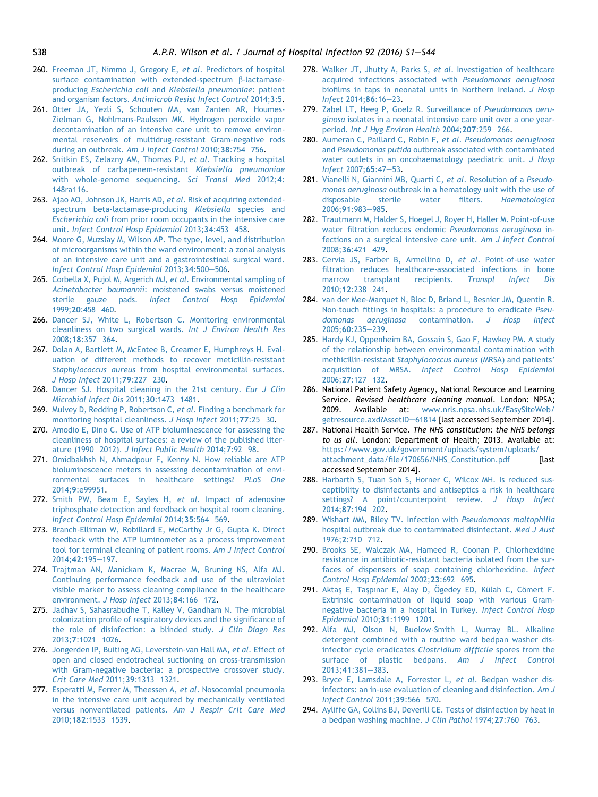- <span id="page-37-0"></span>260. [Freeman JT, Nimmo J, Gregory E,](http://refhub.elsevier.com/S0195-6701(15)00314-X/sref260) et al. Predictors of hospital [surface contamination with extended-spectrum](http://refhub.elsevier.com/S0195-6701(15)00314-X/sref260)  $\beta$ -lactamaseproducing Escherichia coli and [Klebsiella pneumoniae](http://refhub.elsevier.com/S0195-6701(15)00314-X/sref260): patient and organism factors. [Antimicrob Resist Infect Control](http://refhub.elsevier.com/S0195-6701(15)00314-X/sref260) 2014;3:5.
- 261. [Otter JA, Yezli S, Schouten MA, van Zanten AR, Houmes-](http://refhub.elsevier.com/S0195-6701(15)00314-X/sref261)[Zielman G, Nohlmans-Paulssen MK. Hydrogen peroxide vapor](http://refhub.elsevier.com/S0195-6701(15)00314-X/sref261) [decontamination of an intensive care unit to remove environ](http://refhub.elsevier.com/S0195-6701(15)00314-X/sref261)[mental reservoirs of multidrug-resistant Gram-negative rods](http://refhub.elsevier.com/S0195-6701(15)00314-X/sref261) [during an outbreak.](http://refhub.elsevier.com/S0195-6701(15)00314-X/sref261) Am J Infect Control 2010;38:754-[756.](http://refhub.elsevier.com/S0195-6701(15)00314-X/sref261)
- 262. [Snitkin ES, Zelazny AM, Thomas PJ,](http://refhub.elsevier.com/S0195-6701(15)00314-X/sref262) et al. Tracking a hospital [outbreak of carbapenem-resistant](http://refhub.elsevier.com/S0195-6701(15)00314-X/sref262) Klebsiella pneumoniae [with whole-genome sequencing.](http://refhub.elsevier.com/S0195-6701(15)00314-X/sref262) Sci Transl Med 2012;4: [148ra116](http://refhub.elsevier.com/S0195-6701(15)00314-X/sref262).
- 263. [Ajao AO, Johnson JK, Harris AD,](http://refhub.elsevier.com/S0195-6701(15)00314-X/sref263) et al. Risk of acquiring extended[spectrum beta-lactamase-producing](http://refhub.elsevier.com/S0195-6701(15)00314-X/sref263) Klebsiella species and Escherichia coli [from prior room occupants in the intensive care](http://refhub.elsevier.com/S0195-6701(15)00314-X/sref263) unit. [Infect Control Hosp Epidemiol](http://refhub.elsevier.com/S0195-6701(15)00314-X/sref263) 2013;34:453-[458](http://refhub.elsevier.com/S0195-6701(15)00314-X/sref263).
- 264. [Moore G, Muzslay M, Wilson AP. The type, level, and distribution](http://refhub.elsevier.com/S0195-6701(15)00314-X/sref264) [of microorganisms within the ward environment: a zonal analysis](http://refhub.elsevier.com/S0195-6701(15)00314-X/sref264) [of an intensive care unit and a gastrointestinal surgical ward.](http://refhub.elsevier.com/S0195-6701(15)00314-X/sref264) [Infect Control Hosp Epidemiol](http://refhub.elsevier.com/S0195-6701(15)00314-X/sref264) 2013;34:500-[506](http://refhub.elsevier.com/S0195-6701(15)00314-X/sref264).
- 265. [Corbella X, Pujol M, Argerich MJ,](http://refhub.elsevier.com/S0195-6701(15)00314-X/sref265) et al. Environmental sampling of Acinetobacter baumannii[: moistened swabs versus moistened](http://refhub.elsevier.com/S0195-6701(15)00314-X/sref265) sterile gauze pads. [Infect Control Hosp Epidemiol](http://refhub.elsevier.com/S0195-6701(15)00314-X/sref265) [1999;](http://refhub.elsevier.com/S0195-6701(15)00314-X/sref265)20:458-[460](http://refhub.elsevier.com/S0195-6701(15)00314-X/sref265).
- 266. [Dancer SJ, White L, Robertson C. Monitoring environmental](http://refhub.elsevier.com/S0195-6701(15)00314-X/sref266) [cleanliness on two surgical wards.](http://refhub.elsevier.com/S0195-6701(15)00314-X/sref266) Int J Environ Health Res [2008;](http://refhub.elsevier.com/S0195-6701(15)00314-X/sref266)18:357-[364.](http://refhub.elsevier.com/S0195-6701(15)00314-X/sref266)
- 267. [Dolan A, Bartlett M, McEntee B, Creamer E, Humphreys H. Eval](http://refhub.elsevier.com/S0195-6701(15)00314-X/sref267)[uation of different methods to recover meticillin-resistant](http://refhub.elsevier.com/S0195-6701(15)00314-X/sref267) Staphylococcus aureus [from hospital environmental surfaces.](http://refhub.elsevier.com/S0195-6701(15)00314-X/sref267) [J Hosp Infect](http://refhub.elsevier.com/S0195-6701(15)00314-X/sref267) 2011;79:227-[230.](http://refhub.elsevier.com/S0195-6701(15)00314-X/sref267)
- 268. [Dancer SJ. Hospital cleaning in the 21st century.](http://refhub.elsevier.com/S0195-6701(15)00314-X/sref268) Eur J Clin [Microbiol Infect Dis](http://refhub.elsevier.com/S0195-6701(15)00314-X/sref268) 2011;30:1473-[1481](http://refhub.elsevier.com/S0195-6701(15)00314-X/sref268).
- 269. [Mulvey D, Redding P, Robertson C,](http://refhub.elsevier.com/S0195-6701(15)00314-X/sref269) et al. Finding a benchmark for [monitoring hospital cleanliness.](http://refhub.elsevier.com/S0195-6701(15)00314-X/sref269) J Hosp Infect  $2011;77:25-30$  $2011;77:25-30$ .
- 270. [Amodio E, Dino C. Use of ATP bioluminescence for assessing the](http://refhub.elsevier.com/S0195-6701(15)00314-X/sref270) [cleanliness of hospital surfaces: a review of the published liter](http://refhub.elsevier.com/S0195-6701(15)00314-X/sref270)[ature \(1990](http://refhub.elsevier.com/S0195-6701(15)00314-X/sref270)-2012). [J Infect Public Health](http://refhub.elsevier.com/S0195-6701(15)00314-X/sref270) 2014;7:92-[98](http://refhub.elsevier.com/S0195-6701(15)00314-X/sref270).
- 271. Omidbakhsh N, Ahmadpour F, Kenny N, How reliable are ATP [bioluminescence meters in assessing decontamination of envi](http://refhub.elsevier.com/S0195-6701(15)00314-X/sref271)[ronmental surfaces in healthcare settings?](http://refhub.elsevier.com/S0195-6701(15)00314-X/sref271) PLoS One 2014;9[:e99951](http://refhub.elsevier.com/S0195-6701(15)00314-X/sref271).
- 272. [Smith PW, Beam E, Sayles H,](http://refhub.elsevier.com/S0195-6701(15)00314-X/sref272) et al. Impact of adenosine [triphosphate detection and feedback on hospital room cleaning.](http://refhub.elsevier.com/S0195-6701(15)00314-X/sref272) [Infect Control Hosp Epidemiol](http://refhub.elsevier.com/S0195-6701(15)00314-X/sref272) 2014;35:564-[569](http://refhub.elsevier.com/S0195-6701(15)00314-X/sref272).
- 273. [Branch-Elliman W, Robillard E, McCarthy Jr G, Gupta K. Direct](http://refhub.elsevier.com/S0195-6701(15)00314-X/sref273) [feedback with the ATP luminometer as a process improvement](http://refhub.elsevier.com/S0195-6701(15)00314-X/sref273) [tool for terminal cleaning of patient rooms.](http://refhub.elsevier.com/S0195-6701(15)00314-X/sref273) Am J Infect Control [2014;](http://refhub.elsevier.com/S0195-6701(15)00314-X/sref273)42:195-[197.](http://refhub.elsevier.com/S0195-6701(15)00314-X/sref273)
- 274. [Trajtman AN, Manickam K, Macrae M, Bruning NS, Alfa MJ.](http://refhub.elsevier.com/S0195-6701(15)00314-X/sref274) [Continuing performance feedback and use of the ultraviolet](http://refhub.elsevier.com/S0195-6701(15)00314-X/sref274) [visible marker to assess cleaning compliance in the healthcare](http://refhub.elsevier.com/S0195-6701(15)00314-X/sref274) [environment.](http://refhub.elsevier.com/S0195-6701(15)00314-X/sref274) J Hosp Infect 2013;84:166-[172](http://refhub.elsevier.com/S0195-6701(15)00314-X/sref274).
- 275. [Jadhav S, Sahasrabudhe T, Kalley V, Gandham N. The microbial](http://refhub.elsevier.com/S0195-6701(15)00314-X/sref275) [colonization profile of respiratory devices and the significance of](http://refhub.elsevier.com/S0195-6701(15)00314-X/sref275) [the role of disinfection: a blinded study.](http://refhub.elsevier.com/S0195-6701(15)00314-X/sref275) J Clin Diagn Res [2013;](http://refhub.elsevier.com/S0195-6701(15)00314-X/sref275)7:1021-[1026](http://refhub.elsevier.com/S0195-6701(15)00314-X/sref275).
- 276. [Jongerden IP, Buiting AG, Leverstein-van Hall MA,](http://refhub.elsevier.com/S0195-6701(15)00314-X/sref276) et al. Effect of [open and closed endotracheal suctioning on cross-transmission](http://refhub.elsevier.com/S0195-6701(15)00314-X/sref276) [with Gram-negative bacteria: a prospective crossover study.](http://refhub.elsevier.com/S0195-6701(15)00314-X/sref276) [Crit Care Med](http://refhub.elsevier.com/S0195-6701(15)00314-X/sref276) 2011;39:1313-[1321](http://refhub.elsevier.com/S0195-6701(15)00314-X/sref276).
- 277. [Esperatti M, Ferrer M, Theessen A,](http://refhub.elsevier.com/S0195-6701(15)00314-X/sref277) et al. Nosocomial pneumonia [in the intensive care unit acquired by mechanically ventilated](http://refhub.elsevier.com/S0195-6701(15)00314-X/sref277) [versus nonventilated patients.](http://refhub.elsevier.com/S0195-6701(15)00314-X/sref277) Am J Respir Crit Care Med [2010;](http://refhub.elsevier.com/S0195-6701(15)00314-X/sref277)182:1533-[1539](http://refhub.elsevier.com/S0195-6701(15)00314-X/sref277).
- 278. [Walker JT, Jhutty A, Parks S,](http://refhub.elsevier.com/S0195-6701(15)00314-X/sref278) et al. Investigation of healthcare [acquired infections associated with](http://refhub.elsevier.com/S0195-6701(15)00314-X/sref278) Pseudomonas aeruginosa [biofilms in taps in neonatal units in Northern Ireland.](http://refhub.elsevier.com/S0195-6701(15)00314-X/sref278) J Hosp [Infect](http://refhub.elsevier.com/S0195-6701(15)00314-X/sref278) 2014;86:16-[23](http://refhub.elsevier.com/S0195-6701(15)00314-X/sref278).
- 279. [Zabel LT, Heeg P, Goelz R. Surveillance of](http://refhub.elsevier.com/S0195-6701(15)00314-X/sref279) Pseudomonas aeruginosa [isolates in a neonatal intensive care unit over a one year-](http://refhub.elsevier.com/S0195-6701(15)00314-X/sref279)period. [Int J Hyg Environ Health](http://refhub.elsevier.com/S0195-6701(15)00314-X/sref279) 2004;207:259-[266.](http://refhub.elsevier.com/S0195-6701(15)00314-X/sref279)
- 280. [Aumeran C, Paillard C, Robin F,](http://refhub.elsevier.com/S0195-6701(15)00314-X/sref280) et al. Pseudomonas aeruginosa and Pseudomonas putida [outbreak associated with contaminated](http://refhub.elsevier.com/S0195-6701(15)00314-X/sref280) [water outlets in an oncohaematology paediatric unit.](http://refhub.elsevier.com/S0195-6701(15)00314-X/sref280) J Hosp [Infect](http://refhub.elsevier.com/S0195-6701(15)00314-X/sref280) 2007;65:47-[53](http://refhub.elsevier.com/S0195-6701(15)00314-X/sref280).
- 281. [Vianelli N, Giannini MB, Quarti C,](http://refhub.elsevier.com/S0195-6701(15)00314-X/sref281) et al. Resolution of a Pseudomonas aeruginosa [outbreak in a hematology unit with the use of](http://refhub.elsevier.com/S0195-6701(15)00314-X/sref281) [disposable sterile water filters.](http://refhub.elsevier.com/S0195-6701(15)00314-X/sref281) Haematologica [2006;](http://refhub.elsevier.com/S0195-6701(15)00314-X/sref281)91:983-[985.](http://refhub.elsevier.com/S0195-6701(15)00314-X/sref281)
- 282. [Trautmann M, Halder S, Hoegel J, Royer H, Haller M. Point-of-use](http://refhub.elsevier.com/S0195-6701(15)00314-X/sref282) [water filtration reduces endemic](http://refhub.elsevier.com/S0195-6701(15)00314-X/sref282) Pseudomonas aeruginosa in[fections on a surgical intensive care unit.](http://refhub.elsevier.com/S0195-6701(15)00314-X/sref282) Am J Infect Control [2008;](http://refhub.elsevier.com/S0195-6701(15)00314-X/sref282)36:421-[429.](http://refhub.elsevier.com/S0195-6701(15)00314-X/sref282)
- 283. [Cervia JS, Farber B, Armellino D,](http://refhub.elsevier.com/S0195-6701(15)00314-X/sref283) et al. Point-of-use water [filtration reduces healthcare-associated infections in bone](http://refhub.elsevier.com/S0195-6701(15)00314-X/sref283) [marrow transplant recipients.](http://refhub.elsevier.com/S0195-6701(15)00314-X/sref283) Transpl Infect Dis [2010;](http://refhub.elsevier.com/S0195-6701(15)00314-X/sref283)12:238-[241.](http://refhub.elsevier.com/S0195-6701(15)00314-X/sref283)
- 284. [van der Mee-Marquet N, Bloc D, Briand L, Besnier JM, Quentin R.](http://refhub.elsevier.com/S0195-6701(15)00314-X/sref284) [Non-touch fittings in hospitals: a procedure to eradicate](http://refhub.elsevier.com/S0195-6701(15)00314-X/sref284) Pseu[domonas aeruginosa](http://refhub.elsevier.com/S0195-6701(15)00314-X/sref284) contamination. J Hosp Infect [2005;](http://refhub.elsevier.com/S0195-6701(15)00314-X/sref284)60:235-[239.](http://refhub.elsevier.com/S0195-6701(15)00314-X/sref284)
- 285. [Hardy KJ, Oppenheim BA, Gossain S, Gao F, Hawkey PM. A study](http://refhub.elsevier.com/S0195-6701(15)00314-X/sref285) [of the relationship between environmental contamination with](http://refhub.elsevier.com/S0195-6701(15)00314-X/sref285) methicillin-resistant [Staphylococcus aureus](http://refhub.elsevier.com/S0195-6701(15)00314-X/sref285) (MRSA) and patients' acquisition of MRSA. [Infect Control Hosp Epidemiol](http://refhub.elsevier.com/S0195-6701(15)00314-X/sref285) [2006;](http://refhub.elsevier.com/S0195-6701(15)00314-X/sref285)27:127-[132.](http://refhub.elsevier.com/S0195-6701(15)00314-X/sref285)
- 286. National Patient Safety Agency, National Resource and Learning Service. Revised healthcare cleaning manual. London: NPSA; 2009. Available at: [www.nrls.npsa.nhs.uk/EasySiteWeb/](http://www.nrls.npsa.nhs.uk/EasySiteWeb/getresource.axd?AssetID=61814) [getresource.axd?AssetID](http://www.nrls.npsa.nhs.uk/EasySiteWeb/getresource.axd?AssetID=61814)=[61814](http://www.nrls.npsa.nhs.uk/EasySiteWeb/getresource.axd?AssetID=61814) [last accessed September 2014].
- 287. National Health Service. The NHS constitution: the NHS belongs to us all. London: Department of Health; 2013. Available at: [https://www.gov.uk/government/uploads/system/uploads/](https://www.gov.uk/government/uploads/system/uploads/attachment_data/file/170656/NHS_Constitution.pdf) [attachment\\_data/file/170656/NHS\\_Constitution.pdf](https://www.gov.uk/government/uploads/system/uploads/attachment_data/file/170656/NHS_Constitution.pdf) [last accessed September 2014].
- 288. [Harbarth S, Tuan Soh S, Horner C, Wilcox MH. Is reduced sus](http://refhub.elsevier.com/S0195-6701(15)00314-X/sref288)[ceptibility to disinfectants and antiseptics a risk in healthcare](http://refhub.elsevier.com/S0195-6701(15)00314-X/sref288) [settings? A point/counterpoint review.](http://refhub.elsevier.com/S0195-6701(15)00314-X/sref288) J Hosp Infect [2014;](http://refhub.elsevier.com/S0195-6701(15)00314-X/sref288)87:194-[202.](http://refhub.elsevier.com/S0195-6701(15)00314-X/sref288)
- 289. [Wishart MM, Riley TV. Infection with](http://refhub.elsevier.com/S0195-6701(15)00314-X/sref289) Pseudomonas maltophilia [hospital outbreak due to contaminated disinfectant.](http://refhub.elsevier.com/S0195-6701(15)00314-X/sref289) Med J Aust 1976:2:710-[712.](http://refhub.elsevier.com/S0195-6701(15)00314-X/sref289)
- 290. [Brooks SE, Walczak MA, Hameed R, Coonan P. Chlorhexidine](http://refhub.elsevier.com/S0195-6701(15)00314-X/sref290) [resistance in antibiotic-resistant bacteria isolated from the sur](http://refhub.elsevier.com/S0195-6701(15)00314-X/sref290)[faces of dispensers of soap containing chlorhexidine.](http://refhub.elsevier.com/S0195-6701(15)00314-X/sref290) Infect [Control Hosp Epidemiol](http://refhub.elsevier.com/S0195-6701(15)00314-X/sref290)  $2002; 23:692-695$ .
- 291. [Akta](http://refhub.elsevier.com/S0195-6701(15)00314-X/sref291)ş E, Taşpınar E, Alay D, Ögedey ED, Külah C, Cömert F. [Extrinsic contamination of liquid soap with various Gram](http://refhub.elsevier.com/S0195-6701(15)00314-X/sref291)[negative bacteria in a hospital in Turkey.](http://refhub.elsevier.com/S0195-6701(15)00314-X/sref291) Infect Control Hosp [Epidemiol](http://refhub.elsevier.com/S0195-6701(15)00314-X/sref291) 2010;31:1199-[1201](http://refhub.elsevier.com/S0195-6701(15)00314-X/sref291).
- 292. [Alfa MJ, Olson N, Buelow-Smith L, Murray BL. Alkaline](http://refhub.elsevier.com/S0195-6701(15)00314-X/sref292) [detergent combined with a routine ward bedpan washer dis](http://refhub.elsevier.com/S0195-6701(15)00314-X/sref292)[infector cycle eradicates](http://refhub.elsevier.com/S0195-6701(15)00314-X/sref292) Clostridium difficile spores from the [surface of plastic bedpans.](http://refhub.elsevier.com/S0195-6701(15)00314-X/sref292) Am J Infect Control  $2013:41:381-383.$  $2013:41:381-383.$
- 293. [Bryce E, Lamsdale A, Forrester L,](http://refhub.elsevier.com/S0195-6701(15)00314-X/sref293) et al. Bedpan washer dis[infectors: an in-use evaluation of cleaning and disinfection.](http://refhub.elsevier.com/S0195-6701(15)00314-X/sref293) Am J [Infect Control](http://refhub.elsevier.com/S0195-6701(15)00314-X/sref293) 2011;39:566-[570.](http://refhub.elsevier.com/S0195-6701(15)00314-X/sref293)
- 294. [Ayliffe GA, Collins BJ, Deverill CE. Tests of disinfection by heat in](http://refhub.elsevier.com/S0195-6701(15)00314-X/sref294) [a bedpan washing machine.](http://refhub.elsevier.com/S0195-6701(15)00314-X/sref294) J Clin Pathol  $1974;27:760-763$  $1974;27:760-763$ .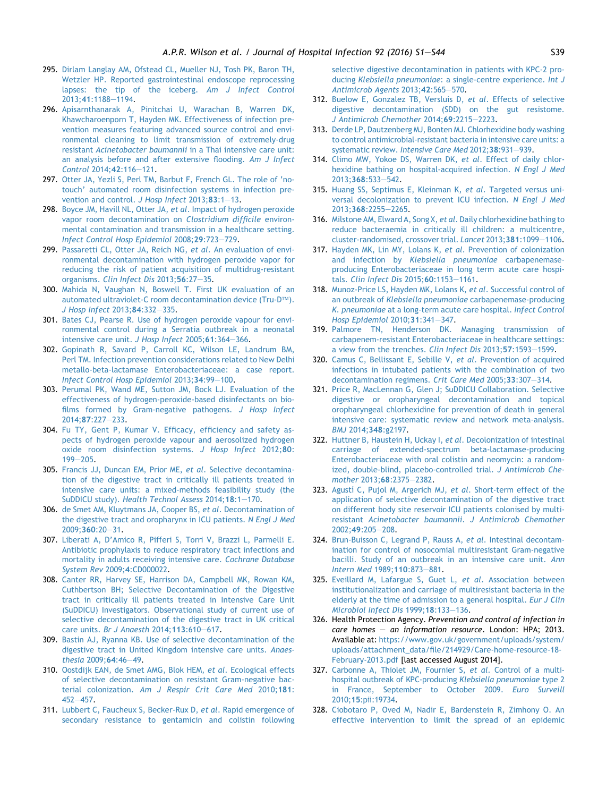- <span id="page-38-0"></span>295. [Dirlam Langlay AM, Ofstead CL, Mueller NJ, Tosh PK, Baron TH,](http://refhub.elsevier.com/S0195-6701(15)00314-X/sref295) [Wetzler HP. Reported gastrointestinal endoscope reprocessing](http://refhub.elsevier.com/S0195-6701(15)00314-X/sref295) [lapses: the tip of the iceberg.](http://refhub.elsevier.com/S0195-6701(15)00314-X/sref295) Am J Infect Control 2013;41[:1188](http://refhub.elsevier.com/S0195-6701(15)00314-X/sref295)-[1194](http://refhub.elsevier.com/S0195-6701(15)00314-X/sref295).
- 296. [Apisarnthanarak A, Pinitchai U, Warachan B, Warren DK,](http://refhub.elsevier.com/S0195-6701(15)00314-X/sref296) [Khawcharoenporn T, Hayden MK. Effectiveness of infection pre](http://refhub.elsevier.com/S0195-6701(15)00314-X/sref296)[vention measures featuring advanced source control and envi](http://refhub.elsevier.com/S0195-6701(15)00314-X/sref296)[ronmental cleaning to limit transmission of extremely-drug](http://refhub.elsevier.com/S0195-6701(15)00314-X/sref296) resistant Acinetobacter baumannii [in a Thai intensive care unit:](http://refhub.elsevier.com/S0195-6701(15)00314-X/sref296) [an analysis before and after extensive flooding.](http://refhub.elsevier.com/S0195-6701(15)00314-X/sref296) Am J Infect [Control](http://refhub.elsevier.com/S0195-6701(15)00314-X/sref296) 2014;42:116-[121.](http://refhub.elsevier.com/S0195-6701(15)00314-X/sref296)
- 297. [Otter JA, Yezli S, Perl TM, Barbut F, French GL. The role of 'no](http://refhub.elsevier.com/S0195-6701(15)00314-X/sref297)[touch' automated room disinfection systems in infection pre](http://refhub.elsevier.com/S0195-6701(15)00314-X/sref297)[vention and control.](http://refhub.elsevier.com/S0195-6701(15)00314-X/sref297) J Hosp Infect  $2013;83:1-13$  $2013;83:1-13$  $2013;83:1-13$ .
- 298. Boyce JM, Havill NL, Otter JA, et al[. Impact of hydrogen peroxide](http://refhub.elsevier.com/S0195-6701(15)00314-X/sref298) [vapor room decontamination on](http://refhub.elsevier.com/S0195-6701(15)00314-X/sref298) Clostridium difficile environ[mental contamination and transmission in a healthcare setting.](http://refhub.elsevier.com/S0195-6701(15)00314-X/sref298) [Infect Control Hosp Epidemiol](http://refhub.elsevier.com/S0195-6701(15)00314-X/sref298) 2008:29:723-[729](http://refhub.elsevier.com/S0195-6701(15)00314-X/sref298).
- 299. [Passaretti CL, Otter JA, Reich NG,](http://refhub.elsevier.com/S0195-6701(15)00314-X/sref299) et al. An evaluation of envi[ronmental decontamination with hydrogen peroxide vapor for](http://refhub.elsevier.com/S0195-6701(15)00314-X/sref299) [reducing the risk of patient acquisition of multidrug-resistant](http://refhub.elsevier.com/S0195-6701(15)00314-X/sref299) organisms. [Clin Infect Dis](http://refhub.elsevier.com/S0195-6701(15)00314-X/sref299) 2013;56:27-[35.](http://refhub.elsevier.com/S0195-6701(15)00314-X/sref299)
- 300. [Mahida N, Vaughan N, Boswell T. First UK evaluation of an](http://refhub.elsevier.com/S0195-6701(15)00314-X/sref300)  $a$ utomated ultraviolet-C room decontamination device (Tru-D $TM$ [\).](http://refhub.elsevier.com/S0195-6701(15)00314-X/sref300) [J Hosp Infect](http://refhub.elsevier.com/S0195-6701(15)00314-X/sref300) 2013;84:332-[335](http://refhub.elsevier.com/S0195-6701(15)00314-X/sref300).
- 301. [Bates CJ, Pearse R. Use of hydrogen peroxide vapour for envi](http://refhub.elsevier.com/S0195-6701(15)00314-X/sref301)[ronmental control during a Serratia outbreak in a neonatal](http://refhub.elsevier.com/S0195-6701(15)00314-X/sref301) [intensive care unit.](http://refhub.elsevier.com/S0195-6701(15)00314-X/sref301) J Hosp Infect 2005;61:364-[366](http://refhub.elsevier.com/S0195-6701(15)00314-X/sref301).
- 302. [Gopinath R, Savard P, Carroll KC, Wilson LE, Landrum BM,](http://refhub.elsevier.com/S0195-6701(15)00314-X/sref302) [Perl TM. Infection prevention considerations related to New Delhi](http://refhub.elsevier.com/S0195-6701(15)00314-X/sref302) [metallo-beta-lactamase Enterobacteriaceae: a case report.](http://refhub.elsevier.com/S0195-6701(15)00314-X/sref302) [Infect Control Hosp Epidemiol](http://refhub.elsevier.com/S0195-6701(15)00314-X/sref302) 2013;34:99-[100](http://refhub.elsevier.com/S0195-6701(15)00314-X/sref302).
- 303. [Perumal PK, Wand ME, Sutton JM, Bock LJ. Evaluation of the](http://refhub.elsevier.com/S0195-6701(15)00314-X/sref303) [effectiveness of hydrogen-peroxide-based disinfectants on bio](http://refhub.elsevier.com/S0195-6701(15)00314-X/sref303)[films formed by Gram-negative pathogens.](http://refhub.elsevier.com/S0195-6701(15)00314-X/sref303) J Hosp Infect [2014;](http://refhub.elsevier.com/S0195-6701(15)00314-X/sref303)87:227-[233](http://refhub.elsevier.com/S0195-6701(15)00314-X/sref303).
- 304. [Fu TY, Gent P, Kumar V. Efficacy, efficiency and safety as](http://refhub.elsevier.com/S0195-6701(15)00314-X/sref304)[pects of hydrogen peroxide vapour and aerosolized hydrogen](http://refhub.elsevier.com/S0195-6701(15)00314-X/sref304) [oxide room disinfection systems.](http://refhub.elsevier.com/S0195-6701(15)00314-X/sref304) J Hosp Infect 2012;80:  $199 - 205$  $199 - 205$  $199 - 205$ .
- 305. [Francis JJ, Duncan EM, Prior ME,](http://refhub.elsevier.com/S0195-6701(15)00314-X/sref305) et al. Selective decontamina[tion of the digestive tract in critically ill patients treated in](http://refhub.elsevier.com/S0195-6701(15)00314-X/sref305) [intensive care units: a mixed-methods feasibility study \(the](http://refhub.elsevier.com/S0195-6701(15)00314-X/sref305) SuDDICU study). [Health Technol Assess](http://refhub.elsevier.com/S0195-6701(15)00314-X/sref305) 2014:18:1-[170.](http://refhub.elsevier.com/S0195-6701(15)00314-X/sref305)
- 306. [de Smet AM, Kluytmans JA, Cooper BS,](http://refhub.elsevier.com/S0195-6701(15)00314-X/sref306) et al. Decontamination of [the digestive tract and oropharynx in ICU patients.](http://refhub.elsevier.com/S0195-6701(15)00314-X/sref306) N Engl J Med [2009;](http://refhub.elsevier.com/S0195-6701(15)00314-X/sref306)360:20-[31.](http://refhub.elsevier.com/S0195-6701(15)00314-X/sref306)
- 307. [Liberati A, D'Amico R, Pifferi S, Torri V, Brazzi L, Parmelli E.](http://refhub.elsevier.com/S0195-6701(15)00314-X/sref307) [Antibiotic prophylaxis to reduce respiratory tract infections and](http://refhub.elsevier.com/S0195-6701(15)00314-X/sref307) [mortality in adults receiving intensive care.](http://refhub.elsevier.com/S0195-6701(15)00314-X/sref307) Cochrane Database [System Rev](http://refhub.elsevier.com/S0195-6701(15)00314-X/sref307) 2009;4:CD000022.
- 308. [Canter RR, Harvey SE, Harrison DA, Campbell MK, Rowan KM,](http://refhub.elsevier.com/S0195-6701(15)00314-X/sref308) [Cuthbertson BH; Selective Decontamination of the Digestive](http://refhub.elsevier.com/S0195-6701(15)00314-X/sref308) [tract in critically ill patients treated in Intensive Care Unit](http://refhub.elsevier.com/S0195-6701(15)00314-X/sref308) [\(SuDDICU\) Investigators. Observational study of current use of](http://refhub.elsevier.com/S0195-6701(15)00314-X/sref308) [selective decontamination of the digestive tract in UK critical](http://refhub.elsevier.com/S0195-6701(15)00314-X/sref308) care units. [Br J Anaesth](http://refhub.elsevier.com/S0195-6701(15)00314-X/sref308)  $2014:113:610-617$ .
- 309. [Bastin AJ, Ryanna KB. Use of selective decontamination of the](http://refhub.elsevier.com/S0195-6701(15)00314-X/sref309) [digestive tract in United Kingdom intensive care units.](http://refhub.elsevier.com/S0195-6701(15)00314-X/sref309) Anaes[thesia](http://refhub.elsevier.com/S0195-6701(15)00314-X/sref309) 2009;64:46-[49.](http://refhub.elsevier.com/S0195-6701(15)00314-X/sref309)
- 310. [Oostdijk EAN, de Smet AMG, Blok HEM,](http://refhub.elsevier.com/S0195-6701(15)00314-X/sref310) et al. Ecological effects [of selective decontamination on resistant Gram-negative bac](http://refhub.elsevier.com/S0195-6701(15)00314-X/sref310)terial colonization. [Am J Respir Crit Care Med](http://refhub.elsevier.com/S0195-6701(15)00314-X/sref310) 2010;181:  $452 - 457$  $452 - 457$ .
- 311. [Lubbert C, Faucheux S, Becker-Rux D,](http://refhub.elsevier.com/S0195-6701(15)00314-X/sref311) et al. Rapid emergence of [secondary resistance to gentamicin and colistin following](http://refhub.elsevier.com/S0195-6701(15)00314-X/sref311)

[selective digestive decontamination in patients with KPC-2 pro](http://refhub.elsevier.com/S0195-6701(15)00314-X/sref311)ducing Klebsiella pneumoniae[: a single-centre experience.](http://refhub.elsevier.com/S0195-6701(15)00314-X/sref311) Int J [Antimicrob Agents](http://refhub.elsevier.com/S0195-6701(15)00314-X/sref311) 2013;42:565-[570.](http://refhub.elsevier.com/S0195-6701(15)00314-X/sref311)

- 312. [Buelow E, Gonzalez TB, Versluis D,](http://refhub.elsevier.com/S0195-6701(15)00314-X/sref312) et al. Effects of selective [digestive decontamination \(SDD\) on the gut resistome.](http://refhub.elsevier.com/S0195-6701(15)00314-X/sref312) [J Antimicrob Chemother](http://refhub.elsevier.com/S0195-6701(15)00314-X/sref312) 2014;69:2215-[2223](http://refhub.elsevier.com/S0195-6701(15)00314-X/sref312).
- 313. [Derde LP, Dautzenberg MJ, Bonten MJ. Chlorhexidine body washing](http://refhub.elsevier.com/S0195-6701(15)00314-X/sref313) [to control antimicrobial-resistant bacteria in intensive care units: a](http://refhub.elsevier.com/S0195-6701(15)00314-X/sref313) systematic review. [Intensive Care Med](http://refhub.elsevier.com/S0195-6701(15)00314-X/sref313) 2012;38:931-[939.](http://refhub.elsevier.com/S0195-6701(15)00314-X/sref313)
- 314. [Climo MW, Yokoe DS, Warren DK,](http://refhub.elsevier.com/S0195-6701(15)00314-X/sref314) et al. Effect of daily chlor[hexidine bathing on hospital-acquired infection.](http://refhub.elsevier.com/S0195-6701(15)00314-X/sref314) N Engl J Med [2013;](http://refhub.elsevier.com/S0195-6701(15)00314-X/sref314)368:533-[542.](http://refhub.elsevier.com/S0195-6701(15)00314-X/sref314)
- 315. [Huang SS, Septimus E, Kleinman K,](http://refhub.elsevier.com/S0195-6701(15)00314-X/sref315) et al. Targeted versus uni[versal decolonization to prevent ICU infection.](http://refhub.elsevier.com/S0195-6701(15)00314-X/sref315) N Engl J Med 2013;368[:2255](http://refhub.elsevier.com/S0195-6701(15)00314-X/sref315)-[2265](http://refhub.elsevier.com/S0195-6701(15)00314-X/sref315).
- 316. Milstone AM, Elward A, Song X, et al[. Daily chlorhexidine bathing to](http://refhub.elsevier.com/S0195-6701(15)00314-X/sref316) [reduce bacteraemia in critically ill children: a multicentre,](http://refhub.elsevier.com/S0195-6701(15)00314-X/sref316) [cluster-randomised, crossover trial.](http://refhub.elsevier.com/S0195-6701(15)00314-X/sref316) *Lancet* 2013:381:1099-[1106.](http://refhub.elsevier.com/S0195-6701(15)00314-X/sref316)
- 317. [Hayden MK, Lin MY, Lolans K,](http://refhub.elsevier.com/S0195-6701(15)00314-X/sref317) et al. Prevention of colonization and infection by [Klebsiella pneumoniae](http://refhub.elsevier.com/S0195-6701(15)00314-X/sref317) carbapenemase[producing Enterobacteriaceae in long term acute care hospi-](http://refhub.elsevier.com/S0195-6701(15)00314-X/sref317)tals. [Clin Infect Dis](http://refhub.elsevier.com/S0195-6701(15)00314-X/sref317) 2015;60:1153-[1161.](http://refhub.elsevier.com/S0195-6701(15)00314-X/sref317)
- 318. [Munoz-Price LS, Hayden MK, Lolans K,](http://refhub.elsevier.com/S0195-6701(15)00314-X/sref318) et al. Successful control of an outbreak of Klebsiella pneumoniae [carbapenemase-producing](http://refhub.elsevier.com/S0195-6701(15)00314-X/sref318) K. pneumoniae [at a long-term acute care hospital.](http://refhub.elsevier.com/S0195-6701(15)00314-X/sref318) Infect Control [Hosp Epidemiol](http://refhub.elsevier.com/S0195-6701(15)00314-X/sref318) 2010:31:341-[347.](http://refhub.elsevier.com/S0195-6701(15)00314-X/sref318)
- 319. [Palmore TN, Henderson DK. Managing transmission of](http://refhub.elsevier.com/S0195-6701(15)00314-X/sref319) [carbapenem-resistant Enterobacteriaceae in healthcare settings:](http://refhub.elsevier.com/S0195-6701(15)00314-X/sref319) [a view from the trenches.](http://refhub.elsevier.com/S0195-6701(15)00314-X/sref319) Clin Infect Dis 2013;57:1593-[1599](http://refhub.elsevier.com/S0195-6701(15)00314-X/sref319).
- 320. [Camus C, Bellissant E, Sebille V,](http://refhub.elsevier.com/S0195-6701(15)00314-X/sref320) et al. Prevention of acquired [infections in intubated patients with the combination of two](http://refhub.elsevier.com/S0195-6701(15)00314-X/sref320) [decontamination regimens.](http://refhub.elsevier.com/S0195-6701(15)00314-X/sref320) Crit Care Med 2005;33:307-[314](http://refhub.elsevier.com/S0195-6701(15)00314-X/sref320).
- 321. [Price R, MacLennan G, Glen J; SuDDICU Collaboration. Selective](http://refhub.elsevier.com/S0195-6701(15)00314-X/sref321) [digestive or oropharyngeal decontamination and topical](http://refhub.elsevier.com/S0195-6701(15)00314-X/sref321) [oropharyngeal chlorhexidine for prevention of death in general](http://refhub.elsevier.com/S0195-6701(15)00314-X/sref321) [intensive care: systematic review and network meta-analysis.](http://refhub.elsevier.com/S0195-6701(15)00314-X/sref321) BMJ 2014;348[:g2197.](http://refhub.elsevier.com/S0195-6701(15)00314-X/sref321)
- 322. [Huttner B, Haustein H, Uckay I,](http://refhub.elsevier.com/S0195-6701(15)00314-X/sref322) et al. Decolonization of intestinal [carriage of extended-spectrum beta-lactamase-producing](http://refhub.elsevier.com/S0195-6701(15)00314-X/sref322) [Enterobacteriaceae with oral colistin and neomycin: a random](http://refhub.elsevier.com/S0195-6701(15)00314-X/sref322)[ized, double-blind, placebo-controlled trial.](http://refhub.elsevier.com/S0195-6701(15)00314-X/sref322) J Antimicrob Che[mother](http://refhub.elsevier.com/S0195-6701(15)00314-X/sref322) 2013;68:2375-[2382](http://refhub.elsevier.com/S0195-6701(15)00314-X/sref322).
- 323. Agustí C, Pujol M, Argerich MJ, et al[. Short-term effect of the](http://refhub.elsevier.com/S0195-6701(15)00314-X/sref323) [application of selective decontamination of the digestive tract](http://refhub.elsevier.com/S0195-6701(15)00314-X/sref323) [on different body site reservoir ICU patients colonised by multi](http://refhub.elsevier.com/S0195-6701(15)00314-X/sref323)resistant Acinetobacter baumannii. [J Antimicrob Chemother](http://refhub.elsevier.com/S0195-6701(15)00314-X/sref323) [2002;](http://refhub.elsevier.com/S0195-6701(15)00314-X/sref323)49:205-[208](http://refhub.elsevier.com/S0195-6701(15)00314-X/sref323).
- 324. [Brun-Buisson C, Legrand P, Rauss A,](http://refhub.elsevier.com/S0195-6701(15)00314-X/sref324) et al. Intestinal decontam[ination for control of nosocomial multiresistant Gram-negative](http://refhub.elsevier.com/S0195-6701(15)00314-X/sref324) [bacilli. Study of an outbreak in an intensive care unit.](http://refhub.elsevier.com/S0195-6701(15)00314-X/sref324) Ann [Intern Med](http://refhub.elsevier.com/S0195-6701(15)00314-X/sref324) 1989;110:873-[881.](http://refhub.elsevier.com/S0195-6701(15)00314-X/sref324)
- 325. [Eveillard M, Lafargue S, Guet L,](http://refhub.elsevier.com/S0195-6701(15)00314-X/sref325) et al. Association between [institutionalization and carriage of multiresistant bacteria in the](http://refhub.elsevier.com/S0195-6701(15)00314-X/sref325) [elderly at the time of admission to a general hospital.](http://refhub.elsevier.com/S0195-6701(15)00314-X/sref325) Eur J Clin [Microbiol Infect Dis](http://refhub.elsevier.com/S0195-6701(15)00314-X/sref325) 1999;18:133-[136.](http://refhub.elsevier.com/S0195-6701(15)00314-X/sref325)
- 326. Health Protection Agency. Prevention and control of infection in  $care$  homes  $-$  an information resource. London: HPA: 2013. Available at: [https://www.gov.uk/government/uploads/system/](https://www.gov.uk/government/uploads/system/uploads/attachment_data/file/214929/Care-home-resource-18-February-2013.pdf) [uploads/attachment\\_data/file/214929/Care-home-resource-18-](https://www.gov.uk/government/uploads/system/uploads/attachment_data/file/214929/Care-home-resource-18-February-2013.pdf) [February-2013.pdf](https://www.gov.uk/government/uploads/system/uploads/attachment_data/file/214929/Care-home-resource-18-February-2013.pdf) [last accessed August 2014].
- 327. [Carbonne A, Thiolet JM, Fournier S,](http://refhub.elsevier.com/S0195-6701(15)00314-X/sref327) et al. Control of a multi[hospital outbreak of KPC-producing](http://refhub.elsevier.com/S0195-6701(15)00314-X/sref327) Klebsiella pneumoniae type 2 [in France, September to October 2009.](http://refhub.elsevier.com/S0195-6701(15)00314-X/sref327) Euro Surveill 2010;15[:pii:19734](http://refhub.elsevier.com/S0195-6701(15)00314-X/sref327).
- 328. [Ciobotaro P, Oved M, Nadir E, Bardenstein R, Zimhony O. An](http://refhub.elsevier.com/S0195-6701(15)00314-X/sref328) [effective intervention to limit the spread of an epidemic](http://refhub.elsevier.com/S0195-6701(15)00314-X/sref328)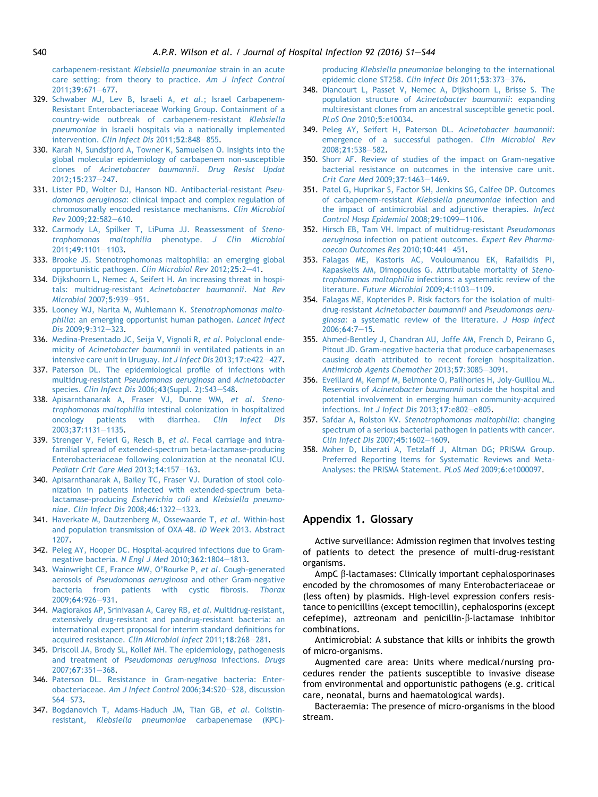<span id="page-39-0"></span>carbapenem-resistant [Klebsiella pneumoniae](http://refhub.elsevier.com/S0195-6701(15)00314-X/sref328) strain in an acute [care setting: from theory to practice.](http://refhub.elsevier.com/S0195-6701(15)00314-X/sref328) Am J Infect Control [2011;](http://refhub.elsevier.com/S0195-6701(15)00314-X/sref328)39:671-[677.](http://refhub.elsevier.com/S0195-6701(15)00314-X/sref328)

- 329. [Schwaber MJ, Lev B, Israeli A,](http://refhub.elsevier.com/S0195-6701(15)00314-X/sref329) et al.; Israel Carbapenem-[Resistant Enterobacteriaceae Working Group. Containment of a](http://refhub.elsevier.com/S0195-6701(15)00314-X/sref329) [country-wide outbreak of carbapenem-resistant](http://refhub.elsevier.com/S0195-6701(15)00314-X/sref329) Klebsiella pneumoniae [in Israeli hospitals via a nationally implemented](http://refhub.elsevier.com/S0195-6701(15)00314-X/sref329) intervention. [Clin Infect Dis](http://refhub.elsevier.com/S0195-6701(15)00314-X/sref329) 2011;52:848-[855.](http://refhub.elsevier.com/S0195-6701(15)00314-X/sref329)
- 330. [Karah N, Sundsfjord A, Towner K, Samuelsen O. Insights into the](http://refhub.elsevier.com/S0195-6701(15)00314-X/sref330) [global molecular epidemiology of carbapenem non-susceptible](http://refhub.elsevier.com/S0195-6701(15)00314-X/sref330) clones of [Acinetobacter baumannii](http://refhub.elsevier.com/S0195-6701(15)00314-X/sref330). Drug Resist Updat [2012;](http://refhub.elsevier.com/S0195-6701(15)00314-X/sref330)15:237-[247.](http://refhub.elsevier.com/S0195-6701(15)00314-X/sref330)
- 331. [Lister PD, Wolter DJ, Hanson ND. Antibacterial-resistant](http://refhub.elsevier.com/S0195-6701(15)00314-X/sref331) Pseudomonas aeruginosa[: clinical impact and complex regulation of](http://refhub.elsevier.com/S0195-6701(15)00314-X/sref331) [chromosomally encoded resistance mechanisms.](http://refhub.elsevier.com/S0195-6701(15)00314-X/sref331) Clin Microbiol Rev [2009;](http://refhub.elsevier.com/S0195-6701(15)00314-X/sref331)22:582-[610.](http://refhub.elsevier.com/S0195-6701(15)00314-X/sref331)
- 332. [Carmody LA, Spilker T, LiPuma JJ. Reassessment of](http://refhub.elsevier.com/S0195-6701(15)00314-X/sref332) Steno[trophomonas maltophilia](http://refhub.elsevier.com/S0195-6701(15)00314-X/sref332) phenotype. J Clin Microbiol [2011;](http://refhub.elsevier.com/S0195-6701(15)00314-X/sref332)49:1101-[1103.](http://refhub.elsevier.com/S0195-6701(15)00314-X/sref332)
- 333. [Brooke JS. Stenotrophomonas maltophilia: an emerging global](http://refhub.elsevier.com/S0195-6701(15)00314-X/sref333) [opportunistic pathogen.](http://refhub.elsevier.com/S0195-6701(15)00314-X/sref333) Clin Microbiol Rev 2012;25:2-[41.](http://refhub.elsevier.com/S0195-6701(15)00314-X/sref333)
- 334. [Dijkshoorn L, Nemec A, Seifert H. An increasing threat in hospi](http://refhub.elsevier.com/S0195-6701(15)00314-X/sref334)tals: multidrug-resistant [Acinetobacter baumannii](http://refhub.elsevier.com/S0195-6701(15)00314-X/sref334). Nat Rev [Microbiol](http://refhub.elsevier.com/S0195-6701(15)00314-X/sref334) 2007;5:939-[951](http://refhub.elsevier.com/S0195-6701(15)00314-X/sref334).
- 335. [Looney WJ, Narita M, Muhlemann K.](http://refhub.elsevier.com/S0195-6701(15)00314-X/sref335) Stenotrophomonas maltophilia[: an emerging opportunist human pathogen.](http://refhub.elsevier.com/S0195-6701(15)00314-X/sref335) Lancet Infect Dis [2009;](http://refhub.elsevier.com/S0195-6701(15)00314-X/sref335)9:312-[323](http://refhub.elsevier.com/S0195-6701(15)00314-X/sref335).
- 336. [Medina-Presentado JC, Seija V, Vignoli R,](http://refhub.elsevier.com/S0195-6701(15)00314-X/sref336) et al. Polyclonal endemicity of Acinetobacter baumannii [in ventilated patients in an](http://refhub.elsevier.com/S0195-6701(15)00314-X/sref336) [intensive care unit in Uruguay.](http://refhub.elsevier.com/S0195-6701(15)00314-X/sref336) Int J Infect Dis 2013;17:e422-[427.](http://refhub.elsevier.com/S0195-6701(15)00314-X/sref336)
- 337. [Paterson DL. The epidemiological profile of infections with](http://refhub.elsevier.com/S0195-6701(15)00314-X/sref337) multidrug-resistant [Pseudomonas aeruginosa](http://refhub.elsevier.com/S0195-6701(15)00314-X/sref337) and Acinetobacter species. [Clin Infect Dis](http://refhub.elsevier.com/S0195-6701(15)00314-X/sref337) 2006;43(Suppl. 2):S43-[S48](http://refhub.elsevier.com/S0195-6701(15)00314-X/sref337).
- 338. [Apisarnthanarak A, Fraser VJ, Dunne WM,](http://refhub.elsevier.com/S0195-6701(15)00314-X/sref338) et al. Stenotrophomonas maltophilia [intestinal colonization in hospitalized](http://refhub.elsevier.com/S0195-6701(15)00314-X/sref338) [oncology patients with diarrhea.](http://refhub.elsevier.com/S0195-6701(15)00314-X/sref338) Clin Infect Dis [2003;](http://refhub.elsevier.com/S0195-6701(15)00314-X/sref338)37:1131-[1135.](http://refhub.elsevier.com/S0195-6701(15)00314-X/sref338)
- 339. [Strenger V, Feierl G, Resch B,](http://refhub.elsevier.com/S0195-6701(15)00314-X/sref339) et al. Fecal carriage and intra[familial spread of extended-spectrum beta-lactamase-producing](http://refhub.elsevier.com/S0195-6701(15)00314-X/sref339) [Enterobacteriaceae following colonization at the neonatal ICU.](http://refhub.elsevier.com/S0195-6701(15)00314-X/sref339) [Pediatr Crit Care Med](http://refhub.elsevier.com/S0195-6701(15)00314-X/sref339) 2013;14:157-[163.](http://refhub.elsevier.com/S0195-6701(15)00314-X/sref339)
- 340. [Apisarnthanarak A, Bailey TC, Fraser VJ. Duration of stool colo](http://refhub.elsevier.com/S0195-6701(15)00314-X/sref340)[nization in patients infected with extended-spectrum beta](http://refhub.elsevier.com/S0195-6701(15)00314-X/sref340)[lactamase-producing](http://refhub.elsevier.com/S0195-6701(15)00314-X/sref340) Escherichia coli and Klebsiella pneumo-niae. [Clin Infect Dis](http://refhub.elsevier.com/S0195-6701(15)00314-X/sref340) 2008;46:1322-[1323.](http://refhub.elsevier.com/S0195-6701(15)00314-X/sref340)
- 341. [Haverkate M, Dautzenberg M, Ossewaarde T,](http://refhub.elsevier.com/S0195-6701(15)00314-X/sref341) et al. Within-host [and population transmission of OXA-48.](http://refhub.elsevier.com/S0195-6701(15)00314-X/sref341) ID Week 2013. Abstract [1207.](http://refhub.elsevier.com/S0195-6701(15)00314-X/sref341)
- 342. [Peleg AY, Hooper DC. Hospital-acquired infections due to Gram](http://refhub.elsevier.com/S0195-6701(15)00314-X/sref342)[negative bacteria.](http://refhub.elsevier.com/S0195-6701(15)00314-X/sref342) N Engl J Med 2010;362:1804-[1813.](http://refhub.elsevier.com/S0195-6701(15)00314-X/sref342)
- 343. [Wainwright CE, France MW, O'Rourke P,](http://refhub.elsevier.com/S0195-6701(15)00314-X/sref343) et al. Cough-generated aerosols of Pseudomonas aeruginosa [and other Gram-negative](http://refhub.elsevier.com/S0195-6701(15)00314-X/sref343) [bacteria from patients with cystic fibrosis.](http://refhub.elsevier.com/S0195-6701(15)00314-X/sref343) Thorax [2009;](http://refhub.elsevier.com/S0195-6701(15)00314-X/sref343)64:926-[931.](http://refhub.elsevier.com/S0195-6701(15)00314-X/sref343)
- 344. [Magiorakos AP, Srinivasan A, Carey RB,](http://refhub.elsevier.com/S0195-6701(15)00314-X/sref344) et al. Multidrug-resistant, [extensively drug-resistant and pandrug-resistant bacteria: an](http://refhub.elsevier.com/S0195-6701(15)00314-X/sref344) [international expert proposal for interim standard definitions for](http://refhub.elsevier.com/S0195-6701(15)00314-X/sref344) acquired resistance. [Clin Microbiol Infect](http://refhub.elsevier.com/S0195-6701(15)00314-X/sref344) 2011;18:268-[281](http://refhub.elsevier.com/S0195-6701(15)00314-X/sref344).
- 345. [Driscoll JA, Brody SL, Kollef MH. The epidemiology, pathogenesis](http://refhub.elsevier.com/S0195-6701(15)00314-X/sref345) and treatment of [Pseudomonas aeruginosa](http://refhub.elsevier.com/S0195-6701(15)00314-X/sref345) infections. Drugs  $2007:67:351-368.$  $2007:67:351-368.$
- 346. [Paterson DL. Resistance in Gram-negative bacteria: Enter-](http://refhub.elsevier.com/S0195-6701(15)00314-X/sref346)obacteriaceae. [Am J Infect Control](http://refhub.elsevier.com/S0195-6701(15)00314-X/sref346) 2006;34:S20-[S28, discussion](http://refhub.elsevier.com/S0195-6701(15)00314-X/sref346)  $S64 - S73.$  $S64 - S73.$  $S64 - S73.$  $S64 - S73.$
- 347. [Bogdanovich T, Adams-Haduch JM, Tian GB,](http://refhub.elsevier.com/S0195-6701(15)00314-X/sref347) et al. Colistinresistant, [Klebsiella pneumoniae](http://refhub.elsevier.com/S0195-6701(15)00314-X/sref347) carbapenemase (KPC)-

producing Klebsiella pneumoniae [belonging to the international](http://refhub.elsevier.com/S0195-6701(15)00314-X/sref347) [epidemic clone ST258.](http://refhub.elsevier.com/S0195-6701(15)00314-X/sref347) Clin Infect Dis 2011;53:373-[376](http://refhub.elsevier.com/S0195-6701(15)00314-X/sref347).

- 348. [Diancourt L, Passet V, Nemec A, Dijkshoorn L, Brisse S. The](http://refhub.elsevier.com/S0195-6701(15)00314-X/sref348) population structure of [Acinetobacter baumannii](http://refhub.elsevier.com/S0195-6701(15)00314-X/sref348): expanding [multiresistant clones from an ancestral susceptible genetic pool.](http://refhub.elsevier.com/S0195-6701(15)00314-X/sref348) [PLoS One](http://refhub.elsevier.com/S0195-6701(15)00314-X/sref348) 2010;5:e10034.
- 349. [Peleg AY, Seifert H, Paterson DL.](http://refhub.elsevier.com/S0195-6701(15)00314-X/sref349) Acinetobacter baumannii: [emergence of a successful pathogen.](http://refhub.elsevier.com/S0195-6701(15)00314-X/sref349) Clin Microbiol Rev 2008:21:538-[582.](http://refhub.elsevier.com/S0195-6701(15)00314-X/sref349)
- 350. [Shorr AF. Review of studies of the impact on Gram-negative](http://refhub.elsevier.com/S0195-6701(15)00314-X/sref350) [bacterial resistance on outcomes in the intensive care unit.](http://refhub.elsevier.com/S0195-6701(15)00314-X/sref350) [Crit Care Med](http://refhub.elsevier.com/S0195-6701(15)00314-X/sref350) 2009;37:1463-[1469](http://refhub.elsevier.com/S0195-6701(15)00314-X/sref350).
- 351. [Patel G, Huprikar S, Factor SH, Jenkins SG, Calfee DP. Outcomes](http://refhub.elsevier.com/S0195-6701(15)00314-X/sref351) [of carbapenem-resistant](http://refhub.elsevier.com/S0195-6701(15)00314-X/sref351) Klebsiella pneumoniae infection and [the impact of antimicrobial and adjunctive therapies.](http://refhub.elsevier.com/S0195-6701(15)00314-X/sref351) Infect [Control Hosp Epidemiol](http://refhub.elsevier.com/S0195-6701(15)00314-X/sref351) 2008;29:1099-[1106.](http://refhub.elsevier.com/S0195-6701(15)00314-X/sref351)
- 352. [Hirsch EB, Tam VH. Impact of multidrug-resistant](http://refhub.elsevier.com/S0195-6701(15)00314-X/sref352) Pseudomonas aeruginosa [infection on patient outcomes.](http://refhub.elsevier.com/S0195-6701(15)00314-X/sref352) Expert Rev Pharma[coecon Outcomes Res](http://refhub.elsevier.com/S0195-6701(15)00314-X/sref352) 2010;10:441-[451.](http://refhub.elsevier.com/S0195-6701(15)00314-X/sref352)
- 353. [Falagas ME, Kastoris AC, Vouloumanou EK, Rafailidis PI,](http://refhub.elsevier.com/S0195-6701(15)00314-X/sref353) [Kapaskelis AM, Dimopoulos G. Attributable mortality of](http://refhub.elsevier.com/S0195-6701(15)00314-X/sref353) Stenotrophomonas maltophilia [infections: a systematic review of the](http://refhub.elsevier.com/S0195-6701(15)00314-X/sref353) literature. [Future Microbiol](http://refhub.elsevier.com/S0195-6701(15)00314-X/sref353) 2009;4:1103-[1109](http://refhub.elsevier.com/S0195-6701(15)00314-X/sref353).
- 354. [Falagas ME, Kopterides P. Risk factors for the isolation of multi](http://refhub.elsevier.com/S0195-6701(15)00314-X/sref354)drug-resistant [Acinetobacter baumannii](http://refhub.elsevier.com/S0195-6701(15)00314-X/sref354) and Pseudomonas aeru-ginosa[: a systematic review of the literature.](http://refhub.elsevier.com/S0195-6701(15)00314-X/sref354) J Hosp Infect  $2006;64:7-15.$  $2006;64:7-15.$  $2006;64:7-15.$  $2006;64:7-15.$
- 355. [Ahmed-Bentley J, Chandran AU, Joffe AM, French D, Peirano G,](http://refhub.elsevier.com/S0195-6701(15)00314-X/sref355) [Pitout JD. Gram-negative bacteria that produce carbapenemases](http://refhub.elsevier.com/S0195-6701(15)00314-X/sref355) [causing death attributed to recent foreign hospitalization.](http://refhub.elsevier.com/S0195-6701(15)00314-X/sref355) [Antimicrob Agents Chemother](http://refhub.elsevier.com/S0195-6701(15)00314-X/sref355) 2013:57:3085-[3091.](http://refhub.elsevier.com/S0195-6701(15)00314-X/sref355)
- 356. [Eveillard M, Kempf M, Belmonte O, Pailhories H, Joly-Guillou ML.](http://refhub.elsevier.com/S0195-6701(15)00314-X/sref356) Reservoirs of [Acinetobacter baumannii](http://refhub.elsevier.com/S0195-6701(15)00314-X/sref356) outside the hospital and [potential involvement in emerging human community-acquired](http://refhub.elsevier.com/S0195-6701(15)00314-X/sref356) infections. [Int J Infect Dis](http://refhub.elsevier.com/S0195-6701(15)00314-X/sref356) 2013;17:e802-[e805](http://refhub.elsevier.com/S0195-6701(15)00314-X/sref356).
- 357. Safdar A, Rolston KV. [Stenotrophomonas maltophilia](http://refhub.elsevier.com/S0195-6701(15)00314-X/sref357): changing [spectrum of a serious bacterial pathogen in patients with cancer.](http://refhub.elsevier.com/S0195-6701(15)00314-X/sref357) [Clin Infect Dis](http://refhub.elsevier.com/S0195-6701(15)00314-X/sref357) 2007;45:1602-[1609.](http://refhub.elsevier.com/S0195-6701(15)00314-X/sref357)
- 358. [Moher D, Liberati A, Tetzlaff J, Altman DG; PRISMA Group.](http://refhub.elsevier.com/S0195-6701(15)00314-X/sref358) [Preferred Reporting Items for Systematic Reviews and Meta-](http://refhub.elsevier.com/S0195-6701(15)00314-X/sref358)[Analyses: the PRISMA Statement.](http://refhub.elsevier.com/S0195-6701(15)00314-X/sref358) PLoS Med 2009;6:e1000097.

### Appendix 1. Glossary

Active surveillance: Admission regimen that involves testing of patients to detect the presence of multi-drug-resistant organisms.

 $AmpC \beta$ -lactamases: Clinically important cephalosporinases encoded by the chromosomes of many Enterobacteriaceae or (less often) by plasmids. High-level expression confers resistance to penicillins (except temocillin), cephalosporins (except  $cefepime$ ), aztreonam and penicillin- $\beta$ -lactamase inhibitor combinations.

Antimicrobial: A substance that kills or inhibits the growth of micro-organisms.

Augmented care area: Units where medical/nursing procedures render the patients susceptible to invasive disease from environmental and opportunistic pathogens (e.g. critical care, neonatal, burns and haematological wards).

Bacteraemia: The presence of micro-organisms in the blood stream.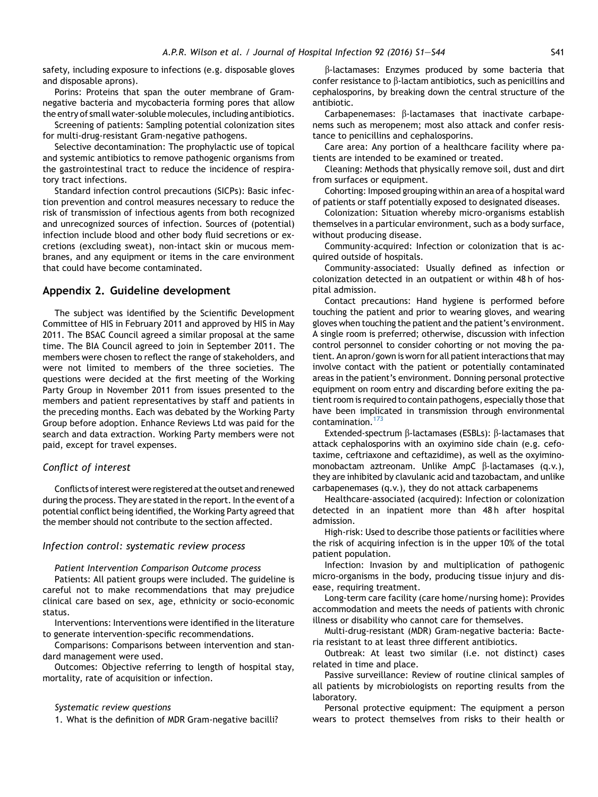safety, including exposure to infections (e.g. disposable gloves and disposable aprons).

Porins: Proteins that span the outer membrane of Gramnegative bacteria and mycobacteria forming pores that allow the entry of small water-soluble molecules, including antibiotics.

Screening of patients: Sampling potential colonization sites for multi-drug-resistant Gram-negative pathogens.

Selective decontamination: The prophylactic use of topical and systemic antibiotics to remove pathogenic organisms from the gastrointestinal tract to reduce the incidence of respiratory tract infections.

Standard infection control precautions (SICPs): Basic infection prevention and control measures necessary to reduce the risk of transmission of infectious agents from both recognized and unrecognized sources of infection. Sources of (potential) infection include blood and other body fluid secretions or excretions (excluding sweat), non-intact skin or mucous membranes, and any equipment or items in the care environment that could have become contaminated.

### Appendix 2. Guideline development

The subject was identified by the Scientific Development Committee of HIS in February 2011 and approved by HIS in May 2011. The BSAC Council agreed a similar proposal at the same time. The BIA Council agreed to join in September 2011. The members were chosen to reflect the range of stakeholders, and were not limited to members of the three societies. The questions were decided at the first meeting of the Working Party Group in November 2011 from issues presented to the members and patient representatives by staff and patients in the preceding months. Each was debated by the Working Party Group before adoption. Enhance Reviews Ltd was paid for the search and data extraction. Working Party members were not paid, except for travel expenses.

### Conflict of interest

Conflicts of interest were registered at the outset and renewed during the process. They are stated in the report. In the event of a potential conflict being identified, the Working Party agreed that the member should not contribute to the section affected.

#### Infection control: systematic review process

Patient Intervention Comparison Outcome process

Patients: All patient groups were included. The guideline is careful not to make recommendations that may prejudice clinical care based on sex, age, ethnicity or socio-economic status.

Interventions: Interventions were identified in the literature to generate intervention-specific recommendations.

Comparisons: Comparisons between intervention and standard management were used.

Outcomes: Objective referring to length of hospital stay, mortality, rate of acquisition or infection.

#### Systematic review questions

1. What is the definition of MDR Gram-negative bacilli?

b-lactamases: Enzymes produced by some bacteria that confer resistance to  $\beta$ -lactam antibiotics, such as penicillins and cephalosporins, by breaking down the central structure of the antibiotic.

Carbapenemases:  $\beta$ -lactamases that inactivate carbapenems such as meropenem; most also attack and confer resistance to penicillins and cephalosporins.

Care area: Any portion of a healthcare facility where patients are intended to be examined or treated.

Cleaning: Methods that physically remove soil, dust and dirt from surfaces or equipment.

Cohorting: Imposed grouping within an area of a hospital ward of patients or staff potentially exposed to designated diseases.

Colonization: Situation whereby micro-organisms establish themselves in a particular environment, such as a body surface, without producing disease.

Community-acquired: Infection or colonization that is acquired outside of hospitals.

Community-associated: Usually defined as infection or colonization detected in an outpatient or within 48 h of hospital admission.

Contact precautions: Hand hygiene is performed before touching the patient and prior to wearing gloves, and wearing gloves when touching the patient and the patient's environment. A single room is preferred; otherwise, discussion with infection control personnel to consider cohorting or not moving the patient. An apron/gown is worn for all patient interactions that may involve contact with the patient or potentially contaminated areas in the patient's environment. Donning personal protective equipment on room entry and discarding before exiting the patient room is required to contain pathogens, especially those that have been implicated in transmission through environmental contamination.[173](#page-34-0)

Extended-spectrum  $\beta$ -lactamases (ESBLs):  $\beta$ -lactamases that attack cephalosporins with an oxyimino side chain (e.g. cefotaxime, ceftriaxone and ceftazidime), as well as the oxyiminomonobactam aztreonam. Unlike AmpC  $\beta$ -lactamases (q.v.), they are inhibited by clavulanic acid and tazobactam, and unlike carbapenemases (q.v.), they do not attack carbapenems

Healthcare-associated (acquired): Infection or colonization detected in an inpatient more than 48 h after hospital admission.

High-risk: Used to describe those patients or facilities where the risk of acquiring infection is in the upper 10% of the total patient population.

Infection: Invasion by and multiplication of pathogenic micro-organisms in the body, producing tissue injury and disease, requiring treatment.

Long-term care facility (care home/nursing home): Provides accommodation and meets the needs of patients with chronic illness or disability who cannot care for themselves.

Multi-drug-resistant (MDR) Gram-negative bacteria: Bacteria resistant to at least three different antibiotics.

Outbreak: At least two similar (i.e. not distinct) cases related in time and place.

Passive surveillance: Review of routine clinical samples of all patients by microbiologists on reporting results from the laboratory.

Personal protective equipment: The equipment a person wears to protect themselves from risks to their health or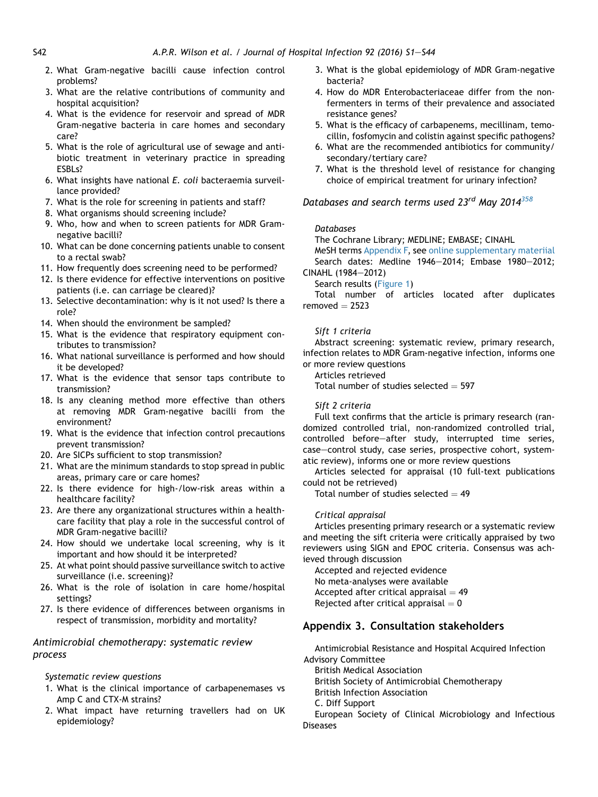- 2. What Gram-negative bacilli cause infection control problems?
- 3. What are the relative contributions of community and hospital acquisition?
- 4. What is the evidence for reservoir and spread of MDR Gram-negative bacteria in care homes and secondary care?
- 5. What is the role of agricultural use of sewage and antibiotic treatment in veterinary practice in spreading ESBLs?
- 6. What insights have national E. coli bacteraemia surveillance provided?
- 7. What is the role for screening in patients and staff?
- 8. What organisms should screening include?
- 9. Who, how and when to screen patients for MDR Gramnegative bacilli?
- 10. What can be done concerning patients unable to consent to a rectal swab?
- 11. How frequently does screening need to be performed?
- 12. Is there evidence for effective interventions on positive patients (i.e. can carriage be cleared)?
- 13. Selective decontamination: why is it not used? Is there a role?
- 14. When should the environment be sampled?
- 15. What is the evidence that respiratory equipment contributes to transmission?
- 16. What national surveillance is performed and how should it be developed?
- 17. What is the evidence that sensor taps contribute to transmission?
- 18. Is any cleaning method more effective than others at removing MDR Gram-negative bacilli from the environment?
- 19. What is the evidence that infection control precautions prevent transmission?
- 20. Are SICPs sufficient to stop transmission?
- 21. What are the minimum standards to stop spread in public areas, primary care or care homes?
- 22. Is there evidence for high-/low-risk areas within a healthcare facility?
- 23. Are there any organizational structures within a healthcare facility that play a role in the successful control of MDR Gram-negative bacilli?
- 24. How should we undertake local screening, why is it important and how should it be interpreted?
- 25. At what point should passive surveillance switch to active surveillance (i.e. screening)?
- 26. What is the role of isolation in care home/hospital settings?
- 27. Is there evidence of differences between organisms in respect of transmission, morbidity and mortality?

### Antimicrobial chemotherapy: systematic review process

#### Systematic review questions

- 1. What is the clinical importance of carbapenemases vs Amp C and CTX-M strains?
- 2. What impact have returning travellers had on UK epidemiology?
- 3. What is the global epidemiology of MDR Gram-negative bacteria?
- 4. How do MDR Enterobacteriaceae differ from the nonfermenters in terms of their prevalence and associated resistance genes?
- 5. What is the efficacy of carbapenems, mecillinam, temocillin, fosfomycin and colistin against specific pathogens?
- 6. What are the recommended antibiotics for community/ secondary/tertiary care?
- 7. What is the threshold level of resistance for changing choice of empirical treatment for urinary infection?

Databases and search terms used  $23^{rd}$  May  $2014^{358}$  $2014^{358}$  $2014^{358}$ 

#### **Databases**

The Cochrane Library; MEDLINE; EMBASE; CINAHL

MeSH terms [Appendix F,](#page-43-0) see [online supplementary materiial](#page-43-0) Search dates: Medline 1946-2014; Embase 1980-2012; CINAHL (1984-2012)

Search results [\(Figure 1\)](#page-42-0)

Total number of articles located after duplicates  $re moved = 2523$ 

#### Sift 1 criteria

Abstract screening: systematic review, primary research, infection relates to MDR Gram-negative infection, informs one or more review questions

Articles retrieved

Total number of studies selected  $=$  597

#### Sift 2 criteria

Full text confirms that the article is primary research (randomized controlled trial, non-randomized controlled trial, controlled before-after study, interrupted time series, case-control study, case series, prospective cohort, systematic review), informs one or more review questions

Articles selected for appraisal (10 full-text publications could not be retrieved)

Total number of studies selected  $= 49$ 

#### Critical appraisal

Articles presenting primary research or a systematic review and meeting the sift criteria were critically appraised by two reviewers using SIGN and EPOC criteria. Consensus was achieved through discussion

Accepted and rejected evidence No meta-analyses were available Accepted after critical appraisal  $=$  49 Rejected after critical appraisal  $= 0$ 

### Appendix 3. Consultation stakeholders

Antimicrobial Resistance and Hospital Acquired Infection Advisory Committee

British Medical Association

British Society of Antimicrobial Chemotherapy

British Infection Association

C. Diff Support

European Society of Clinical Microbiology and Infectious Diseases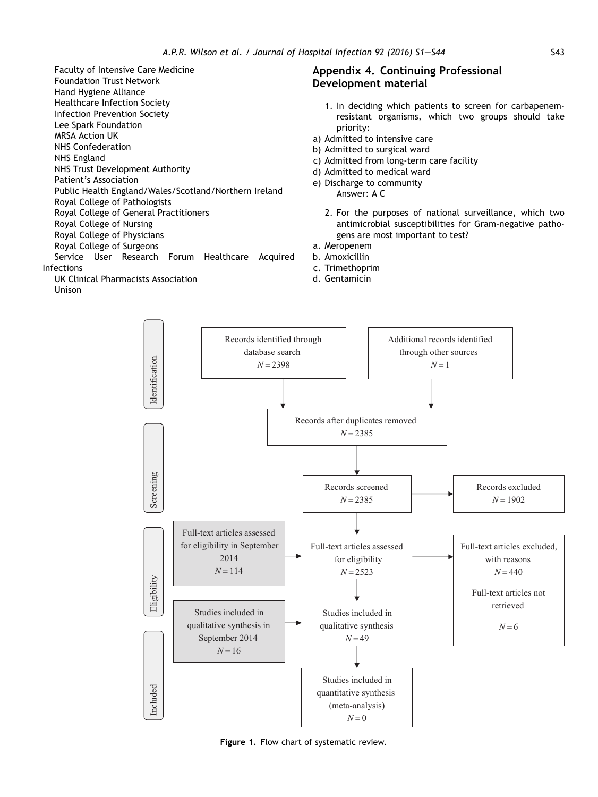<span id="page-42-0"></span>Faculty of Intensive Care Medicine Foundation Trust Network Hand Hygiene Alliance Healthcare Infection Society Infection Prevention Society Lee Spark Foundation MRSA Action UK NHS Confederation NHS England NHS Trust Development Authority Patient's Association Public Health England/Wales/Scotland/Northern Ireland Royal College of Pathologists Royal College of General Practitioners Royal College of Nursing Royal College of Physicians Royal College of Surgeons Service User Research Forum Healthcare Acquired Infections

UK Clinical Pharmacists Association Unison

### Appendix 4. Continuing Professional Development material

- 1. In deciding which patients to screen for carbapenemresistant organisms, which two groups should take priority:
- a) Admitted to intensive care
- b) Admitted to surgical ward
- c) Admitted from long-term care facility
- d) Admitted to medical ward
- e) Discharge to community Answer: A C
	- 2. For the purposes of national surveillance, which two antimicrobial susceptibilities for Gram-negative pathogens are most important to test?
- a. Meropenem
- b. Amoxicillin
- c. Trimethoprim
- d. Gentamicin



Figure 1. Flow chart of systematic review.